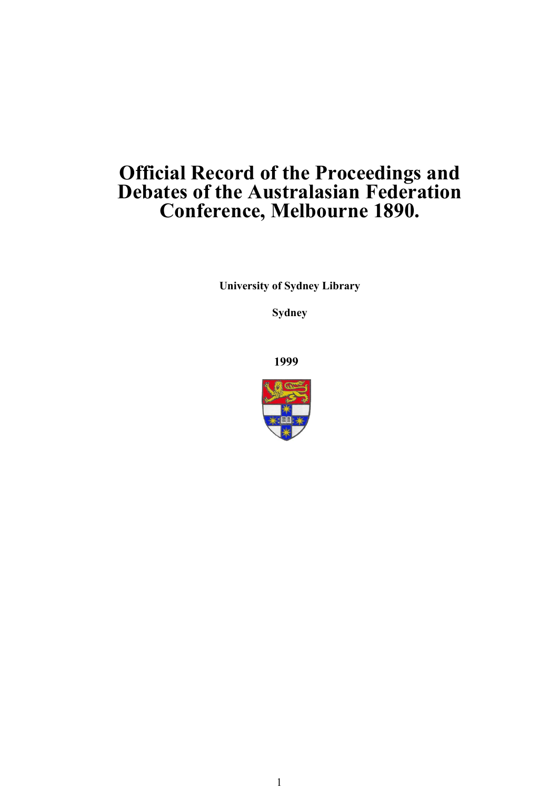# **Official Record of the Proceedings and Debates of the Australasian Federation Conference, Melbourne 1890.**

**University of Sydney Library** 

**Sydney** 

**1999**

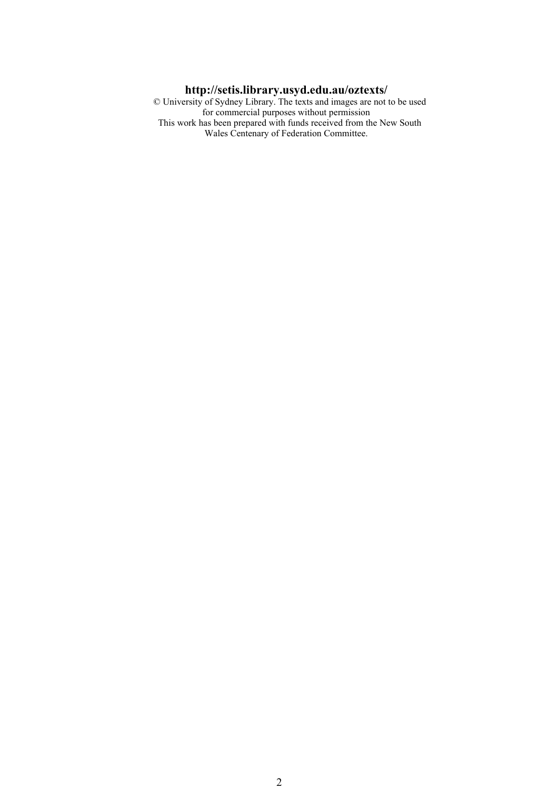#### **http://setis.library.usyd.edu.au/oztexts/**

 © University of Sydney Library. The texts and images are not to be used for commercial purposes without permission This work has been prepared with funds received from the New South Wales Centenary of Federation Committee.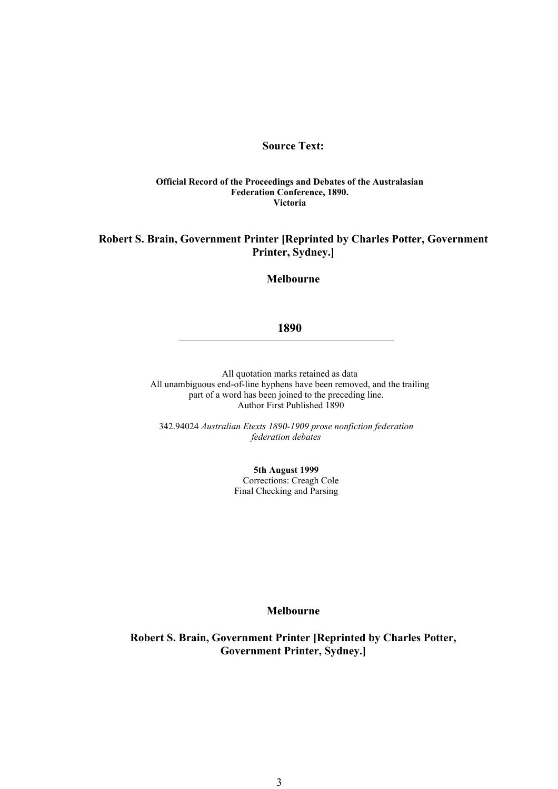#### **Source Text:**

#### **Official Record of the Proceedings and Debates of the Australasian Federation Conference, 1890. Victoria**

#### **Robert S. Brain, Government Printer [Reprinted by Charles Potter, Government Printer, Sydney.]**

**Melbourne** 

#### **1890**

 All quotation marks retained as data All unambiguous end-of-line hyphens have been removed, and the trailing part of a word has been joined to the preceding line. Author First Published 1890

342.94024 *Australian Etexts 1890-1909 prose nonfiction federation federation debates* 

> **5th August 1999** Corrections: Creagh Cole Final Checking and Parsing

#### **Melbourne**

**Robert S. Brain, Government Printer [Reprinted by Charles Potter, Government Printer, Sydney.]**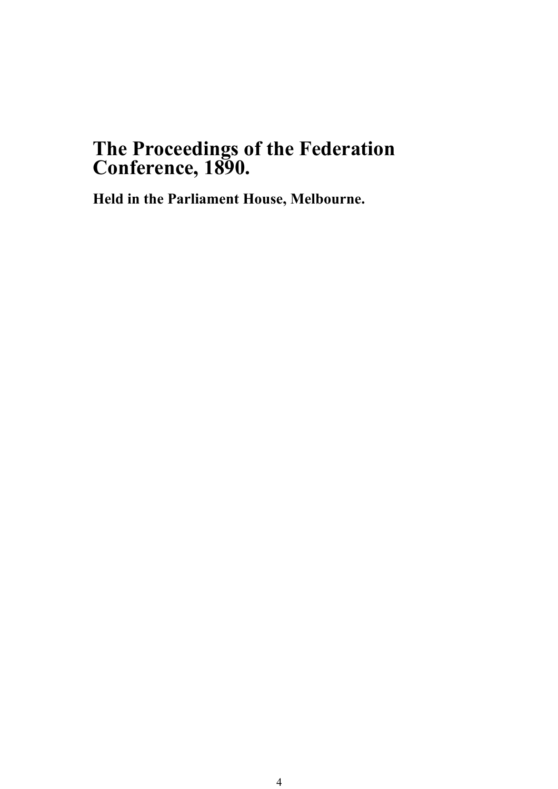# **The Proceedings of the Federation Conference, 1890.**

**Held in the Parliament House, Melbourne.**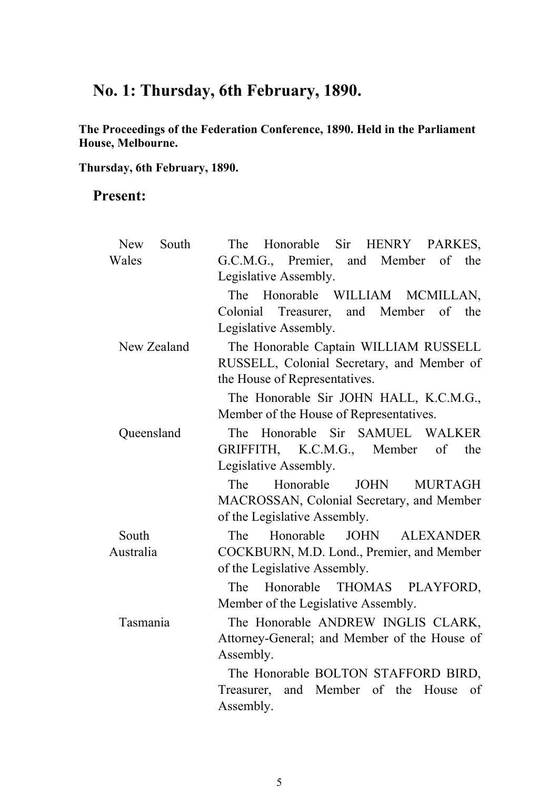# **No. 1: Thursday, 6th February, 1890.**

**The Proceedings of the Federation Conference, 1890. Held in the Parliament House, Melbourne.** 

**Thursday, 6th February, 1890.**

## **Present:**

| South<br><b>New</b> | Honorable Sir HENRY PARKES,<br>The                  |  |  |  |  |
|---------------------|-----------------------------------------------------|--|--|--|--|
| Wales               | of the<br>G.C.M.G., Premier, and Member             |  |  |  |  |
|                     | Legislative Assembly.                               |  |  |  |  |
|                     | The Honorable WILLIAM MCMILLAN,                     |  |  |  |  |
|                     | Colonial Treasurer, and Member of<br>the            |  |  |  |  |
|                     | Legislative Assembly.                               |  |  |  |  |
| New Zealand         | The Honorable Captain WILLIAM RUSSELL               |  |  |  |  |
|                     | RUSSELL, Colonial Secretary, and Member of          |  |  |  |  |
|                     | the House of Representatives.                       |  |  |  |  |
|                     | The Honorable Sir JOHN HALL, K.C.M.G.,              |  |  |  |  |
|                     | Member of the House of Representatives.             |  |  |  |  |
| Queensland          | The Honorable Sir SAMUEL WALKER                     |  |  |  |  |
|                     | GRIFFITH, K.C.M.G., Member of the                   |  |  |  |  |
|                     | Legislative Assembly.                               |  |  |  |  |
|                     | Honorable<br><b>JOHN</b><br>The<br><b>MURTAGH</b>   |  |  |  |  |
|                     | MACROSSAN, Colonial Secretary, and Member           |  |  |  |  |
|                     | of the Legislative Assembly.                        |  |  |  |  |
| South               | <b>JOHN</b><br>The<br>Honorable<br><b>ALEXANDER</b> |  |  |  |  |
| Australia           | COCKBURN, M.D. Lond., Premier, and Member           |  |  |  |  |
|                     | of the Legislative Assembly.                        |  |  |  |  |
|                     | Honorable THOMAS PLAYFORD,<br>The                   |  |  |  |  |
|                     | Member of the Legislative Assembly.                 |  |  |  |  |
| Tasmania            | The Honorable ANDREW INGLIS CLARK,                  |  |  |  |  |
|                     | Attorney-General; and Member of the House of        |  |  |  |  |
|                     | Assembly.                                           |  |  |  |  |
|                     | The Honorable BOLTON STAFFORD BIRD,                 |  |  |  |  |
|                     | Treasurer, and Member of the House<br>of            |  |  |  |  |
|                     | Assembly.                                           |  |  |  |  |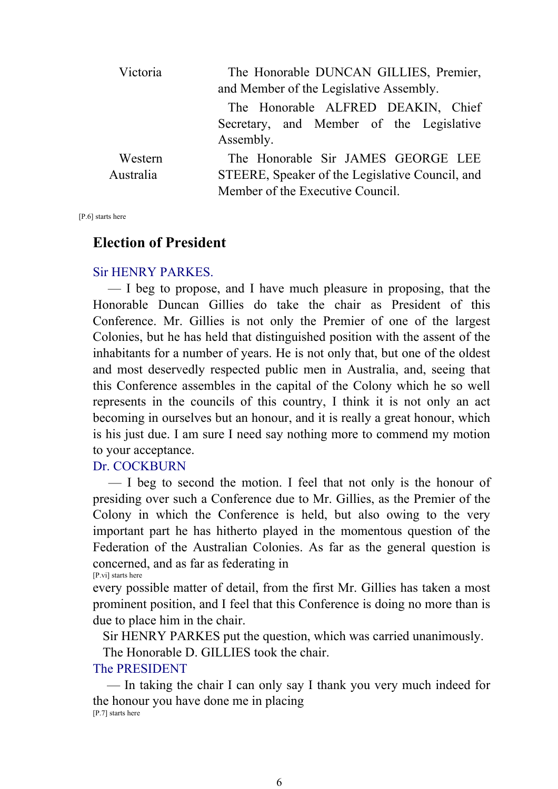| Victoria  | The Honorable DUNCAN GILLIES, Premier,<br>and Member of the Legislative Assembly. |  |  |  |  |  |  |
|-----------|-----------------------------------------------------------------------------------|--|--|--|--|--|--|
|           | The Honorable ALFRED DEAKIN, Chief                                                |  |  |  |  |  |  |
|           | Secretary, and Member of the Legislative                                          |  |  |  |  |  |  |
|           | Assembly.                                                                         |  |  |  |  |  |  |
| Western   | The Honorable Sir JAMES GEORGE LEE                                                |  |  |  |  |  |  |
| Australia | STEERE, Speaker of the Legislative Council, and                                   |  |  |  |  |  |  |
|           | Member of the Executive Council.                                                  |  |  |  |  |  |  |

[P.6] starts here

## **Election of President**

#### Sir HENRY PARKES.

 — I beg to propose, and I have much pleasure in proposing, that the Honorable Duncan Gillies do take the chair as President of this Conference. Mr. Gillies is not only the Premier of one of the largest Colonies, but he has held that distinguished position with the assent of the inhabitants for a number of years. He is not only that, but one of the oldest and most deservedly respected public men in Australia, and, seeing that this Conference assembles in the capital of the Colony which he so well represents in the councils of this country, I think it is not only an act becoming in ourselves but an honour, and it is really a great honour, which is his just due. I am sure I need say nothing more to commend my motion to your acceptance.

### Dr. COCKBURN

 — I beg to second the motion. I feel that not only is the honour of presiding over such a Conference due to Mr. Gillies, as the Premier of the Colony in which the Conference is held, but also owing to the very important part he has hitherto played in the momentous question of the Federation of the Australian Colonies. As far as the general question is concerned, and as far as federating in [P.vi] starts here

every possible matter of detail, from the first Mr. Gillies has taken a most prominent position, and I feel that this Conference is doing no more than is due to place him in the chair.

Sir HENRY PARKES put the question, which was carried unanimously.

The Honorable D. GILLIES took the chair.

### The PRESIDENT

 — In taking the chair I can only say I thank you very much indeed for the honour you have done me in placing [P.7] starts here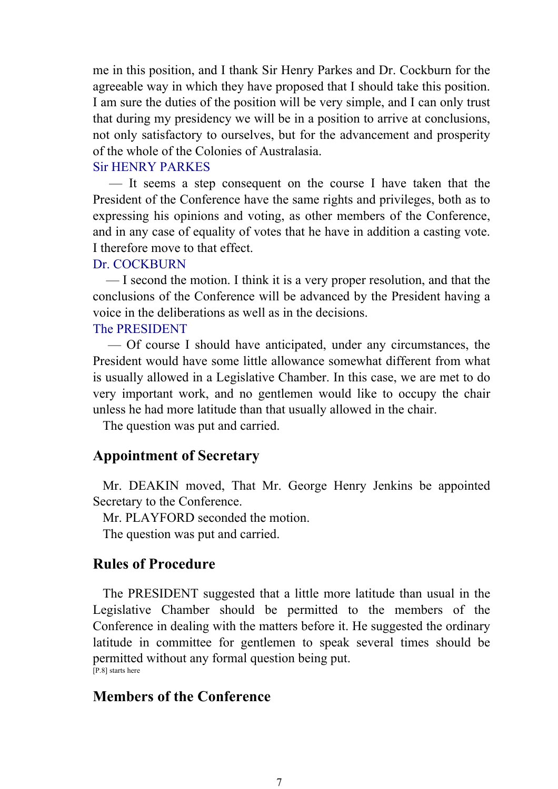me in this position, and I thank Sir Henry Parkes and Dr. Cockburn for the agreeable way in which they have proposed that I should take this position. I am sure the duties of the position will be very simple, and I can only trust that during my presidency we will be in a position to arrive at conclusions, not only satisfactory to ourselves, but for the advancement and prosperity of the whole of the Colonies of Australasia.

#### Sir HENRY PARKES

 — It seems a step consequent on the course I have taken that the President of the Conference have the same rights and privileges, both as to expressing his opinions and voting, as other members of the Conference, and in any case of equality of votes that he have in addition a casting vote. I therefore move to that effect.

#### Dr. COCKBURN

 — I second the motion. I think it is a very proper resolution, and that the conclusions of the Conference will be advanced by the President having a voice in the deliberations as well as in the decisions.

#### The PRESIDENT

 — Of course I should have anticipated, under any circumstances, the President would have some little allowance somewhat different from what is usually allowed in a Legislative Chamber. In this case, we are met to do very important work, and no gentlemen would like to occupy the chair unless he had more latitude than that usually allowed in the chair.

The question was put and carried.

## **Appointment of Secretary**

 Mr. DEAKIN moved, That Mr. George Henry Jenkins be appointed Secretary to the Conference.

Mr. PLAYFORD seconded the motion.

The question was put and carried.

## **Rules of Procedure**

 The PRESIDENT suggested that a little more latitude than usual in the Legislative Chamber should be permitted to the members of the Conference in dealing with the matters before it. He suggested the ordinary latitude in committee for gentlemen to speak several times should be permitted without any formal question being put. [P.8] starts here

## **Members of the Conference**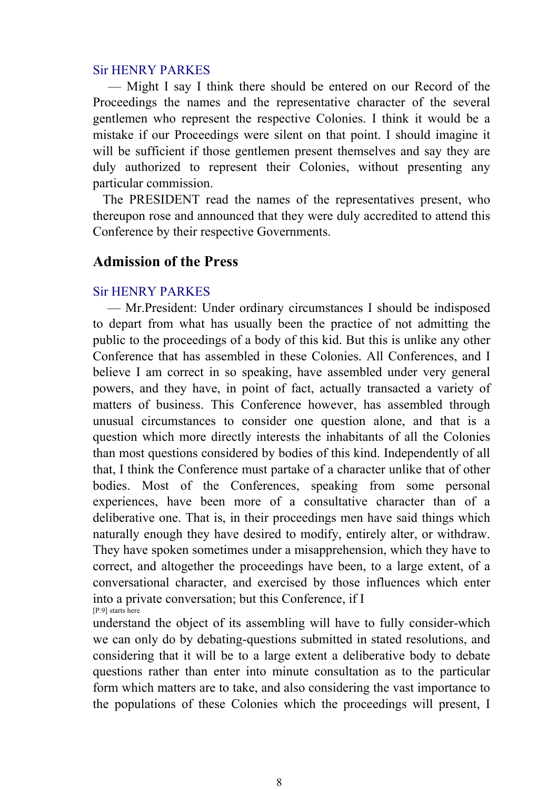### Sir HENRY PARKES

 — Might I say I think there should be entered on our Record of the Proceedings the names and the representative character of the several gentlemen who represent the respective Colonies. I think it would be a mistake if our Proceedings were silent on that point. I should imagine it will be sufficient if those gentlemen present themselves and say they are duly authorized to represent their Colonies, without presenting any particular commission.

 The PRESIDENT read the names of the representatives present, who thereupon rose and announced that they were duly accredited to attend this Conference by their respective Governments.

## **Admission of the Press**

## Sir HENRY PARKES

 — Mr.President: Under ordinary circumstances I should be indisposed to depart from what has usually been the practice of not admitting the public to the proceedings of a body of this kid. But this is unlike any other Conference that has assembled in these Colonies. All Conferences, and I believe I am correct in so speaking, have assembled under very general powers, and they have, in point of fact, actually transacted a variety of matters of business. This Conference however, has assembled through unusual circumstances to consider one question alone, and that is a question which more directly interests the inhabitants of all the Colonies than most questions considered by bodies of this kind. Independently of all that, I think the Conference must partake of a character unlike that of other bodies. Most of the Conferences, speaking from some personal experiences, have been more of a consultative character than of a deliberative one. That is, in their proceedings men have said things which naturally enough they have desired to modify, entirely alter, or withdraw. They have spoken sometimes under a misapprehension, which they have to correct, and altogether the proceedings have been, to a large extent, of a conversational character, and exercised by those influences which enter into a private conversation; but this Conference, if I [P.9] starts here

understand the object of its assembling will have to fully consider-which we can only do by debating-questions submitted in stated resolutions, and considering that it will be to a large extent a deliberative body to debate questions rather than enter into minute consultation as to the particular form which matters are to take, and also considering the vast importance to the populations of these Colonies which the proceedings will present, I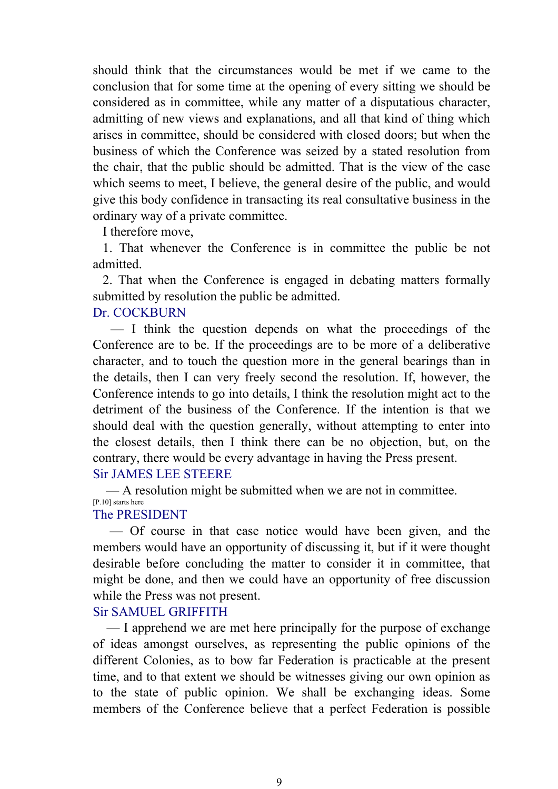should think that the circumstances would be met if we came to the conclusion that for some time at the opening of every sitting we should be considered as in committee, while any matter of a disputatious character, admitting of new views and explanations, and all that kind of thing which arises in committee, should be considered with closed doors; but when the business of which the Conference was seized by a stated resolution from the chair, that the public should be admitted. That is the view of the case which seems to meet. I believe, the general desire of the public, and would give this body confidence in transacting its real consultative business in the ordinary way of a private committee.

I therefore move,

 1. That whenever the Conference is in committee the public be not admitted.

 2. That when the Conference is engaged in debating matters formally submitted by resolution the public be admitted.

### Dr. COCKBURN

 — I think the question depends on what the proceedings of the Conference are to be. If the proceedings are to be more of a deliberative character, and to touch the question more in the general bearings than in the details, then I can very freely second the resolution. If, however, the Conference intends to go into details, I think the resolution might act to the detriment of the business of the Conference. If the intention is that we should deal with the question generally, without attempting to enter into the closest details, then I think there can be no objection, but, on the contrary, there would be every advantage in having the Press present. Sir JAMES LEE STEERE

— A resolution might be submitted when we are not in committee.

#### [P.10] starts here The PRESIDENT

 — Of course in that case notice would have been given, and the members would have an opportunity of discussing it, but if it were thought desirable before concluding the matter to consider it in committee, that might be done, and then we could have an opportunity of free discussion while the Press was not present.

## Sir SAMUEL GRIFFITH

 — I apprehend we are met here principally for the purpose of exchange of ideas amongst ourselves, as representing the public opinions of the different Colonies, as to bow far Federation is practicable at the present time, and to that extent we should be witnesses giving our own opinion as to the state of public opinion. We shall be exchanging ideas. Some members of the Conference believe that a perfect Federation is possible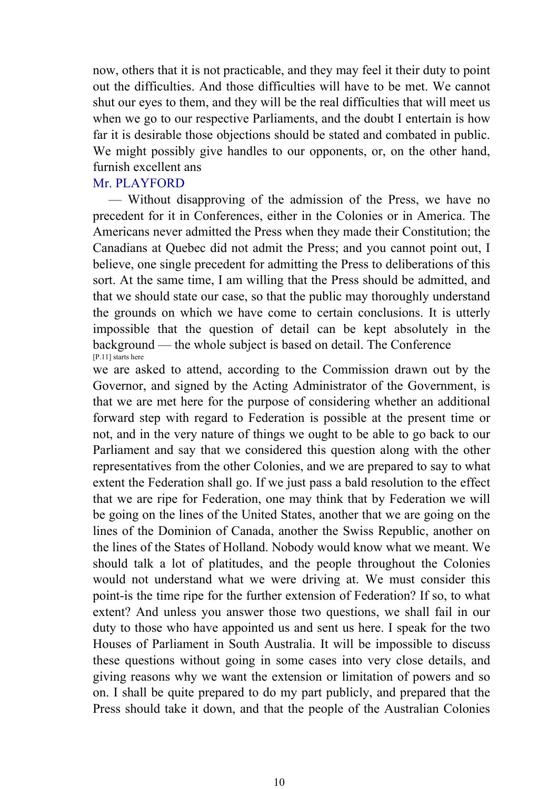now, others that it is not practicable, and they may feel it their duty to point out the difficulties. And those difficulties will have to be met. We cannot shut our eyes to them, and they will be the real difficulties that will meet us when we go to our respective Parliaments, and the doubt I entertain is how far it is desirable those objections should be stated and combated in public. We might possibly give handles to our opponents, or, on the other hand, furnish excellent ans

### Mr. PLAYFORD

 — Without disapproving of the admission of the Press, we have no precedent for it in Conferences, either in the Colonies or in America. The Americans never admitted the Press when they made their Constitution; the Canadians at Quebec did not admit the Press; and you cannot point out, I believe, one single precedent for admitting the Press to deliberations of this sort. At the same time, I am willing that the Press should be admitted, and that we should state our case, so that the public may thoroughly understand the grounds on which we have come to certain conclusions. It is utterly impossible that the question of detail can be kept absolutely in the background — the whole subject is based on detail. The Conference [P.11] starts here

we are asked to attend, according to the Commission drawn out by the Governor, and signed by the Acting Administrator of the Government, is that we are met here for the purpose of considering whether an additional forward step with regard to Federation is possible at the present time or not, and in the very nature of things we ought to be able to go back to our Parliament and say that we considered this question along with the other representatives from the other Colonies, and we are prepared to say to what extent the Federation shall go. If we just pass a bald resolution to the effect that we are ripe for Federation, one may think that by Federation we will be going on the lines of the United States, another that we are going on the lines of the Dominion of Canada, another the Swiss Republic, another on the lines of the States of Holland. Nobody would know what we meant. We should talk a lot of platitudes, and the people throughout the Colonies would not understand what we were driving at. We must consider this point-is the time ripe for the further extension of Federation? If so, to what extent? And unless you answer those two questions, we shall fail in our duty to those who have appointed us and sent us here. I speak for the two Houses of Parliament in South Australia. It will be impossible to discuss these questions without going in some cases into very close details, and giving reasons why we want the extension or limitation of powers and so on. I shall be quite prepared to do my part publicly, and prepared that the Press should take it down, and that the people of the Australian Colonies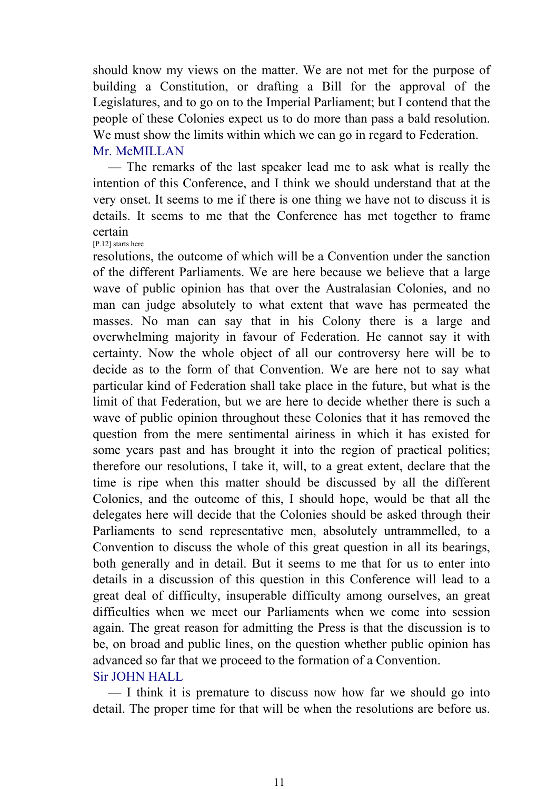should know my views on the matter. We are not met for the purpose of building a Constitution, or drafting a Bill for the approval of the Legislatures, and to go on to the Imperial Parliament; but I contend that the people of these Colonies expect us to do more than pass a bald resolution. We must show the limits within which we can go in regard to Federation. Mr. McMILLAN

 — The remarks of the last speaker lead me to ask what is really the intention of this Conference, and I think we should understand that at the very onset. It seems to me if there is one thing we have not to discuss it is details. It seems to me that the Conference has met together to frame certain

[P.12] starts here

resolutions, the outcome of which will be a Convention under the sanction of the different Parliaments. We are here because we believe that a large wave of public opinion has that over the Australasian Colonies, and no man can judge absolutely to what extent that wave has permeated the masses. No man can say that in his Colony there is a large and overwhelming majority in favour of Federation. He cannot say it with certainty. Now the whole object of all our controversy here will be to decide as to the form of that Convention. We are here not to say what particular kind of Federation shall take place in the future, but what is the limit of that Federation, but we are here to decide whether there is such a wave of public opinion throughout these Colonies that it has removed the question from the mere sentimental airiness in which it has existed for some years past and has brought it into the region of practical politics; therefore our resolutions, I take it, will, to a great extent, declare that the time is ripe when this matter should be discussed by all the different Colonies, and the outcome of this, I should hope, would be that all the delegates here will decide that the Colonies should be asked through their Parliaments to send representative men, absolutely untrammelled, to a Convention to discuss the whole of this great question in all its bearings, both generally and in detail. But it seems to me that for us to enter into details in a discussion of this question in this Conference will lead to a great deal of difficulty, insuperable difficulty among ourselves, an great difficulties when we meet our Parliaments when we come into session again. The great reason for admitting the Press is that the discussion is to be, on broad and public lines, on the question whether public opinion has advanced so far that we proceed to the formation of a Convention. Sir JOHN HALL

 — I think it is premature to discuss now how far we should go into detail. The proper time for that will be when the resolutions are before us.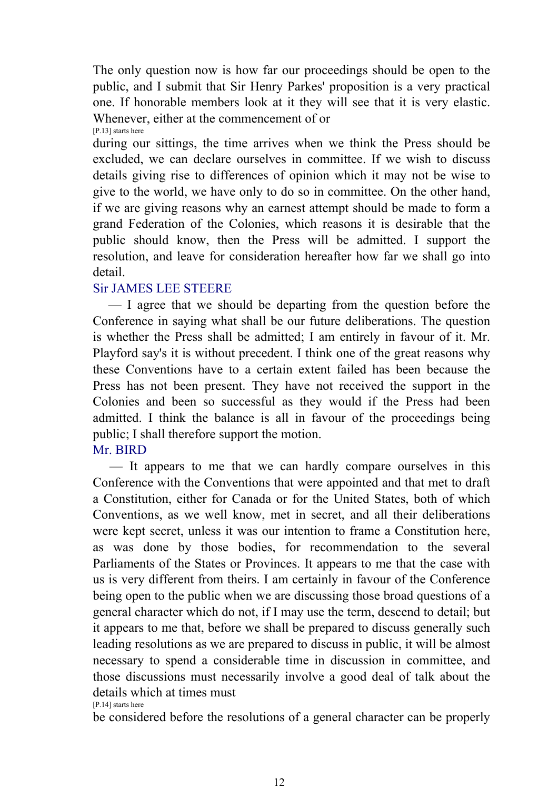The only question now is how far our proceedings should be open to the public, and I submit that Sir Henry Parkes' proposition is a very practical one. If honorable members look at it they will see that it is very elastic. Whenever, either at the commencement of or [P.13] starts here

during our sittings, the time arrives when we think the Press should be excluded, we can declare ourselves in committee. If we wish to discuss details giving rise to differences of opinion which it may not be wise to give to the world, we have only to do so in committee. On the other hand, if we are giving reasons why an earnest attempt should be made to form a grand Federation of the Colonies, which reasons it is desirable that the public should know, then the Press will be admitted. I support the resolution, and leave for consideration hereafter how far we shall go into detail.

## Sir JAMES LEE STEERE

 — I agree that we should be departing from the question before the Conference in saying what shall be our future deliberations. The question is whether the Press shall be admitted; I am entirely in favour of it. Mr. Playford say's it is without precedent. I think one of the great reasons why these Conventions have to a certain extent failed has been because the Press has not been present. They have not received the support in the Colonies and been so successful as they would if the Press had been admitted. I think the balance is all in favour of the proceedings being public; I shall therefore support the motion.

## Mr. BIRD

 — It appears to me that we can hardly compare ourselves in this Conference with the Conventions that were appointed and that met to draft a Constitution, either for Canada or for the United States, both of which Conventions, as we well know, met in secret, and all their deliberations were kept secret, unless it was our intention to frame a Constitution here, as was done by those bodies, for recommendation to the several Parliaments of the States or Provinces. It appears to me that the case with us is very different from theirs. I am certainly in favour of the Conference being open to the public when we are discussing those broad questions of a general character which do not, if I may use the term, descend to detail; but it appears to me that, before we shall be prepared to discuss generally such leading resolutions as we are prepared to discuss in public, it will be almost necessary to spend a considerable time in discussion in committee, and those discussions must necessarily involve a good deal of talk about the details which at times must [P.14] starts here

be considered before the resolutions of a general character can be properly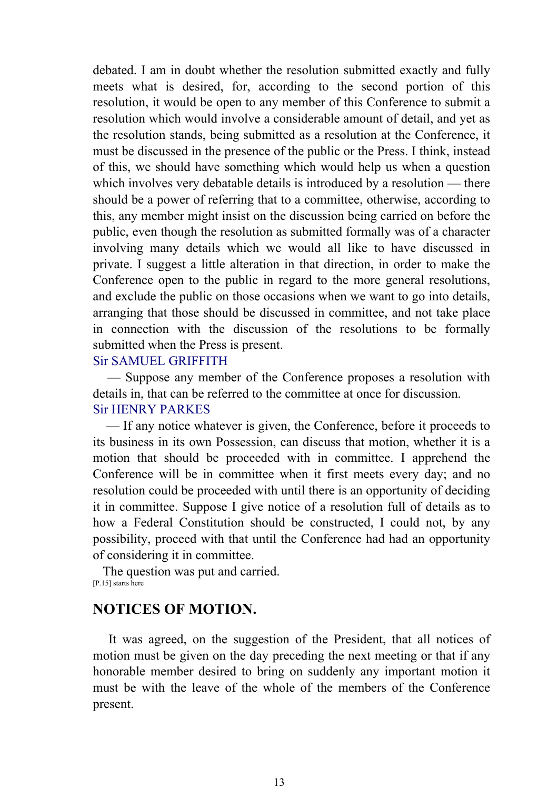debated. I am in doubt whether the resolution submitted exactly and fully meets what is desired, for, according to the second portion of this resolution, it would be open to any member of this Conference to submit a resolution which would involve a considerable amount of detail, and yet as the resolution stands, being submitted as a resolution at the Conference, it must be discussed in the presence of the public or the Press. I think, instead of this, we should have something which would help us when a question which involves very debatable details is introduced by a resolution — there should be a power of referring that to a committee, otherwise, according to this, any member might insist on the discussion being carried on before the public, even though the resolution as submitted formally was of a character involving many details which we would all like to have discussed in private. I suggest a little alteration in that direction, in order to make the Conference open to the public in regard to the more general resolutions, and exclude the public on those occasions when we want to go into details, arranging that those should be discussed in committee, and not take place in connection with the discussion of the resolutions to be formally submitted when the Press is present.

## Sir SAMUEL GRIFFITH

 — Suppose any member of the Conference proposes a resolution with details in, that can be referred to the committee at once for discussion. Sir HENRY PARKES

 — If any notice whatever is given, the Conference, before it proceeds to its business in its own Possession, can discuss that motion, whether it is a motion that should be proceeded with in committee. I apprehend the Conference will be in committee when it first meets every day; and no resolution could be proceeded with until there is an opportunity of deciding it in committee. Suppose I give notice of a resolution full of details as to how a Federal Constitution should be constructed, I could not, by any possibility, proceed with that until the Conference had had an opportunity of considering it in committee.

 The question was put and carried. [P.15] starts here

## **NOTICES OF MOTION.**

 It was agreed, on the suggestion of the President, that all notices of motion must be given on the day preceding the next meeting or that if any honorable member desired to bring on suddenly any important motion it must be with the leave of the whole of the members of the Conference present.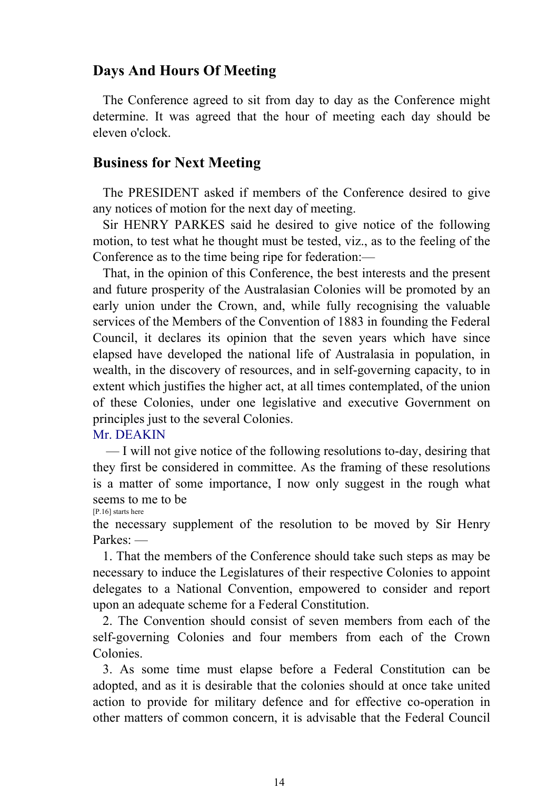## **Days And Hours Of Meeting**

 The Conference agreed to sit from day to day as the Conference might determine. It was agreed that the hour of meeting each day should be eleven o'clock.

## **Business for Next Meeting**

 The PRESIDENT asked if members of the Conference desired to give any notices of motion for the next day of meeting.

 Sir HENRY PARKES said he desired to give notice of the following motion, to test what he thought must be tested, viz., as to the feeling of the Conference as to the time being ripe for federation:—

 That, in the opinion of this Conference, the best interests and the present and future prosperity of the Australasian Colonies will be promoted by an early union under the Crown, and, while fully recognising the valuable services of the Members of the Convention of 1883 in founding the Federal Council, it declares its opinion that the seven years which have since elapsed have developed the national life of Australasia in population, in wealth, in the discovery of resources, and in self-governing capacity, to in extent which justifies the higher act, at all times contemplated, of the union of these Colonies, under one legislative and executive Government on principles just to the several Colonies.

#### Mr. DEAKIN

 — I will not give notice of the following resolutions to-day, desiring that they first be considered in committee. As the framing of these resolutions is a matter of some importance, I now only suggest in the rough what seems to me to be

[P.16] starts here

the necessary supplement of the resolution to be moved by Sir Henry Parkes: —

 1. That the members of the Conference should take such steps as may be necessary to induce the Legislatures of their respective Colonies to appoint delegates to a National Convention, empowered to consider and report upon an adequate scheme for a Federal Constitution.

 2. The Convention should consist of seven members from each of the self-governing Colonies and four members from each of the Crown Colonies.

 3. As some time must elapse before a Federal Constitution can be adopted, and as it is desirable that the colonies should at once take united action to provide for military defence and for effective co-operation in other matters of common concern, it is advisable that the Federal Council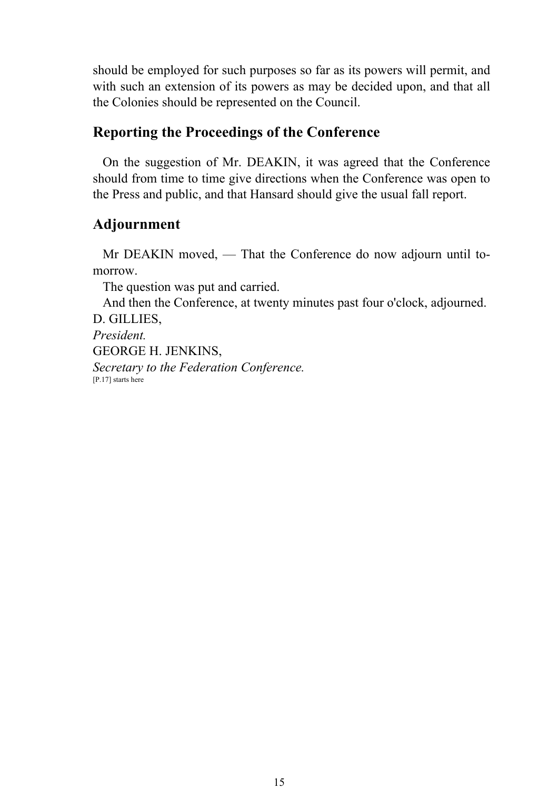should be employed for such purposes so far as its powers will permit, and with such an extension of its powers as may be decided upon, and that all the Colonies should be represented on the Council.

## **Reporting the Proceedings of the Conference**

 On the suggestion of Mr. DEAKIN, it was agreed that the Conference should from time to time give directions when the Conference was open to the Press and public, and that Hansard should give the usual fall report.

## **Adjournment**

 Mr DEAKIN moved, — That the Conference do now adjourn until tomorrow.

The question was put and carried.

 And then the Conference, at twenty minutes past four o'clock, adjourned. D. GILLIES,

*President.* GEORGE H. JENKINS, *Secretary to the Federation Conference.* [P.17] starts here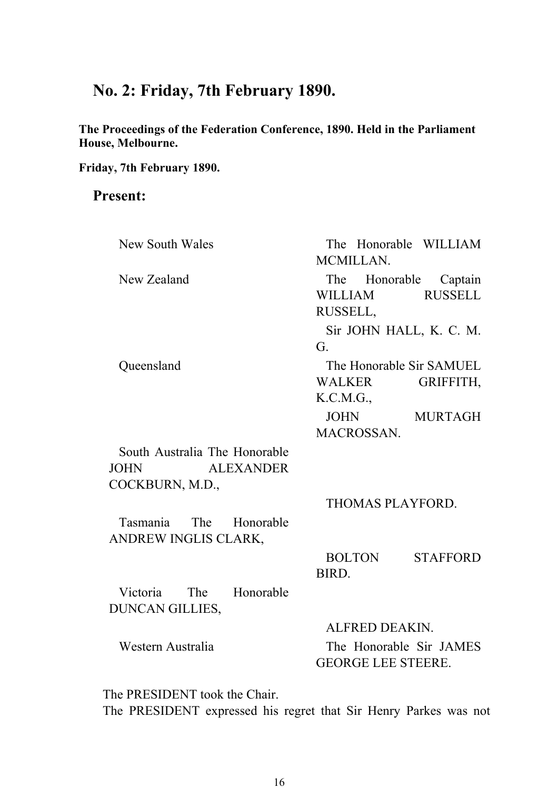## **No. 2: Friday, 7th February 1890.**

**The Proceedings of the Federation Conference, 1890. Held in the Parliament House, Melbourne.** 

**Friday, 7th February 1890.**

## **Present:**

| New South Wales                 | The Honorable WILLIAM<br>MCMILLAN. |
|---------------------------------|------------------------------------|
| New Zealand                     | The Honorable Captain              |
|                                 | <b>RUSSELL</b><br>WILLIAM          |
|                                 | RUSSELL,                           |
|                                 | Sir JOHN HALL, K. C. M.            |
|                                 | G.                                 |
| Queensland                      | The Honorable Sir SAMUEL           |
|                                 | WALKER<br>GRIFFITH,                |
|                                 | K.C.M.G.,                          |
|                                 | JOHN MURTAGH                       |
|                                 | MACROSSAN.                         |
| South Australia The Honorable   |                                    |
| <b>ALEXANDER</b><br><b>JOHN</b> |                                    |
| COCKBURN, M.D.,                 |                                    |
|                                 | THOMAS PLAYFORD.                   |
| Tasmania The Honorable          |                                    |
| ANDREW INGLIS CLARK,            |                                    |
|                                 | <b>BOLTON</b><br><b>STAFFORD</b>   |
|                                 | BIRD.                              |
| The Honorable<br>Victoria       |                                    |
| <b>DUNCAN GILLIES,</b>          |                                    |
|                                 | ALFRED DEAKIN.                     |
| Western Australia               | The Honorable Sir JAMES            |
|                                 | <b>GEORGE LEE STEERE.</b>          |
|                                 |                                    |

 The PRESIDENT took the Chair. The PRESIDENT expressed his regret that Sir Henry Parkes was not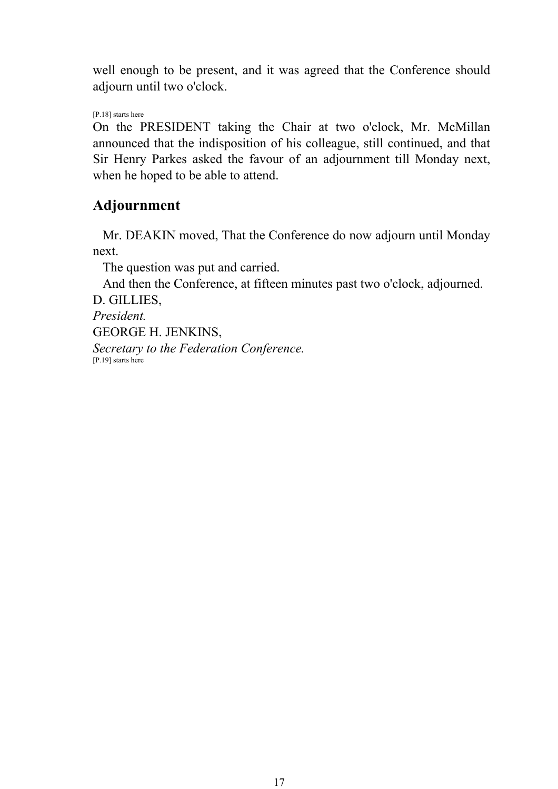well enough to be present, and it was agreed that the Conference should adjourn until two o'clock.

[P.18] starts here

On the PRESIDENT taking the Chair at two o'clock, Mr. McMillan announced that the indisposition of his colleague, still continued, and that Sir Henry Parkes asked the favour of an adjournment till Monday next, when he hoped to be able to attend.

## **Adjournment**

 Mr. DEAKIN moved, That the Conference do now adjourn until Monday next.

The question was put and carried.

 And then the Conference, at fifteen minutes past two o'clock, adjourned. D. GILLIES,

*President.* GEORGE H. JENKINS, *Secretary to the Federation Conference.* [P.19] starts here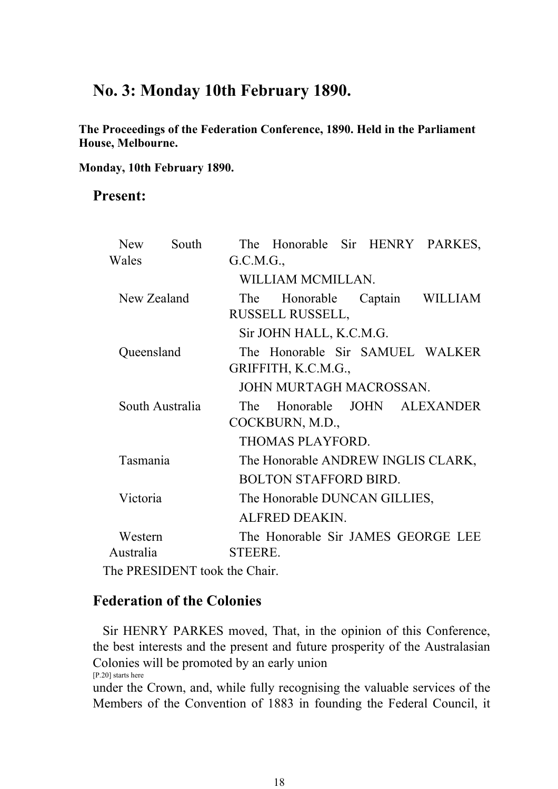## **No. 3: Monday 10th February 1890.**

**The Proceedings of the Federation Conference, 1890. Held in the Parliament House, Melbourne.** 

**Monday, 10th February 1890.**

## **Present:**

| <b>New</b>  | South                                       |                               | The Honorable Sir HENRY PARKES,    |  |  |                           |  |  |
|-------------|---------------------------------------------|-------------------------------|------------------------------------|--|--|---------------------------|--|--|
| Wales       |                                             | G.C.M.G.,                     |                                    |  |  |                           |  |  |
|             |                                             |                               | WILLIAM MCMILLAN.                  |  |  |                           |  |  |
| New Zealand |                                             | The                           |                                    |  |  | Honorable Captain WILLIAM |  |  |
|             |                                             |                               | RUSSELL RUSSELL,                   |  |  |                           |  |  |
|             |                                             |                               | Sir JOHN HALL, K.C.M.G.            |  |  |                           |  |  |
| Queensland  |                                             |                               | The Honorable Sir SAMUEL WALKER    |  |  |                           |  |  |
|             |                                             |                               | GRIFFITH, K.C.M.G.,                |  |  |                           |  |  |
|             |                                             |                               | JOHN MURTAGH MACROSSAN.            |  |  |                           |  |  |
|             | South Australia                             | The                           |                                    |  |  | Honorable JOHN ALEXANDER  |  |  |
|             |                                             | COCKBURN, M.D.,               |                                    |  |  |                           |  |  |
|             |                                             |                               | THOMAS PLAYFORD.                   |  |  |                           |  |  |
| Tasmania    |                                             |                               | The Honorable ANDREW INGLIS CLARK, |  |  |                           |  |  |
|             |                                             |                               | <b>BOLTON STAFFORD BIRD.</b>       |  |  |                           |  |  |
| Victoria    |                                             | The Honorable DUNCAN GILLIES, |                                    |  |  |                           |  |  |
|             |                                             |                               | ALFRED DEAKIN.                     |  |  |                           |  |  |
| Western     |                                             |                               | The Honorable Sir JAMES GEORGE LEE |  |  |                           |  |  |
| Australia   |                                             | STEERE.                       |                                    |  |  |                           |  |  |
|             | $\mathbb{R}$ of DD ECIDEMT to algebra Chain |                               |                                    |  |  |                           |  |  |

The PRESIDENT took the Chair.

## **Federation of the Colonies**

 Sir HENRY PARKES moved, That, in the opinion of this Conference, the best interests and the present and future prosperity of the Australasian Colonies will be promoted by an early union [P.20] starts here

under the Crown, and, while fully recognising the valuable services of the Members of the Convention of 1883 in founding the Federal Council, it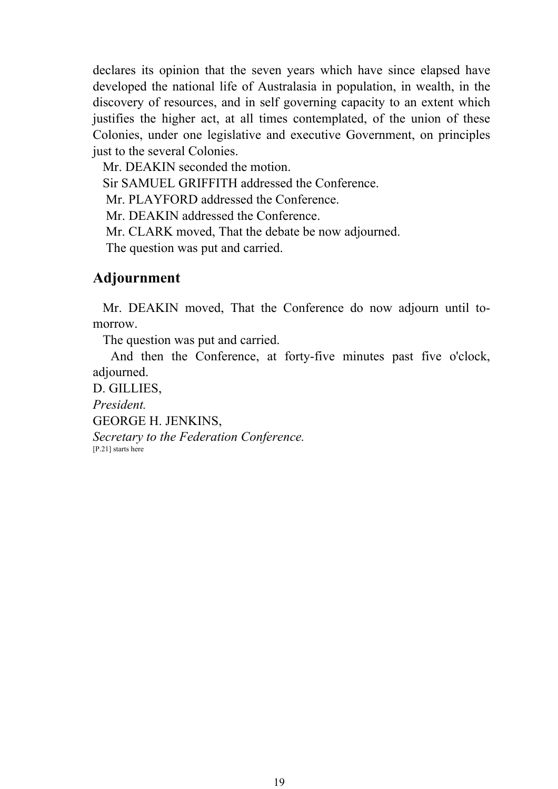declares its opinion that the seven years which have since elapsed have developed the national life of Australasia in population, in wealth, in the discovery of resources, and in self governing capacity to an extent which justifies the higher act, at all times contemplated, of the union of these Colonies, under one legislative and executive Government, on principles just to the several Colonies.

Mr. DEAKIN seconded the motion.

Sir SAMUEL GRIFFITH addressed the Conference.

Mr. PLAYFORD addressed the Conference.

Mr. DEAKIN addressed the Conference.

Mr. CLARK moved, That the debate be now adjourned.

The question was put and carried.

## **Adjournment**

 Mr. DEAKIN moved, That the Conference do now adjourn until tomorrow.

The question was put and carried.

 And then the Conference, at forty-five minutes past five o'clock, adjourned.

D. GILLIES, *President.* GEORGE H. JENKINS, *Secretary to the Federation Conference.*<br>[P.21] starts here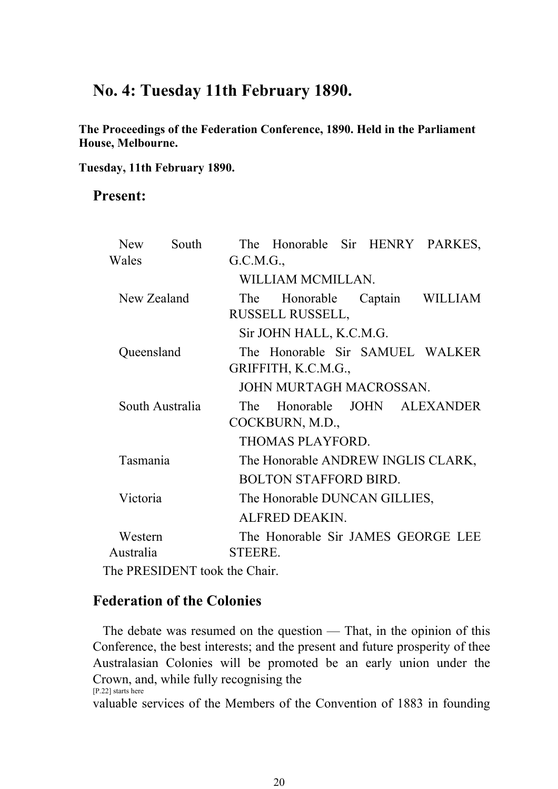## **No. 4: Tuesday 11th February 1890.**

**The Proceedings of the Federation Conference, 1890. Held in the Parliament House, Melbourne.** 

**Tuesday, 11th February 1890.**

## **Present:**

| <b>New</b>  | South                                  |                 |                                    |  |  | The Honorable Sir HENRY PARKES,    |  |  |
|-------------|----------------------------------------|-----------------|------------------------------------|--|--|------------------------------------|--|--|
| Wales       |                                        | G.C.M.G.,       |                                    |  |  |                                    |  |  |
|             |                                        |                 | WILLIAM MCMILLAN.                  |  |  |                                    |  |  |
| New Zealand |                                        | The             |                                    |  |  | Honorable Captain WILLIAM          |  |  |
|             |                                        |                 | RUSSELL RUSSELL,                   |  |  |                                    |  |  |
|             |                                        |                 | Sir JOHN HALL, K.C.M.G.            |  |  |                                    |  |  |
| Queensland  |                                        |                 |                                    |  |  | The Honorable Sir SAMUEL WALKER    |  |  |
|             |                                        |                 | GRIFFITH, K.C.M.G.,                |  |  |                                    |  |  |
|             |                                        |                 | JOHN MURTAGH MACROSSAN.            |  |  |                                    |  |  |
|             | South Australia                        | The             |                                    |  |  | Honorable JOHN ALEXANDER           |  |  |
|             |                                        | COCKBURN, M.D., |                                    |  |  |                                    |  |  |
|             |                                        |                 | THOMAS PLAYFORD.                   |  |  |                                    |  |  |
| Tasmania    |                                        |                 | The Honorable ANDREW INGLIS CLARK, |  |  |                                    |  |  |
|             |                                        |                 | <b>BOLTON STAFFORD BIRD.</b>       |  |  |                                    |  |  |
| Victoria    |                                        |                 | The Honorable DUNCAN GILLIES,      |  |  |                                    |  |  |
|             |                                        |                 | ALFRED DEAKIN.                     |  |  |                                    |  |  |
| Western     |                                        |                 |                                    |  |  | The Honorable Sir JAMES GEORGE LEE |  |  |
| Australia   |                                        | <b>STEERE.</b>  |                                    |  |  |                                    |  |  |
|             | $\mathbb{R}$ DD ECIDENT tool the Chair |                 |                                    |  |  |                                    |  |  |

The PRESIDENT took the Chair.

## **Federation of the Colonies**

 The debate was resumed on the question — That, in the opinion of this Conference, the best interests; and the present and future prosperity of thee Australasian Colonies will be promoted be an early union under the Crown, and, while fully recognising the [P.22] starts here

valuable services of the Members of the Convention of 1883 in founding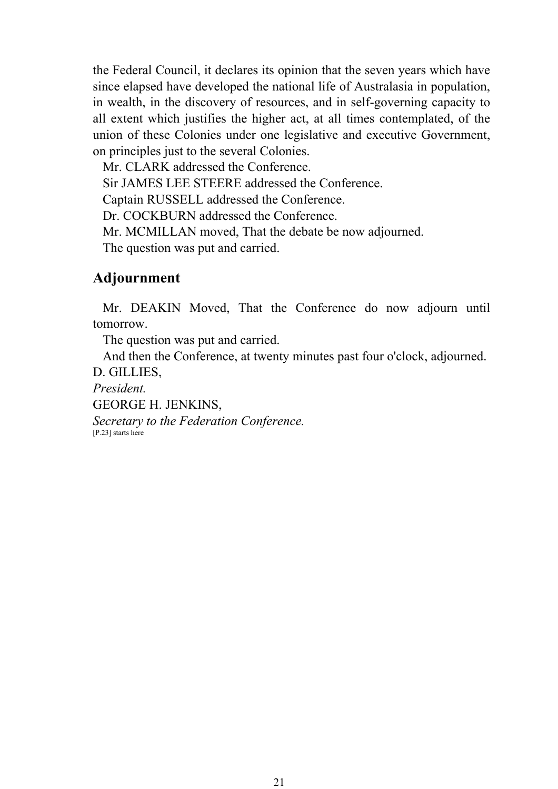the Federal Council, it declares its opinion that the seven years which have since elapsed have developed the national life of Australasia in population, in wealth, in the discovery of resources, and in self-governing capacity to all extent which justifies the higher act, at all times contemplated, of the union of these Colonies under one legislative and executive Government, on principles just to the several Colonies.

Mr. CLARK addressed the Conference.

Sir JAMES LEE STEERE addressed the Conference.

Captain RUSSELL addressed the Conference.

Dr. COCKBURN addressed the Conference.

Mr. MCMILLAN moved, That the debate be now adjourned.

The question was put and carried.

## **Adjournment**

 Mr. DEAKIN Moved, That the Conference do now adjourn until tomorrow.

The question was put and carried.

And then the Conference, at twenty minutes past four o'clock, adjourned.

D. GILLIES,

*President.*

GEORGE H. JENKINS,

*Secretary to the Federation Conference.* [P.23] starts here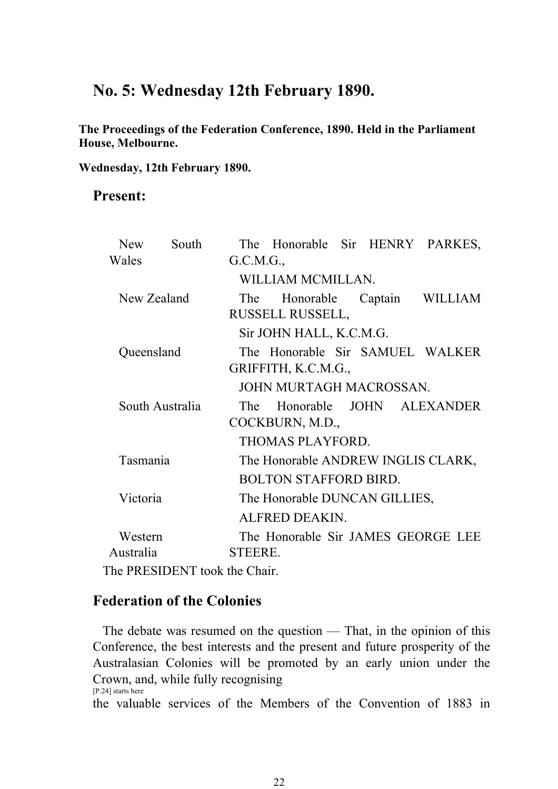## **No. 5: Wednesday 12th February 1890.**

**The Proceedings of the Federation Conference, 1890. Held in the Parliament House, Melbourne.** 

**Wednesday, 12th February 1890.**

## **Present:**

| <b>New</b>  | South                                  |                               |                                    |  |  | The Honorable Sir HENRY PARKES,    |  |  |
|-------------|----------------------------------------|-------------------------------|------------------------------------|--|--|------------------------------------|--|--|
| Wales       |                                        | G.C.M.G.,                     |                                    |  |  |                                    |  |  |
|             |                                        |                               | WILLIAM MCMILLAN.                  |  |  |                                    |  |  |
| New Zealand |                                        | The                           |                                    |  |  | Honorable Captain WILLIAM          |  |  |
|             |                                        |                               | RUSSELL RUSSELL,                   |  |  |                                    |  |  |
|             |                                        |                               | Sir JOHN HALL, K.C.M.G.            |  |  |                                    |  |  |
| Queensland  |                                        |                               |                                    |  |  | The Honorable Sir SAMUEL WALKER    |  |  |
|             |                                        |                               | GRIFFITH, K.C.M.G.,                |  |  |                                    |  |  |
|             |                                        |                               | JOHN MURTAGH MACROSSAN.            |  |  |                                    |  |  |
|             | South Australia                        | The                           |                                    |  |  | Honorable JOHN ALEXANDER           |  |  |
|             |                                        | COCKBURN, M.D.,               |                                    |  |  |                                    |  |  |
|             |                                        |                               | THOMAS PLAYFORD.                   |  |  |                                    |  |  |
| Tasmania    |                                        |                               | The Honorable ANDREW INGLIS CLARK, |  |  |                                    |  |  |
|             |                                        |                               | <b>BOLTON STAFFORD BIRD.</b>       |  |  |                                    |  |  |
| Victoria    |                                        | The Honorable DUNCAN GILLIES, |                                    |  |  |                                    |  |  |
|             |                                        |                               | ALFRED DEAKIN.                     |  |  |                                    |  |  |
| Western     |                                        |                               |                                    |  |  | The Honorable Sir JAMES GEORGE LEE |  |  |
| Australia   |                                        | STEERE.                       |                                    |  |  |                                    |  |  |
|             | $\mathbb{R}$ DD ECIDENT tool the Chair |                               |                                    |  |  |                                    |  |  |

The PRESIDENT took the Chair.

## **Federation of the Colonies**

 The debate was resumed on the question — That, in the opinion of this Conference, the best interests and the present and future prosperity of the Australasian Colonies will be promoted by an early union under the Crown, and, while fully recognising [P.24] starts here

the valuable services of the Members of the Convention of 1883 in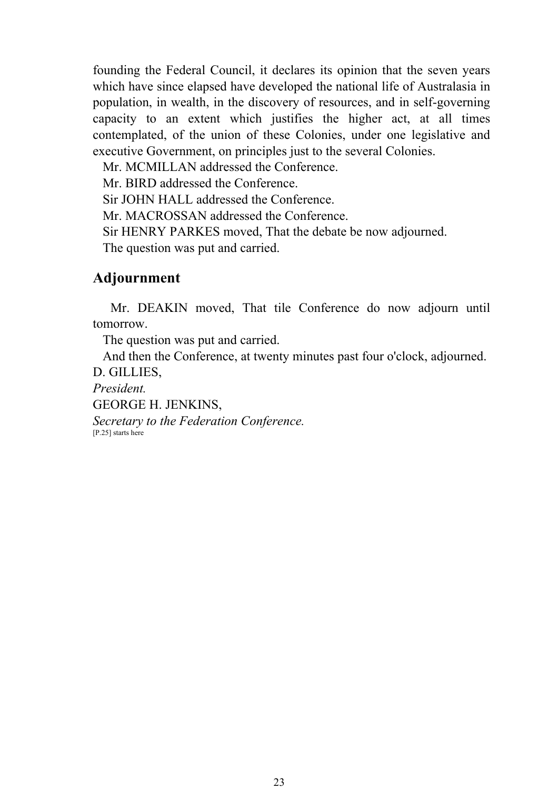founding the Federal Council, it declares its opinion that the seven years which have since elapsed have developed the national life of Australasia in population, in wealth, in the discovery of resources, and in self-governing capacity to an extent which justifies the higher act, at all times contemplated, of the union of these Colonies, under one legislative and executive Government, on principles just to the several Colonies.

Mr. MCMILLAN addressed the Conference.

Mr. BIRD addressed the Conference.

Sir JOHN HALL addressed the Conference.

Mr. MACROSSAN addressed the Conference.

Sir HENRY PARKES moved, That the debate be now adjourned.

The question was put and carried.

## **Adjournment**

 Mr. DEAKIN moved, That tile Conference do now adjourn until tomorrow.

The question was put and carried.

And then the Conference, at twenty minutes past four o'clock, adjourned.

D. GILLIES,

*President.*

GEORGE H. JENKINS,

*Secretary to the Federation Conference.* [P.25] starts here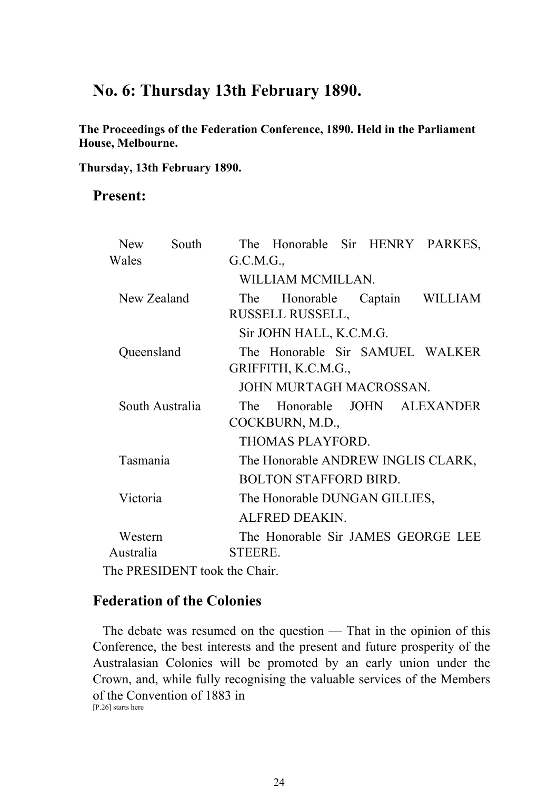## **No. 6: Thursday 13th February 1890.**

**The Proceedings of the Federation Conference, 1890. Held in the Parliament House, Melbourne.** 

**Thursday, 13th February 1890.**

## **Present:**

| <b>New</b>  | South                        |                 | The Honorable Sir HENRY PARKES,    |  |  |                           |  |  |
|-------------|------------------------------|-----------------|------------------------------------|--|--|---------------------------|--|--|
| Wales       |                              | G.C.M.G.,       |                                    |  |  |                           |  |  |
|             |                              |                 | WILLIAM MCMILLAN.                  |  |  |                           |  |  |
| New Zealand |                              | The             |                                    |  |  | Honorable Captain WILLIAM |  |  |
|             |                              |                 | RUSSELL RUSSELL,                   |  |  |                           |  |  |
|             |                              |                 | Sir JOHN HALL, K.C.M.G.            |  |  |                           |  |  |
| Queensland  |                              |                 | The Honorable Sir SAMUEL WALKER    |  |  |                           |  |  |
|             |                              |                 | GRIFFITH, K.C.M.G.,                |  |  |                           |  |  |
|             |                              |                 | JOHN MURTAGH MACROSSAN.            |  |  |                           |  |  |
|             | South Australia              | The             |                                    |  |  | Honorable JOHN ALEXANDER  |  |  |
|             |                              | COCKBURN, M.D., |                                    |  |  |                           |  |  |
|             |                              |                 | THOMAS PLAYFORD.                   |  |  |                           |  |  |
| Tasmania    |                              |                 | The Honorable ANDREW INGLIS CLARK, |  |  |                           |  |  |
|             |                              |                 | <b>BOLTON STAFFORD BIRD.</b>       |  |  |                           |  |  |
| Victoria    |                              |                 | The Honorable DUNGAN GILLIES,      |  |  |                           |  |  |
|             |                              |                 | ALFRED DEAKIN.                     |  |  |                           |  |  |
| Western     |                              |                 | The Honorable Sir JAMES GEORGE LEE |  |  |                           |  |  |
| Australia   |                              | STEERE.         |                                    |  |  |                           |  |  |
|             | he DD ESINENT took the Choir |                 |                                    |  |  |                           |  |  |

The PRESIDENT took the Chair.

## **Federation of the Colonies**

 The debate was resumed on the question — That in the opinion of this Conference, the best interests and the present and future prosperity of the Australasian Colonies will be promoted by an early union under the Crown, and, while fully recognising the valuable services of the Members of the Convention of 1883 in [P.26] starts here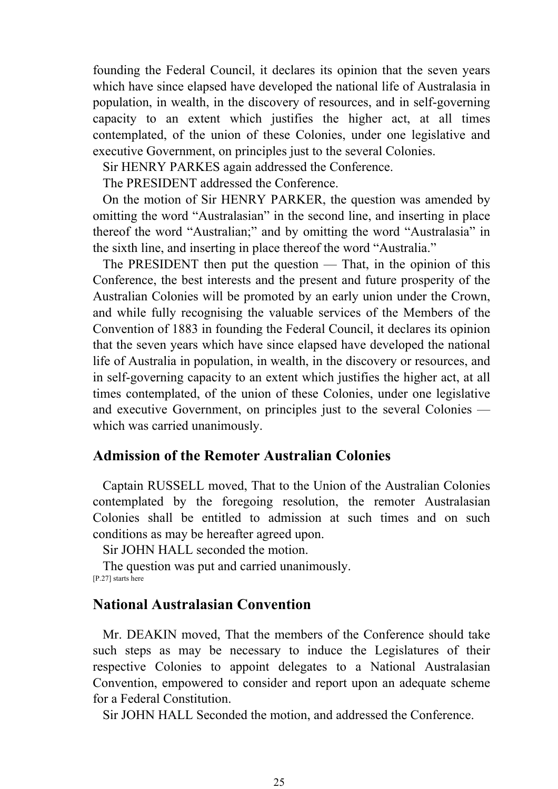founding the Federal Council, it declares its opinion that the seven years which have since elapsed have developed the national life of Australasia in population, in wealth, in the discovery of resources, and in self-governing capacity to an extent which justifies the higher act, at all times contemplated, of the union of these Colonies, under one legislative and executive Government, on principles just to the several Colonies.

Sir HENRY PARKES again addressed the Conference.

The PRESIDENT addressed the Conference.

 On the motion of Sir HENRY PARKER, the question was amended by omitting the word "Australasian" in the second line, and inserting in place thereof the word "Australian;" and by omitting the word "Australasia" in the sixth line, and inserting in place thereof the word "Australia."

 The PRESIDENT then put the question — That, in the opinion of this Conference, the best interests and the present and future prosperity of the Australian Colonies will be promoted by an early union under the Crown, and while fully recognising the valuable services of the Members of the Convention of 1883 in founding the Federal Council, it declares its opinion that the seven years which have since elapsed have developed the national life of Australia in population, in wealth, in the discovery or resources, and in self-governing capacity to an extent which justifies the higher act, at all times contemplated, of the union of these Colonies, under one legislative and executive Government, on principles just to the several Colonies which was carried unanimously.

### **Admission of the Remoter Australian Colonies**

 Captain RUSSELL moved, That to the Union of the Australian Colonies contemplated by the foregoing resolution, the remoter Australasian Colonies shall be entitled to admission at such times and on such conditions as may be hereafter agreed upon.

Sir JOHN HALL seconded the motion.

 The question was put and carried unanimously. [P.27] starts here

### **National Australasian Convention**

 Mr. DEAKIN moved, That the members of the Conference should take such steps as may be necessary to induce the Legislatures of their respective Colonies to appoint delegates to a National Australasian Convention, empowered to consider and report upon an adequate scheme for a Federal Constitution.

Sir JOHN HALL Seconded the motion, and addressed the Conference.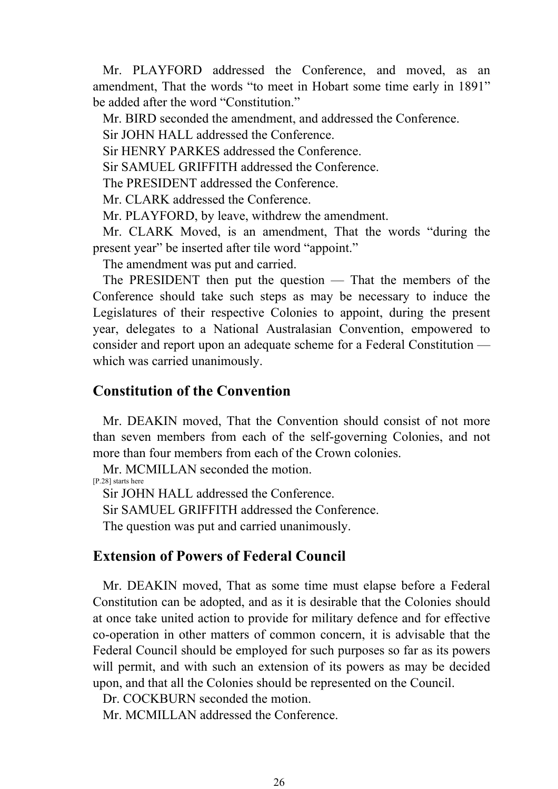Mr. PLAYFORD addressed the Conference, and moved, as an amendment, That the words "to meet in Hobart some time early in 1891" be added after the word "Constitution."

Mr. BIRD seconded the amendment, and addressed the Conference.

Sir JOHN HALL addressed the Conference.

Sir HENRY PARKES addressed the Conference.

Sir SAMUEL GRIFFITH addressed the Conference.

The PRESIDENT addressed the Conference.

Mr. CLARK addressed the Conference.

Mr. PLAYFORD, by leave, withdrew the amendment.

 Mr. CLARK Moved, is an amendment, That the words "during the present year" be inserted after tile word "appoint."

The amendment was put and carried.

 The PRESIDENT then put the question — That the members of the Conference should take such steps as may be necessary to induce the Legislatures of their respective Colonies to appoint, during the present year, delegates to a National Australasian Convention, empowered to consider and report upon an adequate scheme for a Federal Constitution which was carried unanimously.

## **Constitution of the Convention**

 Mr. DEAKIN moved, That the Convention should consist of not more than seven members from each of the self-governing Colonies, and not more than four members from each of the Crown colonies.

Mr. MCMILLAN seconded the motion.

[P.28] starts here

Sir JOHN HALL addressed the Conference.

Sir SAMUEL GRIFFITH addressed the Conference.

The question was put and carried unanimously.

## **Extension of Powers of Federal Council**

 Mr. DEAKIN moved, That as some time must elapse before a Federal Constitution can be adopted, and as it is desirable that the Colonies should at once take united action to provide for military defence and for effective co-operation in other matters of common concern, it is advisable that the Federal Council should be employed for such purposes so far as its powers will permit, and with such an extension of its powers as may be decided upon, and that all the Colonies should be represented on the Council.

Dr. COCKBURN seconded the motion.

Mr. MCMILLAN addressed the Conference.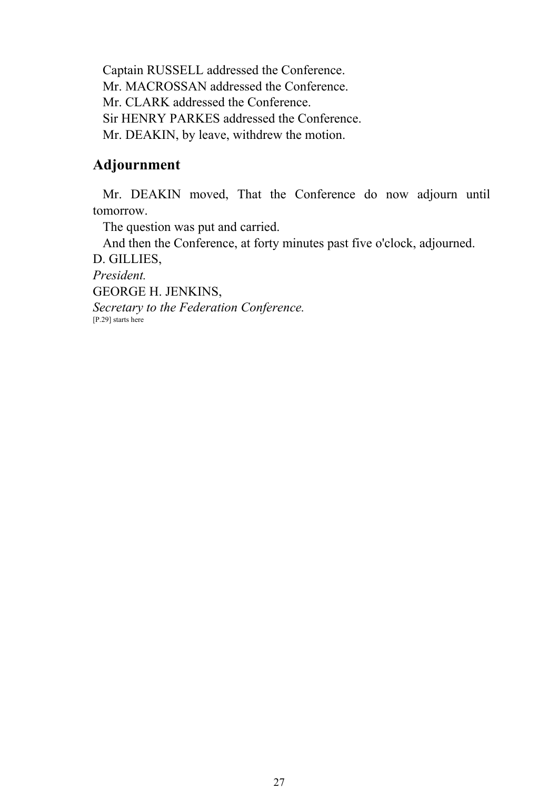Captain RUSSELL addressed the Conference. Mr. MACROSSAN addressed the Conference. Mr. CLARK addressed the Conference. Sir HENRY PARKES addressed the Conference. Mr. DEAKIN, by leave, withdrew the motion.

## **Adjournment**

 Mr. DEAKIN moved, That the Conference do now adjourn until tomorrow.

The question was put and carried.

And then the Conference, at forty minutes past five o'clock, adjourned.

D. GILLIES,

*President.*

GEORGE H. JENKINS,

*Secretary to the Federation Conference.* [P.29] starts here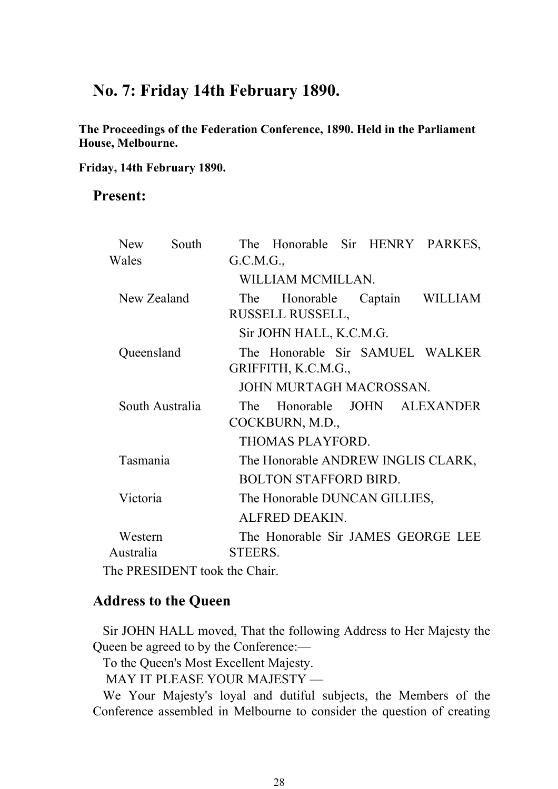## **No. 7: Friday 14th February 1890.**

**The Proceedings of the Federation Conference, 1890. Held in the Parliament House, Melbourne.** 

**Friday, 14th February 1890.**

## **Present:**

| <b>New</b>  | South                                                          |                               |                                    |  |  | The Honorable Sir HENRY PARKES,    |  |  |
|-------------|----------------------------------------------------------------|-------------------------------|------------------------------------|--|--|------------------------------------|--|--|
| Wales       |                                                                | G.C.M.G.,                     |                                    |  |  |                                    |  |  |
|             |                                                                |                               | WILLIAM MCMILLAN.                  |  |  |                                    |  |  |
| New Zealand |                                                                | The                           |                                    |  |  | Honorable Captain WILLIAM          |  |  |
|             |                                                                |                               | RUSSELL RUSSELL,                   |  |  |                                    |  |  |
|             |                                                                |                               | Sir JOHN HALL, K.C.M.G.            |  |  |                                    |  |  |
| Queensland  |                                                                |                               |                                    |  |  | The Honorable Sir SAMUEL WALKER    |  |  |
|             |                                                                |                               | GRIFFITH, K.C.M.G.,                |  |  |                                    |  |  |
|             |                                                                |                               | JOHN MURTAGH MACROSSAN.            |  |  |                                    |  |  |
|             | South Australia                                                | The                           |                                    |  |  | Honorable JOHN ALEXANDER           |  |  |
|             |                                                                | COCKBURN, M.D.,               |                                    |  |  |                                    |  |  |
|             |                                                                |                               | THOMAS PLAYFORD.                   |  |  |                                    |  |  |
| Tasmania    |                                                                |                               | The Honorable ANDREW INGLIS CLARK, |  |  |                                    |  |  |
|             |                                                                |                               | <b>BOLTON STAFFORD BIRD.</b>       |  |  |                                    |  |  |
| Victoria    |                                                                | The Honorable DUNCAN GILLIES, |                                    |  |  |                                    |  |  |
|             |                                                                |                               | ALFRED DEAKIN.                     |  |  |                                    |  |  |
| Western     |                                                                |                               |                                    |  |  | The Honorable Sir JAMES GEORGE LEE |  |  |
| Australia   |                                                                | STEERS.                       |                                    |  |  |                                    |  |  |
|             | $\mathbb{R}$ . DDECIDENTE $\mathbb{R}$ of $\mathbb{R}$ . Close |                               |                                    |  |  |                                    |  |  |

The PRESIDENT took the Chair.

## **Address to the Queen**

 Sir JOHN HALL moved, That the following Address to Her Majesty the Queen be agreed to by the Conference:—

To the Queen's Most Excellent Majesty.

MAY IT PLEASE YOUR MAJESTY —

 We Your Majesty's loyal and dutiful subjects, the Members of the Conference assembled in Melbourne to consider the question of creating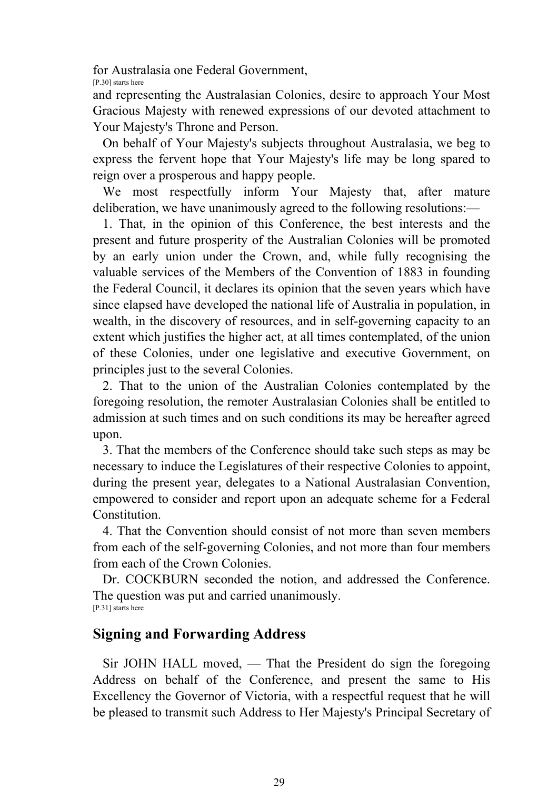for Australasia one Federal Government,

[P.30] starts here

and representing the Australasian Colonies, desire to approach Your Most Gracious Majesty with renewed expressions of our devoted attachment to Your Majesty's Throne and Person.

 On behalf of Your Majesty's subjects throughout Australasia, we beg to express the fervent hope that Your Majesty's life may be long spared to reign over a prosperous and happy people.

We most respectfully inform Your Majesty that, after mature deliberation, we have unanimously agreed to the following resolutions:—

 1. That, in the opinion of this Conference, the best interests and the present and future prosperity of the Australian Colonies will be promoted by an early union under the Crown, and, while fully recognising the valuable services of the Members of the Convention of 1883 in founding the Federal Council, it declares its opinion that the seven years which have since elapsed have developed the national life of Australia in population, in wealth, in the discovery of resources, and in self-governing capacity to an extent which justifies the higher act, at all times contemplated, of the union of these Colonies, under one legislative and executive Government, on principles just to the several Colonies.

 2. That to the union of the Australian Colonies contemplated by the foregoing resolution, the remoter Australasian Colonies shall be entitled to admission at such times and on such conditions its may be hereafter agreed upon.

 3. That the members of the Conference should take such steps as may be necessary to induce the Legislatures of their respective Colonies to appoint, during the present year, delegates to a National Australasian Convention, empowered to consider and report upon an adequate scheme for a Federal Constitution.

 4. That the Convention should consist of not more than seven members from each of the self-governing Colonies, and not more than four members from each of the Crown Colonies.

 Dr. COCKBURN seconded the notion, and addressed the Conference. The question was put and carried unanimously. [P.31] starts here

## **Signing and Forwarding Address**

 Sir JOHN HALL moved, — That the President do sign the foregoing Address on behalf of the Conference, and present the same to His Excellency the Governor of Victoria, with a respectful request that he will be pleased to transmit such Address to Her Majesty's Principal Secretary of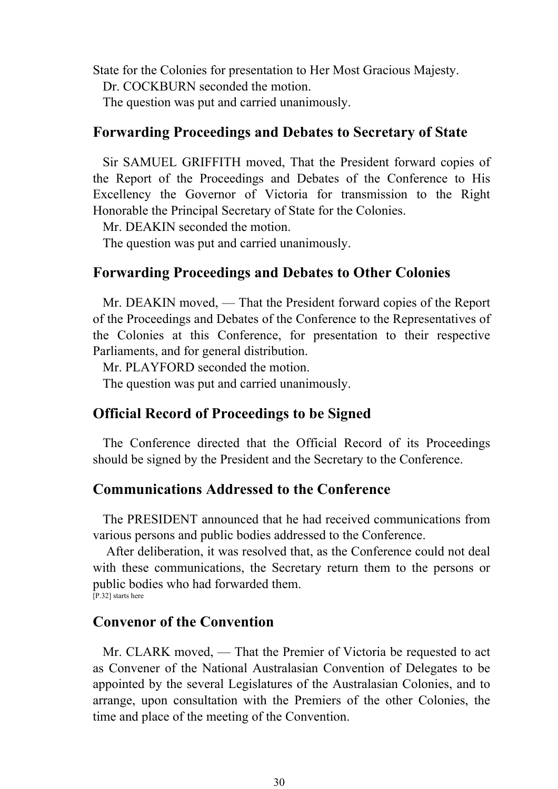State for the Colonies for presentation to Her Most Gracious Majesty. Dr. COCKBURN seconded the motion.

The question was put and carried unanimously.

## **Forwarding Proceedings and Debates to Secretary of State**

 Sir SAMUEL GRIFFITH moved, That the President forward copies of the Report of the Proceedings and Debates of the Conference to His Excellency the Governor of Victoria for transmission to the Right Honorable the Principal Secretary of State for the Colonies.

Mr. DEAKIN seconded the motion.

The question was put and carried unanimously.

## **Forwarding Proceedings and Debates to Other Colonies**

 Mr. DEAKIN moved, — That the President forward copies of the Report of the Proceedings and Debates of the Conference to the Representatives of the Colonies at this Conference, for presentation to their respective Parliaments, and for general distribution.

Mr. PLAYFORD seconded the motion.

The question was put and carried unanimously.

## **Official Record of Proceedings to be Signed**

 The Conference directed that the Official Record of its Proceedings should be signed by the President and the Secretary to the Conference.

## **Communications Addressed to the Conference**

 The PRESIDENT announced that he had received communications from various persons and public bodies addressed to the Conference.

 After deliberation, it was resolved that, as the Conference could not deal with these communications, the Secretary return them to the persons or public bodies who had forwarded them. [P.32] starts here

## **Convenor of the Convention**

 Mr. CLARK moved, — That the Premier of Victoria be requested to act as Convener of the National Australasian Convention of Delegates to be appointed by the several Legislatures of the Australasian Colonies, and to arrange, upon consultation with the Premiers of the other Colonies, the time and place of the meeting of the Convention.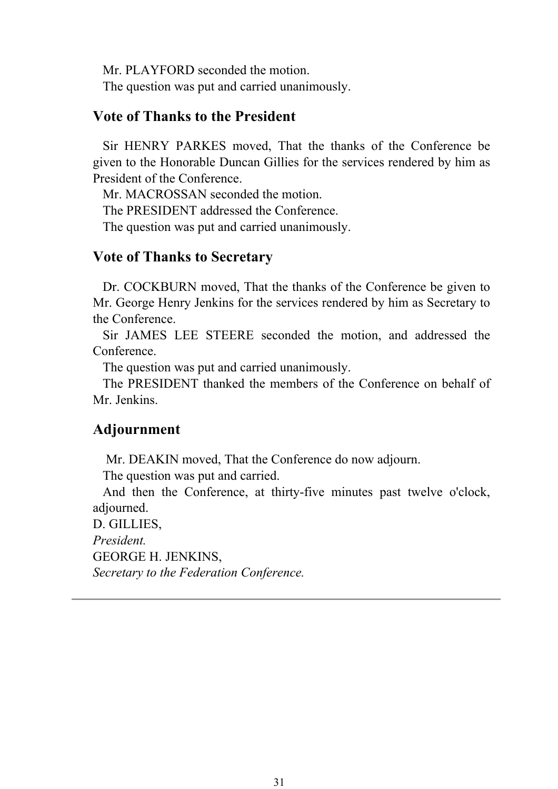Mr. PLAYFORD seconded the motion. The question was put and carried unanimously.

## **Vote of Thanks to the President**

 Sir HENRY PARKES moved, That the thanks of the Conference be given to the Honorable Duncan Gillies for the services rendered by him as President of the Conference.

Mr. MACROSSAN seconded the motion.

The PRESIDENT addressed the Conference.

The question was put and carried unanimously.

## **Vote of Thanks to Secretary**

 Dr. COCKBURN moved, That the thanks of the Conference be given to Mr. George Henry Jenkins for the services rendered by him as Secretary to the Conference.

 Sir JAMES LEE STEERE seconded the motion, and addressed the Conference.

The question was put and carried unanimously.

 The PRESIDENT thanked the members of the Conference on behalf of Mr. Jenkins.

## **Adjournment**

Mr. DEAKIN moved, That the Conference do now adjourn.

The question was put and carried.

 And then the Conference, at thirty-five minutes past twelve o'clock, adiourned.

D. GILLIES,

*President.*

GEORGE H. JENKINS,

*Secretary to the Federation Conference.*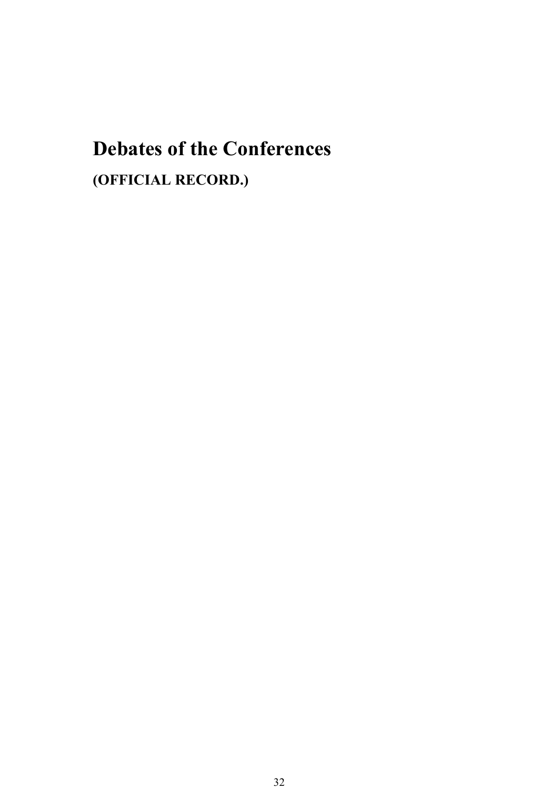# **Debates of the Conferences**

**(OFFICIAL RECORD.)**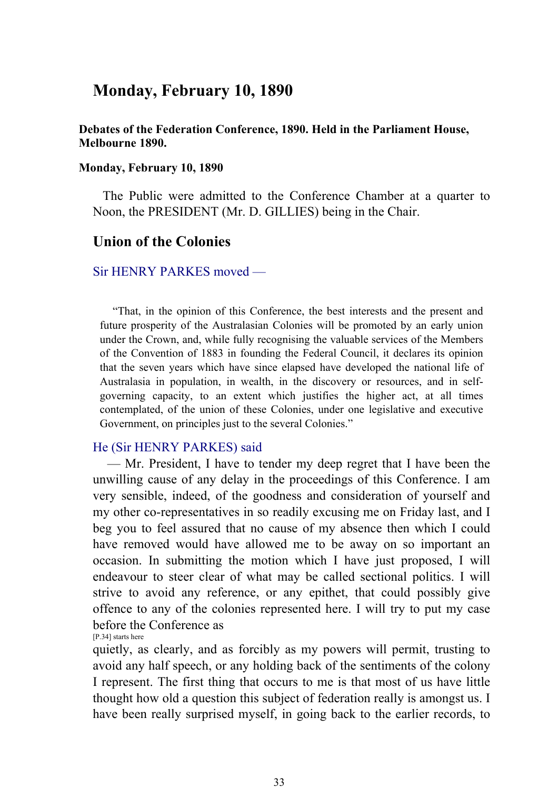## **Monday, February 10, 1890**

#### **Debates of the Federation Conference, 1890. Held in the Parliament House, Melbourne 1890.**

#### **Monday, February 10, 1890**

 The Public were admitted to the Conference Chamber at a quarter to Noon, the PRESIDENT (Mr. D. GILLIES) being in the Chair.

### **Union of the Colonies**

#### Sir HENRY PARKES moved —

 "That, in the opinion of this Conference, the best interests and the present and future prosperity of the Australasian Colonies will be promoted by an early union under the Crown, and, while fully recognising the valuable services of the Members of the Convention of 1883 in founding the Federal Council, it declares its opinion that the seven years which have since elapsed have developed the national life of Australasia in population, in wealth, in the discovery or resources, and in selfgoverning capacity, to an extent which justifies the higher act, at all times contemplated, of the union of these Colonies, under one legislative and executive Government, on principles just to the several Colonies."

#### He (Sir HENRY PARKES) said

 — Mr. President, I have to tender my deep regret that I have been the unwilling cause of any delay in the proceedings of this Conference. I am very sensible, indeed, of the goodness and consideration of yourself and my other co-representatives in so readily excusing me on Friday last, and I beg you to feel assured that no cause of my absence then which I could have removed would have allowed me to be away on so important an occasion. In submitting the motion which I have just proposed, I will endeavour to steer clear of what may be called sectional politics. I will strive to avoid any reference, or any epithet, that could possibly give offence to any of the colonies represented here. I will try to put my case before the Conference as [P.34] starts here

quietly, as clearly, and as forcibly as my powers will permit, trusting to avoid any half speech, or any holding back of the sentiments of the colony I represent. The first thing that occurs to me is that most of us have little thought how old a question this subject of federation really is amongst us. I have been really surprised myself, in going back to the earlier records, to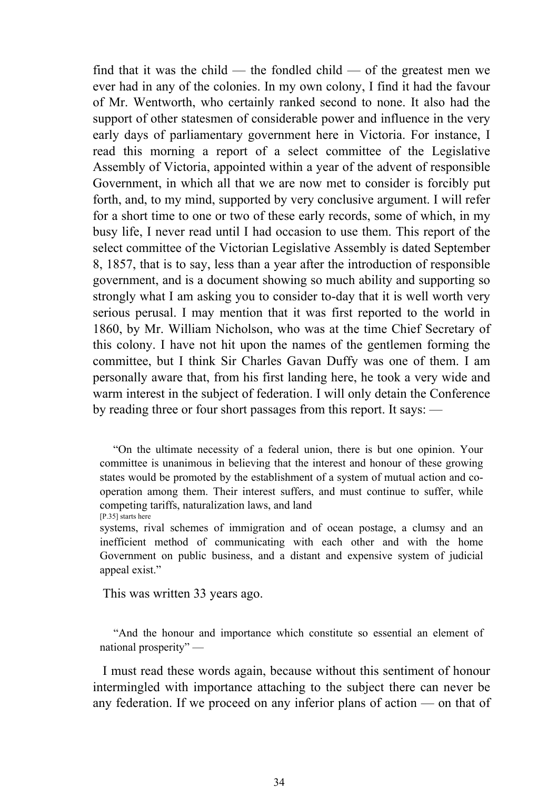find that it was the child — the fondled child — of the greatest men we ever had in any of the colonies. In my own colony, I find it had the favour of Mr. Wentworth, who certainly ranked second to none. It also had the support of other statesmen of considerable power and influence in the very early days of parliamentary government here in Victoria. For instance, I read this morning a report of a select committee of the Legislative Assembly of Victoria, appointed within a year of the advent of responsible Government, in which all that we are now met to consider is forcibly put forth, and, to my mind, supported by very conclusive argument. I will refer for a short time to one or two of these early records, some of which, in my busy life, I never read until I had occasion to use them. This report of the select committee of the Victorian Legislative Assembly is dated September 8, 1857, that is to say, less than a year after the introduction of responsible government, and is a document showing so much ability and supporting so strongly what I am asking you to consider to-day that it is well worth very serious perusal. I may mention that it was first reported to the world in 1860, by Mr. William Nicholson, who was at the time Chief Secretary of this colony. I have not hit upon the names of the gentlemen forming the committee, but I think Sir Charles Gavan Duffy was one of them. I am personally aware that, from his first landing here, he took a very wide and warm interest in the subject of federation. I will only detain the Conference by reading three or four short passages from this report. It says: —

This was written 33 years ago.

 "And the honour and importance which constitute so essential an element of national prosperity" —

 I must read these words again, because without this sentiment of honour intermingled with importance attaching to the subject there can never be any federation. If we proceed on any inferior plans of action — on that of

 <sup>&</sup>quot;On the ultimate necessity of a federal union, there is but one opinion. Your committee is unanimous in believing that the interest and honour of these growing states would be promoted by the establishment of a system of mutual action and cooperation among them. Their interest suffers, and must continue to suffer, while competing tariffs, naturalization laws, and land [P.35] starts here

systems, rival schemes of immigration and of ocean postage, a clumsy and an inefficient method of communicating with each other and with the home Government on public business, and a distant and expensive system of judicial appeal exist."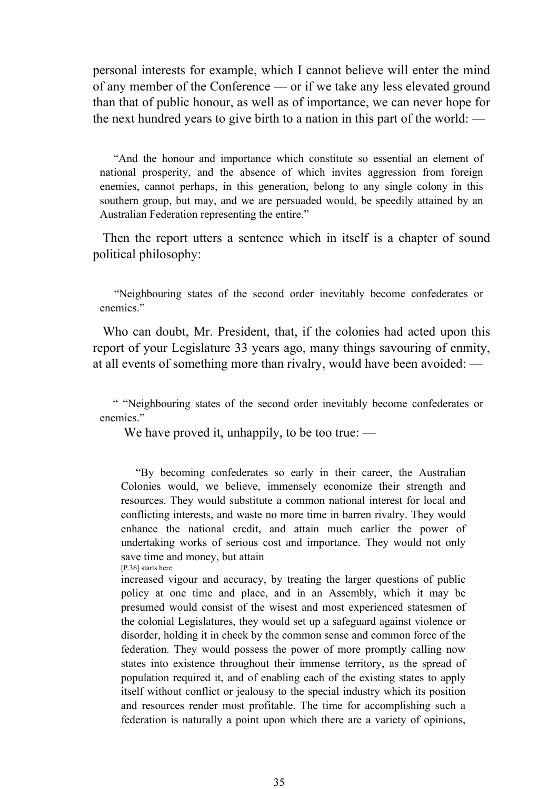personal interests for example, which I cannot believe will enter the mind of any member of the Conference — or if we take any less elevated ground than that of public honour, as well as of importance, we can never hope for the next hundred years to give birth to a nation in this part of the world: —

 "And the honour and importance which constitute so essential an element of national prosperity, and the absence of which invites aggression from foreign enemies, cannot perhaps, in this generation, belong to any single colony in this southern group, but may, and we are persuaded would, be speedily attained by an Australian Federation representing the entire."

 Then the report utters a sentence which in itself is a chapter of sound political philosophy:

 "Neighbouring states of the second order inevitably become confederates or enemies."

 Who can doubt, Mr. President, that, if the colonies had acted upon this report of your Legislature 33 years ago, many things savouring of enmity, at all events of something more than rivalry, would have been avoided: —

 " "Neighbouring states of the second order inevitably become confederates or enemies."

We have proved it, unhappily, to be too true: —

 "By becoming confederates so early in their career, the Australian Colonies would, we believe, immensely economize their strength and resources. They would substitute a common national interest for local and conflicting interests, and waste no more time in barren rivalry. They would enhance the national credit, and attain much earlier the power of undertaking works of serious cost and importance. They would not only save time and money, but attain

[P.36] starts here

increased vigour and accuracy, by treating the larger questions of public policy at one time and place, and in an Assembly, which it may be presumed would consist of the wisest and most experienced statesmen of the colonial Legislatures, they would set up a safeguard against violence or disorder, holding it in cheek by the common sense and common force of the federation. They would possess the power of more promptly calling now states into existence throughout their immense territory, as the spread of population required it, and of enabling each of the existing states to apply itself without conflict or jealousy to the special industry which its position and resources render most profitable. The time for accomplishing such a federation is naturally a point upon which there are a variety of opinions,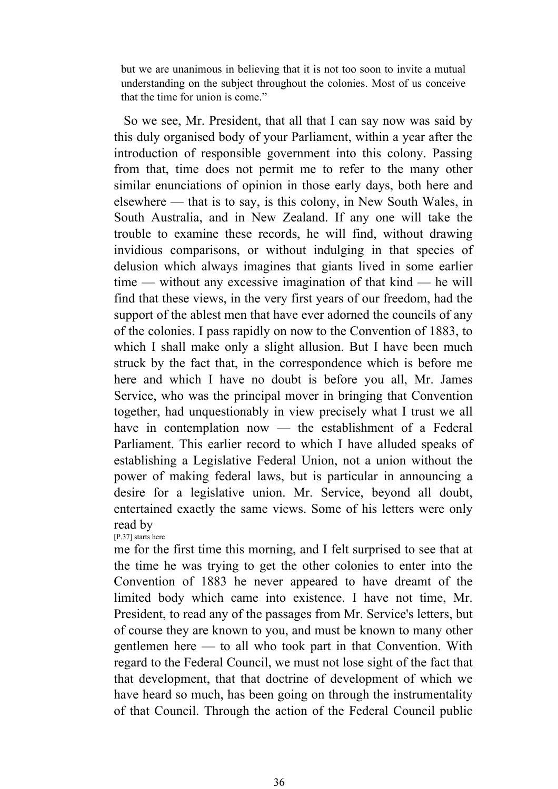but we are unanimous in believing that it is not too soon to invite a mutual understanding on the subject throughout the colonies. Most of us conceive that the time for union is come."

 So we see, Mr. President, that all that I can say now was said by this duly organised body of your Parliament, within a year after the introduction of responsible government into this colony. Passing from that, time does not permit me to refer to the many other similar enunciations of opinion in those early days, both here and elsewhere — that is to say, is this colony, in New South Wales, in South Australia, and in New Zealand. If any one will take the trouble to examine these records, he will find, without drawing invidious comparisons, or without indulging in that species of delusion which always imagines that giants lived in some earlier time — without any excessive imagination of that kind — he will find that these views, in the very first years of our freedom, had the support of the ablest men that have ever adorned the councils of any of the colonies. I pass rapidly on now to the Convention of 1883, to which I shall make only a slight allusion. But I have been much struck by the fact that, in the correspondence which is before me here and which I have no doubt is before you all, Mr. James Service, who was the principal mover in bringing that Convention together, had unquestionably in view precisely what I trust we all have in contemplation now — the establishment of a Federal Parliament. This earlier record to which I have alluded speaks of establishing a Legislative Federal Union, not a union without the power of making federal laws, but is particular in announcing a desire for a legislative union. Mr. Service, beyond all doubt, entertained exactly the same views. Some of his letters were only read by

[P.37] starts here

me for the first time this morning, and I felt surprised to see that at the time he was trying to get the other colonies to enter into the Convention of 1883 he never appeared to have dreamt of the limited body which came into existence. I have not time, Mr. President, to read any of the passages from Mr. Service's letters, but of course they are known to you, and must be known to many other gentlemen here — to all who took part in that Convention. With regard to the Federal Council, we must not lose sight of the fact that that development, that that doctrine of development of which we have heard so much, has been going on through the instrumentality of that Council. Through the action of the Federal Council public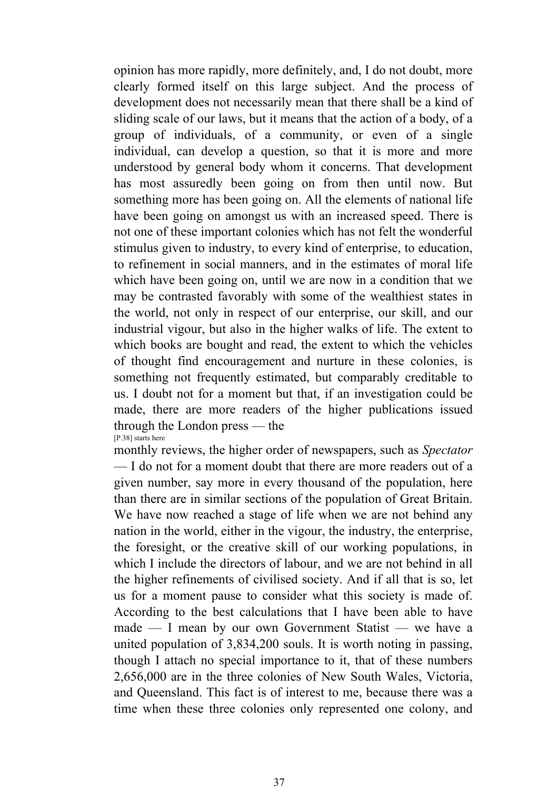opinion has more rapidly, more definitely, and, I do not doubt, more clearly formed itself on this large subject. And the process of development does not necessarily mean that there shall be a kind of sliding scale of our laws, but it means that the action of a body, of a group of individuals, of a community, or even of a single individual, can develop a question, so that it is more and more understood by general body whom it concerns. That development has most assuredly been going on from then until now. But something more has been going on. All the elements of national life have been going on amongst us with an increased speed. There is not one of these important colonies which has not felt the wonderful stimulus given to industry, to every kind of enterprise, to education, to refinement in social manners, and in the estimates of moral life which have been going on, until we are now in a condition that we may be contrasted favorably with some of the wealthiest states in the world, not only in respect of our enterprise, our skill, and our industrial vigour, but also in the higher walks of life. The extent to which books are bought and read, the extent to which the vehicles of thought find encouragement and nurture in these colonies, is something not frequently estimated, but comparably creditable to us. I doubt not for a moment but that, if an investigation could be made, there are more readers of the higher publications issued through the London press — the [P.38] starts here

monthly reviews, the higher order of newspapers, such as *Spectator* — I do not for a moment doubt that there are more readers out of a given number, say more in every thousand of the population, here than there are in similar sections of the population of Great Britain. We have now reached a stage of life when we are not behind any nation in the world, either in the vigour, the industry, the enterprise, the foresight, or the creative skill of our working populations, in which I include the directors of labour, and we are not behind in all the higher refinements of civilised society. And if all that is so, let us for a moment pause to consider what this society is made of. According to the best calculations that I have been able to have made — I mean by our own Government Statist — we have a united population of 3,834,200 souls. It is worth noting in passing, though I attach no special importance to it, that of these numbers 2,656,000 are in the three colonies of New South Wales, Victoria, and Queensland. This fact is of interest to me, because there was a time when these three colonies only represented one colony, and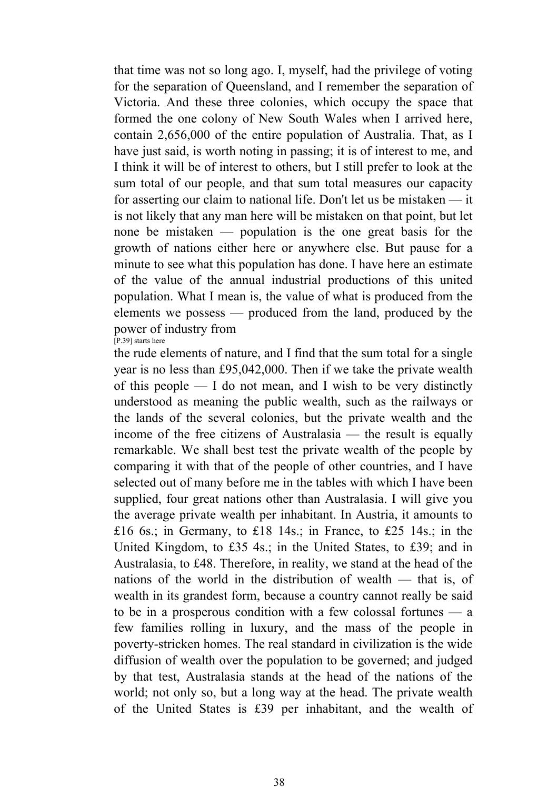that time was not so long ago. I, myself, had the privilege of voting for the separation of Queensland, and I remember the separation of Victoria. And these three colonies, which occupy the space that formed the one colony of New South Wales when I arrived here, contain 2,656,000 of the entire population of Australia. That, as I have just said, is worth noting in passing; it is of interest to me, and I think it will be of interest to others, but I still prefer to look at the sum total of our people, and that sum total measures our capacity for asserting our claim to national life. Don't let us be mistaken — it is not likely that any man here will be mistaken on that point, but let none be mistaken — population is the one great basis for the growth of nations either here or anywhere else. But pause for a minute to see what this population has done. I have here an estimate of the value of the annual industrial productions of this united population. What I mean is, the value of what is produced from the elements we possess — produced from the land, produced by the power of industry from [P.39] starts here

the rude elements of nature, and I find that the sum total for a single year is no less than £95,042,000. Then if we take the private wealth of this people — I do not mean, and I wish to be very distinctly understood as meaning the public wealth, such as the railways or the lands of the several colonies, but the private wealth and the income of the free citizens of Australasia — the result is equally remarkable. We shall best test the private wealth of the people by comparing it with that of the people of other countries, and I have selected out of many before me in the tables with which I have been supplied, four great nations other than Australasia. I will give you the average private wealth per inhabitant. In Austria, it amounts to £16 6s.; in Germany, to £18 14s.; in France, to £25 14s.; in the United Kingdom, to £35 4s.; in the United States, to £39; and in Australasia, to £48. Therefore, in reality, we stand at the head of the nations of the world in the distribution of wealth — that is, of wealth in its grandest form, because a country cannot really be said to be in a prosperous condition with a few colossal fortunes — a few families rolling in luxury, and the mass of the people in poverty-stricken homes. The real standard in civilization is the wide diffusion of wealth over the population to be governed; and judged by that test, Australasia stands at the head of the nations of the world; not only so, but a long way at the head. The private wealth of the United States is £39 per inhabitant, and the wealth of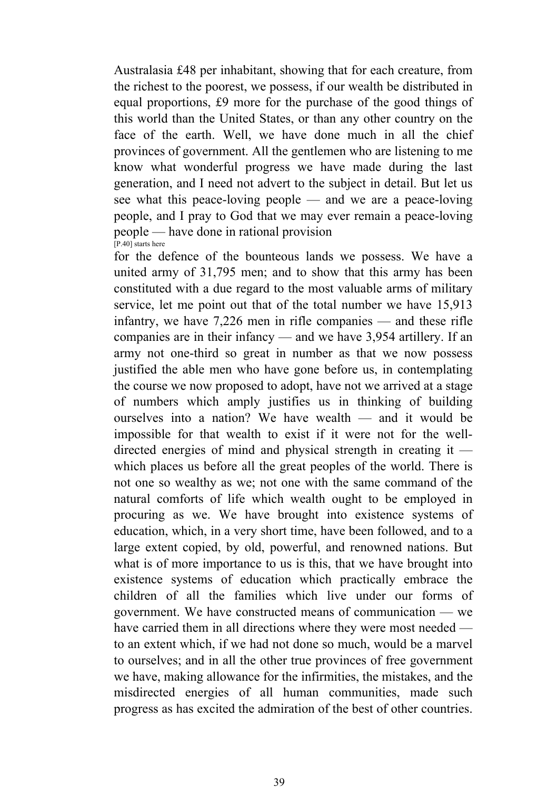Australasia £48 per inhabitant, showing that for each creature, from the richest to the poorest, we possess, if our wealth be distributed in equal proportions, £9 more for the purchase of the good things of this world than the United States, or than any other country on the face of the earth. Well, we have done much in all the chief provinces of government. All the gentlemen who are listening to me know what wonderful progress we have made during the last generation, and I need not advert to the subject in detail. But let us see what this peace-loving people — and we are a peace-loving people, and I pray to God that we may ever remain a peace-loving people — have done in rational provision [P.40] starts here

for the defence of the bounteous lands we possess. We have a united army of 31,795 men; and to show that this army has been constituted with a due regard to the most valuable arms of military service, let me point out that of the total number we have 15,913 infantry, we have 7,226 men in rifle companies — and these rifle companies are in their infancy — and we have 3,954 artillery. If an army not one-third so great in number as that we now possess justified the able men who have gone before us, in contemplating the course we now proposed to adopt, have not we arrived at a stage of numbers which amply justifies us in thinking of building ourselves into a nation? We have wealth — and it would be impossible for that wealth to exist if it were not for the welldirected energies of mind and physical strength in creating it which places us before all the great peoples of the world. There is not one so wealthy as we; not one with the same command of the natural comforts of life which wealth ought to be employed in procuring as we. We have brought into existence systems of education, which, in a very short time, have been followed, and to a large extent copied, by old, powerful, and renowned nations. But what is of more importance to us is this, that we have brought into existence systems of education which practically embrace the children of all the families which live under our forms of government. We have constructed means of communication — we have carried them in all directions where they were most needed to an extent which, if we had not done so much, would be a marvel to ourselves; and in all the other true provinces of free government we have, making allowance for the infirmities, the mistakes, and the misdirected energies of all human communities, made such progress as has excited the admiration of the best of other countries.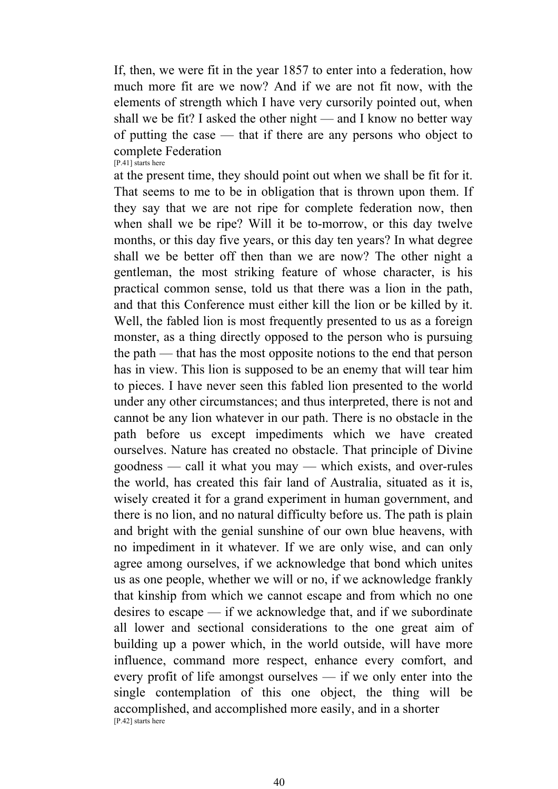If, then, we were fit in the year 1857 to enter into a federation, how much more fit are we now? And if we are not fit now, with the elements of strength which I have very cursorily pointed out, when shall we be fit? I asked the other night — and I know no better way of putting the case — that if there are any persons who object to complete Federation [P.41] starts here

at the present time, they should point out when we shall be fit for it. That seems to me to be in obligation that is thrown upon them. If they say that we are not ripe for complete federation now, then when shall we be ripe? Will it be to-morrow, or this day twelve months, or this day five years, or this day ten years? In what degree shall we be better off then than we are now? The other night a gentleman, the most striking feature of whose character, is his practical common sense, told us that there was a lion in the path, and that this Conference must either kill the lion or be killed by it. Well, the fabled lion is most frequently presented to us as a foreign monster, as a thing directly opposed to the person who is pursuing the path — that has the most opposite notions to the end that person has in view. This lion is supposed to be an enemy that will tear him to pieces. I have never seen this fabled lion presented to the world under any other circumstances; and thus interpreted, there is not and cannot be any lion whatever in our path. There is no obstacle in the path before us except impediments which we have created ourselves. Nature has created no obstacle. That principle of Divine goodness — call it what you may — which exists, and over-rules the world, has created this fair land of Australia, situated as it is, wisely created it for a grand experiment in human government, and there is no lion, and no natural difficulty before us. The path is plain and bright with the genial sunshine of our own blue heavens, with no impediment in it whatever. If we are only wise, and can only agree among ourselves, if we acknowledge that bond which unites us as one people, whether we will or no, if we acknowledge frankly that kinship from which we cannot escape and from which no one desires to escape — if we acknowledge that, and if we subordinate all lower and sectional considerations to the one great aim of building up a power which, in the world outside, will have more influence, command more respect, enhance every comfort, and every profit of life amongst ourselves — if we only enter into the single contemplation of this one object, the thing will be accomplished, and accomplished more easily, and in a shorter [P.42] starts here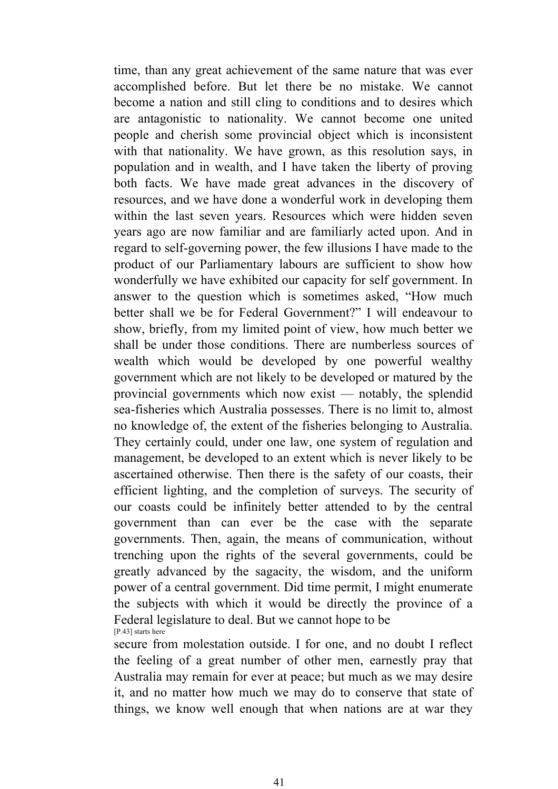time, than any great achievement of the same nature that was ever accomplished before. But let there be no mistake. We cannot become a nation and still cling to conditions and to desires which are antagonistic to nationality. We cannot become one united people and cherish some provincial object which is inconsistent with that nationality. We have grown, as this resolution says, in population and in wealth, and I have taken the liberty of proving both facts. We have made great advances in the discovery of resources, and we have done a wonderful work in developing them within the last seven years. Resources which were hidden seven years ago are now familiar and are familiarly acted upon. And in regard to self-governing power, the few illusions I have made to the product of our Parliamentary labours are sufficient to show how wonderfully we have exhibited our capacity for self government. In answer to the question which is sometimes asked, "How much better shall we be for Federal Government?" I will endeavour to show, briefly, from my limited point of view, how much better we shall be under those conditions. There are numberless sources of wealth which would be developed by one powerful wealthy government which are not likely to be developed or matured by the provincial governments which now exist — notably, the splendid sea-fisheries which Australia possesses. There is no limit to, almost no knowledge of, the extent of the fisheries belonging to Australia. They certainly could, under one law, one system of regulation and management, be developed to an extent which is never likely to be ascertained otherwise. Then there is the safety of our coasts, their efficient lighting, and the completion of surveys. The security of our coasts could be infinitely better attended to by the central government than can ever be the case with the separate governments. Then, again, the means of communication, without trenching upon the rights of the several governments, could be greatly advanced by the sagacity, the wisdom, and the uniform power of a central government. Did time permit, I might enumerate the subjects with which it would be directly the province of a Federal legislature to deal. But we cannot hope to be [P.43] starts here

secure from molestation outside. I for one, and no doubt I reflect the feeling of a great number of other men, earnestly pray that Australia may remain for ever at peace; but much as we may desire it, and no matter how much we may do to conserve that state of things, we know well enough that when nations are at war they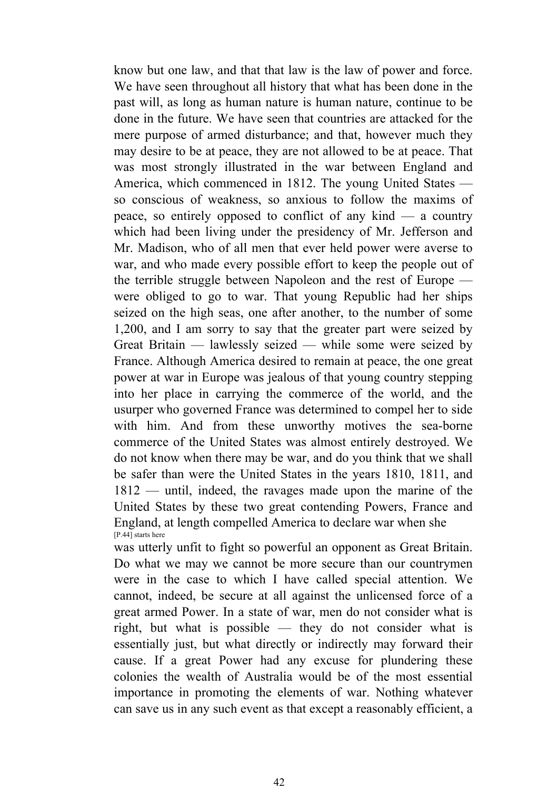know but one law, and that that law is the law of power and force. We have seen throughout all history that what has been done in the past will, as long as human nature is human nature, continue to be done in the future. We have seen that countries are attacked for the mere purpose of armed disturbance; and that, however much they may desire to be at peace, they are not allowed to be at peace. That was most strongly illustrated in the war between England and America, which commenced in 1812. The young United States so conscious of weakness, so anxious to follow the maxims of peace, so entirely opposed to conflict of any kind — a country which had been living under the presidency of Mr. Jefferson and Mr. Madison, who of all men that ever held power were averse to war, and who made every possible effort to keep the people out of the terrible struggle between Napoleon and the rest of Europe were obliged to go to war. That young Republic had her ships seized on the high seas, one after another, to the number of some 1,200, and I am sorry to say that the greater part were seized by Great Britain — lawlessly seized — while some were seized by France. Although America desired to remain at peace, the one great power at war in Europe was jealous of that young country stepping into her place in carrying the commerce of the world, and the usurper who governed France was determined to compel her to side with him. And from these unworthy motives the sea-borne commerce of the United States was almost entirely destroyed. We do not know when there may be war, and do you think that we shall be safer than were the United States in the years 1810, 1811, and 1812 — until, indeed, the ravages made upon the marine of the United States by these two great contending Powers, France and England, at length compelled America to declare war when she [P.44] starts here

was utterly unfit to fight so powerful an opponent as Great Britain. Do what we may we cannot be more secure than our countrymen were in the case to which I have called special attention. We cannot, indeed, be secure at all against the unlicensed force of a great armed Power. In a state of war, men do not consider what is right, but what is possible — they do not consider what is essentially just, but what directly or indirectly may forward their cause. If a great Power had any excuse for plundering these colonies the wealth of Australia would be of the most essential importance in promoting the elements of war. Nothing whatever can save us in any such event as that except a reasonably efficient, a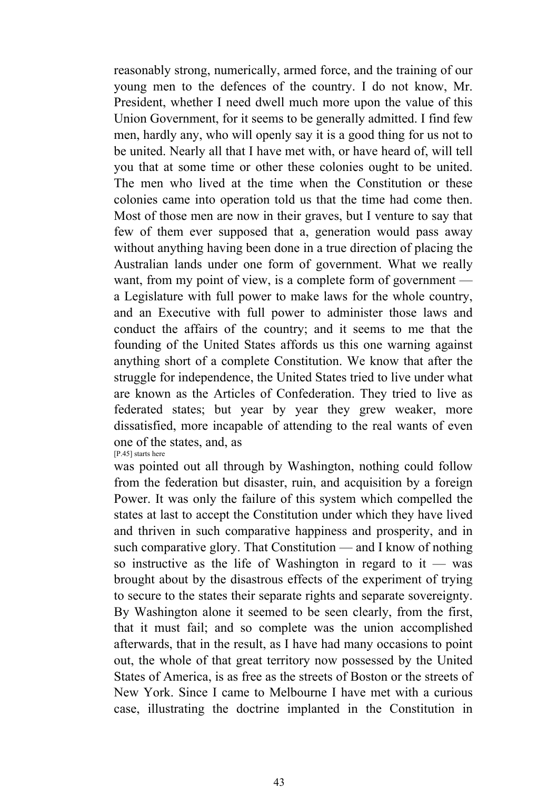reasonably strong, numerically, armed force, and the training of our young men to the defences of the country. I do not know, Mr. President, whether I need dwell much more upon the value of this Union Government, for it seems to be generally admitted. I find few men, hardly any, who will openly say it is a good thing for us not to be united. Nearly all that I have met with, or have heard of, will tell you that at some time or other these colonies ought to be united. The men who lived at the time when the Constitution or these colonies came into operation told us that the time had come then. Most of those men are now in their graves, but I venture to say that few of them ever supposed that a, generation would pass away without anything having been done in a true direction of placing the Australian lands under one form of government. What we really want, from my point of view, is a complete form of government a Legislature with full power to make laws for the whole country, and an Executive with full power to administer those laws and conduct the affairs of the country; and it seems to me that the founding of the United States affords us this one warning against anything short of a complete Constitution. We know that after the struggle for independence, the United States tried to live under what are known as the Articles of Confederation. They tried to live as federated states; but year by year they grew weaker, more dissatisfied, more incapable of attending to the real wants of even one of the states, and, as [P.45] starts here

was pointed out all through by Washington, nothing could follow from the federation but disaster, ruin, and acquisition by a foreign Power. It was only the failure of this system which compelled the states at last to accept the Constitution under which they have lived and thriven in such comparative happiness and prosperity, and in such comparative glory. That Constitution — and I know of nothing so instructive as the life of Washington in regard to it — was brought about by the disastrous effects of the experiment of trying to secure to the states their separate rights and separate sovereignty. By Washington alone it seemed to be seen clearly, from the first, that it must fail; and so complete was the union accomplished afterwards, that in the result, as I have had many occasions to point out, the whole of that great territory now possessed by the United States of America, is as free as the streets of Boston or the streets of New York. Since I came to Melbourne I have met with a curious case, illustrating the doctrine implanted in the Constitution in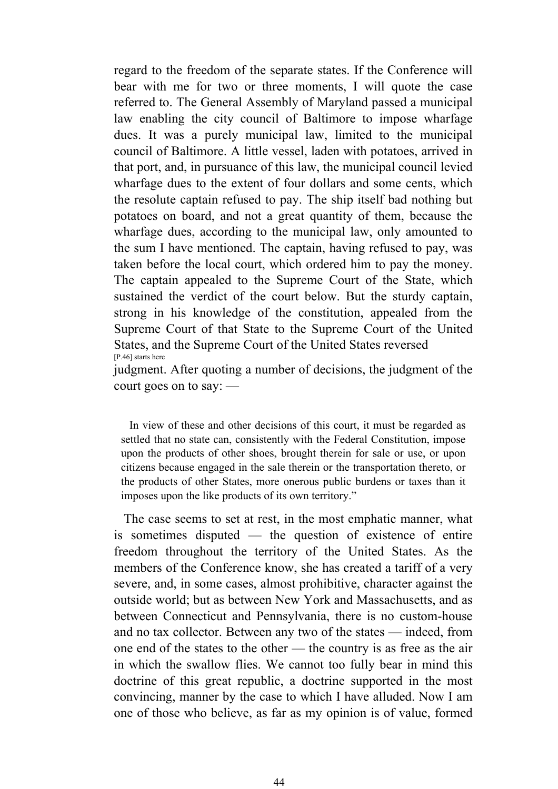regard to the freedom of the separate states. If the Conference will bear with me for two or three moments, I will quote the case referred to. The General Assembly of Maryland passed a municipal law enabling the city council of Baltimore to impose wharfage dues. It was a purely municipal law, limited to the municipal council of Baltimore. A little vessel, laden with potatoes, arrived in that port, and, in pursuance of this law, the municipal council levied wharfage dues to the extent of four dollars and some cents, which the resolute captain refused to pay. The ship itself bad nothing but potatoes on board, and not a great quantity of them, because the wharfage dues, according to the municipal law, only amounted to the sum I have mentioned. The captain, having refused to pay, was taken before the local court, which ordered him to pay the money. The captain appealed to the Supreme Court of the State, which sustained the verdict of the court below. But the sturdy captain, strong in his knowledge of the constitution, appealed from the Supreme Court of that State to the Supreme Court of the United States, and the Supreme Court of the United States reversed [P.46] starts here

judgment. After quoting a number of decisions, the judgment of the court goes on to say: —

 In view of these and other decisions of this court, it must be regarded as settled that no state can, consistently with the Federal Constitution, impose upon the products of other shoes, brought therein for sale or use, or upon citizens because engaged in the sale therein or the transportation thereto, or the products of other States, more onerous public burdens or taxes than it imposes upon the like products of its own territory."

 The case seems to set at rest, in the most emphatic manner, what is sometimes disputed — the question of existence of entire freedom throughout the territory of the United States. As the members of the Conference know, she has created a tariff of a very severe, and, in some cases, almost prohibitive, character against the outside world; but as between New York and Massachusetts, and as between Connecticut and Pennsylvania, there is no custom-house and no tax collector. Between any two of the states — indeed, from one end of the states to the other — the country is as free as the air in which the swallow flies. We cannot too fully bear in mind this doctrine of this great republic, a doctrine supported in the most convincing, manner by the case to which I have alluded. Now I am one of those who believe, as far as my opinion is of value, formed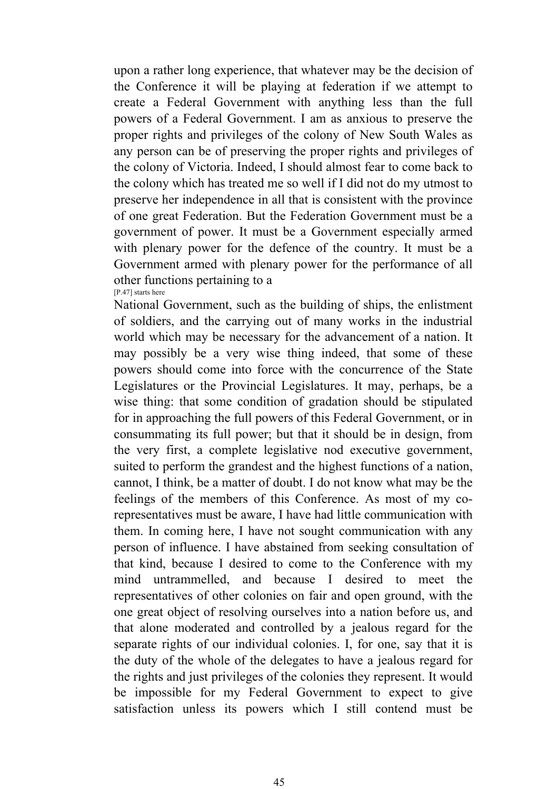upon a rather long experience, that whatever may be the decision of the Conference it will be playing at federation if we attempt to create a Federal Government with anything less than the full powers of a Federal Government. I am as anxious to preserve the proper rights and privileges of the colony of New South Wales as any person can be of preserving the proper rights and privileges of the colony of Victoria. Indeed, I should almost fear to come back to the colony which has treated me so well if I did not do my utmost to preserve her independence in all that is consistent with the province of one great Federation. But the Federation Government must be a government of power. It must be a Government especially armed with plenary power for the defence of the country. It must be a Government armed with plenary power for the performance of all other functions pertaining to a [P.47] starts here

National Government, such as the building of ships, the enlistment of soldiers, and the carrying out of many works in the industrial world which may be necessary for the advancement of a nation. It may possibly be a very wise thing indeed, that some of these powers should come into force with the concurrence of the State Legislatures or the Provincial Legislatures. It may, perhaps, be a wise thing: that some condition of gradation should be stipulated for in approaching the full powers of this Federal Government, or in consummating its full power; but that it should be in design, from the very first, a complete legislative nod executive government, suited to perform the grandest and the highest functions of a nation, cannot, I think, be a matter of doubt. I do not know what may be the feelings of the members of this Conference. As most of my corepresentatives must be aware, I have had little communication with them. In coming here, I have not sought communication with any person of influence. I have abstained from seeking consultation of that kind, because I desired to come to the Conference with my mind untrammelled, and because I desired to meet the representatives of other colonies on fair and open ground, with the one great object of resolving ourselves into a nation before us, and that alone moderated and controlled by a jealous regard for the separate rights of our individual colonies. I, for one, say that it is the duty of the whole of the delegates to have a jealous regard for the rights and just privileges of the colonies they represent. It would be impossible for my Federal Government to expect to give satisfaction unless its powers which I still contend must be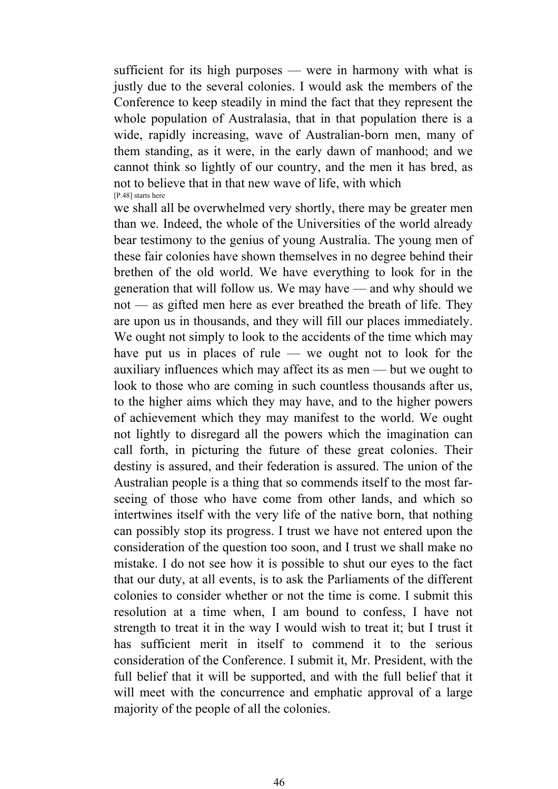sufficient for its high purposes — were in harmony with what is justly due to the several colonies. I would ask the members of the Conference to keep steadily in mind the fact that they represent the whole population of Australasia, that in that population there is a wide, rapidly increasing, wave of Australian-born men, many of them standing, as it were, in the early dawn of manhood; and we cannot think so lightly of our country, and the men it has bred, as not to believe that in that new wave of life, with which [P.48] starts here

we shall all be overwhelmed very shortly, there may be greater men than we. Indeed, the whole of the Universities of the world already bear testimony to the genius of young Australia. The young men of these fair colonies have shown themselves in no degree behind their brethen of the old world. We have everything to look for in the generation that will follow us. We may have — and why should we not — as gifted men here as ever breathed the breath of life. They are upon us in thousands, and they will fill our places immediately. We ought not simply to look to the accidents of the time which may have put us in places of rule — we ought not to look for the auxiliary influences which may affect its as men — but we ought to look to those who are coming in such countless thousands after us, to the higher aims which they may have, and to the higher powers of achievement which they may manifest to the world. We ought not lightly to disregard all the powers which the imagination can call forth, in picturing the future of these great colonies. Their destiny is assured, and their federation is assured. The union of the Australian people is a thing that so commends itself to the most farseeing of those who have come from other lands, and which so intertwines itself with the very life of the native born, that nothing can possibly stop its progress. I trust we have not entered upon the consideration of the question too soon, and I trust we shall make no mistake. I do not see how it is possible to shut our eyes to the fact that our duty, at all events, is to ask the Parliaments of the different colonies to consider whether or not the time is come. I submit this resolution at a time when, I am bound to confess, I have not strength to treat it in the way I would wish to treat it; but I trust it has sufficient merit in itself to commend it to the serious consideration of the Conference. I submit it, Mr. President, with the full belief that it will be supported, and with the full belief that it will meet with the concurrence and emphatic approval of a large majority of the people of all the colonies.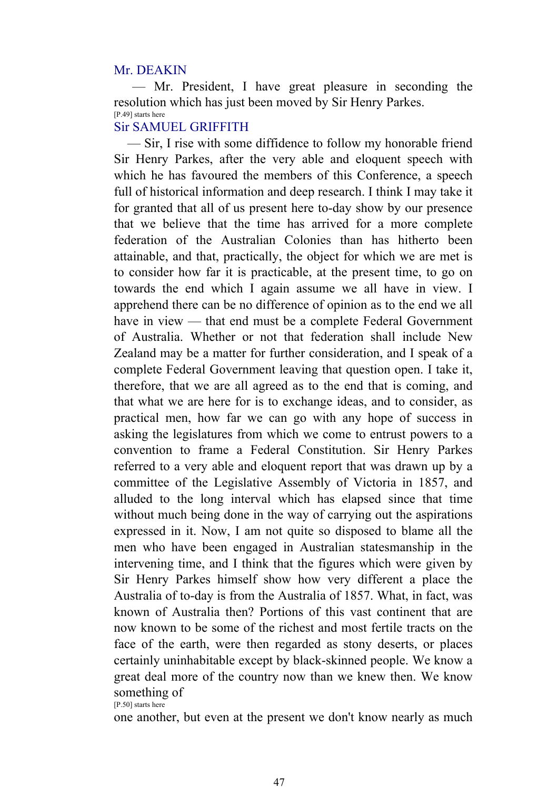### Mr. DEAKIN

 — Mr. President, I have great pleasure in seconding the resolution which has just been moved by Sir Henry Parkes. [P.49] starts here

# Sir SAMUEL GRIFFITH

 — Sir, I rise with some diffidence to follow my honorable friend Sir Henry Parkes, after the very able and eloquent speech with which he has favoured the members of this Conference, a speech full of historical information and deep research. I think I may take it for granted that all of us present here to-day show by our presence that we believe that the time has arrived for a more complete federation of the Australian Colonies than has hitherto been attainable, and that, practically, the object for which we are met is to consider how far it is practicable, at the present time, to go on towards the end which I again assume we all have in view. I apprehend there can be no difference of opinion as to the end we all have in view — that end must be a complete Federal Government of Australia. Whether or not that federation shall include New Zealand may be a matter for further consideration, and I speak of a complete Federal Government leaving that question open. I take it, therefore, that we are all agreed as to the end that is coming, and that what we are here for is to exchange ideas, and to consider, as practical men, how far we can go with any hope of success in asking the legislatures from which we come to entrust powers to a convention to frame a Federal Constitution. Sir Henry Parkes referred to a very able and eloquent report that was drawn up by a committee of the Legislative Assembly of Victoria in 1857, and alluded to the long interval which has elapsed since that time without much being done in the way of carrying out the aspirations expressed in it. Now, I am not quite so disposed to blame all the men who have been engaged in Australian statesmanship in the intervening time, and I think that the figures which were given by Sir Henry Parkes himself show how very different a place the Australia of to-day is from the Australia of 1857. What, in fact, was known of Australia then? Portions of this vast continent that are now known to be some of the richest and most fertile tracts on the face of the earth, were then regarded as stony deserts, or places certainly uninhabitable except by black-skinned people. We know a great deal more of the country now than we knew then. We know something of [P.50] starts here

one another, but even at the present we don't know nearly as much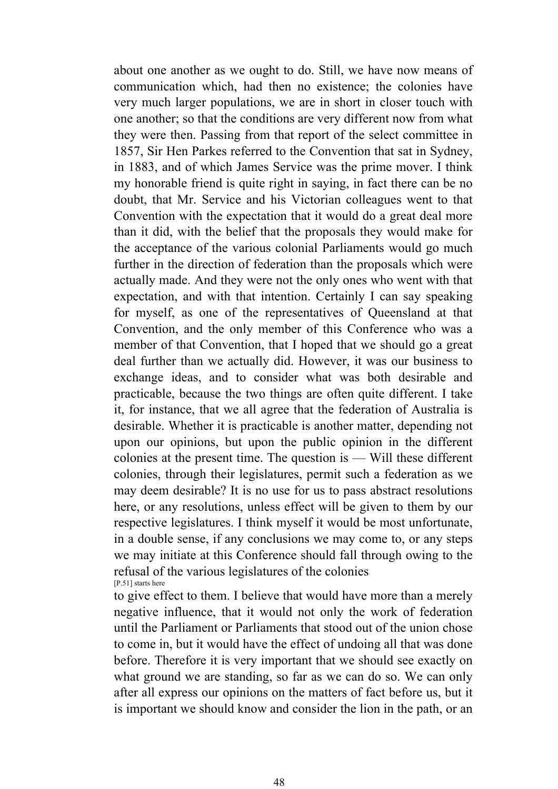about one another as we ought to do. Still, we have now means of communication which, had then no existence; the colonies have very much larger populations, we are in short in closer touch with one another; so that the conditions are very different now from what they were then. Passing from that report of the select committee in 1857, Sir Hen Parkes referred to the Convention that sat in Sydney, in 1883, and of which James Service was the prime mover. I think my honorable friend is quite right in saying, in fact there can be no doubt, that Mr. Service and his Victorian colleagues went to that Convention with the expectation that it would do a great deal more than it did, with the belief that the proposals they would make for the acceptance of the various colonial Parliaments would go much further in the direction of federation than the proposals which were actually made. And they were not the only ones who went with that expectation, and with that intention. Certainly I can say speaking for myself, as one of the representatives of Queensland at that Convention, and the only member of this Conference who was a member of that Convention, that I hoped that we should go a great deal further than we actually did. However, it was our business to exchange ideas, and to consider what was both desirable and practicable, because the two things are often quite different. I take it, for instance, that we all agree that the federation of Australia is desirable. Whether it is practicable is another matter, depending not upon our opinions, but upon the public opinion in the different colonies at the present time. The question is — Will these different colonies, through their legislatures, permit such a federation as we may deem desirable? It is no use for us to pass abstract resolutions here, or any resolutions, unless effect will be given to them by our respective legislatures. I think myself it would be most unfortunate, in a double sense, if any conclusions we may come to, or any steps we may initiate at this Conference should fall through owing to the refusal of the various legislatures of the colonies [P.51] starts here

to give effect to them. I believe that would have more than a merely negative influence, that it would not only the work of federation until the Parliament or Parliaments that stood out of the union chose to come in, but it would have the effect of undoing all that was done before. Therefore it is very important that we should see exactly on what ground we are standing, so far as we can do so. We can only after all express our opinions on the matters of fact before us, but it is important we should know and consider the lion in the path, or an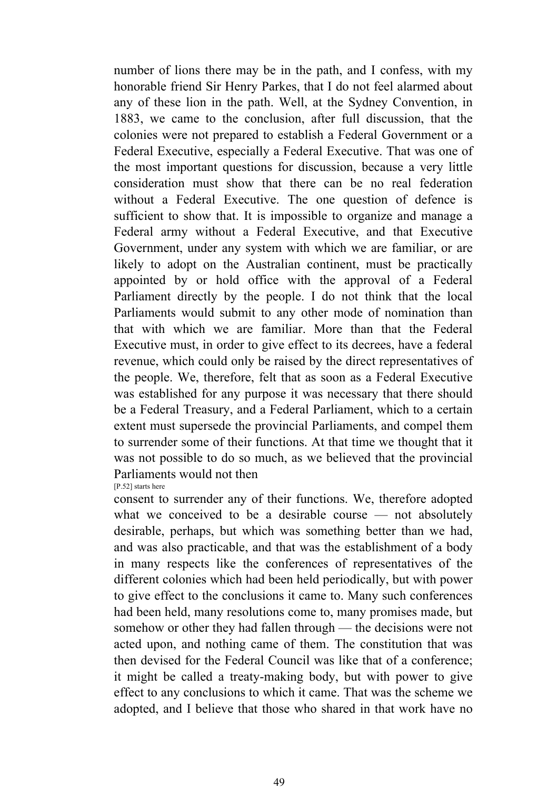number of lions there may be in the path, and I confess, with my honorable friend Sir Henry Parkes, that I do not feel alarmed about any of these lion in the path. Well, at the Sydney Convention, in 1883, we came to the conclusion, after full discussion, that the colonies were not prepared to establish a Federal Government or a Federal Executive, especially a Federal Executive. That was one of the most important questions for discussion, because a very little consideration must show that there can be no real federation without a Federal Executive. The one question of defence is sufficient to show that. It is impossible to organize and manage a Federal army without a Federal Executive, and that Executive Government, under any system with which we are familiar, or are likely to adopt on the Australian continent, must be practically appointed by or hold office with the approval of a Federal Parliament directly by the people. I do not think that the local Parliaments would submit to any other mode of nomination than that with which we are familiar. More than that the Federal Executive must, in order to give effect to its decrees, have a federal revenue, which could only be raised by the direct representatives of the people. We, therefore, felt that as soon as a Federal Executive was established for any purpose it was necessary that there should be a Federal Treasury, and a Federal Parliament, which to a certain extent must supersede the provincial Parliaments, and compel them to surrender some of their functions. At that time we thought that it was not possible to do so much, as we believed that the provincial Parliaments would not then

[P.52] starts here

consent to surrender any of their functions. We, therefore adopted what we conceived to be a desirable course — not absolutely desirable, perhaps, but which was something better than we had, and was also practicable, and that was the establishment of a body in many respects like the conferences of representatives of the different colonies which had been held periodically, but with power to give effect to the conclusions it came to. Many such conferences had been held, many resolutions come to, many promises made, but somehow or other they had fallen through — the decisions were not acted upon, and nothing came of them. The constitution that was then devised for the Federal Council was like that of a conference; it might be called a treaty-making body, but with power to give effect to any conclusions to which it came. That was the scheme we adopted, and I believe that those who shared in that work have no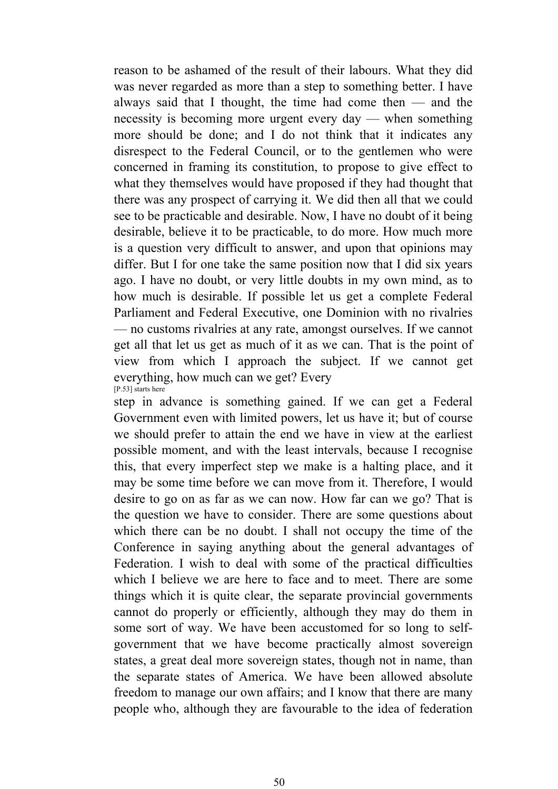reason to be ashamed of the result of their labours. What they did was never regarded as more than a step to something better. I have always said that I thought, the time had come then — and the necessity is becoming more urgent every day — when something more should be done; and I do not think that it indicates any disrespect to the Federal Council, or to the gentlemen who were concerned in framing its constitution, to propose to give effect to what they themselves would have proposed if they had thought that there was any prospect of carrying it. We did then all that we could see to be practicable and desirable. Now, I have no doubt of it being desirable, believe it to be practicable, to do more. How much more is a question very difficult to answer, and upon that opinions may differ. But I for one take the same position now that I did six years ago. I have no doubt, or very little doubts in my own mind, as to how much is desirable. If possible let us get a complete Federal Parliament and Federal Executive, one Dominion with no rivalries — no customs rivalries at any rate, amongst ourselves. If we cannot get all that let us get as much of it as we can. That is the point of view from which I approach the subject. If we cannot get everything, how much can we get? Every [P.53] starts here

step in advance is something gained. If we can get a Federal Government even with limited powers, let us have it; but of course we should prefer to attain the end we have in view at the earliest possible moment, and with the least intervals, because I recognise this, that every imperfect step we make is a halting place, and it may be some time before we can move from it. Therefore, I would desire to go on as far as we can now. How far can we go? That is the question we have to consider. There are some questions about which there can be no doubt. I shall not occupy the time of the Conference in saying anything about the general advantages of Federation. I wish to deal with some of the practical difficulties which I believe we are here to face and to meet. There are some things which it is quite clear, the separate provincial governments cannot do properly or efficiently, although they may do them in some sort of way. We have been accustomed for so long to selfgovernment that we have become practically almost sovereign states, a great deal more sovereign states, though not in name, than the separate states of America. We have been allowed absolute freedom to manage our own affairs; and I know that there are many people who, although they are favourable to the idea of federation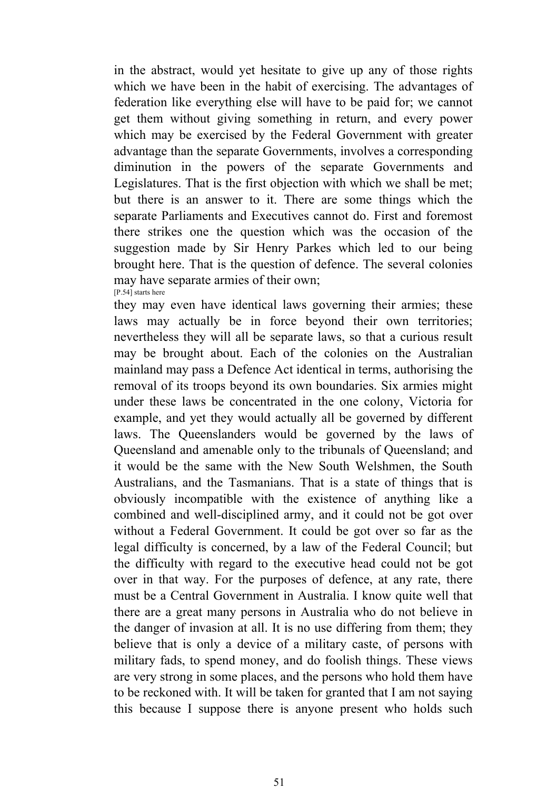in the abstract, would yet hesitate to give up any of those rights which we have been in the habit of exercising. The advantages of federation like everything else will have to be paid for; we cannot get them without giving something in return, and every power which may be exercised by the Federal Government with greater advantage than the separate Governments, involves a corresponding diminution in the powers of the separate Governments and Legislatures. That is the first objection with which we shall be met; but there is an answer to it. There are some things which the separate Parliaments and Executives cannot do. First and foremost there strikes one the question which was the occasion of the suggestion made by Sir Henry Parkes which led to our being brought here. That is the question of defence. The several colonies may have separate armies of their own; [P.54] starts here

they may even have identical laws governing their armies; these laws may actually be in force beyond their own territories; nevertheless they will all be separate laws, so that a curious result may be brought about. Each of the colonies on the Australian mainland may pass a Defence Act identical in terms, authorising the removal of its troops beyond its own boundaries. Six armies might under these laws be concentrated in the one colony, Victoria for example, and yet they would actually all be governed by different laws. The Queenslanders would be governed by the laws of Queensland and amenable only to the tribunals of Queensland; and it would be the same with the New South Welshmen, the South Australians, and the Tasmanians. That is a state of things that is obviously incompatible with the existence of anything like a combined and well-disciplined army, and it could not be got over without a Federal Government. It could be got over so far as the legal difficulty is concerned, by a law of the Federal Council; but the difficulty with regard to the executive head could not be got over in that way. For the purposes of defence, at any rate, there must be a Central Government in Australia. I know quite well that there are a great many persons in Australia who do not believe in the danger of invasion at all. It is no use differing from them; they believe that is only a device of a military caste, of persons with military fads, to spend money, and do foolish things. These views are very strong in some places, and the persons who hold them have to be reckoned with. It will be taken for granted that I am not saying this because I suppose there is anyone present who holds such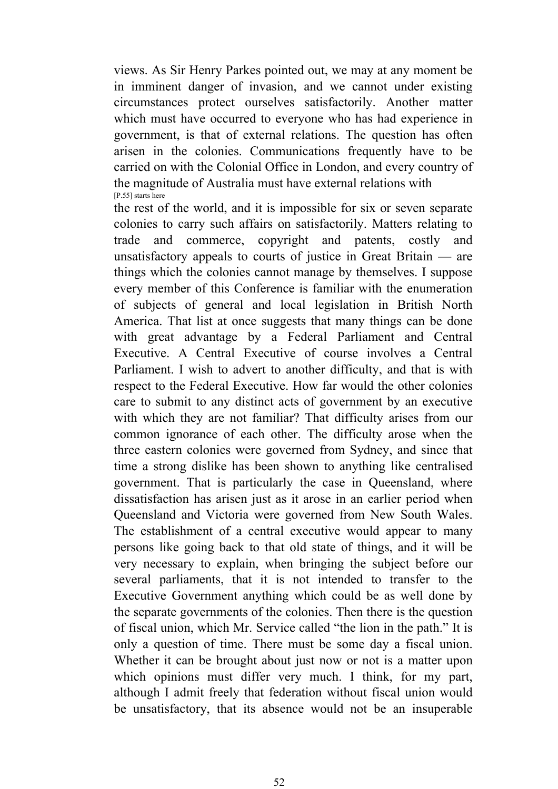views. As Sir Henry Parkes pointed out, we may at any moment be in imminent danger of invasion, and we cannot under existing circumstances protect ourselves satisfactorily. Another matter which must have occurred to everyone who has had experience in government, is that of external relations. The question has often arisen in the colonies. Communications frequently have to be carried on with the Colonial Office in London, and every country of the magnitude of Australia must have external relations with [P.55] starts here

the rest of the world, and it is impossible for six or seven separate colonies to carry such affairs on satisfactorily. Matters relating to trade and commerce, copyright and patents, costly and unsatisfactory appeals to courts of justice in Great Britain — are things which the colonies cannot manage by themselves. I suppose every member of this Conference is familiar with the enumeration of subjects of general and local legislation in British North America. That list at once suggests that many things can be done with great advantage by a Federal Parliament and Central Executive. A Central Executive of course involves a Central Parliament. I wish to advert to another difficulty, and that is with respect to the Federal Executive. How far would the other colonies care to submit to any distinct acts of government by an executive with which they are not familiar? That difficulty arises from our common ignorance of each other. The difficulty arose when the three eastern colonies were governed from Sydney, and since that time a strong dislike has been shown to anything like centralised government. That is particularly the case in Queensland, where dissatisfaction has arisen just as it arose in an earlier period when Queensland and Victoria were governed from New South Wales. The establishment of a central executive would appear to many persons like going back to that old state of things, and it will be very necessary to explain, when bringing the subject before our several parliaments, that it is not intended to transfer to the Executive Government anything which could be as well done by the separate governments of the colonies. Then there is the question of fiscal union, which Mr. Service called "the lion in the path." It is only a question of time. There must be some day a fiscal union. Whether it can be brought about just now or not is a matter upon which opinions must differ very much. I think, for my part, although I admit freely that federation without fiscal union would be unsatisfactory, that its absence would not be an insuperable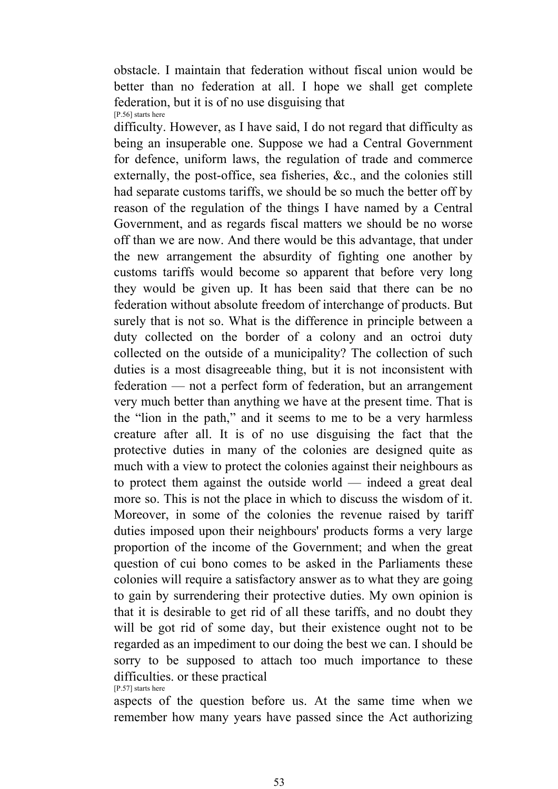obstacle. I maintain that federation without fiscal union would be better than no federation at all. I hope we shall get complete federation, but it is of no use disguising that [P.56] starts here

difficulty. However, as I have said, I do not regard that difficulty as being an insuperable one. Suppose we had a Central Government for defence, uniform laws, the regulation of trade and commerce externally, the post-office, sea fisheries, &c., and the colonies still had separate customs tariffs, we should be so much the better off by reason of the regulation of the things I have named by a Central Government, and as regards fiscal matters we should be no worse off than we are now. And there would be this advantage, that under the new arrangement the absurdity of fighting one another by customs tariffs would become so apparent that before very long they would be given up. It has been said that there can be no federation without absolute freedom of interchange of products. But surely that is not so. What is the difference in principle between a duty collected on the border of a colony and an octroi duty collected on the outside of a municipality? The collection of such duties is a most disagreeable thing, but it is not inconsistent with federation — not a perfect form of federation, but an arrangement very much better than anything we have at the present time. That is the "lion in the path," and it seems to me to be a very harmless creature after all. It is of no use disguising the fact that the protective duties in many of the colonies are designed quite as much with a view to protect the colonies against their neighbours as to protect them against the outside world — indeed a great deal more so. This is not the place in which to discuss the wisdom of it. Moreover, in some of the colonies the revenue raised by tariff duties imposed upon their neighbours' products forms a very large proportion of the income of the Government; and when the great question of cui bono comes to be asked in the Parliaments these colonies will require a satisfactory answer as to what they are going to gain by surrendering their protective duties. My own opinion is that it is desirable to get rid of all these tariffs, and no doubt they will be got rid of some day, but their existence ought not to be regarded as an impediment to our doing the best we can. I should be sorry to be supposed to attach too much importance to these difficulties. or these practical [P.57] starts here

aspects of the question before us. At the same time when we remember how many years have passed since the Act authorizing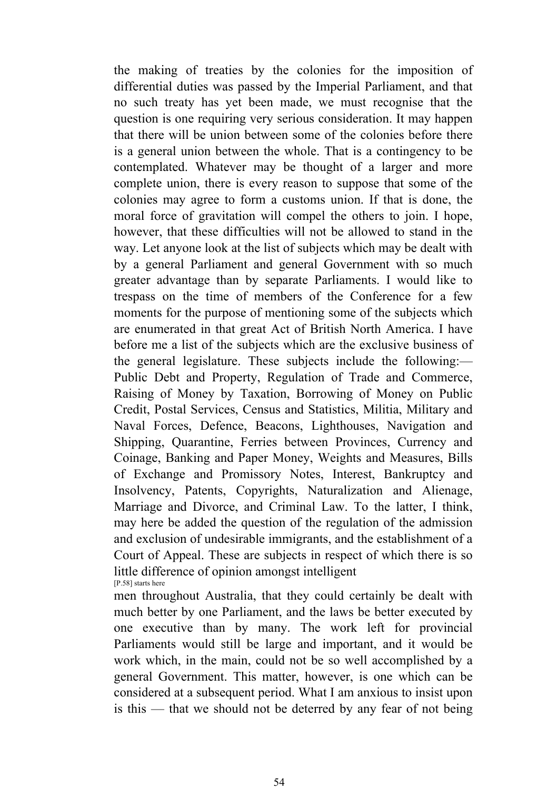the making of treaties by the colonies for the imposition of differential duties was passed by the Imperial Parliament, and that no such treaty has yet been made, we must recognise that the question is one requiring very serious consideration. It may happen that there will be union between some of the colonies before there is a general union between the whole. That is a contingency to be contemplated. Whatever may be thought of a larger and more complete union, there is every reason to suppose that some of the colonies may agree to form a customs union. If that is done, the moral force of gravitation will compel the others to join. I hope, however, that these difficulties will not be allowed to stand in the way. Let anyone look at the list of subjects which may be dealt with by a general Parliament and general Government with so much greater advantage than by separate Parliaments. I would like to trespass on the time of members of the Conference for a few moments for the purpose of mentioning some of the subjects which are enumerated in that great Act of British North America. I have before me a list of the subjects which are the exclusive business of the general legislature. These subjects include the following:— Public Debt and Property, Regulation of Trade and Commerce, Raising of Money by Taxation, Borrowing of Money on Public Credit, Postal Services, Census and Statistics, Militia, Military and Naval Forces, Defence, Beacons, Lighthouses, Navigation and Shipping, Quarantine, Ferries between Provinces, Currency and Coinage, Banking and Paper Money, Weights and Measures, Bills of Exchange and Promissory Notes, Interest, Bankruptcy and Insolvency, Patents, Copyrights, Naturalization and Alienage, Marriage and Divorce, and Criminal Law. To the latter, I think, may here be added the question of the regulation of the admission and exclusion of undesirable immigrants, and the establishment of a Court of Appeal. These are subjects in respect of which there is so little difference of opinion amongst intelligent [P.58] starts here

men throughout Australia, that they could certainly be dealt with much better by one Parliament, and the laws be better executed by one executive than by many. The work left for provincial Parliaments would still be large and important, and it would be work which, in the main, could not be so well accomplished by a general Government. This matter, however, is one which can be considered at a subsequent period. What I am anxious to insist upon is this — that we should not be deterred by any fear of not being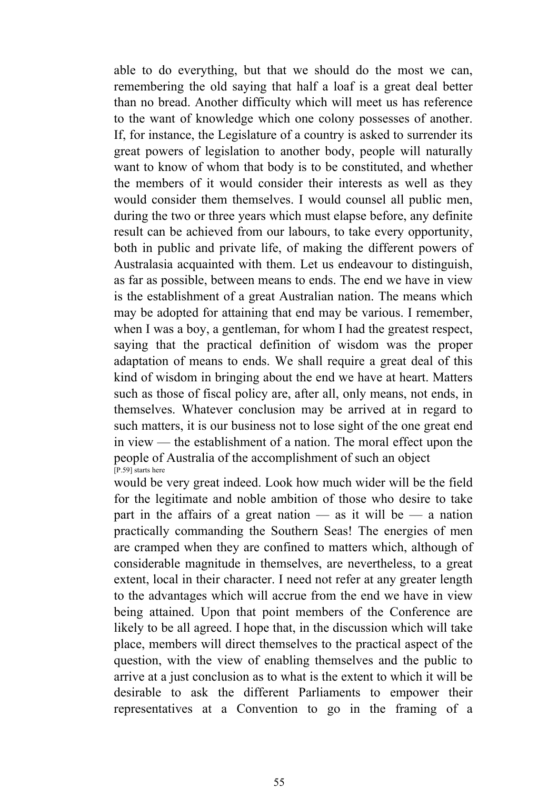able to do everything, but that we should do the most we can, remembering the old saying that half a loaf is a great deal better than no bread. Another difficulty which will meet us has reference to the want of knowledge which one colony possesses of another. If, for instance, the Legislature of a country is asked to surrender its great powers of legislation to another body, people will naturally want to know of whom that body is to be constituted, and whether the members of it would consider their interests as well as they would consider them themselves. I would counsel all public men, during the two or three years which must elapse before, any definite result can be achieved from our labours, to take every opportunity, both in public and private life, of making the different powers of Australasia acquainted with them. Let us endeavour to distinguish, as far as possible, between means to ends. The end we have in view is the establishment of a great Australian nation. The means which may be adopted for attaining that end may be various. I remember, when I was a boy, a gentleman, for whom I had the greatest respect, saying that the practical definition of wisdom was the proper adaptation of means to ends. We shall require a great deal of this kind of wisdom in bringing about the end we have at heart. Matters such as those of fiscal policy are, after all, only means, not ends, in themselves. Whatever conclusion may be arrived at in regard to such matters, it is our business not to lose sight of the one great end in view — the establishment of a nation. The moral effect upon the people of Australia of the accomplishment of such an object  $[$ P.59 $]$  starts here

would be very great indeed. Look how much wider will be the field for the legitimate and noble ambition of those who desire to take part in the affairs of a great nation  $\frac{1}{x}$  as it will be  $\frac{1}{x}$  a nation practically commanding the Southern Seas! The energies of men are cramped when they are confined to matters which, although of considerable magnitude in themselves, are nevertheless, to a great extent, local in their character. I need not refer at any greater length to the advantages which will accrue from the end we have in view being attained. Upon that point members of the Conference are likely to be all agreed. I hope that, in the discussion which will take place, members will direct themselves to the practical aspect of the question, with the view of enabling themselves and the public to arrive at a just conclusion as to what is the extent to which it will be desirable to ask the different Parliaments to empower their representatives at a Convention to go in the framing of a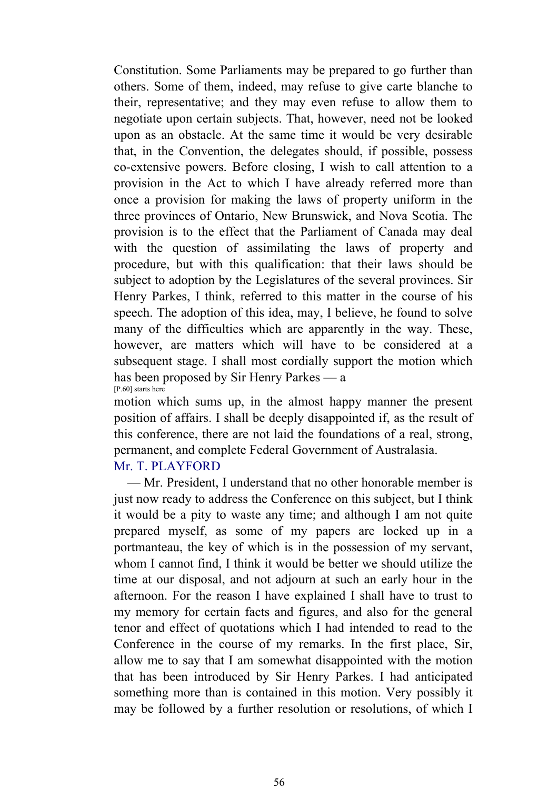Constitution. Some Parliaments may be prepared to go further than others. Some of them, indeed, may refuse to give carte blanche to their, representative; and they may even refuse to allow them to negotiate upon certain subjects. That, however, need not be looked upon as an obstacle. At the same time it would be very desirable that, in the Convention, the delegates should, if possible, possess co-extensive powers. Before closing, I wish to call attention to a provision in the Act to which I have already referred more than once a provision for making the laws of property uniform in the three provinces of Ontario, New Brunswick, and Nova Scotia. The provision is to the effect that the Parliament of Canada may deal with the question of assimilating the laws of property and procedure, but with this qualification: that their laws should be subject to adoption by the Legislatures of the several provinces. Sir Henry Parkes, I think, referred to this matter in the course of his speech. The adoption of this idea, may, I believe, he found to solve many of the difficulties which are apparently in the way. These, however, are matters which will have to be considered at a subsequent stage. I shall most cordially support the motion which has been proposed by Sir Henry Parkes — a [P.60] starts here

motion which sums up, in the almost happy manner the present position of affairs. I shall be deeply disappointed if, as the result of this conference, there are not laid the foundations of a real, strong, permanent, and complete Federal Government of Australasia.

# Mr. T. PLAYFORD

 — Mr. President, I understand that no other honorable member is just now ready to address the Conference on this subject, but I think it would be a pity to waste any time; and although I am not quite prepared myself, as some of my papers are locked up in a portmanteau, the key of which is in the possession of my servant, whom I cannot find, I think it would be better we should utilize the time at our disposal, and not adjourn at such an early hour in the afternoon. For the reason I have explained I shall have to trust to my memory for certain facts and figures, and also for the general tenor and effect of quotations which I had intended to read to the Conference in the course of my remarks. In the first place, Sir, allow me to say that I am somewhat disappointed with the motion that has been introduced by Sir Henry Parkes. I had anticipated something more than is contained in this motion. Very possibly it may be followed by a further resolution or resolutions, of which I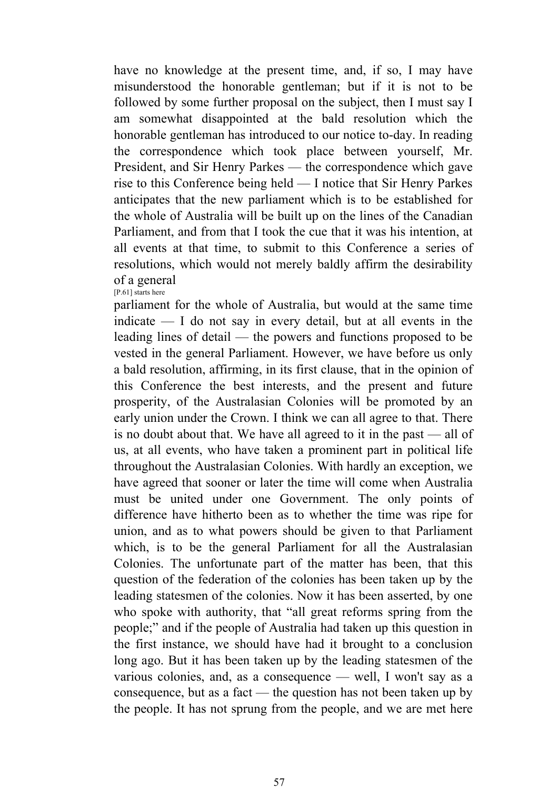have no knowledge at the present time, and, if so, I may have misunderstood the honorable gentleman; but if it is not to be followed by some further proposal on the subject, then I must say I am somewhat disappointed at the bald resolution which the honorable gentleman has introduced to our notice to-day. In reading the correspondence which took place between yourself, Mr. President, and Sir Henry Parkes — the correspondence which gave rise to this Conference being held — I notice that Sir Henry Parkes anticipates that the new parliament which is to be established for the whole of Australia will be built up on the lines of the Canadian Parliament, and from that I took the cue that it was his intention, at all events at that time, to submit to this Conference a series of resolutions, which would not merely baldly affirm the desirability of a general [P.61] starts here

parliament for the whole of Australia, but would at the same time indicate — I do not say in every detail, but at all events in the leading lines of detail — the powers and functions proposed to be vested in the general Parliament. However, we have before us only a bald resolution, affirming, in its first clause, that in the opinion of this Conference the best interests, and the present and future prosperity, of the Australasian Colonies will be promoted by an early union under the Crown. I think we can all agree to that. There is no doubt about that. We have all agreed to it in the past — all of us, at all events, who have taken a prominent part in political life throughout the Australasian Colonies. With hardly an exception, we have agreed that sooner or later the time will come when Australia must be united under one Government. The only points of difference have hitherto been as to whether the time was ripe for union, and as to what powers should be given to that Parliament which, is to be the general Parliament for all the Australasian Colonies. The unfortunate part of the matter has been, that this question of the federation of the colonies has been taken up by the leading statesmen of the colonies. Now it has been asserted, by one who spoke with authority, that "all great reforms spring from the people;" and if the people of Australia had taken up this question in the first instance, we should have had it brought to a conclusion long ago. But it has been taken up by the leading statesmen of the various colonies, and, as a consequence — well, I won't say as a consequence, but as a fact — the question has not been taken up by the people. It has not sprung from the people, and we are met here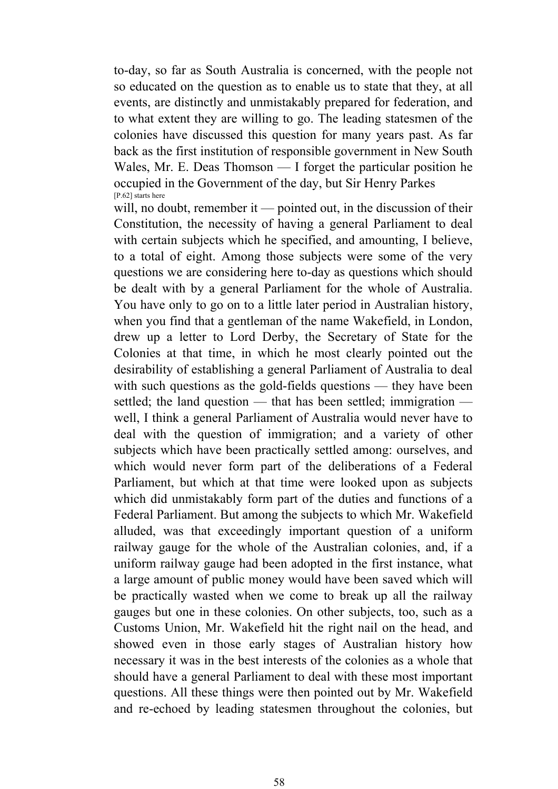to-day, so far as South Australia is concerned, with the people not so educated on the question as to enable us to state that they, at all events, are distinctly and unmistakably prepared for federation, and to what extent they are willing to go. The leading statesmen of the colonies have discussed this question for many years past. As far back as the first institution of responsible government in New South Wales, Mr. E. Deas Thomson — I forget the particular position he occupied in the Government of the day, but Sir Henry Parkes [P.62] starts here

will, no doubt, remember it — pointed out, in the discussion of their Constitution, the necessity of having a general Parliament to deal with certain subjects which he specified, and amounting, I believe, to a total of eight. Among those subjects were some of the very questions we are considering here to-day as questions which should be dealt with by a general Parliament for the whole of Australia. You have only to go on to a little later period in Australian history, when you find that a gentleman of the name Wakefield, in London, drew up a letter to Lord Derby, the Secretary of State for the Colonies at that time, in which he most clearly pointed out the desirability of establishing a general Parliament of Australia to deal with such questions as the gold-fields questions — they have been settled; the land question — that has been settled; immigration well, I think a general Parliament of Australia would never have to deal with the question of immigration; and a variety of other subjects which have been practically settled among: ourselves, and which would never form part of the deliberations of a Federal Parliament, but which at that time were looked upon as subjects which did unmistakably form part of the duties and functions of a Federal Parliament. But among the subjects to which Mr. Wakefield alluded, was that exceedingly important question of a uniform railway gauge for the whole of the Australian colonies, and, if a uniform railway gauge had been adopted in the first instance, what a large amount of public money would have been saved which will be practically wasted when we come to break up all the railway gauges but one in these colonies. On other subjects, too, such as a Customs Union, Mr. Wakefield hit the right nail on the head, and showed even in those early stages of Australian history how necessary it was in the best interests of the colonies as a whole that should have a general Parliament to deal with these most important questions. All these things were then pointed out by Mr. Wakefield and re-echoed by leading statesmen throughout the colonies, but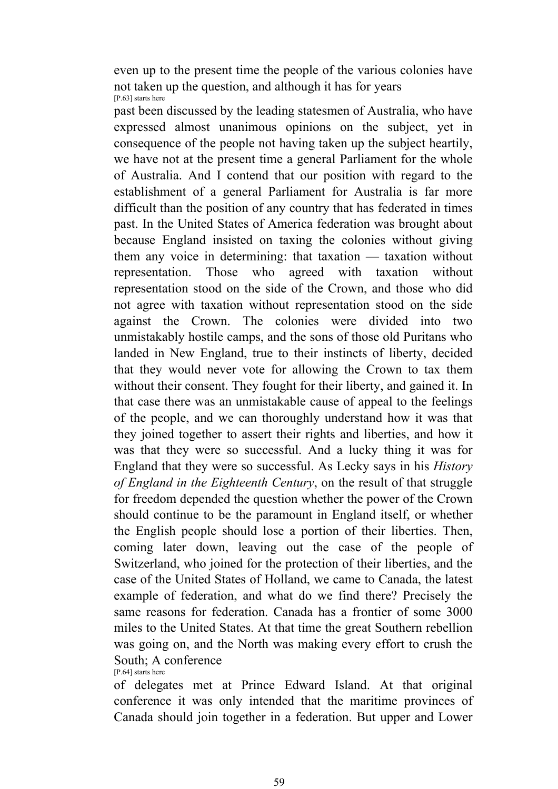even up to the present time the people of the various colonies have not taken up the question, and although it has for years [P.63] starts here

past been discussed by the leading statesmen of Australia, who have expressed almost unanimous opinions on the subject, yet in consequence of the people not having taken up the subject heartily, we have not at the present time a general Parliament for the whole of Australia. And I contend that our position with regard to the establishment of a general Parliament for Australia is far more difficult than the position of any country that has federated in times past. In the United States of America federation was brought about because England insisted on taxing the colonies without giving them any voice in determining: that taxation — taxation without representation. Those who agreed with taxation without representation stood on the side of the Crown, and those who did not agree with taxation without representation stood on the side against the Crown. The colonies were divided into two unmistakably hostile camps, and the sons of those old Puritans who landed in New England, true to their instincts of liberty, decided that they would never vote for allowing the Crown to tax them without their consent. They fought for their liberty, and gained it. In that case there was an unmistakable cause of appeal to the feelings of the people, and we can thoroughly understand how it was that they joined together to assert their rights and liberties, and how it was that they were so successful. And a lucky thing it was for England that they were so successful. As Lecky says in his *History of England in the Eighteenth Century*, on the result of that struggle for freedom depended the question whether the power of the Crown should continue to be the paramount in England itself, or whether the English people should lose a portion of their liberties. Then, coming later down, leaving out the case of the people of Switzerland, who joined for the protection of their liberties, and the case of the United States of Holland, we came to Canada, the latest example of federation, and what do we find there? Precisely the same reasons for federation. Canada has a frontier of some 3000 miles to the United States. At that time the great Southern rebellion was going on, and the North was making every effort to crush the South; A conference [P.64] starts here

of delegates met at Prince Edward Island. At that original conference it was only intended that the maritime provinces of Canada should join together in a federation. But upper and Lower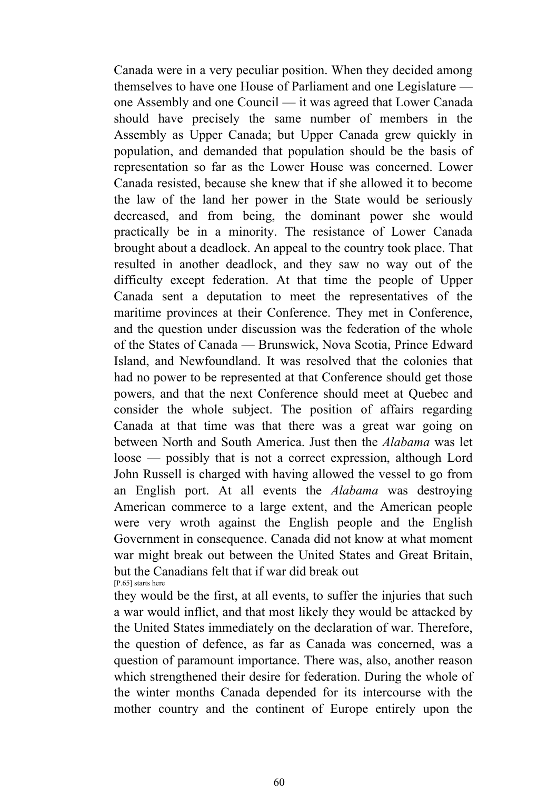Canada were in a very peculiar position. When they decided among themselves to have one House of Parliament and one Legislature one Assembly and one Council — it was agreed that Lower Canada should have precisely the same number of members in the Assembly as Upper Canada; but Upper Canada grew quickly in population, and demanded that population should be the basis of representation so far as the Lower House was concerned. Lower Canada resisted, because she knew that if she allowed it to become the law of the land her power in the State would be seriously decreased, and from being, the dominant power she would practically be in a minority. The resistance of Lower Canada brought about a deadlock. An appeal to the country took place. That resulted in another deadlock, and they saw no way out of the difficulty except federation. At that time the people of Upper Canada sent a deputation to meet the representatives of the maritime provinces at their Conference. They met in Conference, and the question under discussion was the federation of the whole of the States of Canada — Brunswick, Nova Scotia, Prince Edward Island, and Newfoundland. It was resolved that the colonies that had no power to be represented at that Conference should get those powers, and that the next Conference should meet at Quebec and consider the whole subject. The position of affairs regarding Canada at that time was that there was a great war going on between North and South America. Just then the *Alabama* was let loose — possibly that is not a correct expression, although Lord John Russell is charged with having allowed the vessel to go from an English port. At all events the *Alabama* was destroying American commerce to a large extent, and the American people were very wroth against the English people and the English Government in consequence. Canada did not know at what moment war might break out between the United States and Great Britain, but the Canadians felt that if war did break out [P.65] starts here

they would be the first, at all events, to suffer the injuries that such a war would inflict, and that most likely they would be attacked by the United States immediately on the declaration of war. Therefore, the question of defence, as far as Canada was concerned, was a question of paramount importance. There was, also, another reason which strengthened their desire for federation. During the whole of the winter months Canada depended for its intercourse with the mother country and the continent of Europe entirely upon the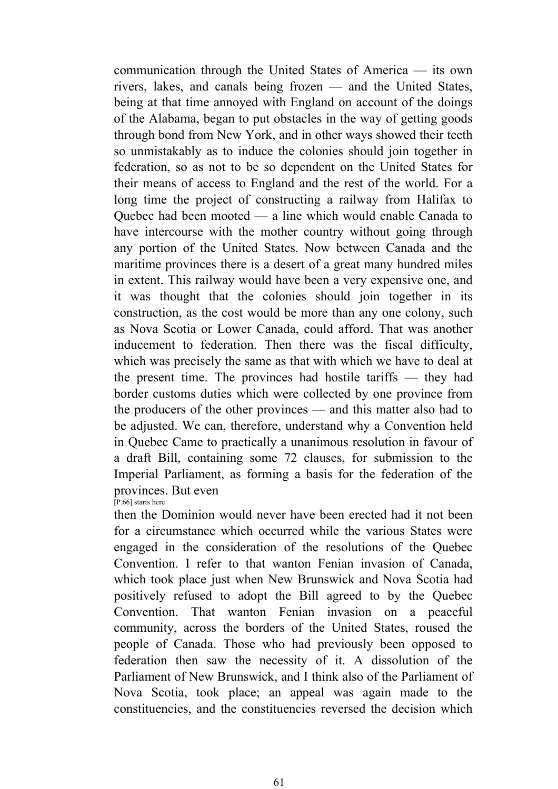communication through the United States of America — its own rivers, lakes, and canals being frozen — and the United States, being at that time annoyed with England on account of the doings of the Alabama, began to put obstacles in the way of getting goods through bond from New York, and in other ways showed their teeth so unmistakably as to induce the colonies should join together in federation, so as not to be so dependent on the United States for their means of access to England and the rest of the world. For a long time the project of constructing a railway from Halifax to Quebec had been mooted — a line which would enable Canada to have intercourse with the mother country without going through any portion of the United States. Now between Canada and the maritime provinces there is a desert of a great many hundred miles in extent. This railway would have been a very expensive one, and it was thought that the colonies should join together in its construction, as the cost would be more than any one colony, such as Nova Scotia or Lower Canada, could afford. That was another inducement to federation. Then there was the fiscal difficulty, which was precisely the same as that with which we have to deal at the present time. The provinces had hostile tariffs — they had border customs duties which were collected by one province from the producers of the other provinces — and this matter also had to be adjusted. We can, therefore, understand why a Convention held in Quebec Came to practically a unanimous resolution in favour of a draft Bill, containing some 72 clauses, for submission to the Imperial Parliament, as forming a basis for the federation of the provinces. But even  $\overline{[P.66]}$  starts here

then the Dominion would never have been erected had it not been for a circumstance which occurred while the various States were engaged in the consideration of the resolutions of the Quebec Convention. I refer to that wanton Fenian invasion of Canada, which took place just when New Brunswick and Nova Scotia had positively refused to adopt the Bill agreed to by the Quebec Convention. That wanton Fenian invasion on a peaceful community, across the borders of the United States, roused the people of Canada. Those who had previously been opposed to federation then saw the necessity of it. A dissolution of the Parliament of New Brunswick, and I think also of the Parliament of Nova Scotia, took place; an appeal was again made to the constituencies, and the constituencies reversed the decision which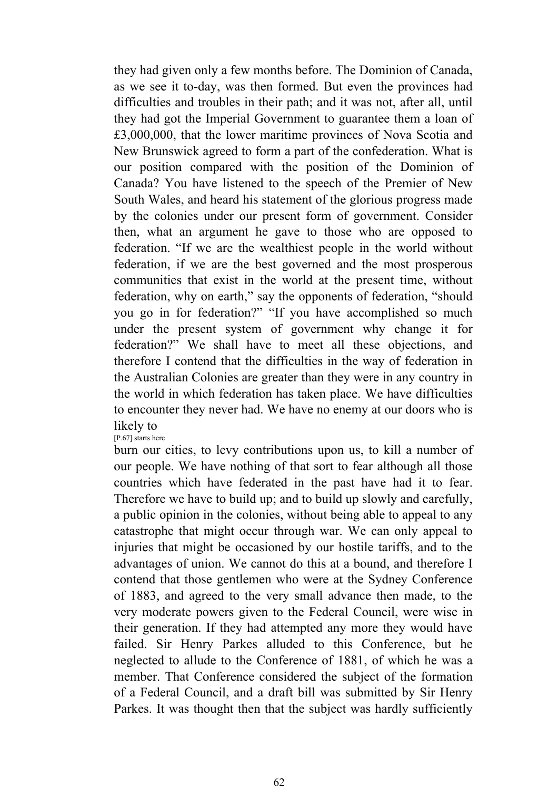they had given only a few months before. The Dominion of Canada, as we see it to-day, was then formed. But even the provinces had difficulties and troubles in their path; and it was not, after all, until they had got the Imperial Government to guarantee them a loan of £3,000,000, that the lower maritime provinces of Nova Scotia and New Brunswick agreed to form a part of the confederation. What is our position compared with the position of the Dominion of Canada? You have listened to the speech of the Premier of New South Wales, and heard his statement of the glorious progress made by the colonies under our present form of government. Consider then, what an argument he gave to those who are opposed to federation. "If we are the wealthiest people in the world without federation, if we are the best governed and the most prosperous communities that exist in the world at the present time, without federation, why on earth," say the opponents of federation, "should you go in for federation?" "If you have accomplished so much under the present system of government why change it for federation?" We shall have to meet all these objections, and therefore I contend that the difficulties in the way of federation in the Australian Colonies are greater than they were in any country in the world in which federation has taken place. We have difficulties to encounter they never had. We have no enemy at our doors who is likely to

[P.67] starts here

burn our cities, to levy contributions upon us, to kill a number of our people. We have nothing of that sort to fear although all those countries which have federated in the past have had it to fear. Therefore we have to build up; and to build up slowly and carefully, a public opinion in the colonies, without being able to appeal to any catastrophe that might occur through war. We can only appeal to injuries that might be occasioned by our hostile tariffs, and to the advantages of union. We cannot do this at a bound, and therefore I contend that those gentlemen who were at the Sydney Conference of 1883, and agreed to the very small advance then made, to the very moderate powers given to the Federal Council, were wise in their generation. If they had attempted any more they would have failed. Sir Henry Parkes alluded to this Conference, but he neglected to allude to the Conference of 1881, of which he was a member. That Conference considered the subject of the formation of a Federal Council, and a draft bill was submitted by Sir Henry Parkes. It was thought then that the subject was hardly sufficiently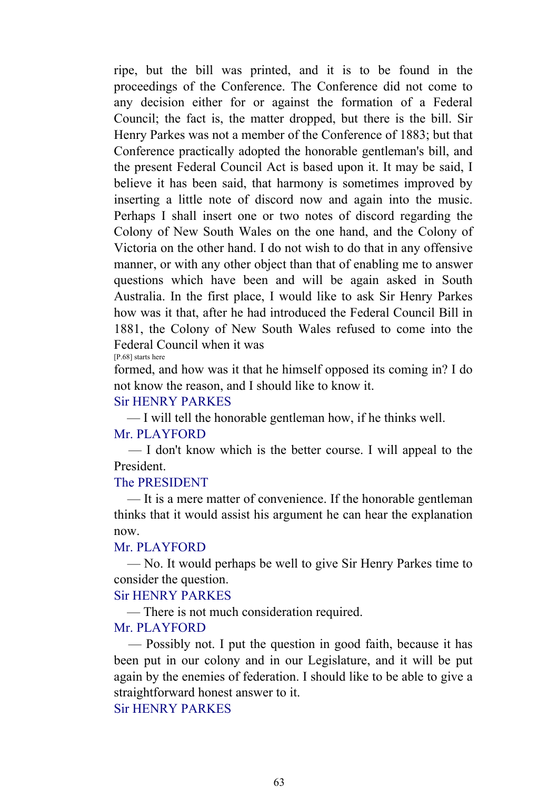ripe, but the bill was printed, and it is to be found in the proceedings of the Conference. The Conference did not come to any decision either for or against the formation of a Federal Council; the fact is, the matter dropped, but there is the bill. Sir Henry Parkes was not a member of the Conference of 1883; but that Conference practically adopted the honorable gentleman's bill, and the present Federal Council Act is based upon it. It may be said, I believe it has been said, that harmony is sometimes improved by inserting a little note of discord now and again into the music. Perhaps I shall insert one or two notes of discord regarding the Colony of New South Wales on the one hand, and the Colony of Victoria on the other hand. I do not wish to do that in any offensive manner, or with any other object than that of enabling me to answer questions which have been and will be again asked in South Australia. In the first place, I would like to ask Sir Henry Parkes how was it that, after he had introduced the Federal Council Bill in 1881, the Colony of New South Wales refused to come into the Federal Council when it was

[P.68] starts here

formed, and how was it that he himself opposed its coming in? I do not know the reason, and I should like to know it.

#### Sir HENRY PARKES

— I will tell the honorable gentleman how, if he thinks well.

#### Mr. PLAYFORD

 — I don't know which is the better course. I will appeal to the President.

### The PRESIDENT

 — It is a mere matter of convenience. If the honorable gentleman thinks that it would assist his argument he can hear the explanation now.

#### Mr. PLAYFORD

 — No. It would perhaps be well to give Sir Henry Parkes time to consider the question.

## Sir HENRY PARKES

— There is not much consideration required.

#### Mr. PLAYFORD

 — Possibly not. I put the question in good faith, because it has been put in our colony and in our Legislature, and it will be put again by the enemies of federation. I should like to be able to give a straightforward honest answer to it.

## Sir HENRY PARKES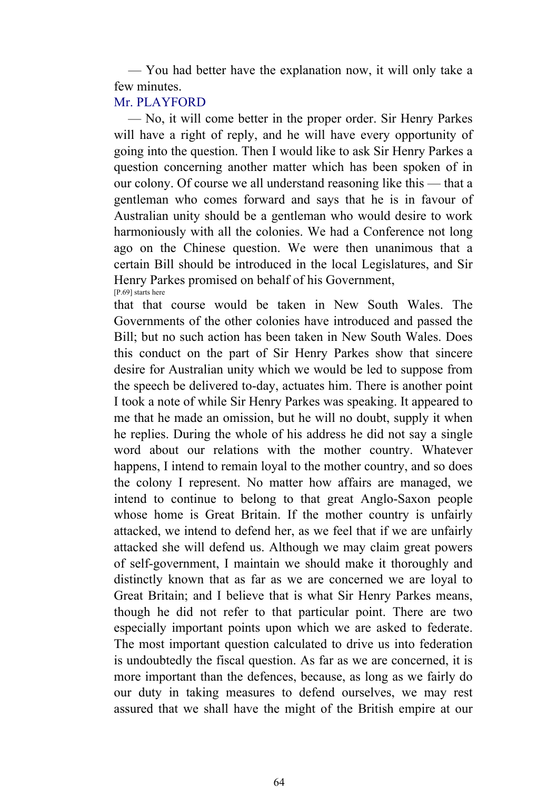— You had better have the explanation now, it will only take a few minutes.

# Mr. PLAYFORD

 — No, it will come better in the proper order. Sir Henry Parkes will have a right of reply, and he will have every opportunity of going into the question. Then I would like to ask Sir Henry Parkes a question concerning another matter which has been spoken of in our colony. Of course we all understand reasoning like this — that a gentleman who comes forward and says that he is in favour of Australian unity should be a gentleman who would desire to work harmoniously with all the colonies. We had a Conference not long ago on the Chinese question. We were then unanimous that a certain Bill should be introduced in the local Legislatures, and Sir Henry Parkes promised on behalf of his Government, [P.69] starts here

that that course would be taken in New South Wales. The Governments of the other colonies have introduced and passed the Bill; but no such action has been taken in New South Wales. Does this conduct on the part of Sir Henry Parkes show that sincere desire for Australian unity which we would be led to suppose from the speech be delivered to-day, actuates him. There is another point I took a note of while Sir Henry Parkes was speaking. It appeared to me that he made an omission, but he will no doubt, supply it when he replies. During the whole of his address he did not say a single word about our relations with the mother country. Whatever happens, I intend to remain loyal to the mother country, and so does the colony I represent. No matter how affairs are managed, we intend to continue to belong to that great Anglo-Saxon people whose home is Great Britain. If the mother country is unfairly attacked, we intend to defend her, as we feel that if we are unfairly attacked she will defend us. Although we may claim great powers of self-government, I maintain we should make it thoroughly and distinctly known that as far as we are concerned we are loyal to Great Britain; and I believe that is what Sir Henry Parkes means, though he did not refer to that particular point. There are two especially important points upon which we are asked to federate. The most important question calculated to drive us into federation is undoubtedly the fiscal question. As far as we are concerned, it is more important than the defences, because, as long as we fairly do our duty in taking measures to defend ourselves, we may rest assured that we shall have the might of the British empire at our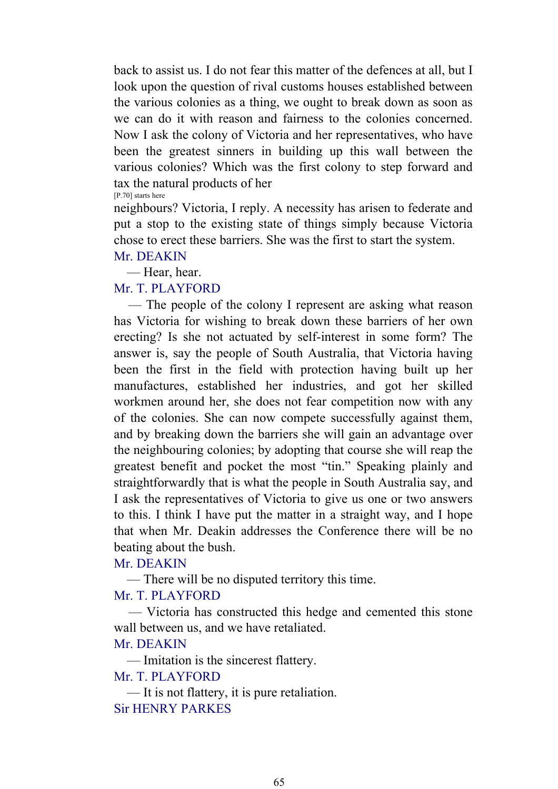back to assist us. I do not fear this matter of the defences at all, but I look upon the question of rival customs houses established between the various colonies as a thing, we ought to break down as soon as we can do it with reason and fairness to the colonies concerned. Now I ask the colony of Victoria and her representatives, who have been the greatest sinners in building up this wall between the various colonies? Which was the first colony to step forward and tax the natural products of her [P.70] starts here

neighbours? Victoria, I reply. A necessity has arisen to federate and put a stop to the existing state of things simply because Victoria chose to erect these barriers. She was the first to start the system.

#### Mr. DEAKIN

— Hear, hear.

### Mr. T. PLAYFORD

 — The people of the colony I represent are asking what reason has Victoria for wishing to break down these barriers of her own erecting? Is she not actuated by self-interest in some form? The answer is, say the people of South Australia, that Victoria having been the first in the field with protection having built up her manufactures, established her industries, and got her skilled workmen around her, she does not fear competition now with any of the colonies. She can now compete successfully against them, and by breaking down the barriers she will gain an advantage over the neighbouring colonies; by adopting that course she will reap the greatest benefit and pocket the most "tin." Speaking plainly and straightforwardly that is what the people in South Australia say, and I ask the representatives of Victoria to give us one or two answers to this. I think I have put the matter in a straight way, and I hope that when Mr. Deakin addresses the Conference there will be no beating about the bush.

# Mr. DEAKIN

— There will be no disputed territory this time.

## Mr. T. PLAYFORD

 — Victoria has constructed this hedge and cemented this stone wall between us, and we have retaliated.

## Mr. DEAKIN

— Imitation is the sincerest flattery.

# Mr. T. PLAYFORD

 — It is not flattery, it is pure retaliation. Sir HENRY PARKES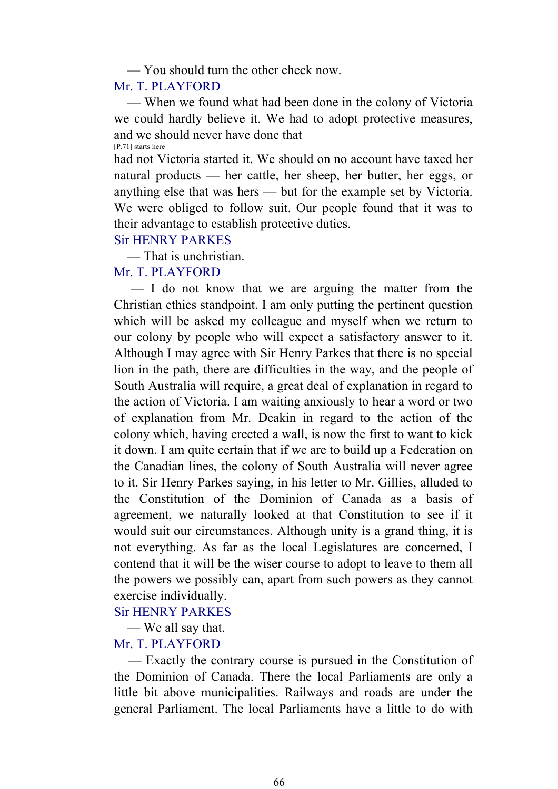— You should turn the other check now.

### Mr. T. PLAYFORD

 — When we found what had been done in the colony of Victoria we could hardly believe it. We had to adopt protective measures, and we should never have done that [P.71] starts here

had not Victoria started it. We should on no account have taxed her natural products — her cattle, her sheep, her butter, her eggs, or anything else that was hers — but for the example set by Victoria. We were obliged to follow suit. Our people found that it was to their advantage to establish protective duties.

## Sir HENRY PARKES

— That is unchristian.

# Mr. T. PLAYFORD

 — I do not know that we are arguing the matter from the Christian ethics standpoint. I am only putting the pertinent question which will be asked my colleague and myself when we return to our colony by people who will expect a satisfactory answer to it. Although I may agree with Sir Henry Parkes that there is no special lion in the path, there are difficulties in the way, and the people of South Australia will require, a great deal of explanation in regard to the action of Victoria. I am waiting anxiously to hear a word or two of explanation from Mr. Deakin in regard to the action of the colony which, having erected a wall, is now the first to want to kick it down. I am quite certain that if we are to build up a Federation on the Canadian lines, the colony of South Australia will never agree to it. Sir Henry Parkes saying, in his letter to Mr. Gillies, alluded to the Constitution of the Dominion of Canada as a basis of agreement, we naturally looked at that Constitution to see if it would suit our circumstances. Although unity is a grand thing, it is not everything. As far as the local Legislatures are concerned, I contend that it will be the wiser course to adopt to leave to them all the powers we possibly can, apart from such powers as they cannot exercise individually.

## Sir HENRY PARKES

— We all say that.

## Mr. T. PLAYFORD

 — Exactly the contrary course is pursued in the Constitution of the Dominion of Canada. There the local Parliaments are only a little bit above municipalities. Railways and roads are under the general Parliament. The local Parliaments have a little to do with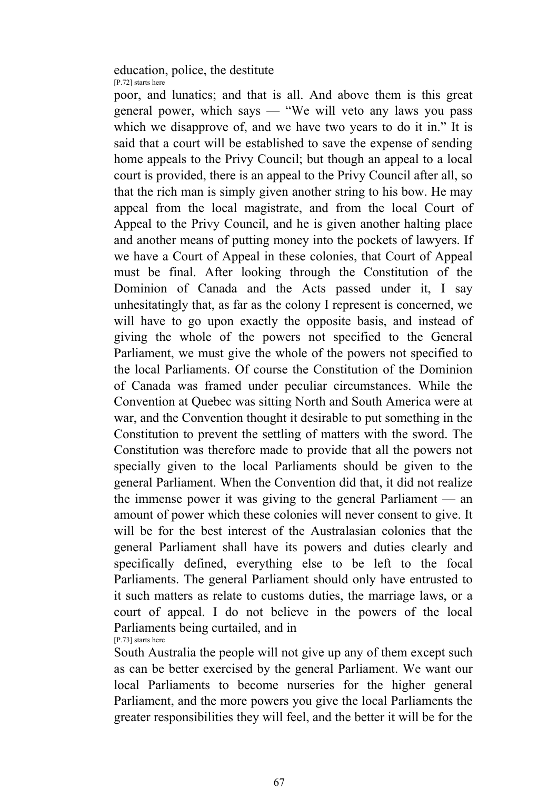#### education, police, the destitute [P.72] starts here

poor, and lunatics; and that is all. And above them is this great general power, which says — "We will veto any laws you pass which we disapprove of, and we have two years to do it in." It is said that a court will be established to save the expense of sending home appeals to the Privy Council; but though an appeal to a local court is provided, there is an appeal to the Privy Council after all, so that the rich man is simply given another string to his bow. He may appeal from the local magistrate, and from the local Court of Appeal to the Privy Council, and he is given another halting place and another means of putting money into the pockets of lawyers. If we have a Court of Appeal in these colonies, that Court of Appeal must be final. After looking through the Constitution of the Dominion of Canada and the Acts passed under it, I say unhesitatingly that, as far as the colony I represent is concerned, we will have to go upon exactly the opposite basis, and instead of giving the whole of the powers not specified to the General Parliament, we must give the whole of the powers not specified to the local Parliaments. Of course the Constitution of the Dominion of Canada was framed under peculiar circumstances. While the Convention at Quebec was sitting North and South America were at war, and the Convention thought it desirable to put something in the Constitution to prevent the settling of matters with the sword. The Constitution was therefore made to provide that all the powers not specially given to the local Parliaments should be given to the general Parliament. When the Convention did that, it did not realize the immense power it was giving to the general Parliament — an amount of power which these colonies will never consent to give. It will be for the best interest of the Australasian colonies that the general Parliament shall have its powers and duties clearly and specifically defined, everything else to be left to the focal Parliaments. The general Parliament should only have entrusted to it such matters as relate to customs duties, the marriage laws, or a court of appeal. I do not believe in the powers of the local Parliaments being curtailed, and in [P.73] starts here

South Australia the people will not give up any of them except such as can be better exercised by the general Parliament. We want our local Parliaments to become nurseries for the higher general Parliament, and the more powers you give the local Parliaments the greater responsibilities they will feel, and the better it will be for the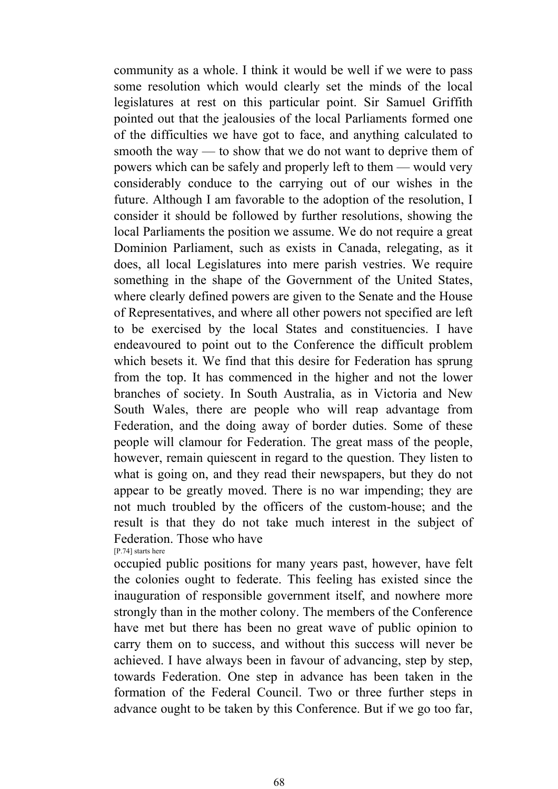community as a whole. I think it would be well if we were to pass some resolution which would clearly set the minds of the local legislatures at rest on this particular point. Sir Samuel Griffith pointed out that the jealousies of the local Parliaments formed one of the difficulties we have got to face, and anything calculated to smooth the way — to show that we do not want to deprive them of powers which can be safely and properly left to them — would very considerably conduce to the carrying out of our wishes in the future. Although I am favorable to the adoption of the resolution, I consider it should be followed by further resolutions, showing the local Parliaments the position we assume. We do not require a great Dominion Parliament, such as exists in Canada, relegating, as it does, all local Legislatures into mere parish vestries. We require something in the shape of the Government of the United States, where clearly defined powers are given to the Senate and the House of Representatives, and where all other powers not specified are left to be exercised by the local States and constituencies. I have endeavoured to point out to the Conference the difficult problem which besets it. We find that this desire for Federation has sprung from the top. It has commenced in the higher and not the lower branches of society. In South Australia, as in Victoria and New South Wales, there are people who will reap advantage from Federation, and the doing away of border duties. Some of these people will clamour for Federation. The great mass of the people, however, remain quiescent in regard to the question. They listen to what is going on, and they read their newspapers, but they do not appear to be greatly moved. There is no war impending; they are not much troubled by the officers of the custom-house; and the result is that they do not take much interest in the subject of Federation. Those who have

[P.74] starts here

occupied public positions for many years past, however, have felt the colonies ought to federate. This feeling has existed since the inauguration of responsible government itself, and nowhere more strongly than in the mother colony. The members of the Conference have met but there has been no great wave of public opinion to carry them on to success, and without this success will never be achieved. I have always been in favour of advancing, step by step, towards Federation. One step in advance has been taken in the formation of the Federal Council. Two or three further steps in advance ought to be taken by this Conference. But if we go too far,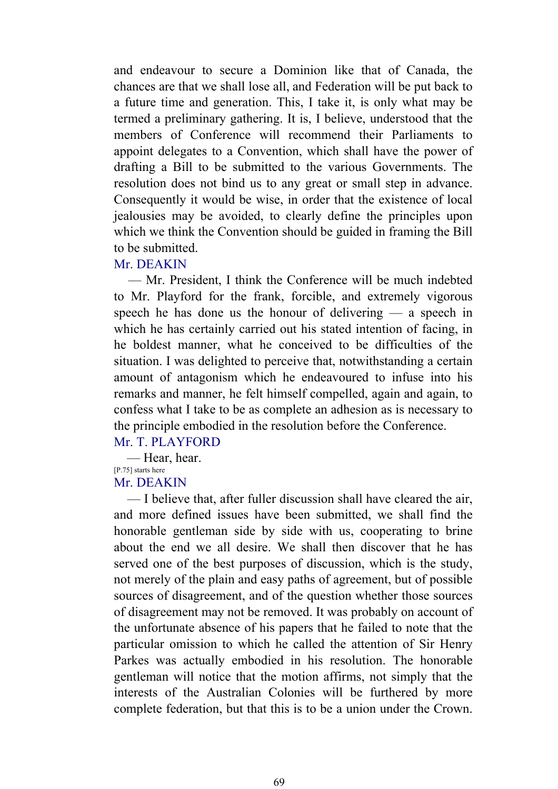and endeavour to secure a Dominion like that of Canada, the chances are that we shall lose all, and Federation will be put back to a future time and generation. This, I take it, is only what may be termed a preliminary gathering. It is, I believe, understood that the members of Conference will recommend their Parliaments to appoint delegates to a Convention, which shall have the power of drafting a Bill to be submitted to the various Governments. The resolution does not bind us to any great or small step in advance. Consequently it would be wise, in order that the existence of local jealousies may be avoided, to clearly define the principles upon which we think the Convention should be guided in framing the Bill to be submitted.

#### Mr. DEAKIN

 — Mr. President, I think the Conference will be much indebted to Mr. Playford for the frank, forcible, and extremely vigorous speech he has done us the honour of delivering — a speech in which he has certainly carried out his stated intention of facing, in he boldest manner, what he conceived to be difficulties of the situation. I was delighted to perceive that, notwithstanding a certain amount of antagonism which he endeavoured to infuse into his remarks and manner, he felt himself compelled, again and again, to confess what I take to be as complete an adhesion as is necessary to the principle embodied in the resolution before the Conference.

Mr. T. PLAYFORD

— Hear, hear.

[P.75] starts here

# Mr. DEAKIN

 — I believe that, after fuller discussion shall have cleared the air, and more defined issues have been submitted, we shall find the honorable gentleman side by side with us, cooperating to brine about the end we all desire. We shall then discover that he has served one of the best purposes of discussion, which is the study, not merely of the plain and easy paths of agreement, but of possible sources of disagreement, and of the question whether those sources of disagreement may not be removed. It was probably on account of the unfortunate absence of his papers that he failed to note that the particular omission to which he called the attention of Sir Henry Parkes was actually embodied in his resolution. The honorable gentleman will notice that the motion affirms, not simply that the interests of the Australian Colonies will be furthered by more complete federation, but that this is to be a union under the Crown.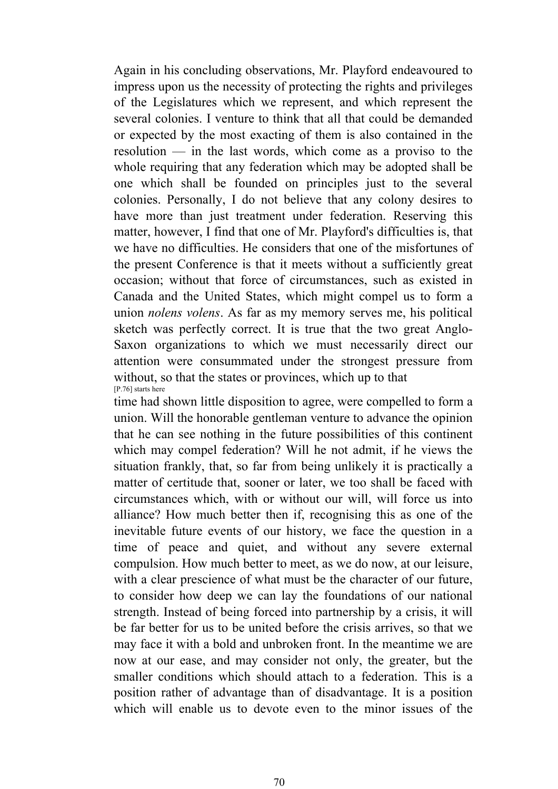Again in his concluding observations, Mr. Playford endeavoured to impress upon us the necessity of protecting the rights and privileges of the Legislatures which we represent, and which represent the several colonies. I venture to think that all that could be demanded or expected by the most exacting of them is also contained in the resolution — in the last words, which come as a proviso to the whole requiring that any federation which may be adopted shall be one which shall be founded on principles just to the several colonies. Personally, I do not believe that any colony desires to have more than just treatment under federation. Reserving this matter, however, I find that one of Mr. Playford's difficulties is, that we have no difficulties. He considers that one of the misfortunes of the present Conference is that it meets without a sufficiently great occasion; without that force of circumstances, such as existed in Canada and the United States, which might compel us to form a union *nolens volens*. As far as my memory serves me, his political sketch was perfectly correct. It is true that the two great Anglo-Saxon organizations to which we must necessarily direct our attention were consummated under the strongest pressure from without, so that the states or provinces, which up to that [P.76] starts here

time had shown little disposition to agree, were compelled to form a union. Will the honorable gentleman venture to advance the opinion that he can see nothing in the future possibilities of this continent which may compel federation? Will he not admit, if he views the situation frankly, that, so far from being unlikely it is practically a matter of certitude that, sooner or later, we too shall be faced with circumstances which, with or without our will, will force us into alliance? How much better then if, recognising this as one of the inevitable future events of our history, we face the question in a time of peace and quiet, and without any severe external compulsion. How much better to meet, as we do now, at our leisure, with a clear prescience of what must be the character of our future, to consider how deep we can lay the foundations of our national strength. Instead of being forced into partnership by a crisis, it will be far better for us to be united before the crisis arrives, so that we may face it with a bold and unbroken front. In the meantime we are now at our ease, and may consider not only, the greater, but the smaller conditions which should attach to a federation. This is a position rather of advantage than of disadvantage. It is a position which will enable us to devote even to the minor issues of the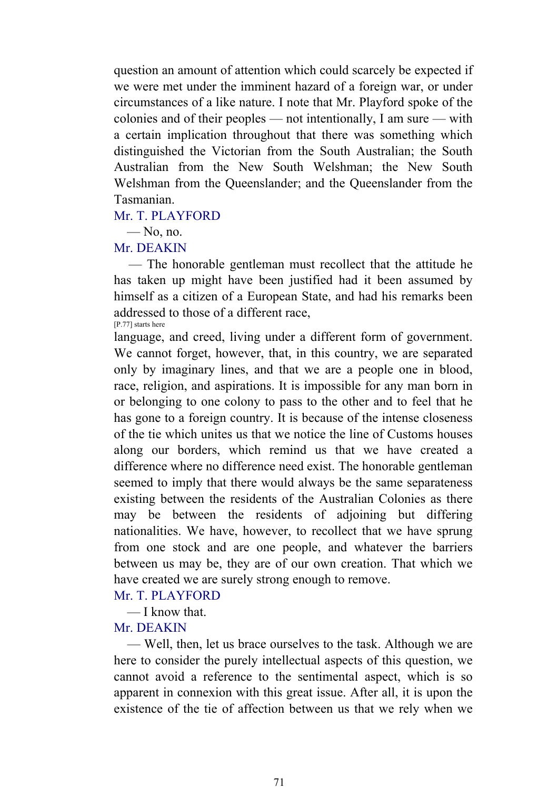question an amount of attention which could scarcely be expected if we were met under the imminent hazard of a foreign war, or under circumstances of a like nature. I note that Mr. Playford spoke of the colonies and of their peoples — not intentionally, I am sure — with a certain implication throughout that there was something which distinguished the Victorian from the South Australian; the South Australian from the New South Welshman; the New South Welshman from the Queenslander; and the Queenslander from the Tasmanian.

### Mr. T. PLAYFORD

 $-$  No, no.

#### Mr. DEAKIN

 — The honorable gentleman must recollect that the attitude he has taken up might have been justified had it been assumed by himself as a citizen of a European State, and had his remarks been addressed to those of a different race, [P.77] starts here

language, and creed, living under a different form of government. We cannot forget, however, that, in this country, we are separated only by imaginary lines, and that we are a people one in blood, race, religion, and aspirations. It is impossible for any man born in or belonging to one colony to pass to the other and to feel that he has gone to a foreign country. It is because of the intense closeness of the tie which unites us that we notice the line of Customs houses along our borders, which remind us that we have created a difference where no difference need exist. The honorable gentleman seemed to imply that there would always be the same separateness existing between the residents of the Australian Colonies as there may be between the residents of adjoining but differing nationalities. We have, however, to recollect that we have sprung from one stock and are one people, and whatever the barriers between us may be, they are of our own creation. That which we have created we are surely strong enough to remove.

#### Mr. T. PLAYFORD

— I know that.

### Mr. DEAKIN

 — Well, then, let us brace ourselves to the task. Although we are here to consider the purely intellectual aspects of this question, we cannot avoid a reference to the sentimental aspect, which is so apparent in connexion with this great issue. After all, it is upon the existence of the tie of affection between us that we rely when we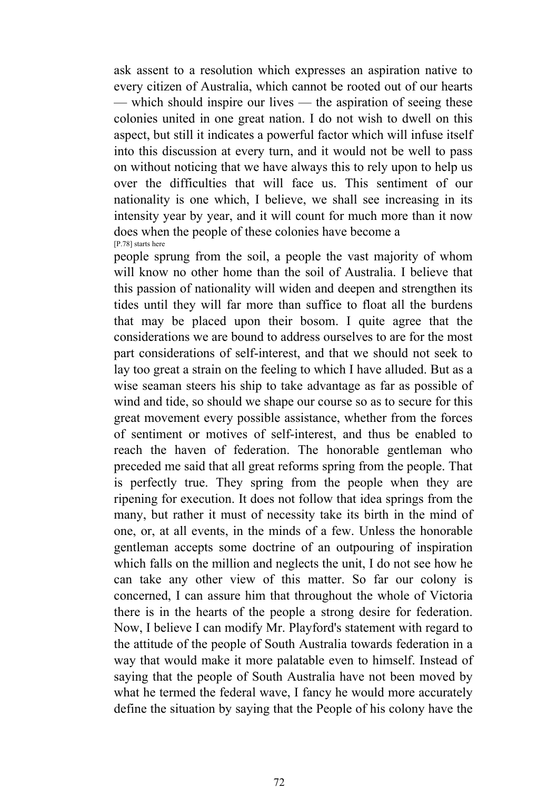ask assent to a resolution which expresses an aspiration native to every citizen of Australia, which cannot be rooted out of our hearts — which should inspire our lives — the aspiration of seeing these colonies united in one great nation. I do not wish to dwell on this aspect, but still it indicates a powerful factor which will infuse itself into this discussion at every turn, and it would not be well to pass on without noticing that we have always this to rely upon to help us over the difficulties that will face us. This sentiment of our nationality is one which, I believe, we shall see increasing in its intensity year by year, and it will count for much more than it now does when the people of these colonies have become a [P.78] starts here

people sprung from the soil, a people the vast majority of whom will know no other home than the soil of Australia. I believe that this passion of nationality will widen and deepen and strengthen its tides until they will far more than suffice to float all the burdens that may be placed upon their bosom. I quite agree that the considerations we are bound to address ourselves to are for the most part considerations of self-interest, and that we should not seek to lay too great a strain on the feeling to which I have alluded. But as a wise seaman steers his ship to take advantage as far as possible of wind and tide, so should we shape our course so as to secure for this great movement every possible assistance, whether from the forces of sentiment or motives of self-interest, and thus be enabled to reach the haven of federation. The honorable gentleman who preceded me said that all great reforms spring from the people. That is perfectly true. They spring from the people when they are ripening for execution. It does not follow that idea springs from the many, but rather it must of necessity take its birth in the mind of one, or, at all events, in the minds of a few. Unless the honorable gentleman accepts some doctrine of an outpouring of inspiration which falls on the million and neglects the unit, I do not see how he can take any other view of this matter. So far our colony is concerned, I can assure him that throughout the whole of Victoria there is in the hearts of the people a strong desire for federation. Now, I believe I can modify Mr. Playford's statement with regard to the attitude of the people of South Australia towards federation in a way that would make it more palatable even to himself. Instead of saying that the people of South Australia have not been moved by what he termed the federal wave, I fancy he would more accurately define the situation by saying that the People of his colony have the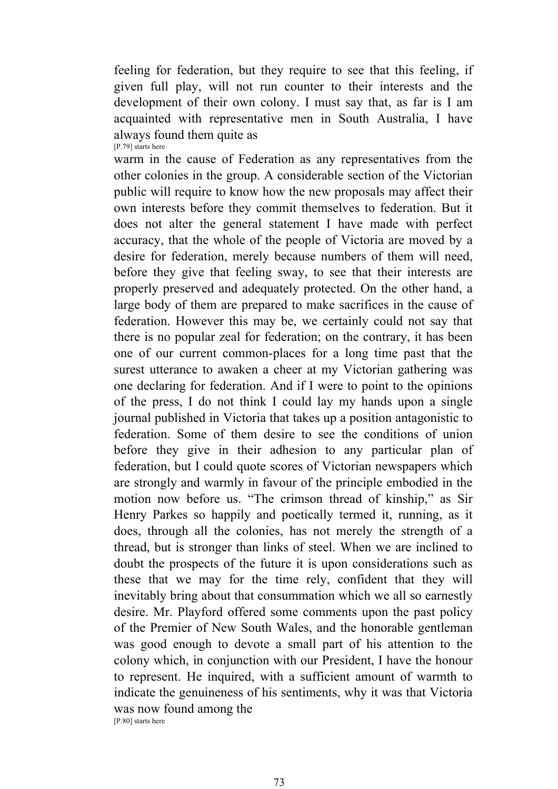feeling for federation, but they require to see that this feeling, if given full play, will not run counter to their interests and the development of their own colony. I must say that, as far is I am acquainted with representative men in South Australia, I have always found them quite as [P.79] starts here

warm in the cause of Federation as any representatives from the other colonies in the group. A considerable section of the Victorian public will require to know how the new proposals may affect their own interests before they commit themselves to federation. But it does not alter the general statement I have made with perfect accuracy, that the whole of the people of Victoria are moved by a desire for federation, merely because numbers of them will need, before they give that feeling sway, to see that their interests are properly preserved and adequately protected. On the other hand, a large body of them are prepared to make sacrifices in the cause of federation. However this may be, we certainly could not say that there is no popular zeal for federation; on the contrary, it has been one of our current common-places for a long time past that the surest utterance to awaken a cheer at my Victorian gathering was one declaring for federation. And if I were to point to the opinions of the press, I do not think I could lay my hands upon a single journal published in Victoria that takes up a position antagonistic to federation. Some of them desire to see the conditions of union before they give in their adhesion to any particular plan of federation, but I could quote scores of Victorian newspapers which are strongly and warmly in favour of the principle embodied in the motion now before us. "The crimson thread of kinship," as Sir Henry Parkes so happily and poetically termed it, running, as it does, through all the colonies, has not merely the strength of a thread, but is stronger than links of steel. When we are inclined to doubt the prospects of the future it is upon considerations such as these that we may for the time rely, confident that they will inevitably bring about that consummation which we all so earnestly desire. Mr. Playford offered some comments upon the past policy of the Premier of New South Wales, and the honorable gentleman was good enough to devote a small part of his attention to the colony which, in conjunction with our President, I have the honour to represent. He inquired, with a sufficient amount of warmth to indicate the genuineness of his sentiments, why it was that Victoria was now found among the [P.80] starts here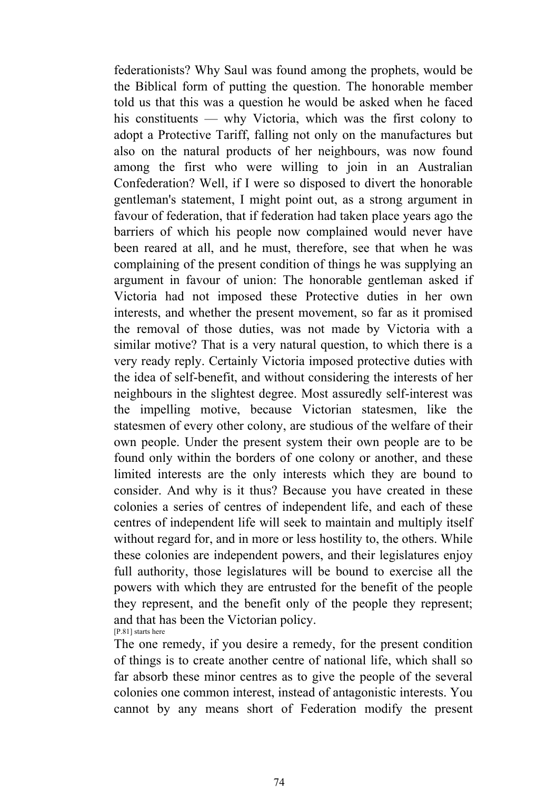federationists? Why Saul was found among the prophets, would be the Biblical form of putting the question. The honorable member told us that this was a question he would be asked when he faced his constituents — why Victoria, which was the first colony to adopt a Protective Tariff, falling not only on the manufactures but also on the natural products of her neighbours, was now found among the first who were willing to join in an Australian Confederation? Well, if I were so disposed to divert the honorable gentleman's statement, I might point out, as a strong argument in favour of federation, that if federation had taken place years ago the barriers of which his people now complained would never have been reared at all, and he must, therefore, see that when he was complaining of the present condition of things he was supplying an argument in favour of union: The honorable gentleman asked if Victoria had not imposed these Protective duties in her own interests, and whether the present movement, so far as it promised the removal of those duties, was not made by Victoria with a similar motive? That is a very natural question, to which there is a very ready reply. Certainly Victoria imposed protective duties with the idea of self-benefit, and without considering the interests of her neighbours in the slightest degree. Most assuredly self-interest was the impelling motive, because Victorian statesmen, like the statesmen of every other colony, are studious of the welfare of their own people. Under the present system their own people are to be found only within the borders of one colony or another, and these limited interests are the only interests which they are bound to consider. And why is it thus? Because you have created in these colonies a series of centres of independent life, and each of these centres of independent life will seek to maintain and multiply itself without regard for, and in more or less hostility to, the others. While these colonies are independent powers, and their legislatures enjoy full authority, those legislatures will be bound to exercise all the powers with which they are entrusted for the benefit of the people they represent, and the benefit only of the people they represent; and that has been the Victorian policy. [P.81] starts here

The one remedy, if you desire a remedy, for the present condition of things is to create another centre of national life, which shall so far absorb these minor centres as to give the people of the several colonies one common interest, instead of antagonistic interests. You cannot by any means short of Federation modify the present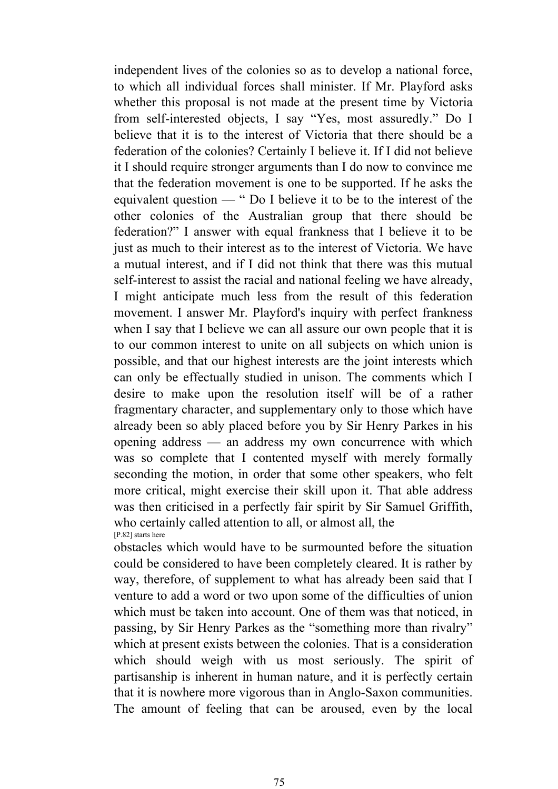independent lives of the colonies so as to develop a national force, to which all individual forces shall minister. If Mr. Playford asks whether this proposal is not made at the present time by Victoria from self-interested objects, I say "Yes, most assuredly." Do I believe that it is to the interest of Victoria that there should be a federation of the colonies? Certainly I believe it. If I did not believe it I should require stronger arguments than I do now to convince me that the federation movement is one to be supported. If he asks the equivalent question — " Do I believe it to be to the interest of the other colonies of the Australian group that there should be federation?" I answer with equal frankness that I believe it to be just as much to their interest as to the interest of Victoria. We have a mutual interest, and if I did not think that there was this mutual self-interest to assist the racial and national feeling we have already, I might anticipate much less from the result of this federation movement. I answer Mr. Playford's inquiry with perfect frankness when I say that I believe we can all assure our own people that it is to our common interest to unite on all subjects on which union is possible, and that our highest interests are the joint interests which can only be effectually studied in unison. The comments which I desire to make upon the resolution itself will be of a rather fragmentary character, and supplementary only to those which have already been so ably placed before you by Sir Henry Parkes in his opening address — an address my own concurrence with which was so complete that I contented myself with merely formally seconding the motion, in order that some other speakers, who felt more critical, might exercise their skill upon it. That able address was then criticised in a perfectly fair spirit by Sir Samuel Griffith, who certainly called attention to all, or almost all, the [P.82] starts here

obstacles which would have to be surmounted before the situation could be considered to have been completely cleared. It is rather by way, therefore, of supplement to what has already been said that I venture to add a word or two upon some of the difficulties of union which must be taken into account. One of them was that noticed, in passing, by Sir Henry Parkes as the "something more than rivalry" which at present exists between the colonies. That is a consideration which should weigh with us most seriously. The spirit of partisanship is inherent in human nature, and it is perfectly certain that it is nowhere more vigorous than in Anglo-Saxon communities. The amount of feeling that can be aroused, even by the local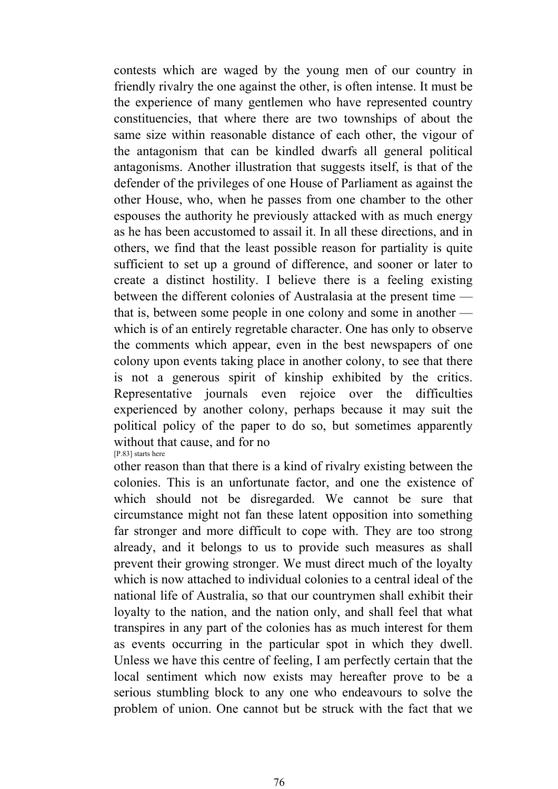contests which are waged by the young men of our country in friendly rivalry the one against the other, is often intense. It must be the experience of many gentlemen who have represented country constituencies, that where there are two townships of about the same size within reasonable distance of each other, the vigour of the antagonism that can be kindled dwarfs all general political antagonisms. Another illustration that suggests itself, is that of the defender of the privileges of one House of Parliament as against the other House, who, when he passes from one chamber to the other espouses the authority he previously attacked with as much energy as he has been accustomed to assail it. In all these directions, and in others, we find that the least possible reason for partiality is quite sufficient to set up a ground of difference, and sooner or later to create a distinct hostility. I believe there is a feeling existing between the different colonies of Australasia at the present time that is, between some people in one colony and some in another which is of an entirely regretable character. One has only to observe the comments which appear, even in the best newspapers of one colony upon events taking place in another colony, to see that there is not a generous spirit of kinship exhibited by the critics. Representative journals even rejoice over the difficulties experienced by another colony, perhaps because it may suit the political policy of the paper to do so, but sometimes apparently without that cause, and for no [P.83] starts here

other reason than that there is a kind of rivalry existing between the colonies. This is an unfortunate factor, and one the existence of which should not be disregarded. We cannot be sure that circumstance might not fan these latent opposition into something far stronger and more difficult to cope with. They are too strong already, and it belongs to us to provide such measures as shall prevent their growing stronger. We must direct much of the loyalty which is now attached to individual colonies to a central ideal of the national life of Australia, so that our countrymen shall exhibit their loyalty to the nation, and the nation only, and shall feel that what transpires in any part of the colonies has as much interest for them as events occurring in the particular spot in which they dwell. Unless we have this centre of feeling, I am perfectly certain that the local sentiment which now exists may hereafter prove to be a serious stumbling block to any one who endeavours to solve the problem of union. One cannot but be struck with the fact that we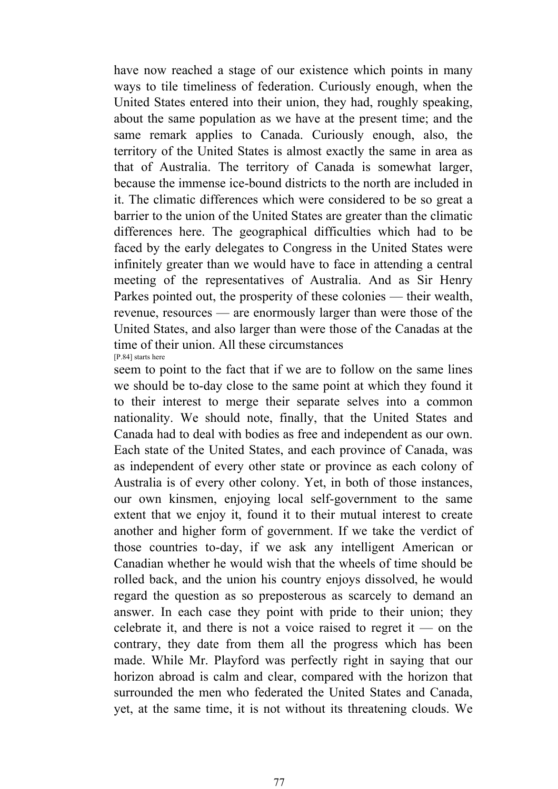have now reached a stage of our existence which points in many ways to tile timeliness of federation. Curiously enough, when the United States entered into their union, they had, roughly speaking, about the same population as we have at the present time; and the same remark applies to Canada. Curiously enough, also, the territory of the United States is almost exactly the same in area as that of Australia. The territory of Canada is somewhat larger, because the immense ice-bound districts to the north are included in it. The climatic differences which were considered to be so great a barrier to the union of the United States are greater than the climatic differences here. The geographical difficulties which had to be faced by the early delegates to Congress in the United States were infinitely greater than we would have to face in attending a central meeting of the representatives of Australia. And as Sir Henry Parkes pointed out, the prosperity of these colonies — their wealth, revenue, resources — are enormously larger than were those of the United States, and also larger than were those of the Canadas at the time of their union. All these circumstances [P.84] starts here

seem to point to the fact that if we are to follow on the same lines we should be to-day close to the same point at which they found it to their interest to merge their separate selves into a common nationality. We should note, finally, that the United States and Canada had to deal with bodies as free and independent as our own. Each state of the United States, and each province of Canada, was as independent of every other state or province as each colony of Australia is of every other colony. Yet, in both of those instances, our own kinsmen, enjoying local self-government to the same extent that we enjoy it, found it to their mutual interest to create another and higher form of government. If we take the verdict of those countries to-day, if we ask any intelligent American or Canadian whether he would wish that the wheels of time should be rolled back, and the union his country enjoys dissolved, he would regard the question as so preposterous as scarcely to demand an answer. In each case they point with pride to their union; they celebrate it, and there is not a voice raised to regret it — on the contrary, they date from them all the progress which has been made. While Mr. Playford was perfectly right in saying that our horizon abroad is calm and clear, compared with the horizon that surrounded the men who federated the United States and Canada, yet, at the same time, it is not without its threatening clouds. We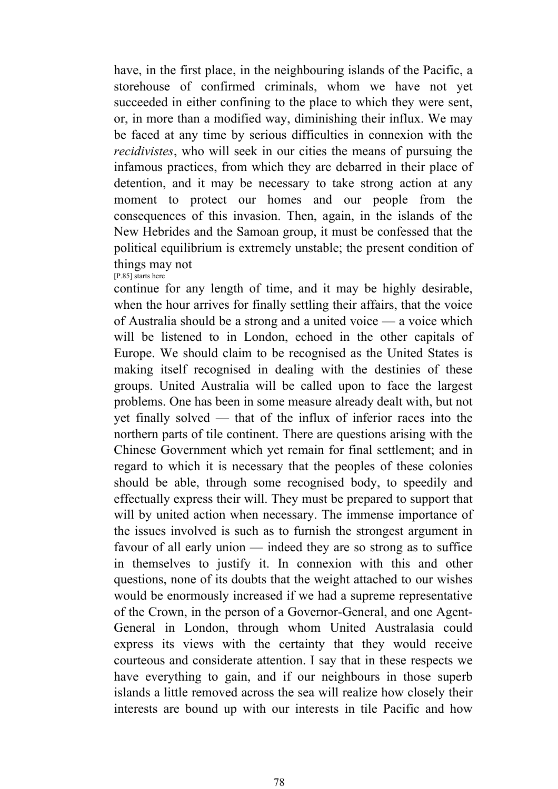have, in the first place, in the neighbouring islands of the Pacific, a storehouse of confirmed criminals, whom we have not yet succeeded in either confining to the place to which they were sent, or, in more than a modified way, diminishing their influx. We may be faced at any time by serious difficulties in connexion with the *recidivistes*, who will seek in our cities the means of pursuing the infamous practices, from which they are debarred in their place of detention, and it may be necessary to take strong action at any moment to protect our homes and our people from the consequences of this invasion. Then, again, in the islands of the New Hebrides and the Samoan group, it must be confessed that the political equilibrium is extremely unstable; the present condition of things may not [P.85] starts here

continue for any length of time, and it may be highly desirable, when the hour arrives for finally settling their affairs, that the voice of Australia should be a strong and a united voice — a voice which will be listened to in London, echoed in the other capitals of Europe. We should claim to be recognised as the United States is making itself recognised in dealing with the destinies of these groups. United Australia will be called upon to face the largest problems. One has been in some measure already dealt with, but not yet finally solved — that of the influx of inferior races into the northern parts of tile continent. There are questions arising with the Chinese Government which yet remain for final settlement; and in regard to which it is necessary that the peoples of these colonies should be able, through some recognised body, to speedily and effectually express their will. They must be prepared to support that will by united action when necessary. The immense importance of the issues involved is such as to furnish the strongest argument in favour of all early union — indeed they are so strong as to suffice in themselves to justify it. In connexion with this and other questions, none of its doubts that the weight attached to our wishes would be enormously increased if we had a supreme representative of the Crown, in the person of a Governor-General, and one Agent-General in London, through whom United Australasia could express its views with the certainty that they would receive courteous and considerate attention. I say that in these respects we have everything to gain, and if our neighbours in those superb islands a little removed across the sea will realize how closely their interests are bound up with our interests in tile Pacific and how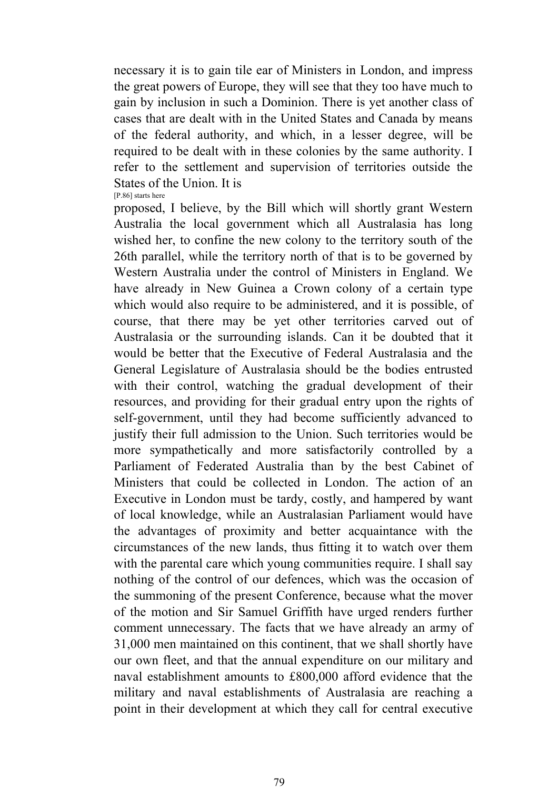necessary it is to gain tile ear of Ministers in London, and impress the great powers of Europe, they will see that they too have much to gain by inclusion in such a Dominion. There is yet another class of cases that are dealt with in the United States and Canada by means of the federal authority, and which, in a lesser degree, will be required to be dealt with in these colonies by the same authority. I refer to the settlement and supervision of territories outside the States of the Union. It is [P.86] starts here

proposed, I believe, by the Bill which will shortly grant Western Australia the local government which all Australasia has long wished her, to confine the new colony to the territory south of the 26th parallel, while the territory north of that is to be governed by Western Australia under the control of Ministers in England. We have already in New Guinea a Crown colony of a certain type which would also require to be administered, and it is possible, of course, that there may be yet other territories carved out of Australasia or the surrounding islands. Can it be doubted that it would be better that the Executive of Federal Australasia and the General Legislature of Australasia should be the bodies entrusted with their control, watching the gradual development of their resources, and providing for their gradual entry upon the rights of self-government, until they had become sufficiently advanced to justify their full admission to the Union. Such territories would be more sympathetically and more satisfactorily controlled by a Parliament of Federated Australia than by the best Cabinet of Ministers that could be collected in London. The action of an Executive in London must be tardy, costly, and hampered by want of local knowledge, while an Australasian Parliament would have the advantages of proximity and better acquaintance with the circumstances of the new lands, thus fitting it to watch over them with the parental care which young communities require. I shall say nothing of the control of our defences, which was the occasion of the summoning of the present Conference, because what the mover of the motion and Sir Samuel Griffith have urged renders further comment unnecessary. The facts that we have already an army of 31,000 men maintained on this continent, that we shall shortly have our own fleet, and that the annual expenditure on our military and naval establishment amounts to £800,000 afford evidence that the military and naval establishments of Australasia are reaching a point in their development at which they call for central executive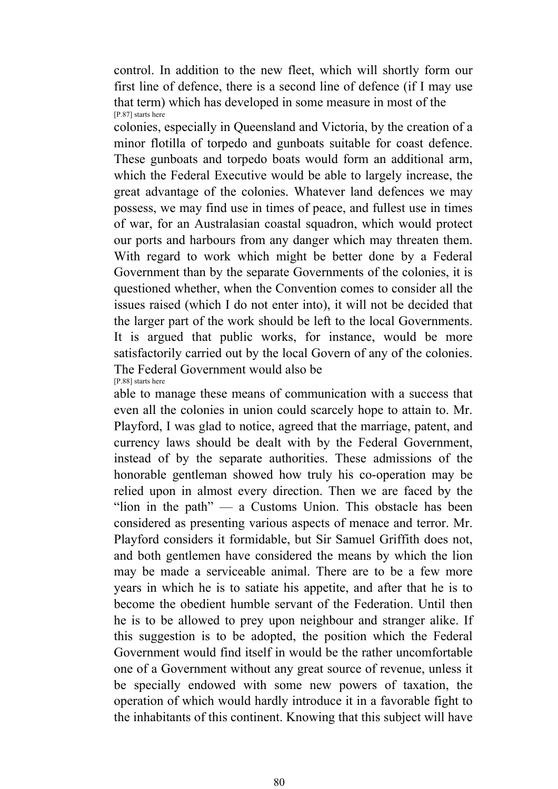control. In addition to the new fleet, which will shortly form our first line of defence, there is a second line of defence (if I may use that term) which has developed in some measure in most of the [P.87] starts here

colonies, especially in Queensland and Victoria, by the creation of a minor flotilla of torpedo and gunboats suitable for coast defence. These gunboats and torpedo boats would form an additional arm, which the Federal Executive would be able to largely increase, the great advantage of the colonies. Whatever land defences we may possess, we may find use in times of peace, and fullest use in times of war, for an Australasian coastal squadron, which would protect our ports and harbours from any danger which may threaten them. With regard to work which might be better done by a Federal Government than by the separate Governments of the colonies, it is questioned whether, when the Convention comes to consider all the issues raised (which I do not enter into), it will not be decided that the larger part of the work should be left to the local Governments. It is argued that public works, for instance, would be more satisfactorily carried out by the local Govern of any of the colonies. The Federal Government would also be [P.88] starts here

able to manage these means of communication with a success that even all the colonies in union could scarcely hope to attain to. Mr. Playford, I was glad to notice, agreed that the marriage, patent, and currency laws should be dealt with by the Federal Government, instead of by the separate authorities. These admissions of the honorable gentleman showed how truly his co-operation may be relied upon in almost every direction. Then we are faced by the "lion in the path"  $\frac{1}{2}$  a Customs Union. This obstacle has been considered as presenting various aspects of menace and terror. Mr. Playford considers it formidable, but Sir Samuel Griffith does not, and both gentlemen have considered the means by which the lion may be made a serviceable animal. There are to be a few more years in which he is to satiate his appetite, and after that he is to become the obedient humble servant of the Federation. Until then he is to be allowed to prey upon neighbour and stranger alike. If this suggestion is to be adopted, the position which the Federal Government would find itself in would be the rather uncomfortable one of a Government without any great source of revenue, unless it be specially endowed with some new powers of taxation, the operation of which would hardly introduce it in a favorable fight to the inhabitants of this continent. Knowing that this subject will have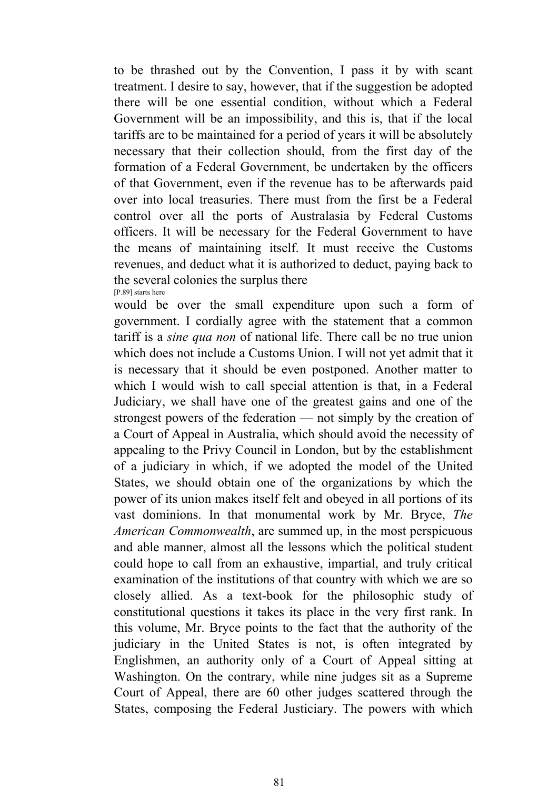to be thrashed out by the Convention, I pass it by with scant treatment. I desire to say, however, that if the suggestion be adopted there will be one essential condition, without which a Federal Government will be an impossibility, and this is, that if the local tariffs are to be maintained for a period of years it will be absolutely necessary that their collection should, from the first day of the formation of a Federal Government, be undertaken by the officers of that Government, even if the revenue has to be afterwards paid over into local treasuries. There must from the first be a Federal control over all the ports of Australasia by Federal Customs officers. It will be necessary for the Federal Government to have the means of maintaining itself. It must receive the Customs revenues, and deduct what it is authorized to deduct, paying back to the several colonies the surplus there [P.89] starts here

would be over the small expenditure upon such a form of government. I cordially agree with the statement that a common tariff is a *sine qua non* of national life. There call be no true union which does not include a Customs Union. I will not yet admit that it is necessary that it should be even postponed. Another matter to which I would wish to call special attention is that, in a Federal Judiciary, we shall have one of the greatest gains and one of the strongest powers of the federation — not simply by the creation of a Court of Appeal in Australia, which should avoid the necessity of appealing to the Privy Council in London, but by the establishment of a judiciary in which, if we adopted the model of the United States, we should obtain one of the organizations by which the power of its union makes itself felt and obeyed in all portions of its vast dominions. In that monumental work by Mr. Bryce, *The American Commonwealth*, are summed up, in the most perspicuous and able manner, almost all the lessons which the political student could hope to call from an exhaustive, impartial, and truly critical examination of the institutions of that country with which we are so closely allied. As a text-book for the philosophic study of constitutional questions it takes its place in the very first rank. In this volume, Mr. Bryce points to the fact that the authority of the judiciary in the United States is not, is often integrated by Englishmen, an authority only of a Court of Appeal sitting at Washington. On the contrary, while nine judges sit as a Supreme Court of Appeal, there are 60 other judges scattered through the States, composing the Federal Justiciary. The powers with which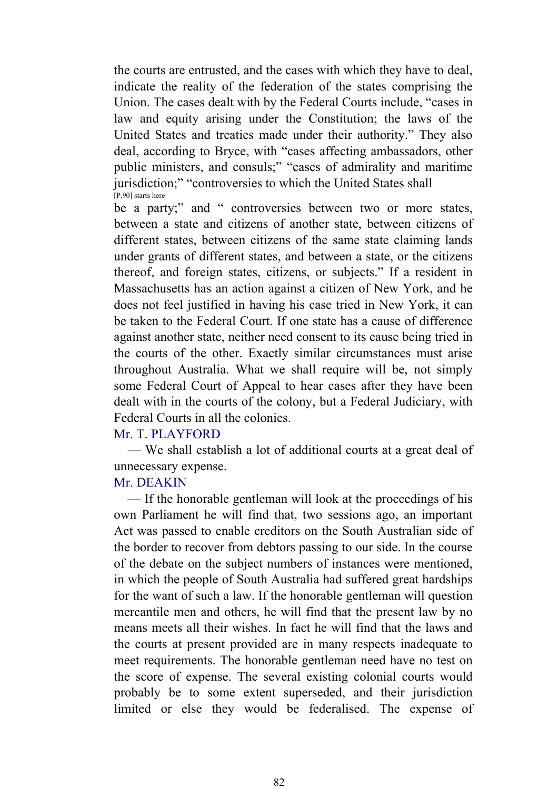the courts are entrusted, and the cases with which they have to deal, indicate the reality of the federation of the states comprising the Union. The cases dealt with by the Federal Courts include, "cases in law and equity arising under the Constitution; the laws of the United States and treaties made under their authority." They also deal, according to Bryce, with "cases affecting ambassadors, other public ministers, and consuls;" "cases of admirality and maritime jurisdiction;" "controversies to which the United States shall [P.90] starts here

be a party;" and " controversies between two or more states, between a state and citizens of another state, between citizens of different states, between citizens of the same state claiming lands under grants of different states, and between a state, or the citizens thereof, and foreign states, citizens, or subjects." If a resident in Massachusetts has an action against a citizen of New York, and he does not feel justified in having his case tried in New York, it can be taken to the Federal Court. If one state has a cause of difference against another state, neither need consent to its cause being tried in the courts of the other. Exactly similar circumstances must arise throughout Australia. What we shall require will be, not simply some Federal Court of Appeal to hear cases after they have been dealt with in the courts of the colony, but a Federal Judiciary, with Federal Courts in all the colonies.

#### Mr. T. PLAYFORD

 — We shall establish a lot of additional courts at a great deal of unnecessary expense.

#### Mr. DEAKIN

 — If the honorable gentleman will look at the proceedings of his own Parliament he will find that, two sessions ago, an important Act was passed to enable creditors on the South Australian side of the border to recover from debtors passing to our side. In the course of the debate on the subject numbers of instances were mentioned, in which the people of South Australia had suffered great hardships for the want of such a law. If the honorable gentleman will question mercantile men and others, he will find that the present law by no means meets all their wishes. In fact he will find that the laws and the courts at present provided are in many respects inadequate to meet requirements. The honorable gentleman need have no test on the score of expense. The several existing colonial courts would probably be to some extent superseded, and their jurisdiction limited or else they would be federalised. The expense of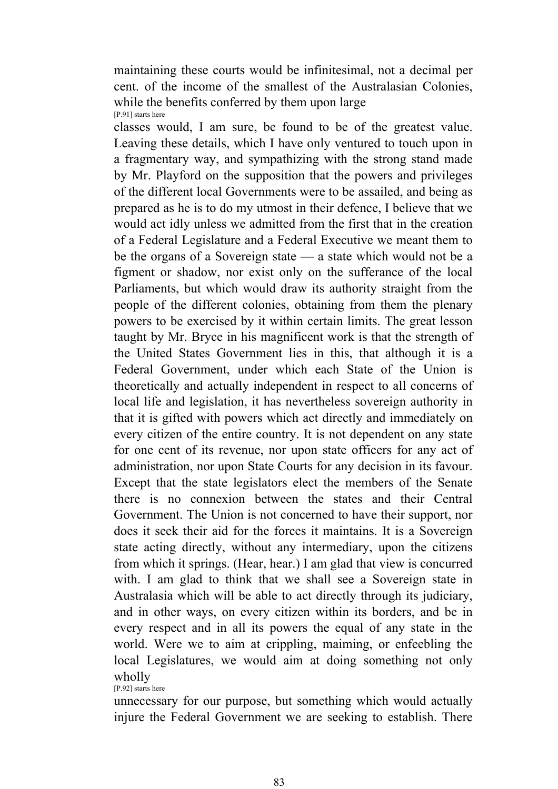maintaining these courts would be infinitesimal, not a decimal per cent. of the income of the smallest of the Australasian Colonies, while the benefits conferred by them upon large [P.91] starts here

classes would, I am sure, be found to be of the greatest value. Leaving these details, which I have only ventured to touch upon in a fragmentary way, and sympathizing with the strong stand made by Mr. Playford on the supposition that the powers and privileges of the different local Governments were to be assailed, and being as prepared as he is to do my utmost in their defence, I believe that we would act idly unless we admitted from the first that in the creation of a Federal Legislature and a Federal Executive we meant them to be the organs of a Sovereign state — a state which would not be a figment or shadow, nor exist only on the sufferance of the local Parliaments, but which would draw its authority straight from the people of the different colonies, obtaining from them the plenary powers to be exercised by it within certain limits. The great lesson taught by Mr. Bryce in his magnificent work is that the strength of the United States Government lies in this, that although it is a Federal Government, under which each State of the Union is theoretically and actually independent in respect to all concerns of local life and legislation, it has nevertheless sovereign authority in that it is gifted with powers which act directly and immediately on every citizen of the entire country. It is not dependent on any state for one cent of its revenue, nor upon state officers for any act of administration, nor upon State Courts for any decision in its favour. Except that the state legislators elect the members of the Senate there is no connexion between the states and their Central Government. The Union is not concerned to have their support, nor does it seek their aid for the forces it maintains. It is a Sovereign state acting directly, without any intermediary, upon the citizens from which it springs. (Hear, hear.) I am glad that view is concurred with. I am glad to think that we shall see a Sovereign state in Australasia which will be able to act directly through its judiciary, and in other ways, on every citizen within its borders, and be in every respect and in all its powers the equal of any state in the world. Were we to aim at crippling, maiming, or enfeebling the local Legislatures, we would aim at doing something not only wholly [P.92] starts here

unnecessary for our purpose, but something which would actually injure the Federal Government we are seeking to establish. There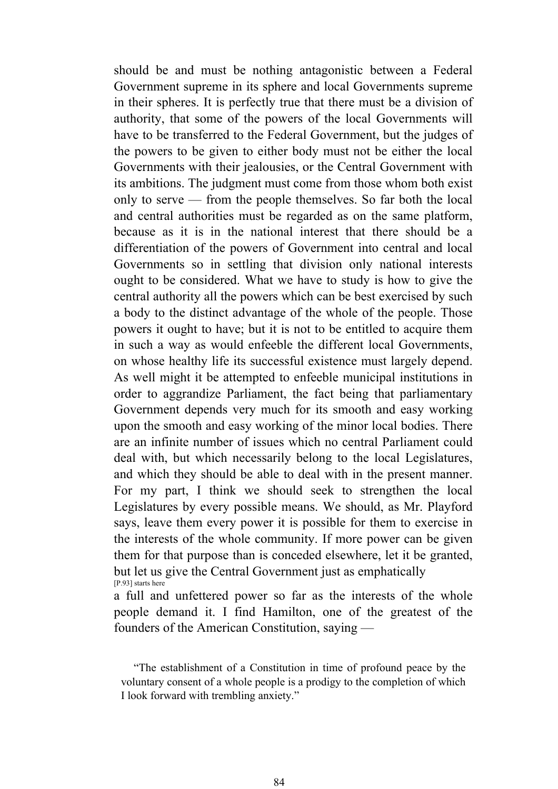should be and must be nothing antagonistic between a Federal Government supreme in its sphere and local Governments supreme in their spheres. It is perfectly true that there must be a division of authority, that some of the powers of the local Governments will have to be transferred to the Federal Government, but the judges of the powers to be given to either body must not be either the local Governments with their jealousies, or the Central Government with its ambitions. The judgment must come from those whom both exist only to serve — from the people themselves. So far both the local and central authorities must be regarded as on the same platform, because as it is in the national interest that there should be a differentiation of the powers of Government into central and local Governments so in settling that division only national interests ought to be considered. What we have to study is how to give the central authority all the powers which can be best exercised by such a body to the distinct advantage of the whole of the people. Those powers it ought to have; but it is not to be entitled to acquire them in such a way as would enfeeble the different local Governments, on whose healthy life its successful existence must largely depend. As well might it be attempted to enfeeble municipal institutions in order to aggrandize Parliament, the fact being that parliamentary Government depends very much for its smooth and easy working upon the smooth and easy working of the minor local bodies. There are an infinite number of issues which no central Parliament could deal with, but which necessarily belong to the local Legislatures, and which they should be able to deal with in the present manner. For my part, I think we should seek to strengthen the local Legislatures by every possible means. We should, as Mr. Playford says, leave them every power it is possible for them to exercise in the interests of the whole community. If more power can be given them for that purpose than is conceded elsewhere, let it be granted, but let us give the Central Government just as emphatically [P.93] starts here

a full and unfettered power so far as the interests of the whole people demand it. I find Hamilton, one of the greatest of the founders of the American Constitution, saying —

 "The establishment of a Constitution in time of profound peace by the voluntary consent of a whole people is a prodigy to the completion of which I look forward with trembling anxiety."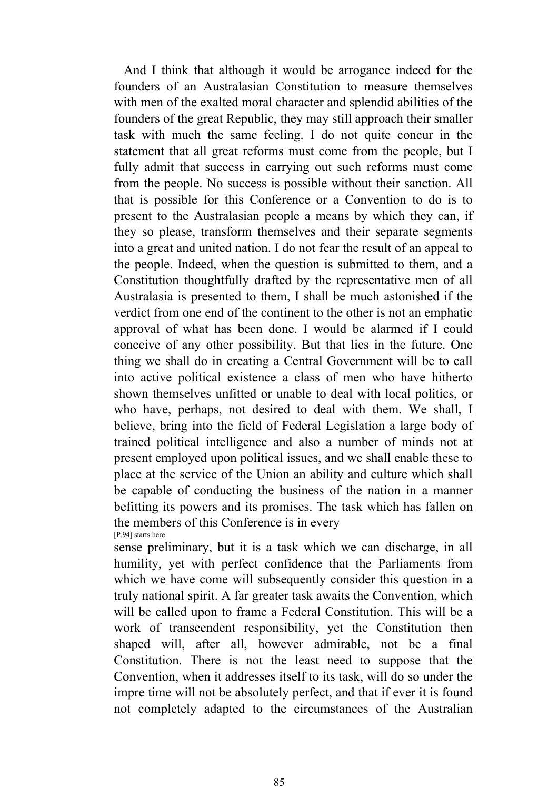And I think that although it would be arrogance indeed for the founders of an Australasian Constitution to measure themselves with men of the exalted moral character and splendid abilities of the founders of the great Republic, they may still approach their smaller task with much the same feeling. I do not quite concur in the statement that all great reforms must come from the people, but I fully admit that success in carrying out such reforms must come from the people. No success is possible without their sanction. All that is possible for this Conference or a Convention to do is to present to the Australasian people a means by which they can, if they so please, transform themselves and their separate segments into a great and united nation. I do not fear the result of an appeal to the people. Indeed, when the question is submitted to them, and a Constitution thoughtfully drafted by the representative men of all Australasia is presented to them, I shall be much astonished if the verdict from one end of the continent to the other is not an emphatic approval of what has been done. I would be alarmed if I could conceive of any other possibility. But that lies in the future. One thing we shall do in creating a Central Government will be to call into active political existence a class of men who have hitherto shown themselves unfitted or unable to deal with local politics, or who have, perhaps, not desired to deal with them. We shall, I believe, bring into the field of Federal Legislation a large body of trained political intelligence and also a number of minds not at present employed upon political issues, and we shall enable these to place at the service of the Union an ability and culture which shall be capable of conducting the business of the nation in a manner befitting its powers and its promises. The task which has fallen on the members of this Conference is in every [P.94] starts here

sense preliminary, but it is a task which we can discharge, in all humility, yet with perfect confidence that the Parliaments from which we have come will subsequently consider this question in a truly national spirit. A far greater task awaits the Convention, which will be called upon to frame a Federal Constitution. This will be a work of transcendent responsibility, yet the Constitution then shaped will, after all, however admirable, not be a final Constitution. There is not the least need to suppose that the Convention, when it addresses itself to its task, will do so under the impre time will not be absolutely perfect, and that if ever it is found not completely adapted to the circumstances of the Australian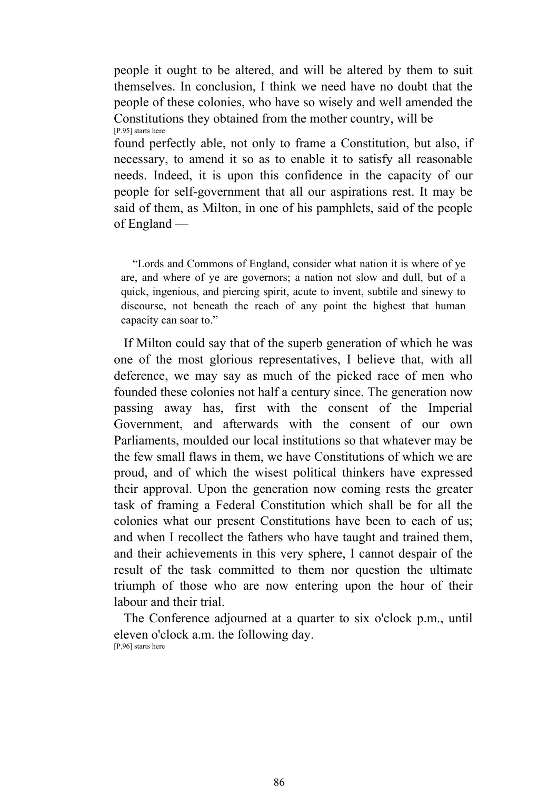people it ought to be altered, and will be altered by them to suit themselves. In conclusion, I think we need have no doubt that the people of these colonies, who have so wisely and well amended the Constitutions they obtained from the mother country, will be [P.95] starts here

found perfectly able, not only to frame a Constitution, but also, if necessary, to amend it so as to enable it to satisfy all reasonable needs. Indeed, it is upon this confidence in the capacity of our people for self-government that all our aspirations rest. It may be said of them, as Milton, in one of his pamphlets, said of the people of England —

 "Lords and Commons of England, consider what nation it is where of ye are, and where of ye are governors; a nation not slow and dull, but of a quick, ingenious, and piercing spirit, acute to invent, subtile and sinewy to discourse, not beneath the reach of any point the highest that human capacity can soar to."

 If Milton could say that of the superb generation of which he was one of the most glorious representatives, I believe that, with all deference, we may say as much of the picked race of men who founded these colonies not half a century since. The generation now passing away has, first with the consent of the Imperial Government, and afterwards with the consent of our own Parliaments, moulded our local institutions so that whatever may be the few small flaws in them, we have Constitutions of which we are proud, and of which the wisest political thinkers have expressed their approval. Upon the generation now coming rests the greater task of framing a Federal Constitution which shall be for all the colonies what our present Constitutions have been to each of us; and when I recollect the fathers who have taught and trained them, and their achievements in this very sphere, I cannot despair of the result of the task committed to them nor question the ultimate triumph of those who are now entering upon the hour of their labour and their trial

 The Conference adjourned at a quarter to six o'clock p.m., until eleven o'clock a.m. the following day. [P.96] starts here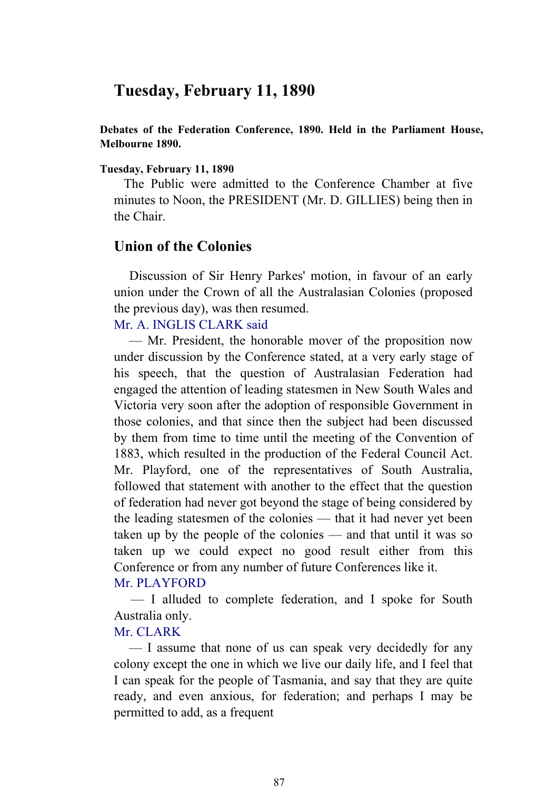# **Tuesday, February 11, 1890**

**Debates of the Federation Conference, 1890. Held in the Parliament House, Melbourne 1890.** 

#### **Tuesday, February 11, 1890**

 The Public were admitted to the Conference Chamber at five minutes to Noon, the PRESIDENT (Mr. D. GILLIES) being then in the Chair.

### **Union of the Colonies**

 Discussion of Sir Henry Parkes' motion, in favour of an early union under the Crown of all the Australasian Colonies (proposed the previous day), was then resumed.

### Mr. A. INGLIS CLARK said

 — Mr. President, the honorable mover of the proposition now under discussion by the Conference stated, at a very early stage of his speech, that the question of Australasian Federation had engaged the attention of leading statesmen in New South Wales and Victoria very soon after the adoption of responsible Government in those colonies, and that since then the subject had been discussed by them from time to time until the meeting of the Convention of 1883, which resulted in the production of the Federal Council Act. Mr. Playford, one of the representatives of South Australia, followed that statement with another to the effect that the question of federation had never got beyond the stage of being considered by the leading statesmen of the colonies — that it had never yet been taken up by the people of the colonies — and that until it was so taken up we could expect no good result either from this Conference or from any number of future Conferences like it.

#### Mr. PLAYFORD

 — I alluded to complete federation, and I spoke for South Australia only.

### Mr. CLARK

 — I assume that none of us can speak very decidedly for any colony except the one in which we live our daily life, and I feel that I can speak for the people of Tasmania, and say that they are quite ready, and even anxious, for federation; and perhaps I may be permitted to add, as a frequent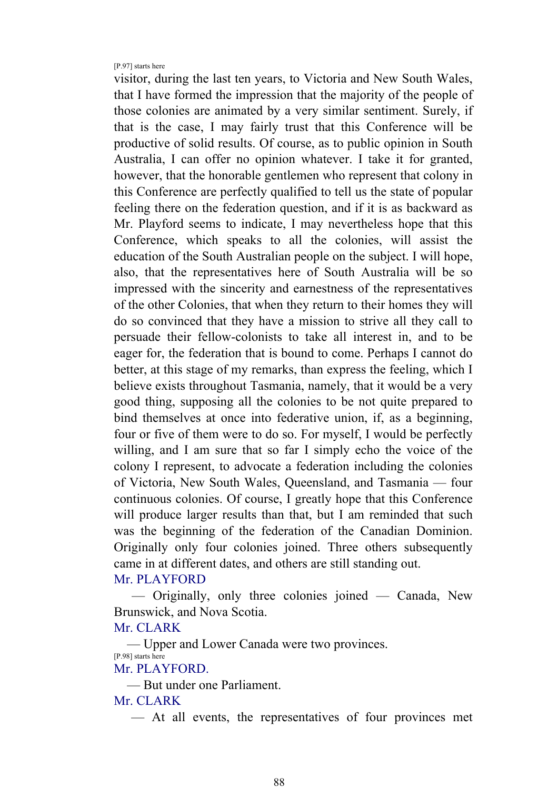[P.97] starts here

visitor, during the last ten years, to Victoria and New South Wales, that I have formed the impression that the majority of the people of those colonies are animated by a very similar sentiment. Surely, if that is the case, I may fairly trust that this Conference will be productive of solid results. Of course, as to public opinion in South Australia, I can offer no opinion whatever. I take it for granted, however, that the honorable gentlemen who represent that colony in this Conference are perfectly qualified to tell us the state of popular feeling there on the federation question, and if it is as backward as Mr. Playford seems to indicate, I may nevertheless hope that this Conference, which speaks to all the colonies, will assist the education of the South Australian people on the subject. I will hope, also, that the representatives here of South Australia will be so impressed with the sincerity and earnestness of the representatives of the other Colonies, that when they return to their homes they will do so convinced that they have a mission to strive all they call to persuade their fellow-colonists to take all interest in, and to be eager for, the federation that is bound to come. Perhaps I cannot do better, at this stage of my remarks, than express the feeling, which I believe exists throughout Tasmania, namely, that it would be a very good thing, supposing all the colonies to be not quite prepared to bind themselves at once into federative union, if, as a beginning, four or five of them were to do so. For myself, I would be perfectly willing, and I am sure that so far I simply echo the voice of the colony I represent, to advocate a federation including the colonies of Victoria, New South Wales, Queensland, and Tasmania — four continuous colonies. Of course, I greatly hope that this Conference will produce larger results than that, but I am reminded that such was the beginning of the federation of the Canadian Dominion. Originally only four colonies joined. Three others subsequently came in at different dates, and others are still standing out.

### Mr. PLAYFORD

 — Originally, only three colonies joined — Canada, New Brunswick, and Nova Scotia.

#### Mr. CLARK

 — Upper and Lower Canada were two provinces. [P.98] starts here Mr. PLAYFORD.

— But under one Parliament.

### Mr. CLARK

— At all events, the representatives of four provinces met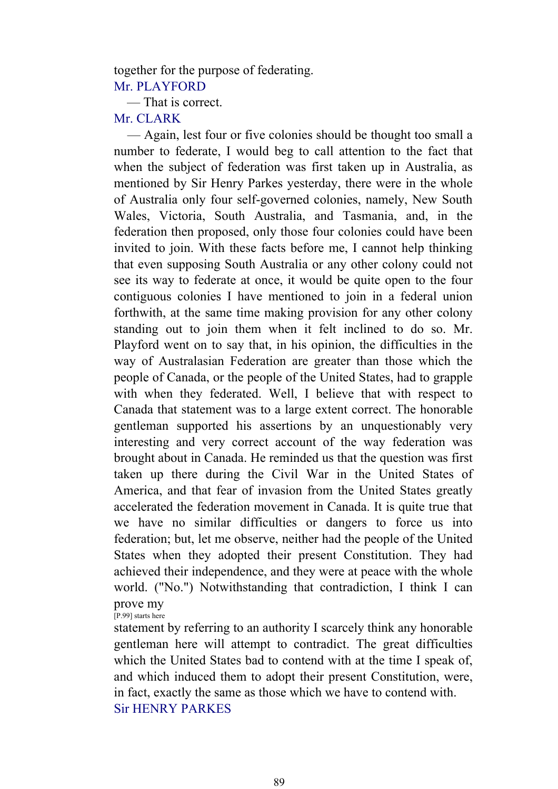together for the purpose of federating. Mr. PLAYFORD

— That is correct.

Mr. CLARK

 — Again, lest four or five colonies should be thought too small a number to federate, I would beg to call attention to the fact that when the subject of federation was first taken up in Australia, as mentioned by Sir Henry Parkes yesterday, there were in the whole of Australia only four self-governed colonies, namely, New South Wales, Victoria, South Australia, and Tasmania, and, in the federation then proposed, only those four colonies could have been invited to join. With these facts before me, I cannot help thinking that even supposing South Australia or any other colony could not see its way to federate at once, it would be quite open to the four contiguous colonies I have mentioned to join in a federal union forthwith, at the same time making provision for any other colony standing out to join them when it felt inclined to do so. Mr. Playford went on to say that, in his opinion, the difficulties in the way of Australasian Federation are greater than those which the people of Canada, or the people of the United States, had to grapple with when they federated. Well, I believe that with respect to Canada that statement was to a large extent correct. The honorable gentleman supported his assertions by an unquestionably very interesting and very correct account of the way federation was brought about in Canada. He reminded us that the question was first taken up there during the Civil War in the United States of America, and that fear of invasion from the United States greatly accelerated the federation movement in Canada. It is quite true that we have no similar difficulties or dangers to force us into federation; but, let me observe, neither had the people of the United States when they adopted their present Constitution. They had achieved their independence, and they were at peace with the whole world. ("No.") Notwithstanding that contradiction, I think I can prove my

[P.99] starts here

statement by referring to an authority I scarcely think any honorable gentleman here will attempt to contradict. The great difficulties which the United States bad to contend with at the time I speak of, and which induced them to adopt their present Constitution, were, in fact, exactly the same as those which we have to contend with. Sir HENRY PARKES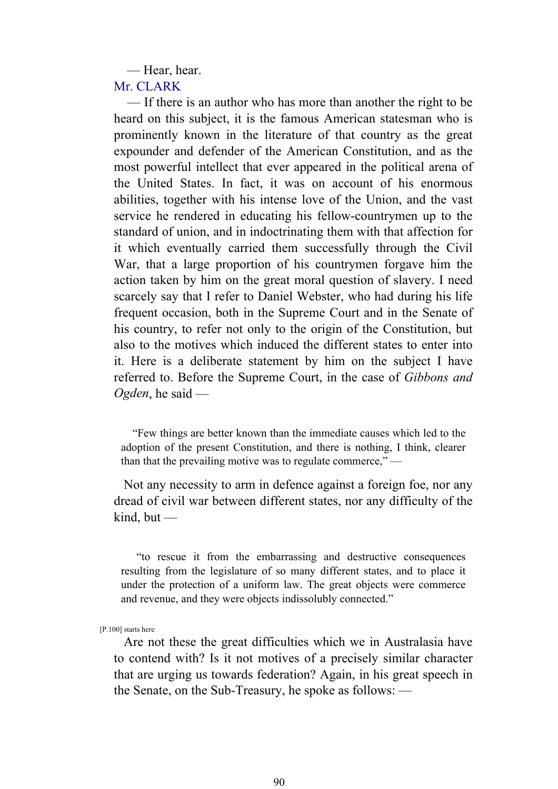— Hear, hear.

Mr. CLARK

 — If there is an author who has more than another the right to be heard on this subject, it is the famous American statesman who is prominently known in the literature of that country as the great expounder and defender of the American Constitution, and as the most powerful intellect that ever appeared in the political arena of the United States. In fact, it was on account of his enormous abilities, together with his intense love of the Union, and the vast service he rendered in educating his fellow-countrymen up to the standard of union, and in indoctrinating them with that affection for it which eventually carried them successfully through the Civil War, that a large proportion of his countrymen forgave him the action taken by him on the great moral question of slavery. I need scarcely say that I refer to Daniel Webster, who had during his life frequent occasion, both in the Supreme Court and in the Senate of his country, to refer not only to the origin of the Constitution, but also to the motives which induced the different states to enter into it. Here is a deliberate statement by him on the subject I have referred to. Before the Supreme Court, in the case of *Gibbons and Ogden*, he said —

 "Few things are better known than the immediate causes which led to the adoption of the present Constitution, and there is nothing, I think, clearer than that the prevailing motive was to regulate commerce," —

 Not any necessity to arm in defence against a foreign foe, nor any dread of civil war between different states, nor any difficulty of the  $kind$ , but —

 "to rescue it from the embarrassing and destructive consequences resulting from the legislature of so many different states, and to place it under the protection of a uniform law. The great objects were commerce and revenue, and they were objects indissolubly connected."

[P.100] starts here

 Are not these the great difficulties which we in Australasia have to contend with? Is it not motives of a precisely similar character that are urging us towards federation? Again, in his great speech in the Senate, on the Sub-Treasury, he spoke as follows: —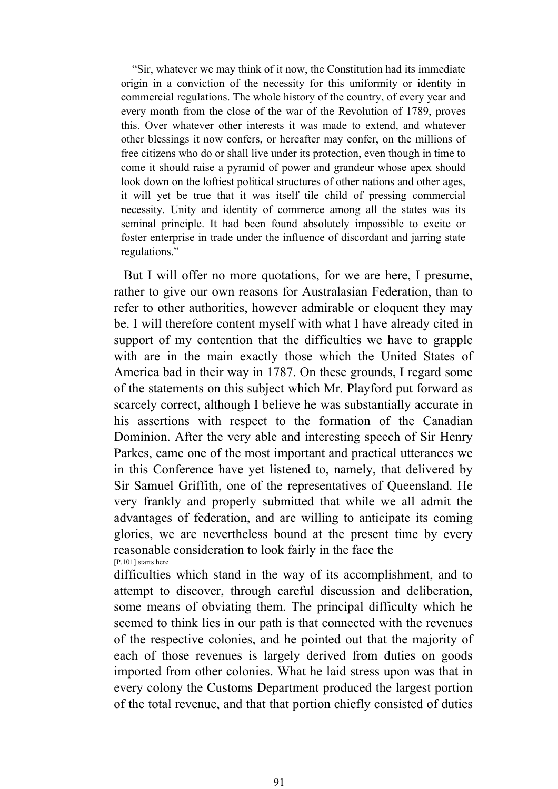"Sir, whatever we may think of it now, the Constitution had its immediate origin in a conviction of the necessity for this uniformity or identity in commercial regulations. The whole history of the country, of every year and every month from the close of the war of the Revolution of 1789, proves this. Over whatever other interests it was made to extend, and whatever other blessings it now confers, or hereafter may confer, on the millions of free citizens who do or shall live under its protection, even though in time to come it should raise a pyramid of power and grandeur whose apex should look down on the loftiest political structures of other nations and other ages, it will yet be true that it was itself tile child of pressing commercial necessity. Unity and identity of commerce among all the states was its seminal principle. It had been found absolutely impossible to excite or foster enterprise in trade under the influence of discordant and jarring state regulations."

 But I will offer no more quotations, for we are here, I presume, rather to give our own reasons for Australasian Federation, than to refer to other authorities, however admirable or eloquent they may be. I will therefore content myself with what I have already cited in support of my contention that the difficulties we have to grapple with are in the main exactly those which the United States of America bad in their way in 1787. On these grounds, I regard some of the statements on this subject which Mr. Playford put forward as scarcely correct, although I believe he was substantially accurate in his assertions with respect to the formation of the Canadian Dominion. After the very able and interesting speech of Sir Henry Parkes, came one of the most important and practical utterances we in this Conference have yet listened to, namely, that delivered by Sir Samuel Griffith, one of the representatives of Queensland. He very frankly and properly submitted that while we all admit the advantages of federation, and are willing to anticipate its coming glories, we are nevertheless bound at the present time by every reasonable consideration to look fairly in the face the [P.101] starts here

difficulties which stand in the way of its accomplishment, and to attempt to discover, through careful discussion and deliberation, some means of obviating them. The principal difficulty which he seemed to think lies in our path is that connected with the revenues of the respective colonies, and he pointed out that the majority of each of those revenues is largely derived from duties on goods imported from other colonies. What he laid stress upon was that in every colony the Customs Department produced the largest portion of the total revenue, and that that portion chiefly consisted of duties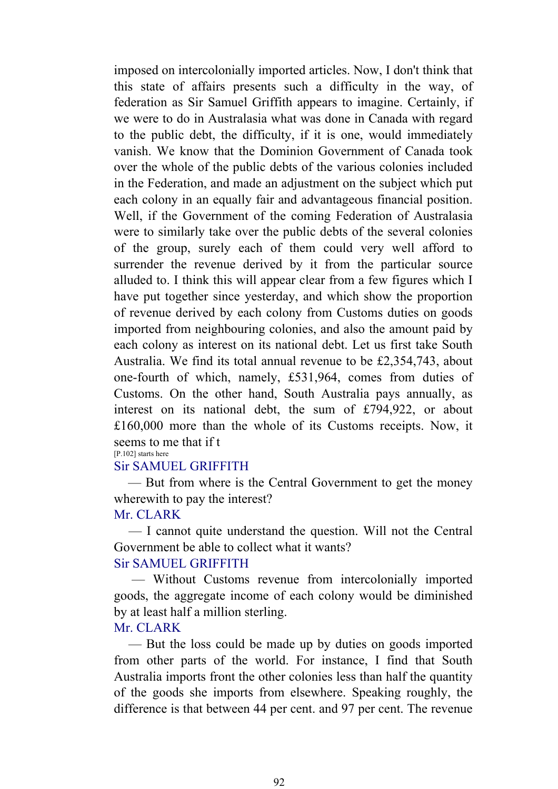imposed on intercolonially imported articles. Now, I don't think that this state of affairs presents such a difficulty in the way, of federation as Sir Samuel Griffith appears to imagine. Certainly, if we were to do in Australasia what was done in Canada with regard to the public debt, the difficulty, if it is one, would immediately vanish. We know that the Dominion Government of Canada took over the whole of the public debts of the various colonies included in the Federation, and made an adjustment on the subject which put each colony in an equally fair and advantageous financial position. Well, if the Government of the coming Federation of Australasia were to similarly take over the public debts of the several colonies of the group, surely each of them could very well afford to surrender the revenue derived by it from the particular source alluded to. I think this will appear clear from a few figures which I have put together since yesterday, and which show the proportion of revenue derived by each colony from Customs duties on goods imported from neighbouring colonies, and also the amount paid by each colony as interest on its national debt. Let us first take South Australia. We find its total annual revenue to be £2,354,743, about one-fourth of which, namely, £531,964, comes from duties of Customs. On the other hand, South Australia pays annually, as interest on its national debt, the sum of £794,922, or about £160,000 more than the whole of its Customs receipts. Now, it seems to me that if t

#### [P.102] starts here

#### Sir SAMUEL GRIFFITH

 — But from where is the Central Government to get the money wherewith to pay the interest?

### Mr. CLARK

 — I cannot quite understand the question. Will not the Central Government be able to collect what it wants?

## Sir SAMUEL GRIFFITH

 — Without Customs revenue from intercolonially imported goods, the aggregate income of each colony would be diminished by at least half a million sterling.

### Mr. CLARK

 — But the loss could be made up by duties on goods imported from other parts of the world. For instance, I find that South Australia imports front the other colonies less than half the quantity of the goods she imports from elsewhere. Speaking roughly, the difference is that between 44 per cent. and 97 per cent. The revenue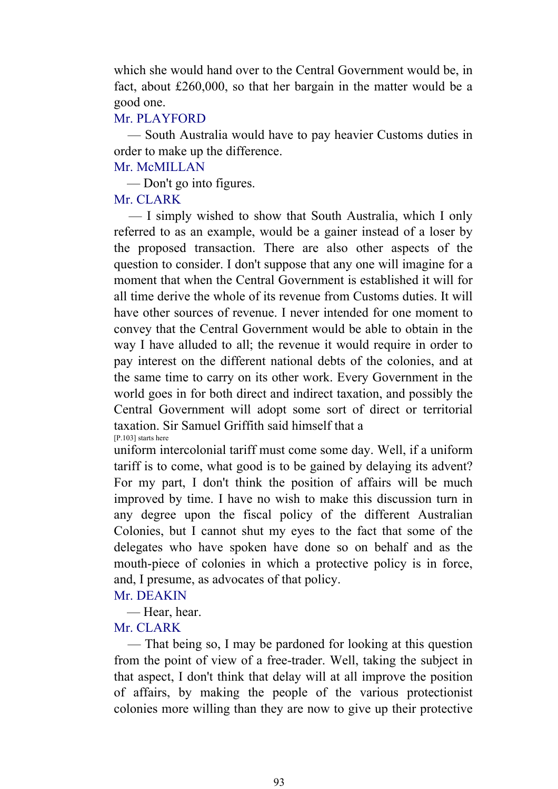which she would hand over to the Central Government would be, in fact, about £260,000, so that her bargain in the matter would be a good one.

### Mr. PLAYFORD

 — South Australia would have to pay heavier Customs duties in order to make up the difference.

### Mr. McMILLAN

— Don't go into figures.

## Mr. CLARK

 — I simply wished to show that South Australia, which I only referred to as an example, would be a gainer instead of a loser by the proposed transaction. There are also other aspects of the question to consider. I don't suppose that any one will imagine for a moment that when the Central Government is established it will for all time derive the whole of its revenue from Customs duties. It will have other sources of revenue. I never intended for one moment to convey that the Central Government would be able to obtain in the way I have alluded to all; the revenue it would require in order to pay interest on the different national debts of the colonies, and at the same time to carry on its other work. Every Government in the world goes in for both direct and indirect taxation, and possibly the Central Government will adopt some sort of direct or territorial taxation. Sir Samuel Griffith said himself that a [P.103] starts here

uniform intercolonial tariff must come some day. Well, if a uniform tariff is to come, what good is to be gained by delaying its advent? For my part, I don't think the position of affairs will be much improved by time. I have no wish to make this discussion turn in any degree upon the fiscal policy of the different Australian Colonies, but I cannot shut my eyes to the fact that some of the delegates who have spoken have done so on behalf and as the mouth-piece of colonies in which a protective policy is in force, and, I presume, as advocates of that policy.

## Mr. DEAKIN

— Hear, hear.

## Mr. CLARK

 — That being so, I may be pardoned for looking at this question from the point of view of a free-trader. Well, taking the subject in that aspect, I don't think that delay will at all improve the position of affairs, by making the people of the various protectionist colonies more willing than they are now to give up their protective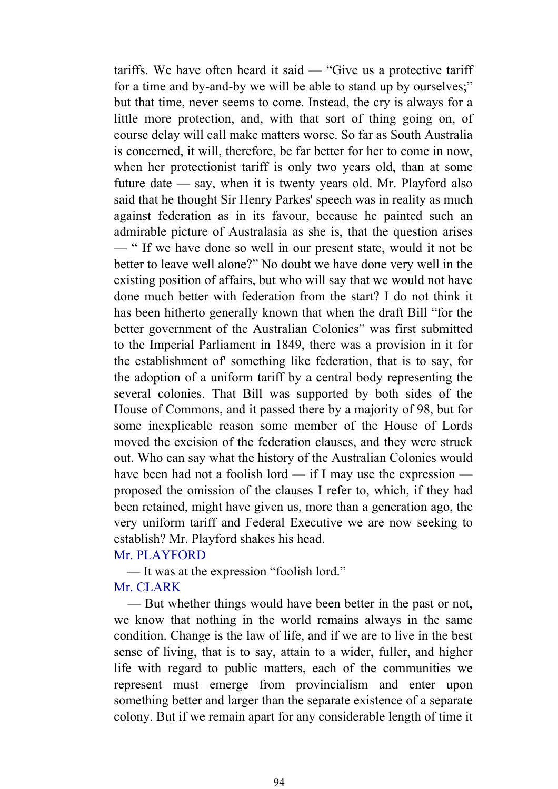tariffs. We have often heard it said — "Give us a protective tariff for a time and by-and-by we will be able to stand up by ourselves;" but that time, never seems to come. Instead, the cry is always for a little more protection, and, with that sort of thing going on, of course delay will call make matters worse. So far as South Australia is concerned, it will, therefore, be far better for her to come in now, when her protectionist tariff is only two years old, than at some future date — say, when it is twenty years old. Mr. Playford also said that he thought Sir Henry Parkes' speech was in reality as much against federation as in its favour, because he painted such an admirable picture of Australasia as she is, that the question arises — " If we have done so well in our present state, would it not be better to leave well alone?" No doubt we have done very well in the existing position of affairs, but who will say that we would not have done much better with federation from the start? I do not think it has been hitherto generally known that when the draft Bill "for the better government of the Australian Colonies" was first submitted to the Imperial Parliament in 1849, there was a provision in it for the establishment of' something like federation, that is to say, for the adoption of a uniform tariff by a central body representing the several colonies. That Bill was supported by both sides of the House of Commons, and it passed there by a majority of 98, but for some inexplicable reason some member of the House of Lords moved the excision of the federation clauses, and they were struck out. Who can say what the history of the Australian Colonies would have been had not a foolish lord — if I may use the expression proposed the omission of the clauses I refer to, which, if they had been retained, might have given us, more than a generation ago, the very uniform tariff and Federal Executive we are now seeking to establish? Mr. Playford shakes his head.

### Mr. PLAYFORD

— It was at the expression "foolish lord."

#### Mr. CLARK

 — But whether things would have been better in the past or not, we know that nothing in the world remains always in the same condition. Change is the law of life, and if we are to live in the best sense of living, that is to say, attain to a wider, fuller, and higher life with regard to public matters, each of the communities we represent must emerge from provincialism and enter upon something better and larger than the separate existence of a separate colony. But if we remain apart for any considerable length of time it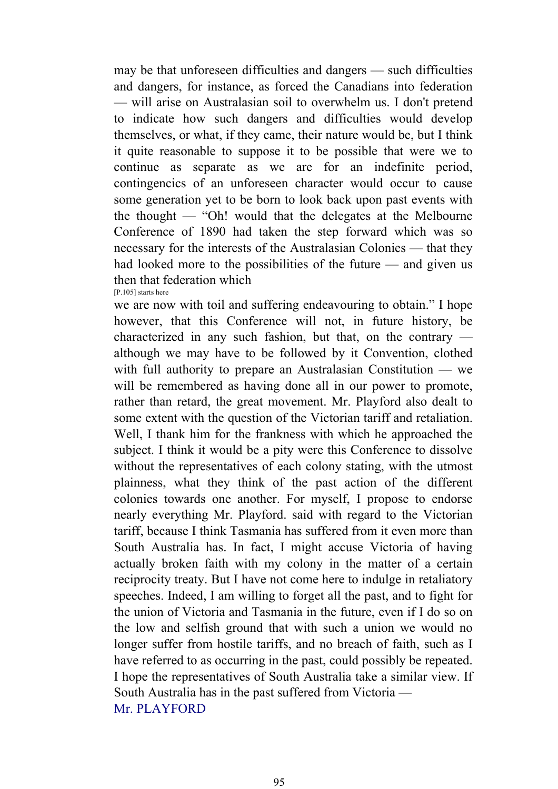may be that unforeseen difficulties and dangers — such difficulties and dangers, for instance, as forced the Canadians into federation — will arise on Australasian soil to overwhelm us. I don't pretend to indicate how such dangers and difficulties would develop themselves, or what, if they came, their nature would be, but I think it quite reasonable to suppose it to be possible that were we to continue as separate as we are for an indefinite period, contingencics of an unforeseen character would occur to cause some generation yet to be born to look back upon past events with the thought — "Oh! would that the delegates at the Melbourne Conference of 1890 had taken the step forward which was so necessary for the interests of the Australasian Colonies — that they had looked more to the possibilities of the future — and given us then that federation which [P.105] starts here

we are now with toil and suffering endeavouring to obtain." I hope however, that this Conference will not, in future history, be characterized in any such fashion, but that, on the contrary although we may have to be followed by it Convention, clothed with full authority to prepare an Australasian Constitution — we will be remembered as having done all in our power to promote. rather than retard, the great movement. Mr. Playford also dealt to some extent with the question of the Victorian tariff and retaliation. Well, I thank him for the frankness with which he approached the subject. I think it would be a pity were this Conference to dissolve without the representatives of each colony stating, with the utmost plainness, what they think of the past action of the different colonies towards one another. For myself, I propose to endorse nearly everything Mr. Playford. said with regard to the Victorian tariff, because I think Tasmania has suffered from it even more than South Australia has. In fact, I might accuse Victoria of having actually broken faith with my colony in the matter of a certain reciprocity treaty. But I have not come here to indulge in retaliatory speeches. Indeed, I am willing to forget all the past, and to fight for the union of Victoria and Tasmania in the future, even if I do so on the low and selfish ground that with such a union we would no longer suffer from hostile tariffs, and no breach of faith, such as I have referred to as occurring in the past, could possibly be repeated. I hope the representatives of South Australia take a similar view. If South Australia has in the past suffered from Victoria — Mr. PLAYFORD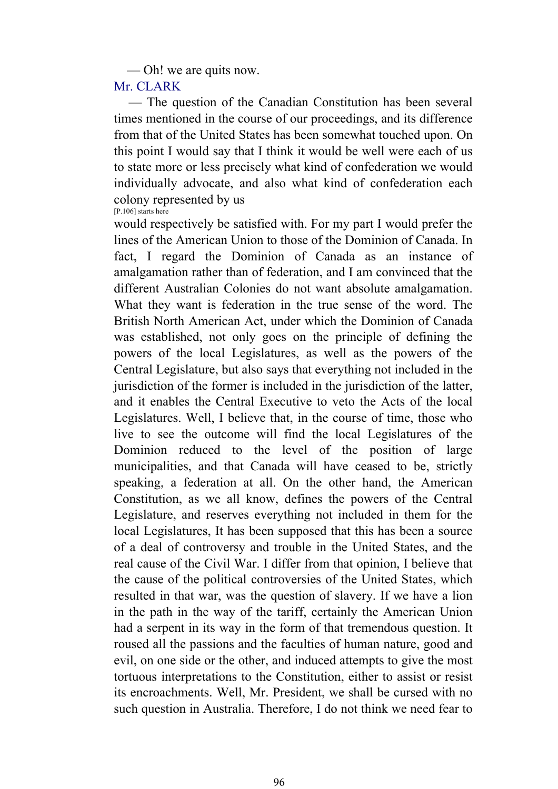— Oh! we are quits now.

### Mr. CLARK

 — The question of the Canadian Constitution has been several times mentioned in the course of our proceedings, and its difference from that of the United States has been somewhat touched upon. On this point I would say that I think it would be well were each of us to state more or less precisely what kind of confederation we would individually advocate, and also what kind of confederation each colony represented by us [P.106] starts here

would respectively be satisfied with. For my part I would prefer the lines of the American Union to those of the Dominion of Canada. In fact, I regard the Dominion of Canada as an instance of amalgamation rather than of federation, and I am convinced that the different Australian Colonies do not want absolute amalgamation. What they want is federation in the true sense of the word. The British North American Act, under which the Dominion of Canada was established, not only goes on the principle of defining the powers of the local Legislatures, as well as the powers of the Central Legislature, but also says that everything not included in the jurisdiction of the former is included in the jurisdiction of the latter, and it enables the Central Executive to veto the Acts of the local Legislatures. Well, I believe that, in the course of time, those who live to see the outcome will find the local Legislatures of the Dominion reduced to the level of the position of large municipalities, and that Canada will have ceased to be, strictly speaking, a federation at all. On the other hand, the American Constitution, as we all know, defines the powers of the Central Legislature, and reserves everything not included in them for the local Legislatures, It has been supposed that this has been a source of a deal of controversy and trouble in the United States, and the real cause of the Civil War. I differ from that opinion, I believe that the cause of the political controversies of the United States, which resulted in that war, was the question of slavery. If we have a lion in the path in the way of the tariff, certainly the American Union had a serpent in its way in the form of that tremendous question. It roused all the passions and the faculties of human nature, good and evil, on one side or the other, and induced attempts to give the most tortuous interpretations to the Constitution, either to assist or resist its encroachments. Well, Mr. President, we shall be cursed with no such question in Australia. Therefore, I do not think we need fear to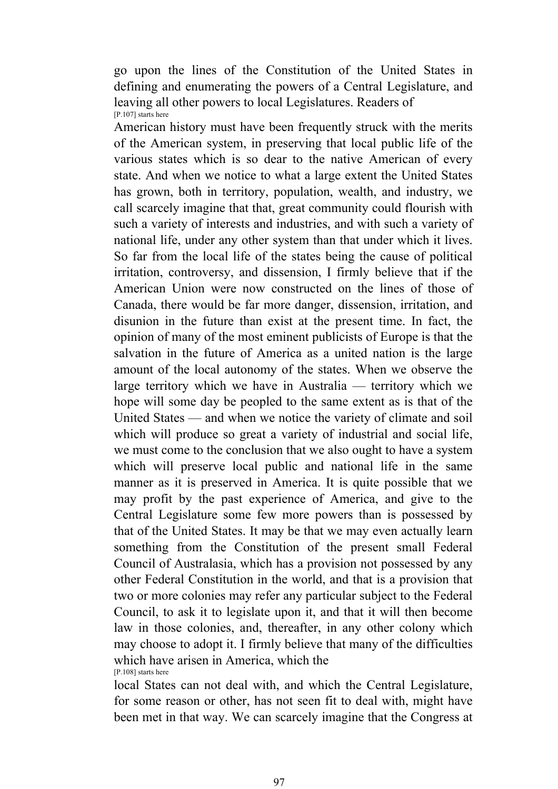go upon the lines of the Constitution of the United States in defining and enumerating the powers of a Central Legislature, and leaving all other powers to local Legislatures. Readers of [P.107] starts here

American history must have been frequently struck with the merits of the American system, in preserving that local public life of the various states which is so dear to the native American of every state. And when we notice to what a large extent the United States has grown, both in territory, population, wealth, and industry, we call scarcely imagine that that, great community could flourish with such a variety of interests and industries, and with such a variety of national life, under any other system than that under which it lives. So far from the local life of the states being the cause of political irritation, controversy, and dissension, I firmly believe that if the American Union were now constructed on the lines of those of Canada, there would be far more danger, dissension, irritation, and disunion in the future than exist at the present time. In fact, the opinion of many of the most eminent publicists of Europe is that the salvation in the future of America as a united nation is the large amount of the local autonomy of the states. When we observe the large territory which we have in Australia — territory which we hope will some day be peopled to the same extent as is that of the United States — and when we notice the variety of climate and soil which will produce so great a variety of industrial and social life, we must come to the conclusion that we also ought to have a system which will preserve local public and national life in the same manner as it is preserved in America. It is quite possible that we may profit by the past experience of America, and give to the Central Legislature some few more powers than is possessed by that of the United States. It may be that we may even actually learn something from the Constitution of the present small Federal Council of Australasia, which has a provision not possessed by any other Federal Constitution in the world, and that is a provision that two or more colonies may refer any particular subject to the Federal Council, to ask it to legislate upon it, and that it will then become law in those colonies, and, thereafter, in any other colony which may choose to adopt it. I firmly believe that many of the difficulties which have arisen in America, which the [P.108] starts here

local States can not deal with, and which the Central Legislature, for some reason or other, has not seen fit to deal with, might have been met in that way. We can scarcely imagine that the Congress at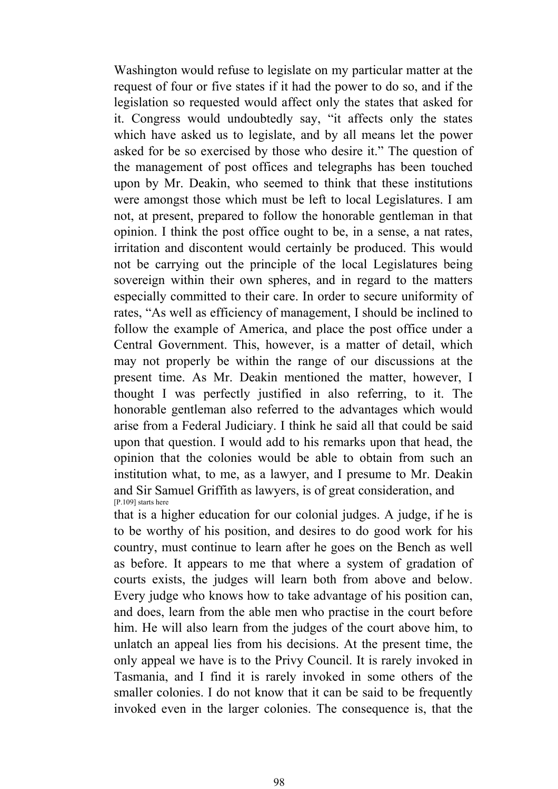Washington would refuse to legislate on my particular matter at the request of four or five states if it had the power to do so, and if the legislation so requested would affect only the states that asked for it. Congress would undoubtedly say, "it affects only the states which have asked us to legislate, and by all means let the power asked for be so exercised by those who desire it." The question of the management of post offices and telegraphs has been touched upon by Mr. Deakin, who seemed to think that these institutions were amongst those which must be left to local Legislatures. I am not, at present, prepared to follow the honorable gentleman in that opinion. I think the post office ought to be, in a sense, a nat rates, irritation and discontent would certainly be produced. This would not be carrying out the principle of the local Legislatures being sovereign within their own spheres, and in regard to the matters especially committed to their care. In order to secure uniformity of rates, "As well as efficiency of management, I should be inclined to follow the example of America, and place the post office under a Central Government. This, however, is a matter of detail, which may not properly be within the range of our discussions at the present time. As Mr. Deakin mentioned the matter, however, I thought I was perfectly justified in also referring, to it. The honorable gentleman also referred to the advantages which would arise from a Federal Judiciary. I think he said all that could be said upon that question. I would add to his remarks upon that head, the opinion that the colonies would be able to obtain from such an institution what, to me, as a lawyer, and I presume to Mr. Deakin and Sir Samuel Griffith as lawyers, is of great consideration, and [P.109] starts here

that is a higher education for our colonial judges. A judge, if he is to be worthy of his position, and desires to do good work for his country, must continue to learn after he goes on the Bench as well as before. It appears to me that where a system of gradation of courts exists, the judges will learn both from above and below. Every judge who knows how to take advantage of his position can, and does, learn from the able men who practise in the court before him. He will also learn from the judges of the court above him, to unlatch an appeal lies from his decisions. At the present time, the only appeal we have is to the Privy Council. It is rarely invoked in Tasmania, and I find it is rarely invoked in some others of the smaller colonies. I do not know that it can be said to be frequently invoked even in the larger colonies. The consequence is, that the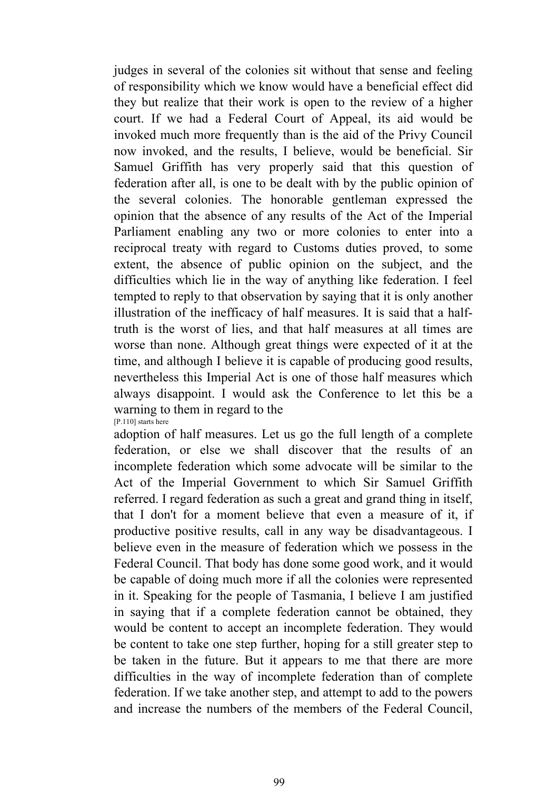judges in several of the colonies sit without that sense and feeling of responsibility which we know would have a beneficial effect did they but realize that their work is open to the review of a higher court. If we had a Federal Court of Appeal, its aid would be invoked much more frequently than is the aid of the Privy Council now invoked, and the results, I believe, would be beneficial. Sir Samuel Griffith has very properly said that this question of federation after all, is one to be dealt with by the public opinion of the several colonies. The honorable gentleman expressed the opinion that the absence of any results of the Act of the Imperial Parliament enabling any two or more colonies to enter into a reciprocal treaty with regard to Customs duties proved, to some extent, the absence of public opinion on the subject, and the difficulties which lie in the way of anything like federation. I feel tempted to reply to that observation by saying that it is only another illustration of the inefficacy of half measures. It is said that a halftruth is the worst of lies, and that half measures at all times are worse than none. Although great things were expected of it at the time, and although I believe it is capable of producing good results, nevertheless this Imperial Act is one of those half measures which always disappoint. I would ask the Conference to let this be a warning to them in regard to the [P.110] starts here

adoption of half measures. Let us go the full length of a complete federation, or else we shall discover that the results of an incomplete federation which some advocate will be similar to the Act of the Imperial Government to which Sir Samuel Griffith referred. I regard federation as such a great and grand thing in itself, that I don't for a moment believe that even a measure of it, if productive positive results, call in any way be disadvantageous. I believe even in the measure of federation which we possess in the Federal Council. That body has done some good work, and it would be capable of doing much more if all the colonies were represented in it. Speaking for the people of Tasmania, I believe I am justified in saying that if a complete federation cannot be obtained, they would be content to accept an incomplete federation. They would be content to take one step further, hoping for a still greater step to be taken in the future. But it appears to me that there are more difficulties in the way of incomplete federation than of complete federation. If we take another step, and attempt to add to the powers and increase the numbers of the members of the Federal Council,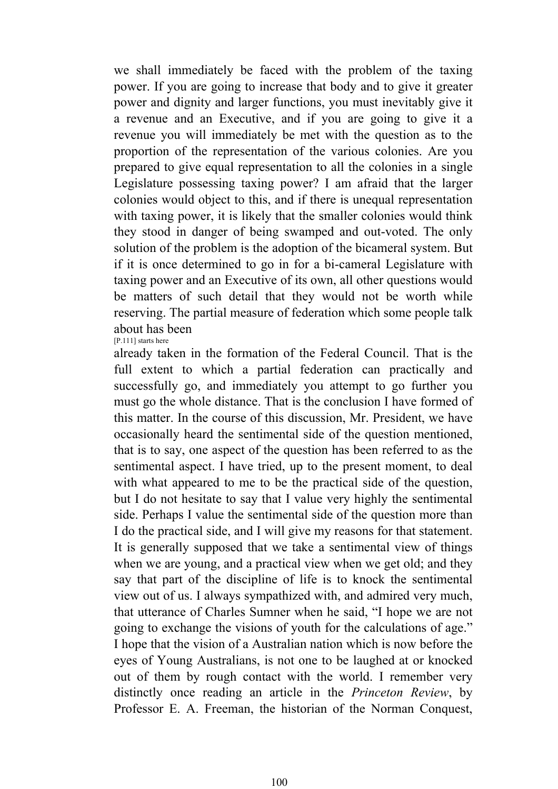we shall immediately be faced with the problem of the taxing power. If you are going to increase that body and to give it greater power and dignity and larger functions, you must inevitably give it a revenue and an Executive, and if you are going to give it a revenue you will immediately be met with the question as to the proportion of the representation of the various colonies. Are you prepared to give equal representation to all the colonies in a single Legislature possessing taxing power? I am afraid that the larger colonies would object to this, and if there is unequal representation with taxing power, it is likely that the smaller colonies would think they stood in danger of being swamped and out-voted. The only solution of the problem is the adoption of the bicameral system. But if it is once determined to go in for a bi-cameral Legislature with taxing power and an Executive of its own, all other questions would be matters of such detail that they would not be worth while reserving. The partial measure of federation which some people talk about has been [P.111] starts here

already taken in the formation of the Federal Council. That is the full extent to which a partial federation can practically and successfully go, and immediately you attempt to go further you must go the whole distance. That is the conclusion I have formed of this matter. In the course of this discussion, Mr. President, we have occasionally heard the sentimental side of the question mentioned, that is to say, one aspect of the question has been referred to as the sentimental aspect. I have tried, up to the present moment, to deal with what appeared to me to be the practical side of the question, but I do not hesitate to say that I value very highly the sentimental side. Perhaps I value the sentimental side of the question more than I do the practical side, and I will give my reasons for that statement. It is generally supposed that we take a sentimental view of things when we are young, and a practical view when we get old; and they say that part of the discipline of life is to knock the sentimental view out of us. I always sympathized with, and admired very much, that utterance of Charles Sumner when he said, "I hope we are not going to exchange the visions of youth for the calculations of age." I hope that the vision of a Australian nation which is now before the eyes of Young Australians, is not one to be laughed at or knocked out of them by rough contact with the world. I remember very distinctly once reading an article in the *Princeton Review*, by Professor E. A. Freeman, the historian of the Norman Conquest,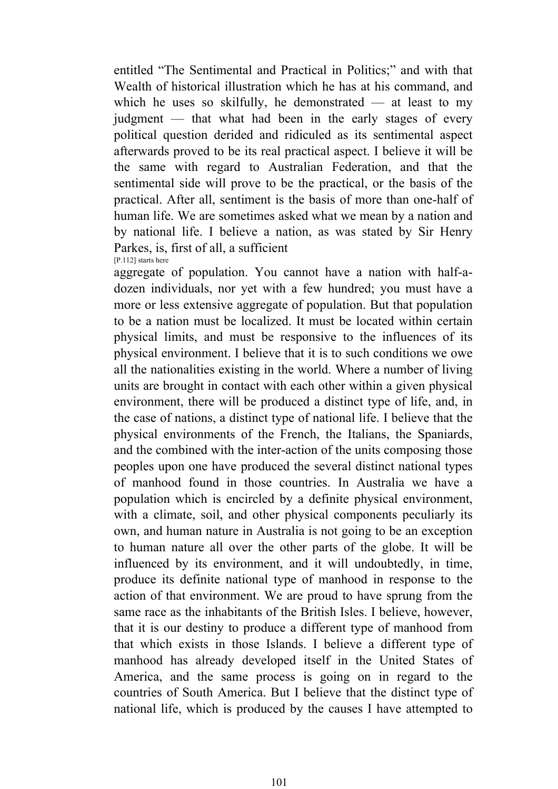entitled "The Sentimental and Practical in Politics;" and with that Wealth of historical illustration which he has at his command, and which he uses so skilfully, he demonstrated — at least to my judgment — that what had been in the early stages of every political question derided and ridiculed as its sentimental aspect afterwards proved to be its real practical aspect. I believe it will be the same with regard to Australian Federation, and that the sentimental side will prove to be the practical, or the basis of the practical. After all, sentiment is the basis of more than one-half of human life. We are sometimes asked what we mean by a nation and by national life. I believe a nation, as was stated by Sir Henry Parkes, is, first of all, a sufficient [P.112] starts here

aggregate of population. You cannot have a nation with half-adozen individuals, nor yet with a few hundred; you must have a more or less extensive aggregate of population. But that population to be a nation must be localized. It must be located within certain physical limits, and must be responsive to the influences of its physical environment. I believe that it is to such conditions we owe all the nationalities existing in the world. Where a number of living units are brought in contact with each other within a given physical environment, there will be produced a distinct type of life, and, in the case of nations, a distinct type of national life. I believe that the physical environments of the French, the Italians, the Spaniards, and the combined with the inter-action of the units composing those peoples upon one have produced the several distinct national types of manhood found in those countries. In Australia we have a population which is encircled by a definite physical environment, with a climate, soil, and other physical components peculiarly its own, and human nature in Australia is not going to be an exception to human nature all over the other parts of the globe. It will be influenced by its environment, and it will undoubtedly, in time, produce its definite national type of manhood in response to the action of that environment. We are proud to have sprung from the same race as the inhabitants of the British Isles. I believe, however, that it is our destiny to produce a different type of manhood from that which exists in those Islands. I believe a different type of manhood has already developed itself in the United States of America, and the same process is going on in regard to the countries of South America. But I believe that the distinct type of national life, which is produced by the causes I have attempted to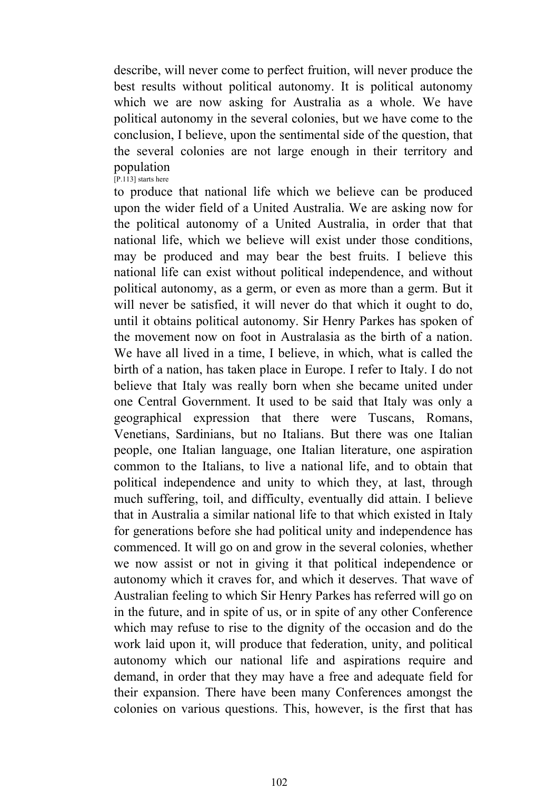describe, will never come to perfect fruition, will never produce the best results without political autonomy. It is political autonomy which we are now asking for Australia as a whole. We have political autonomy in the several colonies, but we have come to the conclusion, I believe, upon the sentimental side of the question, that the several colonies are not large enough in their territory and population [P.113] starts here

to produce that national life which we believe can be produced upon the wider field of a United Australia. We are asking now for the political autonomy of a United Australia, in order that that national life, which we believe will exist under those conditions, may be produced and may bear the best fruits. I believe this national life can exist without political independence, and without political autonomy, as a germ, or even as more than a germ. But it will never be satisfied, it will never do that which it ought to do. until it obtains political autonomy. Sir Henry Parkes has spoken of the movement now on foot in Australasia as the birth of a nation. We have all lived in a time, I believe, in which, what is called the birth of a nation, has taken place in Europe. I refer to Italy. I do not believe that Italy was really born when she became united under one Central Government. It used to be said that Italy was only a geographical expression that there were Tuscans, Romans, Venetians, Sardinians, but no Italians. But there was one Italian people, one Italian language, one Italian literature, one aspiration common to the Italians, to live a national life, and to obtain that political independence and unity to which they, at last, through much suffering, toil, and difficulty, eventually did attain. I believe that in Australia a similar national life to that which existed in Italy for generations before she had political unity and independence has commenced. It will go on and grow in the several colonies, whether we now assist or not in giving it that political independence or autonomy which it craves for, and which it deserves. That wave of Australian feeling to which Sir Henry Parkes has referred will go on in the future, and in spite of us, or in spite of any other Conference which may refuse to rise to the dignity of the occasion and do the work laid upon it, will produce that federation, unity, and political autonomy which our national life and aspirations require and demand, in order that they may have a free and adequate field for their expansion. There have been many Conferences amongst the colonies on various questions. This, however, is the first that has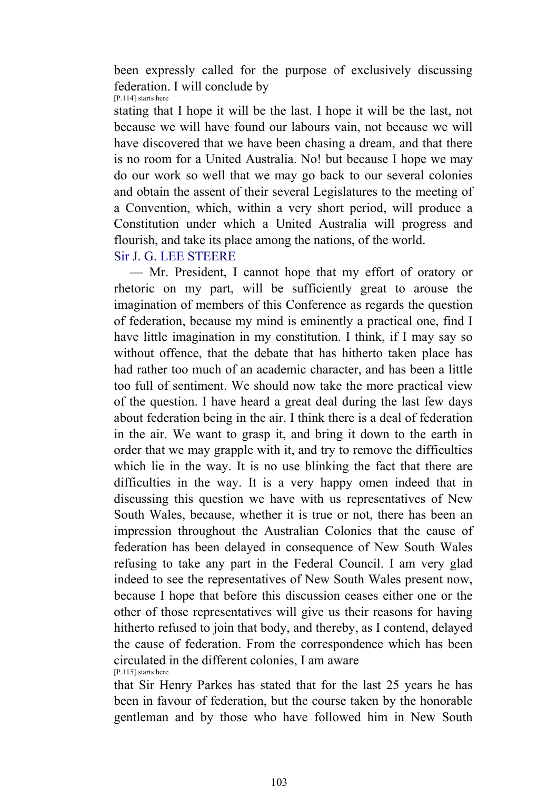been expressly called for the purpose of exclusively discussing federation. I will conclude by [P.114] starts here

stating that I hope it will be the last. I hope it will be the last, not because we will have found our labours vain, not because we will have discovered that we have been chasing a dream, and that there is no room for a United Australia. No! but because I hope we may do our work so well that we may go back to our several colonies and obtain the assent of their several Legislatures to the meeting of a Convention, which, within a very short period, will produce a Constitution under which a United Australia will progress and flourish, and take its place among the nations, of the world.

Sir J. G. LEE STEERE

 — Mr. President, I cannot hope that my effort of oratory or rhetoric on my part, will be sufficiently great to arouse the imagination of members of this Conference as regards the question of federation, because my mind is eminently a practical one, find I have little imagination in my constitution. I think, if I may say so without offence, that the debate that has hitherto taken place has had rather too much of an academic character, and has been a little too full of sentiment. We should now take the more practical view of the question. I have heard a great deal during the last few days about federation being in the air. I think there is a deal of federation in the air. We want to grasp it, and bring it down to the earth in order that we may grapple with it, and try to remove the difficulties which lie in the way. It is no use blinking the fact that there are difficulties in the way. It is a very happy omen indeed that in discussing this question we have with us representatives of New South Wales, because, whether it is true or not, there has been an impression throughout the Australian Colonies that the cause of federation has been delayed in consequence of New South Wales refusing to take any part in the Federal Council. I am very glad indeed to see the representatives of New South Wales present now, because I hope that before this discussion ceases either one or the other of those representatives will give us their reasons for having hitherto refused to join that body, and thereby, as I contend, delayed the cause of federation. From the correspondence which has been circulated in the different colonies, I am aware [P.115] starts here

that Sir Henry Parkes has stated that for the last 25 years he has been in favour of federation, but the course taken by the honorable gentleman and by those who have followed him in New South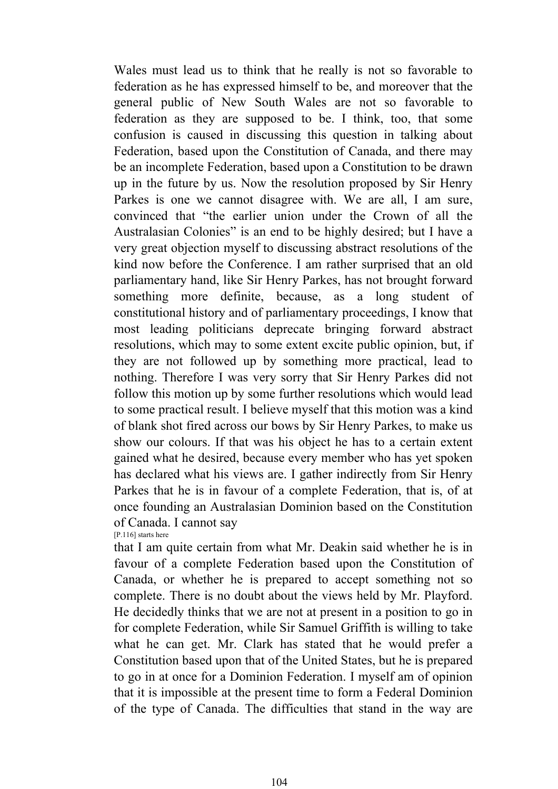Wales must lead us to think that he really is not so favorable to federation as he has expressed himself to be, and moreover that the general public of New South Wales are not so favorable to federation as they are supposed to be. I think, too, that some confusion is caused in discussing this question in talking about Federation, based upon the Constitution of Canada, and there may be an incomplete Federation, based upon a Constitution to be drawn up in the future by us. Now the resolution proposed by Sir Henry Parkes is one we cannot disagree with. We are all, I am sure, convinced that "the earlier union under the Crown of all the Australasian Colonies" is an end to be highly desired; but I have a very great objection myself to discussing abstract resolutions of the kind now before the Conference. I am rather surprised that an old parliamentary hand, like Sir Henry Parkes, has not brought forward something more definite, because, as a long student of constitutional history and of parliamentary proceedings, I know that most leading politicians deprecate bringing forward abstract resolutions, which may to some extent excite public opinion, but, if they are not followed up by something more practical, lead to nothing. Therefore I was very sorry that Sir Henry Parkes did not follow this motion up by some further resolutions which would lead to some practical result. I believe myself that this motion was a kind of blank shot fired across our bows by Sir Henry Parkes, to make us show our colours. If that was his object he has to a certain extent gained what he desired, because every member who has yet spoken has declared what his views are. I gather indirectly from Sir Henry Parkes that he is in favour of a complete Federation, that is, of at once founding an Australasian Dominion based on the Constitution of Canada. I cannot say

#### [P.116] starts here

that I am quite certain from what Mr. Deakin said whether he is in favour of a complete Federation based upon the Constitution of Canada, or whether he is prepared to accept something not so complete. There is no doubt about the views held by Mr. Playford. He decidedly thinks that we are not at present in a position to go in for complete Federation, while Sir Samuel Griffith is willing to take what he can get. Mr. Clark has stated that he would prefer a Constitution based upon that of the United States, but he is prepared to go in at once for a Dominion Federation. I myself am of opinion that it is impossible at the present time to form a Federal Dominion of the type of Canada. The difficulties that stand in the way are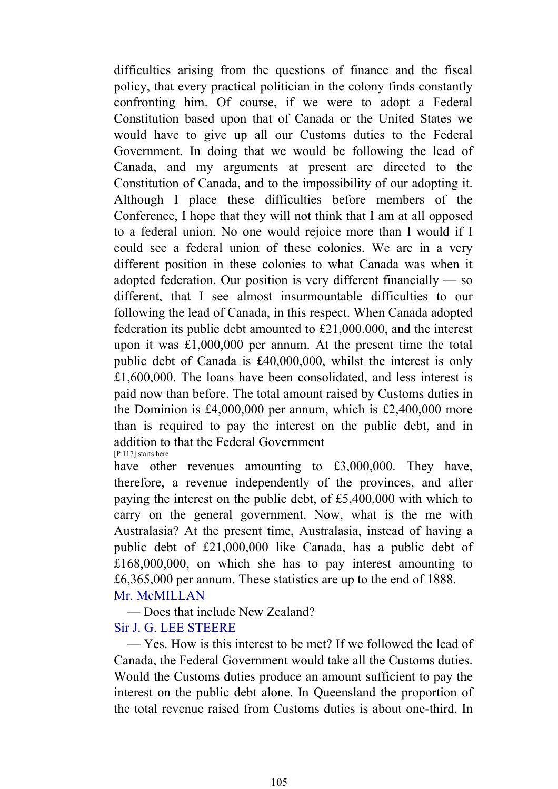difficulties arising from the questions of finance and the fiscal policy, that every practical politician in the colony finds constantly confronting him. Of course, if we were to adopt a Federal Constitution based upon that of Canada or the United States we would have to give up all our Customs duties to the Federal Government. In doing that we would be following the lead of Canada, and my arguments at present are directed to the Constitution of Canada, and to the impossibility of our adopting it. Although I place these difficulties before members of the Conference, I hope that they will not think that I am at all opposed to a federal union. No one would rejoice more than I would if I could see a federal union of these colonies. We are in a very different position in these colonies to what Canada was when it adopted federation. Our position is very different financially — so different, that I see almost insurmountable difficulties to our following the lead of Canada, in this respect. When Canada adopted federation its public debt amounted to £21,000.000, and the interest upon it was £1,000,000 per annum. At the present time the total public debt of Canada is £40,000,000, whilst the interest is only £1,600,000. The loans have been consolidated, and less interest is paid now than before. The total amount raised by Customs duties in the Dominion is £4,000,000 per annum, which is £2,400,000 more than is required to pay the interest on the public debt, and in addition to that the Federal Government [P.117] starts here

have other revenues amounting to £3,000,000. They have, therefore, a revenue independently of the provinces, and after paying the interest on the public debt, of £5,400,000 with which to carry on the general government. Now, what is the me with Australasia? At the present time, Australasia, instead of having a public debt of £21,000,000 like Canada, has a public debt of £168,000,000, on which she has to pay interest amounting to £6,365,000 per annum. These statistics are up to the end of 1888. Mr. McMILLAN

 — Does that include New Zealand? Sir J. G. LEE STEERE

 — Yes. How is this interest to be met? If we followed the lead of Canada, the Federal Government would take all the Customs duties. Would the Customs duties produce an amount sufficient to pay the interest on the public debt alone. In Queensland the proportion of the total revenue raised from Customs duties is about one-third. In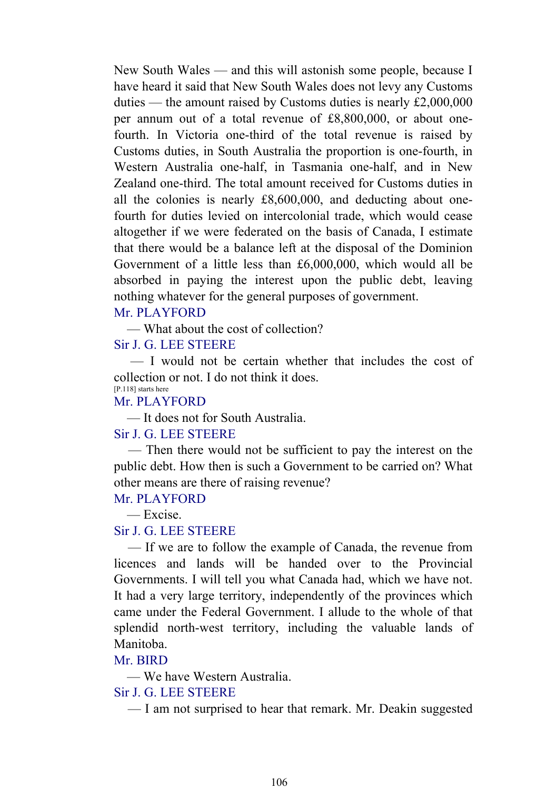New South Wales — and this will astonish some people, because I have heard it said that New South Wales does not levy any Customs duties — the amount raised by Customs duties is nearly £2,000,000 per annum out of a total revenue of £8,800,000, or about onefourth. In Victoria one-third of the total revenue is raised by Customs duties, in South Australia the proportion is one-fourth, in Western Australia one-half, in Tasmania one-half, and in New Zealand one-third. The total amount received for Customs duties in all the colonies is nearly £8,600,000, and deducting about onefourth for duties levied on intercolonial trade, which would cease altogether if we were federated on the basis of Canada, I estimate that there would be a balance left at the disposal of the Dominion Government of a little less than £6,000,000, which would all be absorbed in paying the interest upon the public debt, leaving nothing whatever for the general purposes of government.

#### Mr. PLAYFORD

— What about the cost of collection?

## Sir J. G. LEE STEERE

 — I would not be certain whether that includes the cost of collection or not. I do not think it does. [P.118] starts here

# Mr. PLAYFORD

— It does not for South Australia.

### Sir J. G. LEE STEERE

 — Then there would not be sufficient to pay the interest on the public debt. How then is such a Government to be carried on? What other means are there of raising revenue?

#### Mr. PLAYFORD

— Excise.

### Sir J. G. LEE STEERE

 — If we are to follow the example of Canada, the revenue from licences and lands will be handed over to the Provincial Governments. I will tell you what Canada had, which we have not. It had a very large territory, independently of the provinces which came under the Federal Government. I allude to the whole of that splendid north-west territory, including the valuable lands of Manitoba.

#### Mr. BIRD

— We have Western Australia.

### Sir J. G. LEE STEERE

— I am not surprised to hear that remark. Mr. Deakin suggested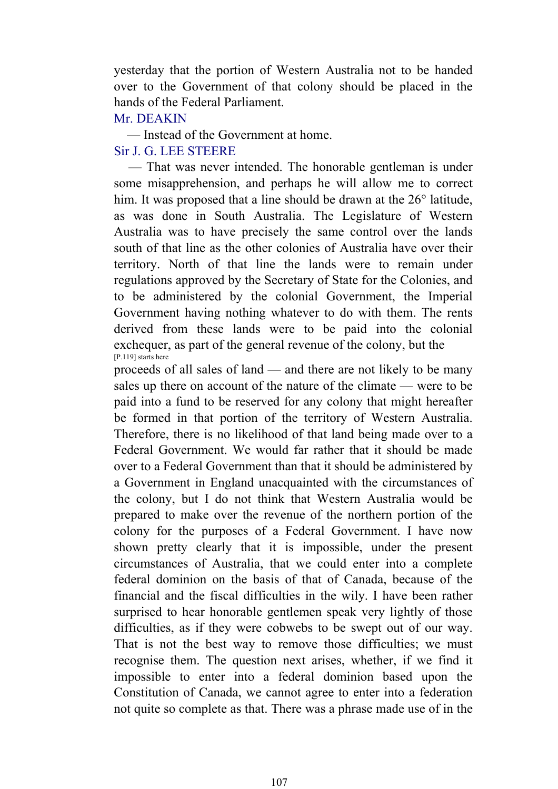yesterday that the portion of Western Australia not to be handed over to the Government of that colony should be placed in the hands of the Federal Parliament.

### Mr. DEAKIN

— Instead of the Government at home.

# Sir J. G. LEE STEERE

 — That was never intended. The honorable gentleman is under some misapprehension, and perhaps he will allow me to correct him. It was proposed that a line should be drawn at the 26<sup>°</sup> latitude, as was done in South Australia. The Legislature of Western Australia was to have precisely the same control over the lands south of that line as the other colonies of Australia have over their territory. North of that line the lands were to remain under regulations approved by the Secretary of State for the Colonies, and to be administered by the colonial Government, the Imperial Government having nothing whatever to do with them. The rents derived from these lands were to be paid into the colonial exchequer, as part of the general revenue of the colony, but the [P.119] starts here

proceeds of all sales of land — and there are not likely to be many sales up there on account of the nature of the climate — were to be paid into a fund to be reserved for any colony that might hereafter be formed in that portion of the territory of Western Australia. Therefore, there is no likelihood of that land being made over to a Federal Government. We would far rather that it should be made over to a Federal Government than that it should be administered by a Government in England unacquainted with the circumstances of the colony, but I do not think that Western Australia would be prepared to make over the revenue of the northern portion of the colony for the purposes of a Federal Government. I have now shown pretty clearly that it is impossible, under the present circumstances of Australia, that we could enter into a complete federal dominion on the basis of that of Canada, because of the financial and the fiscal difficulties in the wily. I have been rather surprised to hear honorable gentlemen speak very lightly of those difficulties, as if they were cobwebs to be swept out of our way. That is not the best way to remove those difficulties; we must recognise them. The question next arises, whether, if we find it impossible to enter into a federal dominion based upon the Constitution of Canada, we cannot agree to enter into a federation not quite so complete as that. There was a phrase made use of in the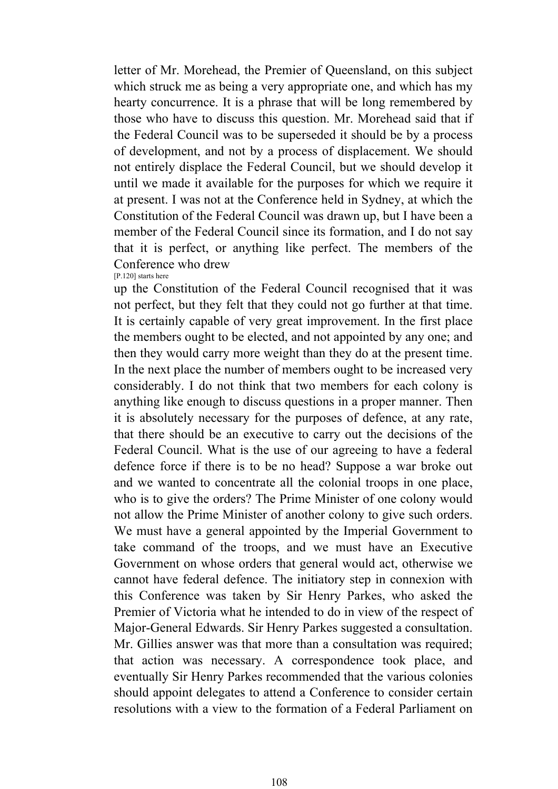letter of Mr. Morehead, the Premier of Queensland, on this subject which struck me as being a very appropriate one, and which has my hearty concurrence. It is a phrase that will be long remembered by those who have to discuss this question. Mr. Morehead said that if the Federal Council was to be superseded it should be by a process of development, and not by a process of displacement. We should not entirely displace the Federal Council, but we should develop it until we made it available for the purposes for which we require it at present. I was not at the Conference held in Sydney, at which the Constitution of the Federal Council was drawn up, but I have been a member of the Federal Council since its formation, and I do not say that it is perfect, or anything like perfect. The members of the Conference who drew [P.120] starts here

up the Constitution of the Federal Council recognised that it was not perfect, but they felt that they could not go further at that time. It is certainly capable of very great improvement. In the first place the members ought to be elected, and not appointed by any one; and then they would carry more weight than they do at the present time. In the next place the number of members ought to be increased very considerably. I do not think that two members for each colony is anything like enough to discuss questions in a proper manner. Then it is absolutely necessary for the purposes of defence, at any rate, that there should be an executive to carry out the decisions of the Federal Council. What is the use of our agreeing to have a federal defence force if there is to be no head? Suppose a war broke out and we wanted to concentrate all the colonial troops in one place, who is to give the orders? The Prime Minister of one colony would not allow the Prime Minister of another colony to give such orders. We must have a general appointed by the Imperial Government to take command of the troops, and we must have an Executive Government on whose orders that general would act, otherwise we cannot have federal defence. The initiatory step in connexion with this Conference was taken by Sir Henry Parkes, who asked the Premier of Victoria what he intended to do in view of the respect of Major-General Edwards. Sir Henry Parkes suggested a consultation. Mr. Gillies answer was that more than a consultation was required; that action was necessary. A correspondence took place, and eventually Sir Henry Parkes recommended that the various colonies should appoint delegates to attend a Conference to consider certain resolutions with a view to the formation of a Federal Parliament on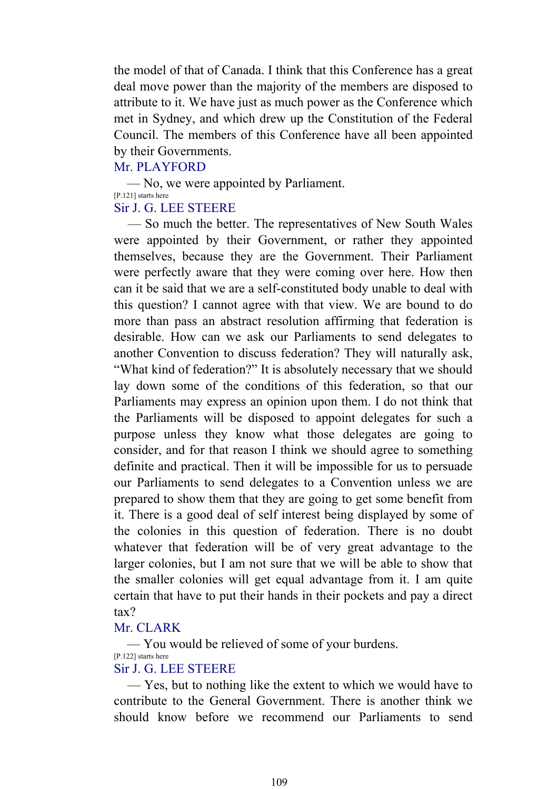the model of that of Canada. I think that this Conference has a great deal move power than the majority of the members are disposed to attribute to it. We have just as much power as the Conference which met in Sydney, and which drew up the Constitution of the Federal Council. The members of this Conference have all been appointed by their Governments.

#### Mr. PLAYFORD

 — No, we were appointed by Parliament. [P.121] starts here Sir J. G. LEE STEERE

# — So much the better. The representatives of New South Wales were appointed by their Government, or rather they appointed themselves, because they are the Government. Their Parliament were perfectly aware that they were coming over here. How then can it be said that we are a self-constituted body unable to deal with this question? I cannot agree with that view. We are bound to do more than pass an abstract resolution affirming that federation is desirable. How can we ask our Parliaments to send delegates to another Convention to discuss federation? They will naturally ask, "What kind of federation?" It is absolutely necessary that we should lay down some of the conditions of this federation, so that our Parliaments may express an opinion upon them. I do not think that the Parliaments will be disposed to appoint delegates for such a purpose unless they know what those delegates are going to consider, and for that reason I think we should agree to something definite and practical. Then it will be impossible for us to persuade our Parliaments to send delegates to a Convention unless we are prepared to show them that they are going to get some benefit from it. There is a good deal of self interest being displayed by some of the colonies in this question of federation. There is no doubt whatever that federation will be of very great advantage to the larger colonies, but I am not sure that we will be able to show that the smaller colonies will get equal advantage from it. I am quite certain that have to put their hands in their pockets and pay a direct tax?

#### Mr. CLARK

 — You would be relieved of some of your burdens. [P.122] starts here

# Sir J. G. LEE STEERE

 — Yes, but to nothing like the extent to which we would have to contribute to the General Government. There is another think we should know before we recommend our Parliaments to send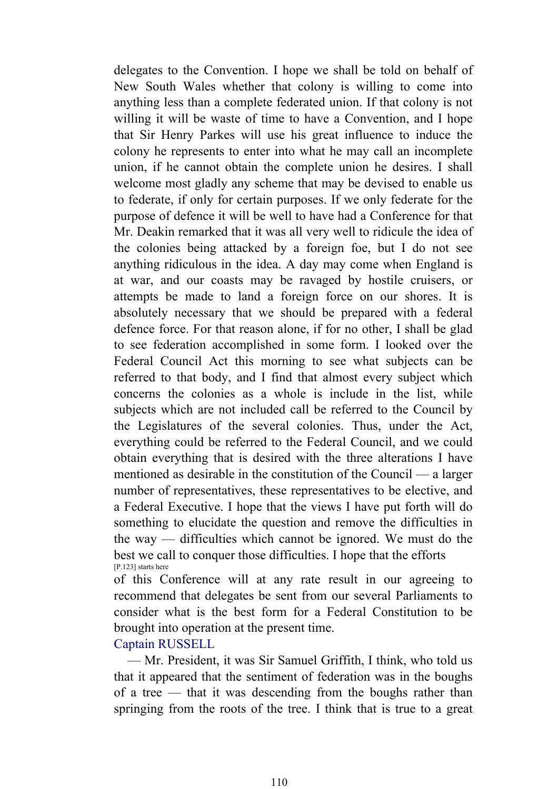delegates to the Convention. I hope we shall be told on behalf of New South Wales whether that colony is willing to come into anything less than a complete federated union. If that colony is not willing it will be waste of time to have a Convention, and I hope that Sir Henry Parkes will use his great influence to induce the colony he represents to enter into what he may call an incomplete union, if he cannot obtain the complete union he desires. I shall welcome most gladly any scheme that may be devised to enable us to federate, if only for certain purposes. If we only federate for the purpose of defence it will be well to have had a Conference for that Mr. Deakin remarked that it was all very well to ridicule the idea of the colonies being attacked by a foreign foe, but I do not see anything ridiculous in the idea. A day may come when England is at war, and our coasts may be ravaged by hostile cruisers, or attempts be made to land a foreign force on our shores. It is absolutely necessary that we should be prepared with a federal defence force. For that reason alone, if for no other, I shall be glad to see federation accomplished in some form. I looked over the Federal Council Act this morning to see what subjects can be referred to that body, and I find that almost every subject which concerns the colonies as a whole is include in the list, while subjects which are not included call be referred to the Council by the Legislatures of the several colonies. Thus, under the Act, everything could be referred to the Federal Council, and we could obtain everything that is desired with the three alterations I have mentioned as desirable in the constitution of the Council — a larger number of representatives, these representatives to be elective, and a Federal Executive. I hope that the views I have put forth will do something to elucidate the question and remove the difficulties in the way — difficulties which cannot be ignored. We must do the best we call to conquer those difficulties. I hope that the efforts [P.123] starts here

of this Conference will at any rate result in our agreeing to recommend that delegates be sent from our several Parliaments to consider what is the best form for a Federal Constitution to be brought into operation at the present time.

Captain RUSSELL

 — Mr. President, it was Sir Samuel Griffith, I think, who told us that it appeared that the sentiment of federation was in the boughs of a tree — that it was descending from the boughs rather than springing from the roots of the tree. I think that is true to a great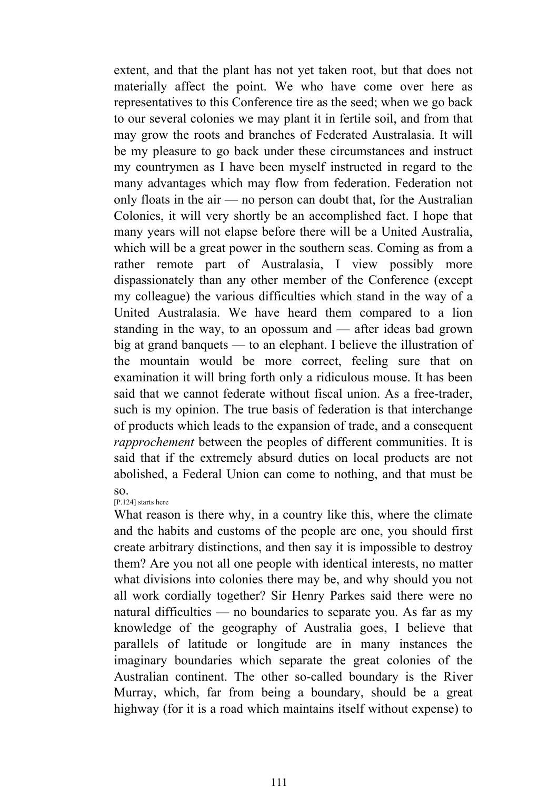extent, and that the plant has not yet taken root, but that does not materially affect the point. We who have come over here as representatives to this Conference tire as the seed; when we go back to our several colonies we may plant it in fertile soil, and from that may grow the roots and branches of Federated Australasia. It will be my pleasure to go back under these circumstances and instruct my countrymen as I have been myself instructed in regard to the many advantages which may flow from federation. Federation not only floats in the air — no person can doubt that, for the Australian Colonies, it will very shortly be an accomplished fact. I hope that many years will not elapse before there will be a United Australia, which will be a great power in the southern seas. Coming as from a rather remote part of Australasia, I view possibly more dispassionately than any other member of the Conference (except my colleague) the various difficulties which stand in the way of a United Australasia. We have heard them compared to a lion standing in the way, to an opossum and — after ideas bad grown big at grand banquets — to an elephant. I believe the illustration of the mountain would be more correct, feeling sure that on examination it will bring forth only a ridiculous mouse. It has been said that we cannot federate without fiscal union. As a free-trader, such is my opinion. The true basis of federation is that interchange of products which leads to the expansion of trade, and a consequent *rapprochement* between the peoples of different communities. It is said that if the extremely absurd duties on local products are not abolished, a Federal Union can come to nothing, and that must be so.

[P.124] starts here

What reason is there why, in a country like this, where the climate and the habits and customs of the people are one, you should first create arbitrary distinctions, and then say it is impossible to destroy them? Are you not all one people with identical interests, no matter what divisions into colonies there may be, and why should you not all work cordially together? Sir Henry Parkes said there were no natural difficulties — no boundaries to separate you. As far as my knowledge of the geography of Australia goes, I believe that parallels of latitude or longitude are in many instances the imaginary boundaries which separate the great colonies of the Australian continent. The other so-called boundary is the River Murray, which, far from being a boundary, should be a great highway (for it is a road which maintains itself without expense) to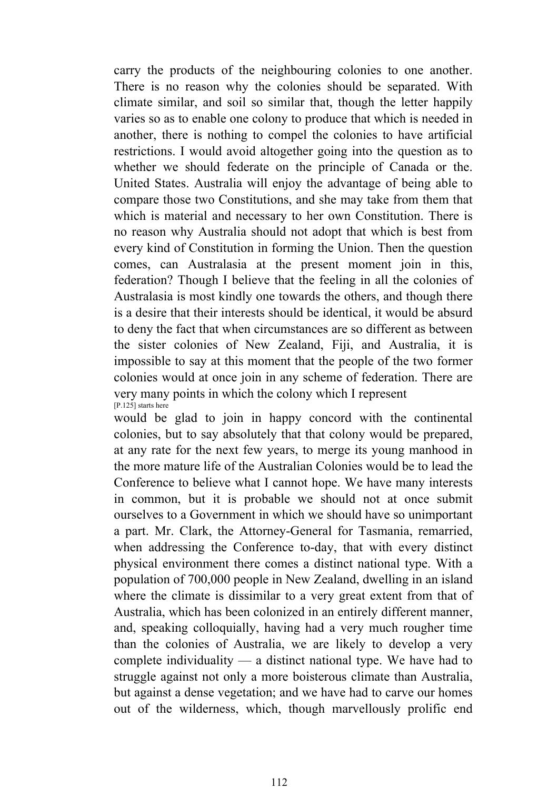carry the products of the neighbouring colonies to one another. There is no reason why the colonies should be separated. With climate similar, and soil so similar that, though the letter happily varies so as to enable one colony to produce that which is needed in another, there is nothing to compel the colonies to have artificial restrictions. I would avoid altogether going into the question as to whether we should federate on the principle of Canada or the. United States. Australia will enjoy the advantage of being able to compare those two Constitutions, and she may take from them that which is material and necessary to her own Constitution. There is no reason why Australia should not adopt that which is best from every kind of Constitution in forming the Union. Then the question comes, can Australasia at the present moment join in this, federation? Though I believe that the feeling in all the colonies of Australasia is most kindly one towards the others, and though there is a desire that their interests should be identical, it would be absurd to deny the fact that when circumstances are so different as between the sister colonies of New Zealand, Fiji, and Australia, it is impossible to say at this moment that the people of the two former colonies would at once join in any scheme of federation. There are very many points in which the colony which I represent [P.125] starts here

would be glad to join in happy concord with the continental colonies, but to say absolutely that that colony would be prepared, at any rate for the next few years, to merge its young manhood in the more mature life of the Australian Colonies would be to lead the Conference to believe what I cannot hope. We have many interests in common, but it is probable we should not at once submit ourselves to a Government in which we should have so unimportant a part. Mr. Clark, the Attorney-General for Tasmania, remarried, when addressing the Conference to-day, that with every distinct physical environment there comes a distinct national type. With a population of 700,000 people in New Zealand, dwelling in an island where the climate is dissimilar to a very great extent from that of Australia, which has been colonized in an entirely different manner, and, speaking colloquially, having had a very much rougher time than the colonies of Australia, we are likely to develop a very complete individuality — a distinct national type. We have had to struggle against not only a more boisterous climate than Australia, but against a dense vegetation; and we have had to carve our homes out of the wilderness, which, though marvellously prolific end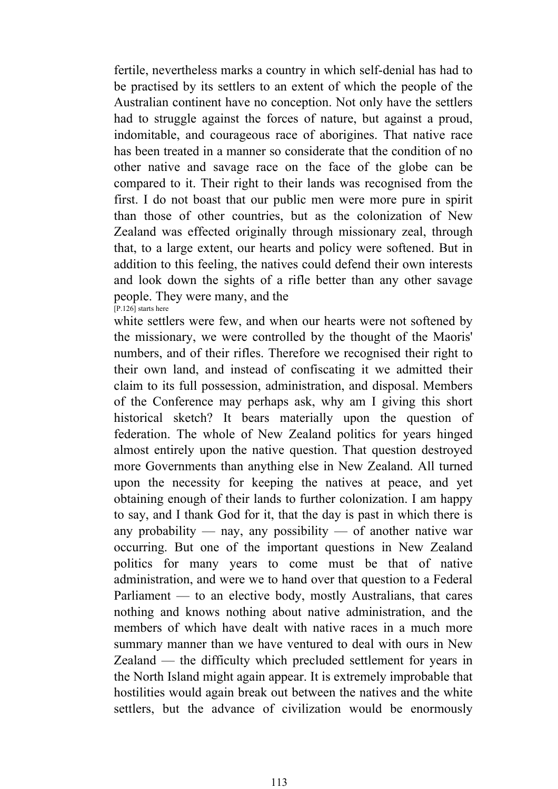fertile, nevertheless marks a country in which self-denial has had to be practised by its settlers to an extent of which the people of the Australian continent have no conception. Not only have the settlers had to struggle against the forces of nature, but against a proud, indomitable, and courageous race of aborigines. That native race has been treated in a manner so considerate that the condition of no other native and savage race on the face of the globe can be compared to it. Their right to their lands was recognised from the first. I do not boast that our public men were more pure in spirit than those of other countries, but as the colonization of New Zealand was effected originally through missionary zeal, through that, to a large extent, our hearts and policy were softened. But in addition to this feeling, the natives could defend their own interests and look down the sights of a rifle better than any other savage people. They were many, and the [P.126] starts here

white settlers were few, and when our hearts were not softened by the missionary, we were controlled by the thought of the Maoris' numbers, and of their rifles. Therefore we recognised their right to their own land, and instead of confiscating it we admitted their claim to its full possession, administration, and disposal. Members of the Conference may perhaps ask, why am I giving this short historical sketch? It bears materially upon the question of federation. The whole of New Zealand politics for years hinged almost entirely upon the native question. That question destroyed more Governments than anything else in New Zealand. All turned upon the necessity for keeping the natives at peace, and yet obtaining enough of their lands to further colonization. I am happy to say, and I thank God for it, that the day is past in which there is any probability — nay, any possibility — of another native war occurring. But one of the important questions in New Zealand politics for many years to come must be that of native administration, and were we to hand over that question to a Federal Parliament — to an elective body, mostly Australians, that cares nothing and knows nothing about native administration, and the members of which have dealt with native races in a much more summary manner than we have ventured to deal with ours in New Zealand — the difficulty which precluded settlement for years in the North Island might again appear. It is extremely improbable that hostilities would again break out between the natives and the white settlers, but the advance of civilization would be enormously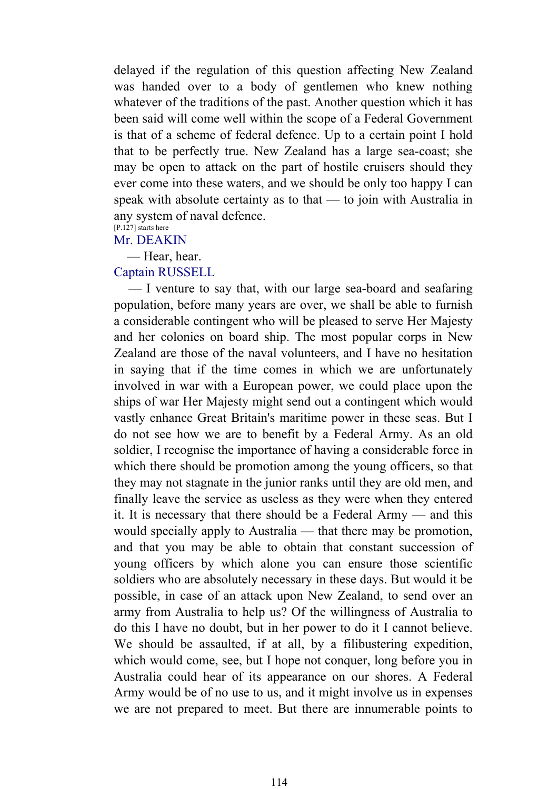delayed if the regulation of this question affecting New Zealand was handed over to a body of gentlemen who knew nothing whatever of the traditions of the past. Another question which it has been said will come well within the scope of a Federal Government is that of a scheme of federal defence. Up to a certain point I hold that to be perfectly true. New Zealand has a large sea-coast; she may be open to attack on the part of hostile cruisers should they ever come into these waters, and we should be only too happy I can speak with absolute certainty as to that — to join with Australia in any system of naval defence.

#### [P.127] starts here Mr. DEAKIN

— Hear, hear.

#### Captain RUSSELL

 — I venture to say that, with our large sea-board and seafaring population, before many years are over, we shall be able to furnish a considerable contingent who will be pleased to serve Her Majesty and her colonies on board ship. The most popular corps in New Zealand are those of the naval volunteers, and I have no hesitation in saying that if the time comes in which we are unfortunately involved in war with a European power, we could place upon the ships of war Her Majesty might send out a contingent which would vastly enhance Great Britain's maritime power in these seas. But I do not see how we are to benefit by a Federal Army. As an old soldier, I recognise the importance of having a considerable force in which there should be promotion among the young officers, so that they may not stagnate in the junior ranks until they are old men, and finally leave the service as useless as they were when they entered it. It is necessary that there should be a Federal Army — and this would specially apply to Australia — that there may be promotion, and that you may be able to obtain that constant succession of young officers by which alone you can ensure those scientific soldiers who are absolutely necessary in these days. But would it be possible, in case of an attack upon New Zealand, to send over an army from Australia to help us? Of the willingness of Australia to do this I have no doubt, but in her power to do it I cannot believe. We should be assaulted, if at all, by a filibustering expedition, which would come, see, but I hope not conquer, long before you in Australia could hear of its appearance on our shores. A Federal Army would be of no use to us, and it might involve us in expenses we are not prepared to meet. But there are innumerable points to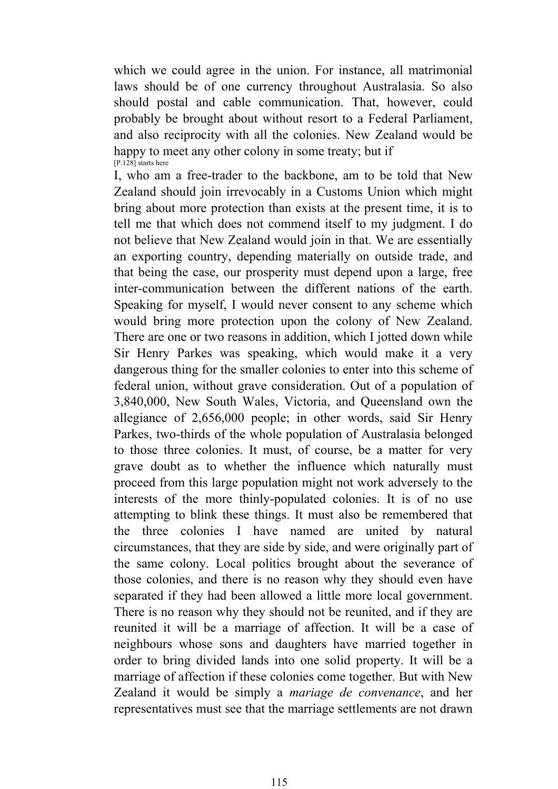which we could agree in the union. For instance, all matrimonial laws should be of one currency throughout Australasia. So also should postal and cable communication. That, however, could probably be brought about without resort to a Federal Parliament, and also reciprocity with all the colonies. New Zealand would be happy to meet any other colony in some treaty; but if [P.128] starts here

I, who am a free-trader to the backbone, am to be told that New Zealand should join irrevocably in a Customs Union which might bring about more protection than exists at the present time, it is to tell me that which does not commend itself to my judgment. I do not believe that New Zealand would join in that. We are essentially an exporting country, depending materially on outside trade, and that being the case, our prosperity must depend upon a large, free inter-communication between the different nations of the earth. Speaking for myself, I would never consent to any scheme which would bring more protection upon the colony of New Zealand. There are one or two reasons in addition, which I jotted down while Sir Henry Parkes was speaking, which would make it a very dangerous thing for the smaller colonies to enter into this scheme of federal union, without grave consideration. Out of a population of 3,840,000, New South Wales, Victoria, and Queensland own the allegiance of 2,656,000 people; in other words, said Sir Henry Parkes, two-thirds of the whole population of Australasia belonged to those three colonies. It must, of course, be a matter for very grave doubt as to whether the influence which naturally must proceed from this large population might not work adversely to the interests of the more thinly-populated colonies. It is of no use attempting to blink these things. It must also be remembered that the three colonies I have named are united by natural circumstances, that they are side by side, and were originally part of the same colony. Local politics brought about the severance of those colonies, and there is no reason why they should even have separated if they had been allowed a little more local government. There is no reason why they should not be reunited, and if they are reunited it will be a marriage of affection. It will be a case of neighbours whose sons and daughters have married together in order to bring divided lands into one solid property. It will be a marriage of affection if these colonies come together. But with New Zealand it would be simply a *mariage de convenance*, and her representatives must see that the marriage settlements are not drawn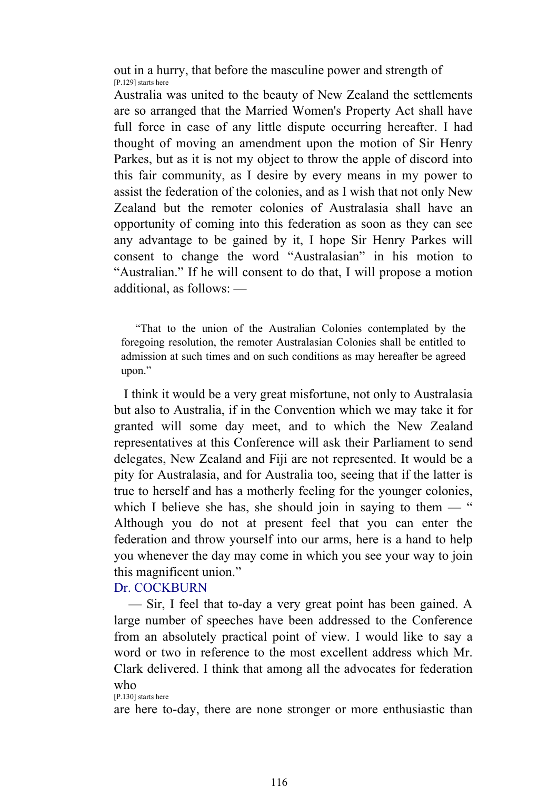out in a hurry, that before the masculine power and strength of [P.129] starts here

Australia was united to the beauty of New Zealand the settlements are so arranged that the Married Women's Property Act shall have full force in case of any little dispute occurring hereafter. I had thought of moving an amendment upon the motion of Sir Henry Parkes, but as it is not my object to throw the apple of discord into this fair community, as I desire by every means in my power to assist the federation of the colonies, and as I wish that not only New Zealand but the remoter colonies of Australasia shall have an opportunity of coming into this federation as soon as they can see any advantage to be gained by it, I hope Sir Henry Parkes will consent to change the word "Australasian" in his motion to "Australian." If he will consent to do that, I will propose a motion additional, as follows: —

 "That to the union of the Australian Colonies contemplated by the foregoing resolution, the remoter Australasian Colonies shall be entitled to admission at such times and on such conditions as may hereafter be agreed upon."

 I think it would be a very great misfortune, not only to Australasia but also to Australia, if in the Convention which we may take it for granted will some day meet, and to which the New Zealand representatives at this Conference will ask their Parliament to send delegates, New Zealand and Fiji are not represented. It would be a pity for Australasia, and for Australia too, seeing that if the latter is true to herself and has a motherly feeling for the younger colonies, which I believe she has, she should join in saying to them  $-$  " Although you do not at present feel that you can enter the federation and throw yourself into our arms, here is a hand to help you whenever the day may come in which you see your way to join this magnificent union."

#### Dr. COCKBURN

 — Sir, I feel that to-day a very great point has been gained. A large number of speeches have been addressed to the Conference from an absolutely practical point of view. I would like to say a word or two in reference to the most excellent address which Mr. Clark delivered. I think that among all the advocates for federation who

[P.130] starts here

are here to-day, there are none stronger or more enthusiastic than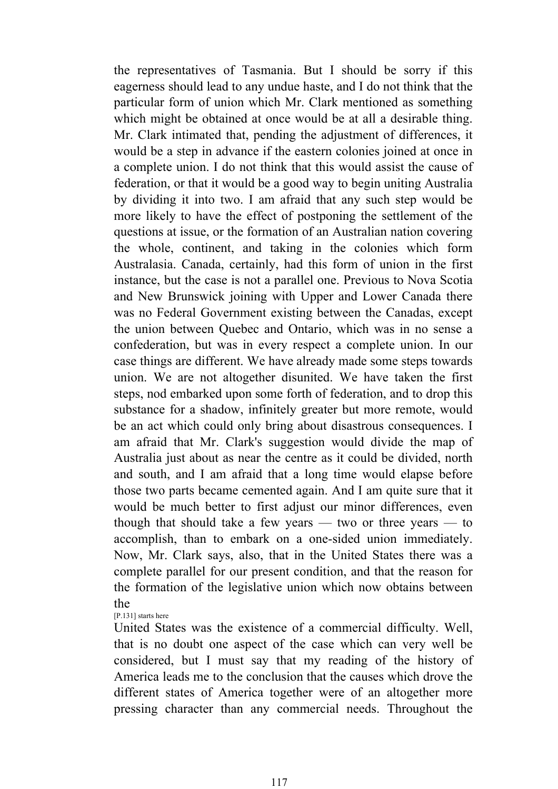the representatives of Tasmania. But I should be sorry if this eagerness should lead to any undue haste, and I do not think that the particular form of union which Mr. Clark mentioned as something which might be obtained at once would be at all a desirable thing. Mr. Clark intimated that, pending the adjustment of differences, it would be a step in advance if the eastern colonies joined at once in a complete union. I do not think that this would assist the cause of federation, or that it would be a good way to begin uniting Australia by dividing it into two. I am afraid that any such step would be more likely to have the effect of postponing the settlement of the questions at issue, or the formation of an Australian nation covering the whole, continent, and taking in the colonies which form Australasia. Canada, certainly, had this form of union in the first instance, but the case is not a parallel one. Previous to Nova Scotia and New Brunswick joining with Upper and Lower Canada there was no Federal Government existing between the Canadas, except the union between Quebec and Ontario, which was in no sense a confederation, but was in every respect a complete union. In our case things are different. We have already made some steps towards union. We are not altogether disunited. We have taken the first steps, nod embarked upon some forth of federation, and to drop this substance for a shadow, infinitely greater but more remote, would be an act which could only bring about disastrous consequences. I am afraid that Mr. Clark's suggestion would divide the map of Australia just about as near the centre as it could be divided, north and south, and I am afraid that a long time would elapse before those two parts became cemented again. And I am quite sure that it would be much better to first adjust our minor differences, even though that should take a few years — two or three years — to accomplish, than to embark on a one-sided union immediately. Now, Mr. Clark says, also, that in the United States there was a complete parallel for our present condition, and that the reason for the formation of the legislative union which now obtains between the

[P.131] starts here

United States was the existence of a commercial difficulty. Well, that is no doubt one aspect of the case which can very well be considered, but I must say that my reading of the history of America leads me to the conclusion that the causes which drove the different states of America together were of an altogether more pressing character than any commercial needs. Throughout the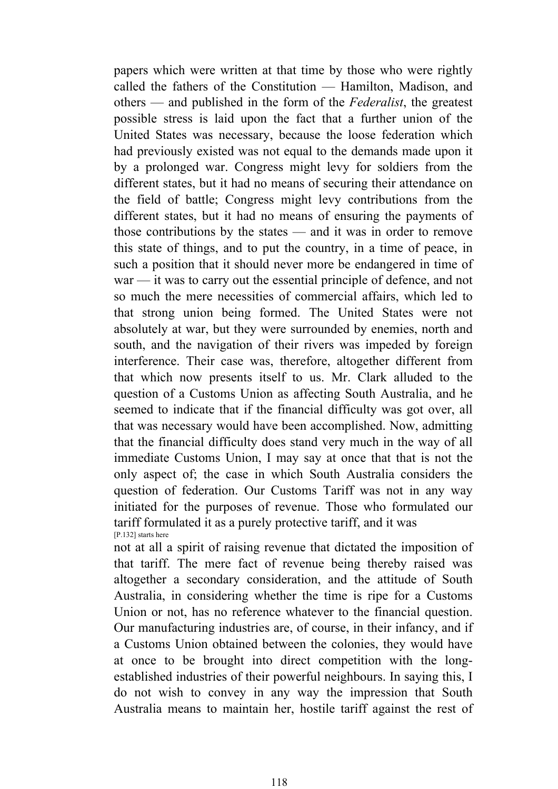papers which were written at that time by those who were rightly called the fathers of the Constitution — Hamilton, Madison, and others — and published in the form of the *Federalist*, the greatest possible stress is laid upon the fact that a further union of the United States was necessary, because the loose federation which had previously existed was not equal to the demands made upon it by a prolonged war. Congress might levy for soldiers from the different states, but it had no means of securing their attendance on the field of battle; Congress might levy contributions from the different states, but it had no means of ensuring the payments of those contributions by the states — and it was in order to remove this state of things, and to put the country, in a time of peace, in such a position that it should never more be endangered in time of war — it was to carry out the essential principle of defence, and not so much the mere necessities of commercial affairs, which led to that strong union being formed. The United States were not absolutely at war, but they were surrounded by enemies, north and south, and the navigation of their rivers was impeded by foreign interference. Their case was, therefore, altogether different from that which now presents itself to us. Mr. Clark alluded to the question of a Customs Union as affecting South Australia, and he seemed to indicate that if the financial difficulty was got over, all that was necessary would have been accomplished. Now, admitting that the financial difficulty does stand very much in the way of all immediate Customs Union, I may say at once that that is not the only aspect of; the case in which South Australia considers the question of federation. Our Customs Tariff was not in any way initiated for the purposes of revenue. Those who formulated our tariff formulated it as a purely protective tariff, and it was [P.132] starts here

not at all a spirit of raising revenue that dictated the imposition of that tariff. The mere fact of revenue being thereby raised was altogether a secondary consideration, and the attitude of South Australia, in considering whether the time is ripe for a Customs Union or not, has no reference whatever to the financial question. Our manufacturing industries are, of course, in their infancy, and if a Customs Union obtained between the colonies, they would have at once to be brought into direct competition with the longestablished industries of their powerful neighbours. In saying this, I do not wish to convey in any way the impression that South Australia means to maintain her, hostile tariff against the rest of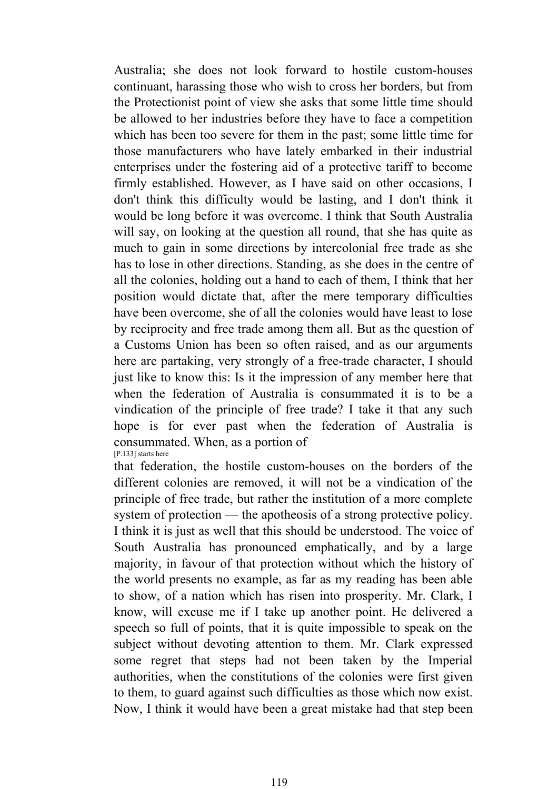Australia; she does not look forward to hostile custom-houses continuant, harassing those who wish to cross her borders, but from the Protectionist point of view she asks that some little time should be allowed to her industries before they have to face a competition which has been too severe for them in the past; some little time for those manufacturers who have lately embarked in their industrial enterprises under the fostering aid of a protective tariff to become firmly established. However, as I have said on other occasions, I don't think this difficulty would be lasting, and I don't think it would be long before it was overcome. I think that South Australia will say, on looking at the question all round, that she has quite as much to gain in some directions by intercolonial free trade as she has to lose in other directions. Standing, as she does in the centre of all the colonies, holding out a hand to each of them, I think that her position would dictate that, after the mere temporary difficulties have been overcome, she of all the colonies would have least to lose by reciprocity and free trade among them all. But as the question of a Customs Union has been so often raised, and as our arguments here are partaking, very strongly of a free-trade character, I should just like to know this: Is it the impression of any member here that when the federation of Australia is consummated it is to be a vindication of the principle of free trade? I take it that any such hope is for ever past when the federation of Australia is consummated. When, as a portion of [P.133] starts here

that federation, the hostile custom-houses on the borders of the different colonies are removed, it will not be a vindication of the principle of free trade, but rather the institution of a more complete system of protection — the apotheosis of a strong protective policy. I think it is just as well that this should be understood. The voice of South Australia has pronounced emphatically, and by a large majority, in favour of that protection without which the history of the world presents no example, as far as my reading has been able to show, of a nation which has risen into prosperity. Mr. Clark, I know, will excuse me if I take up another point. He delivered a speech so full of points, that it is quite impossible to speak on the subject without devoting attention to them. Mr. Clark expressed some regret that steps had not been taken by the Imperial authorities, when the constitutions of the colonies were first given to them, to guard against such difficulties as those which now exist. Now, I think it would have been a great mistake had that step been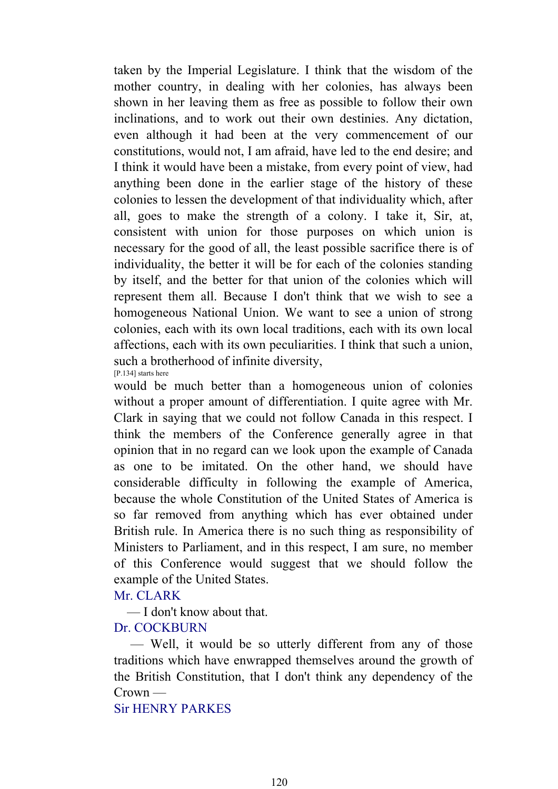taken by the Imperial Legislature. I think that the wisdom of the mother country, in dealing with her colonies, has always been shown in her leaving them as free as possible to follow their own inclinations, and to work out their own destinies. Any dictation, even although it had been at the very commencement of our constitutions, would not, I am afraid, have led to the end desire; and I think it would have been a mistake, from every point of view, had anything been done in the earlier stage of the history of these colonies to lessen the development of that individuality which, after all, goes to make the strength of a colony. I take it, Sir, at, consistent with union for those purposes on which union is necessary for the good of all, the least possible sacrifice there is of individuality, the better it will be for each of the colonies standing by itself, and the better for that union of the colonies which will represent them all. Because I don't think that we wish to see a homogeneous National Union. We want to see a union of strong colonies, each with its own local traditions, each with its own local affections, each with its own peculiarities. I think that such a union, such a brotherhood of infinite diversity, [P.134] starts here

would be much better than a homogeneous union of colonies without a proper amount of differentiation. I quite agree with Mr. Clark in saying that we could not follow Canada in this respect. I think the members of the Conference generally agree in that opinion that in no regard can we look upon the example of Canada as one to be imitated. On the other hand, we should have considerable difficulty in following the example of America, because the whole Constitution of the United States of America is so far removed from anything which has ever obtained under British rule. In America there is no such thing as responsibility of Ministers to Parliament, and in this respect, I am sure, no member of this Conference would suggest that we should follow the example of the United States.

#### Mr. CLARK

— I don't know about that.

#### Dr. COCKBURN

 — Well, it would be so utterly different from any of those traditions which have enwrapped themselves around the growth of the British Constitution, that I don't think any dependency of the Crown —

# Sir HENRY PARKES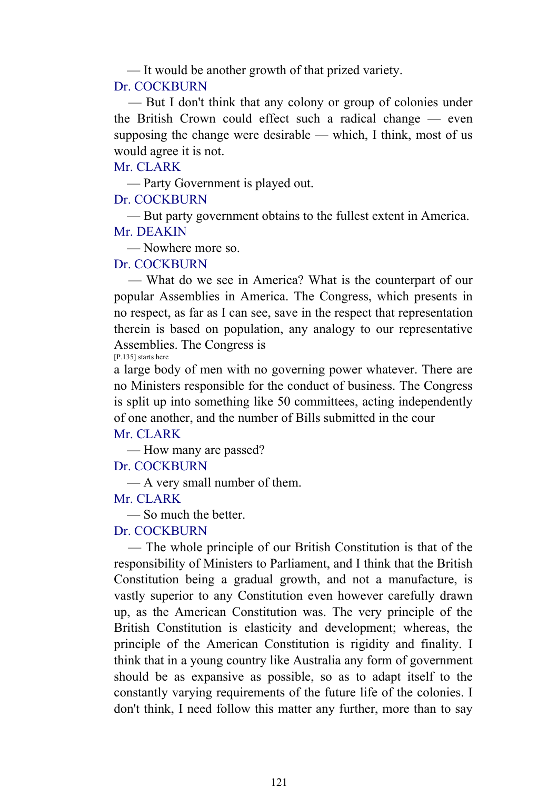— It would be another growth of that prized variety.

#### Dr. COCKBURN

 — But I don't think that any colony or group of colonies under the British Crown could effect such a radical change — even supposing the change were desirable — which, I think, most of us would agree it is not.

Mr. CLARK

— Party Government is played out.

# Dr. COCKBURN

 — But party government obtains to the fullest extent in America. Mr. DEAKIN

— Nowhere more so.

# Dr. COCKBURN

 — What do we see in America? What is the counterpart of our popular Assemblies in America. The Congress, which presents in no respect, as far as I can see, save in the respect that representation therein is based on population, any analogy to our representative Assemblies. The Congress is

[P.135] starts here

a large body of men with no governing power whatever. There are no Ministers responsible for the conduct of business. The Congress is split up into something like 50 committees, acting independently of one another, and the number of Bills submitted in the cour

# Mr. CLARK

— How many are passed?

Dr. COCKBURN

— A very small number of them.

Mr. CLARK

— So much the better.

# Dr. COCKBURN

 — The whole principle of our British Constitution is that of the responsibility of Ministers to Parliament, and I think that the British Constitution being a gradual growth, and not a manufacture, is vastly superior to any Constitution even however carefully drawn up, as the American Constitution was. The very principle of the British Constitution is elasticity and development; whereas, the principle of the American Constitution is rigidity and finality. I think that in a young country like Australia any form of government should be as expansive as possible, so as to adapt itself to the constantly varying requirements of the future life of the colonies. I don't think, I need follow this matter any further, more than to say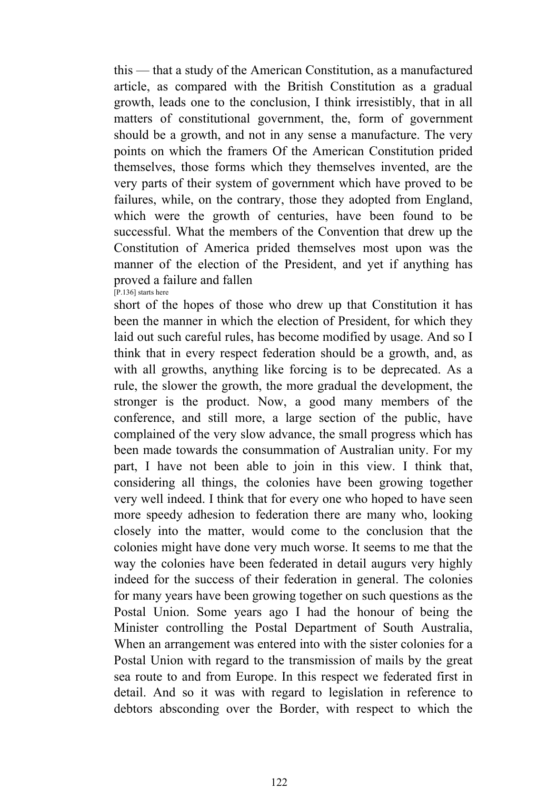this — that a study of the American Constitution, as a manufactured article, as compared with the British Constitution as a gradual growth, leads one to the conclusion, I think irresistibly, that in all matters of constitutional government, the, form of government should be a growth, and not in any sense a manufacture. The very points on which the framers Of the American Constitution prided themselves, those forms which they themselves invented, are the very parts of their system of government which have proved to be failures, while, on the contrary, those they adopted from England, which were the growth of centuries, have been found to be successful. What the members of the Convention that drew up the Constitution of America prided themselves most upon was the manner of the election of the President, and yet if anything has proved a failure and fallen [P.136] starts here

short of the hopes of those who drew up that Constitution it has been the manner in which the election of President, for which they laid out such careful rules, has become modified by usage. And so I think that in every respect federation should be a growth, and, as with all growths, anything like forcing is to be deprecated. As a rule, the slower the growth, the more gradual the development, the stronger is the product. Now, a good many members of the conference, and still more, a large section of the public, have complained of the very slow advance, the small progress which has been made towards the consummation of Australian unity. For my part, I have not been able to join in this view. I think that, considering all things, the colonies have been growing together very well indeed. I think that for every one who hoped to have seen more speedy adhesion to federation there are many who, looking closely into the matter, would come to the conclusion that the colonies might have done very much worse. It seems to me that the way the colonies have been federated in detail augurs very highly indeed for the success of their federation in general. The colonies for many years have been growing together on such questions as the Postal Union. Some years ago I had the honour of being the Minister controlling the Postal Department of South Australia, When an arrangement was entered into with the sister colonies for a Postal Union with regard to the transmission of mails by the great sea route to and from Europe. In this respect we federated first in detail. And so it was with regard to legislation in reference to debtors absconding over the Border, with respect to which the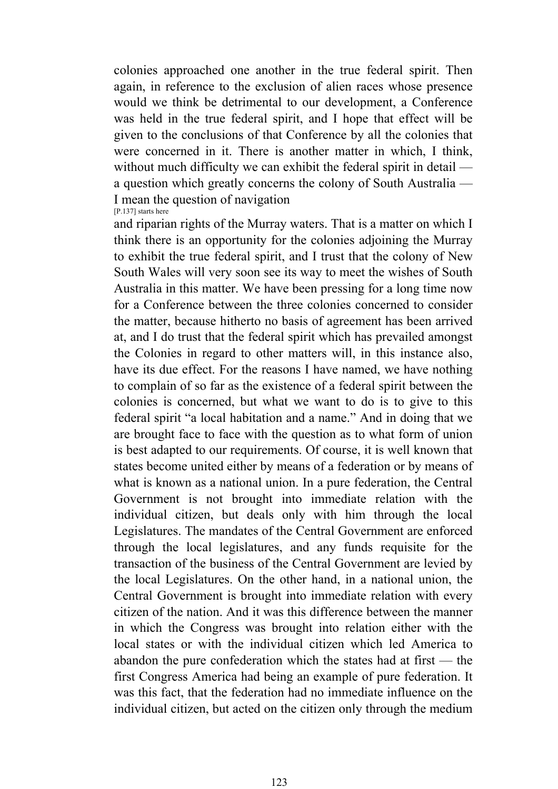colonies approached one another in the true federal spirit. Then again, in reference to the exclusion of alien races whose presence would we think be detrimental to our development, a Conference was held in the true federal spirit, and I hope that effect will be given to the conclusions of that Conference by all the colonies that were concerned in it. There is another matter in which, I think, without much difficulty we can exhibit the federal spirit in detail a question which greatly concerns the colony of South Australia — I mean the question of navigation [P.137] starts here

and riparian rights of the Murray waters. That is a matter on which I think there is an opportunity for the colonies adjoining the Murray to exhibit the true federal spirit, and I trust that the colony of New South Wales will very soon see its way to meet the wishes of South Australia in this matter. We have been pressing for a long time now for a Conference between the three colonies concerned to consider the matter, because hitherto no basis of agreement has been arrived at, and I do trust that the federal spirit which has prevailed amongst the Colonies in regard to other matters will, in this instance also, have its due effect. For the reasons I have named, we have nothing to complain of so far as the existence of a federal spirit between the colonies is concerned, but what we want to do is to give to this federal spirit "a local habitation and a name." And in doing that we are brought face to face with the question as to what form of union is best adapted to our requirements. Of course, it is well known that states become united either by means of a federation or by means of what is known as a national union. In a pure federation, the Central Government is not brought into immediate relation with the individual citizen, but deals only with him through the local Legislatures. The mandates of the Central Government are enforced through the local legislatures, and any funds requisite for the transaction of the business of the Central Government are levied by the local Legislatures. On the other hand, in a national union, the Central Government is brought into immediate relation with every citizen of the nation. And it was this difference between the manner in which the Congress was brought into relation either with the local states or with the individual citizen which led America to abandon the pure confederation which the states had at first — the first Congress America had being an example of pure federation. It was this fact, that the federation had no immediate influence on the individual citizen, but acted on the citizen only through the medium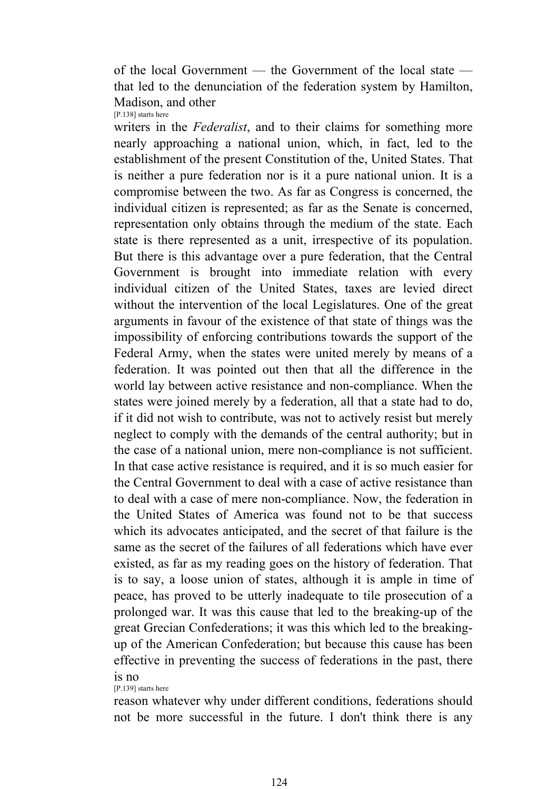of the local Government — the Government of the local state that led to the denunciation of the federation system by Hamilton, Madison, and other [P.138] starts here

writers in the *Federalist*, and to their claims for something more nearly approaching a national union, which, in fact, led to the establishment of the present Constitution of the, United States. That is neither a pure federation nor is it a pure national union. It is a compromise between the two. As far as Congress is concerned, the individual citizen is represented; as far as the Senate is concerned, representation only obtains through the medium of the state. Each state is there represented as a unit, irrespective of its population. But there is this advantage over a pure federation, that the Central Government is brought into immediate relation with every individual citizen of the United States, taxes are levied direct without the intervention of the local Legislatures. One of the great arguments in favour of the existence of that state of things was the impossibility of enforcing contributions towards the support of the Federal Army, when the states were united merely by means of a federation. It was pointed out then that all the difference in the world lay between active resistance and non-compliance. When the states were joined merely by a federation, all that a state had to do, if it did not wish to contribute, was not to actively resist but merely neglect to comply with the demands of the central authority; but in the case of a national union, mere non-compliance is not sufficient. In that case active resistance is required, and it is so much easier for the Central Government to deal with a case of active resistance than to deal with a case of mere non-compliance. Now, the federation in the United States of America was found not to be that success which its advocates anticipated, and the secret of that failure is the same as the secret of the failures of all federations which have ever existed, as far as my reading goes on the history of federation. That is to say, a loose union of states, although it is ample in time of peace, has proved to be utterly inadequate to tile prosecution of a prolonged war. It was this cause that led to the breaking-up of the great Grecian Confederations; it was this which led to the breakingup of the American Confederation; but because this cause has been effective in preventing the success of federations in the past, there is no

[P.139] starts here

reason whatever why under different conditions, federations should not be more successful in the future. I don't think there is any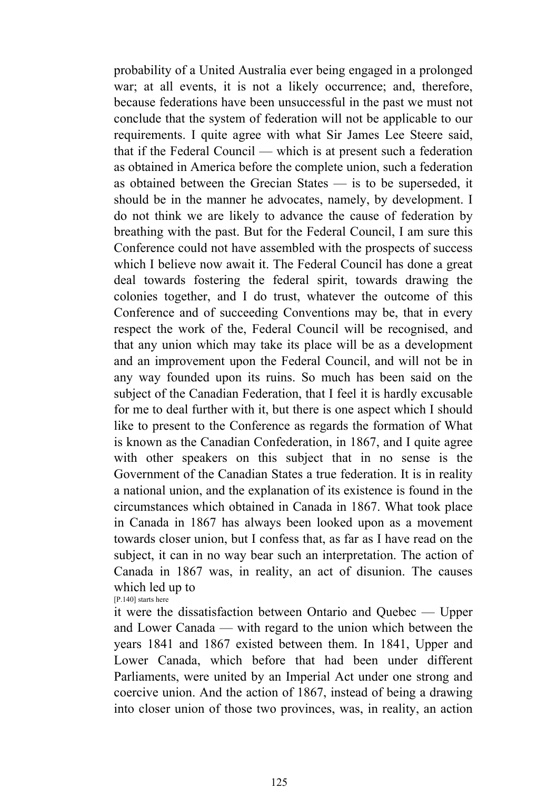probability of a United Australia ever being engaged in a prolonged war; at all events, it is not a likely occurrence; and, therefore, because federations have been unsuccessful in the past we must not conclude that the system of federation will not be applicable to our requirements. I quite agree with what Sir James Lee Steere said, that if the Federal Council — which is at present such a federation as obtained in America before the complete union, such a federation as obtained between the Grecian States — is to be superseded, it should be in the manner he advocates, namely, by development. I do not think we are likely to advance the cause of federation by breathing with the past. But for the Federal Council, I am sure this Conference could not have assembled with the prospects of success which I believe now await it. The Federal Council has done a great deal towards fostering the federal spirit, towards drawing the colonies together, and I do trust, whatever the outcome of this Conference and of succeeding Conventions may be, that in every respect the work of the, Federal Council will be recognised, and that any union which may take its place will be as a development and an improvement upon the Federal Council, and will not be in any way founded upon its ruins. So much has been said on the subject of the Canadian Federation, that I feel it is hardly excusable for me to deal further with it, but there is one aspect which I should like to present to the Conference as regards the formation of What is known as the Canadian Confederation, in 1867, and I quite agree with other speakers on this subject that in no sense is the Government of the Canadian States a true federation. It is in reality a national union, and the explanation of its existence is found in the circumstances which obtained in Canada in 1867. What took place in Canada in 1867 has always been looked upon as a movement towards closer union, but I confess that, as far as I have read on the subject, it can in no way bear such an interpretation. The action of Canada in 1867 was, in reality, an act of disunion. The causes which led up to

[P.140] starts here

it were the dissatisfaction between Ontario and Quebec — Upper and Lower Canada — with regard to the union which between the years 1841 and 1867 existed between them. In 1841, Upper and Lower Canada, which before that had been under different Parliaments, were united by an Imperial Act under one strong and coercive union. And the action of 1867, instead of being a drawing into closer union of those two provinces, was, in reality, an action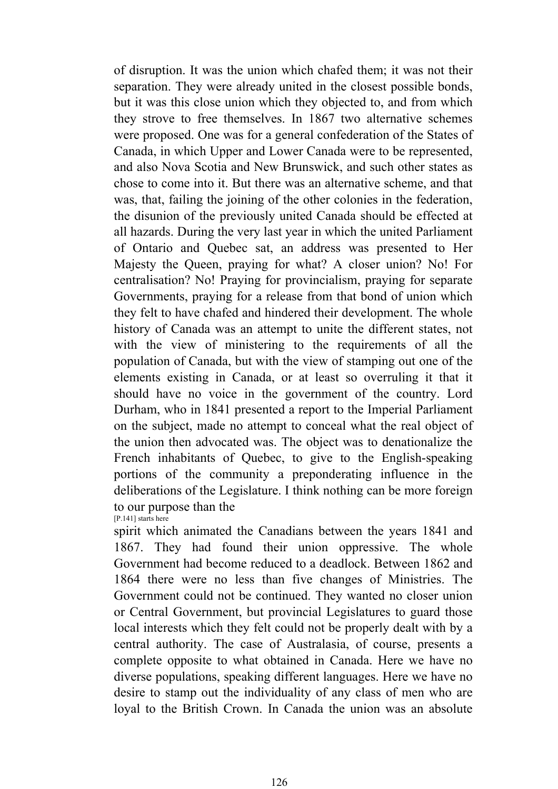of disruption. It was the union which chafed them; it was not their separation. They were already united in the closest possible bonds, but it was this close union which they objected to, and from which they strove to free themselves. In 1867 two alternative schemes were proposed. One was for a general confederation of the States of Canada, in which Upper and Lower Canada were to be represented, and also Nova Scotia and New Brunswick, and such other states as chose to come into it. But there was an alternative scheme, and that was, that, failing the joining of the other colonies in the federation, the disunion of the previously united Canada should be effected at all hazards. During the very last year in which the united Parliament of Ontario and Quebec sat, an address was presented to Her Majesty the Queen, praying for what? A closer union? No! For centralisation? No! Praying for provincialism, praying for separate Governments, praying for a release from that bond of union which they felt to have chafed and hindered their development. The whole history of Canada was an attempt to unite the different states, not with the view of ministering to the requirements of all the population of Canada, but with the view of stamping out one of the elements existing in Canada, or at least so overruling it that it should have no voice in the government of the country. Lord Durham, who in 1841 presented a report to the Imperial Parliament on the subject, made no attempt to conceal what the real object of the union then advocated was. The object was to denationalize the French inhabitants of Quebec, to give to the English-speaking portions of the community a preponderating influence in the deliberations of the Legislature. I think nothing can be more foreign to our purpose than the [P.141] starts here

spirit which animated the Canadians between the years 1841 and 1867. They had found their union oppressive. The whole Government had become reduced to a deadlock. Between 1862 and 1864 there were no less than five changes of Ministries. The Government could not be continued. They wanted no closer union or Central Government, but provincial Legislatures to guard those local interests which they felt could not be properly dealt with by a central authority. The case of Australasia, of course, presents a complete opposite to what obtained in Canada. Here we have no diverse populations, speaking different languages. Here we have no desire to stamp out the individuality of any class of men who are loyal to the British Crown. In Canada the union was an absolute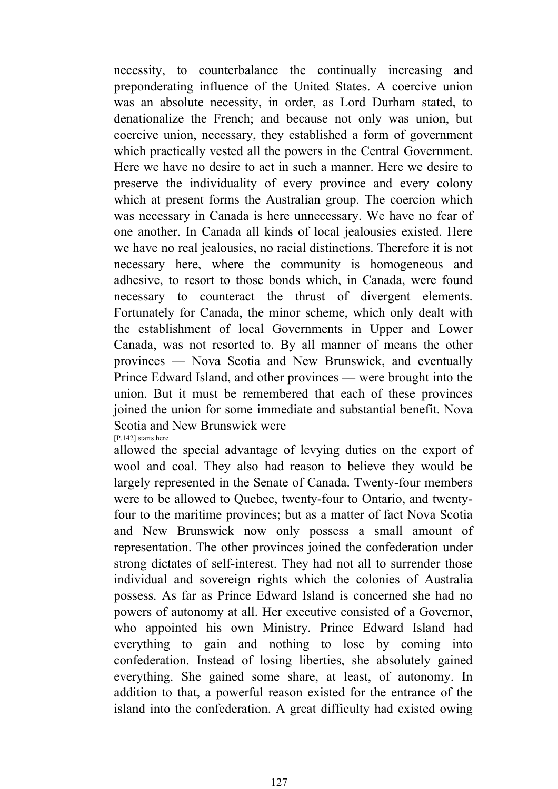necessity, to counterbalance the continually increasing and preponderating influence of the United States. A coercive union was an absolute necessity, in order, as Lord Durham stated, to denationalize the French; and because not only was union, but coercive union, necessary, they established a form of government which practically vested all the powers in the Central Government. Here we have no desire to act in such a manner. Here we desire to preserve the individuality of every province and every colony which at present forms the Australian group. The coercion which was necessary in Canada is here unnecessary. We have no fear of one another. In Canada all kinds of local jealousies existed. Here we have no real jealousies, no racial distinctions. Therefore it is not necessary here, where the community is homogeneous and adhesive, to resort to those bonds which, in Canada, were found necessary to counteract the thrust of divergent elements. Fortunately for Canada, the minor scheme, which only dealt with the establishment of local Governments in Upper and Lower Canada, was not resorted to. By all manner of means the other provinces — Nova Scotia and New Brunswick, and eventually Prince Edward Island, and other provinces — were brought into the union. But it must be remembered that each of these provinces joined the union for some immediate and substantial benefit. Nova Scotia and New Brunswick were

[P.142] starts here

allowed the special advantage of levying duties on the export of wool and coal. They also had reason to believe they would be largely represented in the Senate of Canada. Twenty-four members were to be allowed to Quebec, twenty-four to Ontario, and twentyfour to the maritime provinces; but as a matter of fact Nova Scotia and New Brunswick now only possess a small amount of representation. The other provinces joined the confederation under strong dictates of self-interest. They had not all to surrender those individual and sovereign rights which the colonies of Australia possess. As far as Prince Edward Island is concerned she had no powers of autonomy at all. Her executive consisted of a Governor, who appointed his own Ministry. Prince Edward Island had everything to gain and nothing to lose by coming into confederation. Instead of losing liberties, she absolutely gained everything. She gained some share, at least, of autonomy. In addition to that, a powerful reason existed for the entrance of the island into the confederation. A great difficulty had existed owing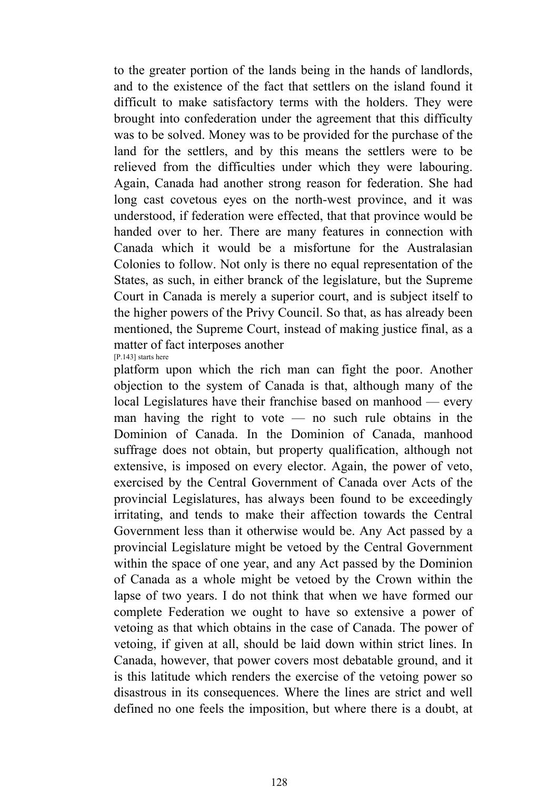to the greater portion of the lands being in the hands of landlords, and to the existence of the fact that settlers on the island found it difficult to make satisfactory terms with the holders. They were brought into confederation under the agreement that this difficulty was to be solved. Money was to be provided for the purchase of the land for the settlers, and by this means the settlers were to be relieved from the difficulties under which they were labouring. Again, Canada had another strong reason for federation. She had long cast covetous eyes on the north-west province, and it was understood, if federation were effected, that that province would be handed over to her. There are many features in connection with Canada which it would be a misfortune for the Australasian Colonies to follow. Not only is there no equal representation of the States, as such, in either branck of the legislature, but the Supreme Court in Canada is merely a superior court, and is subject itself to the higher powers of the Privy Council. So that, as has already been mentioned, the Supreme Court, instead of making justice final, as a matter of fact interposes another [P.143] starts here

platform upon which the rich man can fight the poor. Another objection to the system of Canada is that, although many of the local Legislatures have their franchise based on manhood — every man having the right to vote — no such rule obtains in the Dominion of Canada. In the Dominion of Canada, manhood suffrage does not obtain, but property qualification, although not extensive, is imposed on every elector. Again, the power of veto, exercised by the Central Government of Canada over Acts of the provincial Legislatures, has always been found to be exceedingly irritating, and tends to make their affection towards the Central Government less than it otherwise would be. Any Act passed by a provincial Legislature might be vetoed by the Central Government within the space of one year, and any Act passed by the Dominion of Canada as a whole might be vetoed by the Crown within the lapse of two years. I do not think that when we have formed our complete Federation we ought to have so extensive a power of vetoing as that which obtains in the case of Canada. The power of vetoing, if given at all, should be laid down within strict lines. In Canada, however, that power covers most debatable ground, and it is this latitude which renders the exercise of the vetoing power so disastrous in its consequences. Where the lines are strict and well defined no one feels the imposition, but where there is a doubt, at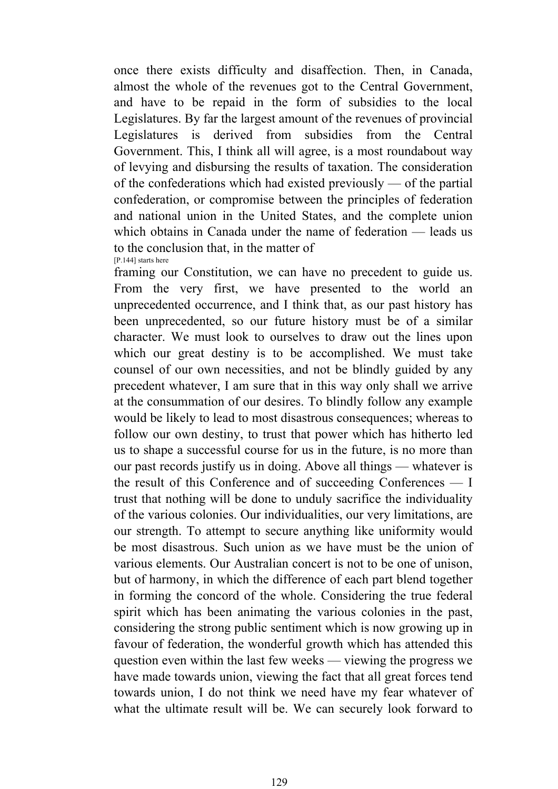once there exists difficulty and disaffection. Then, in Canada, almost the whole of the revenues got to the Central Government, and have to be repaid in the form of subsidies to the local Legislatures. By far the largest amount of the revenues of provincial Legislatures is derived from subsidies from the Central Government. This, I think all will agree, is a most roundabout way of levying and disbursing the results of taxation. The consideration of the confederations which had existed previously — of the partial confederation, or compromise between the principles of federation and national union in the United States, and the complete union which obtains in Canada under the name of federation — leads us to the conclusion that, in the matter of [P.144] starts here

framing our Constitution, we can have no precedent to guide us. From the very first, we have presented to the world an unprecedented occurrence, and I think that, as our past history has been unprecedented, so our future history must be of a similar character. We must look to ourselves to draw out the lines upon which our great destiny is to be accomplished. We must take counsel of our own necessities, and not be blindly guided by any precedent whatever, I am sure that in this way only shall we arrive at the consummation of our desires. To blindly follow any example would be likely to lead to most disastrous consequences; whereas to follow our own destiny, to trust that power which has hitherto led us to shape a successful course for us in the future, is no more than our past records justify us in doing. Above all things — whatever is the result of this Conference and of succeeding Conferences — I trust that nothing will be done to unduly sacrifice the individuality of the various colonies. Our individualities, our very limitations, are our strength. To attempt to secure anything like uniformity would be most disastrous. Such union as we have must be the union of various elements. Our Australian concert is not to be one of unison, but of harmony, in which the difference of each part blend together in forming the concord of the whole. Considering the true federal spirit which has been animating the various colonies in the past, considering the strong public sentiment which is now growing up in favour of federation, the wonderful growth which has attended this question even within the last few weeks — viewing the progress we have made towards union, viewing the fact that all great forces tend towards union, I do not think we need have my fear whatever of what the ultimate result will be. We can securely look forward to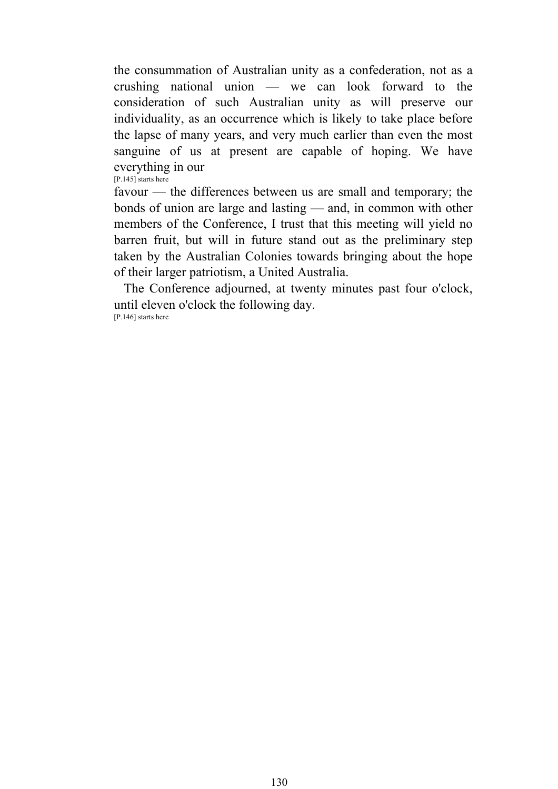the consummation of Australian unity as a confederation, not as a crushing national union — we can look forward to the consideration of such Australian unity as will preserve our individuality, as an occurrence which is likely to take place before the lapse of many years, and very much earlier than even the most sanguine of us at present are capable of hoping. We have everything in our

[P.145] starts here

favour — the differences between us are small and temporary; the bonds of union are large and lasting — and, in common with other members of the Conference, I trust that this meeting will yield no barren fruit, but will in future stand out as the preliminary step taken by the Australian Colonies towards bringing about the hope of their larger patriotism, a United Australia.

 The Conference adjourned, at twenty minutes past four o'clock, until eleven o'clock the following day. [P.146] starts here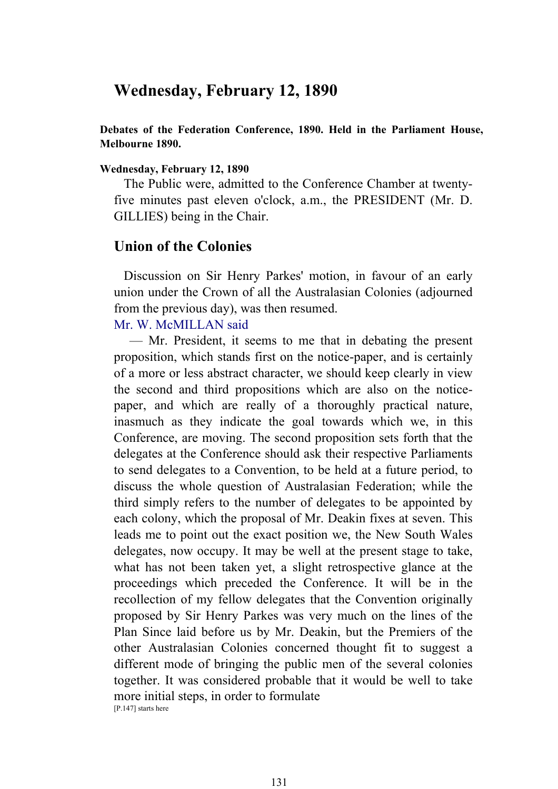# **Wednesday, February 12, 1890**

**Debates of the Federation Conference, 1890. Held in the Parliament House, Melbourne 1890.** 

#### **Wednesday, February 12, 1890**

 The Public were, admitted to the Conference Chamber at twentyfive minutes past eleven o'clock, a.m., the PRESIDENT (Mr. D. GILLIES) being in the Chair.

#### **Union of the Colonies**

 Discussion on Sir Henry Parkes' motion, in favour of an early union under the Crown of all the Australasian Colonies (adjourned from the previous day), was then resumed.

# Mr. W. McMILLAN said

 — Mr. President, it seems to me that in debating the present proposition, which stands first on the notice-paper, and is certainly of a more or less abstract character, we should keep clearly in view the second and third propositions which are also on the noticepaper, and which are really of a thoroughly practical nature, inasmuch as they indicate the goal towards which we, in this Conference, are moving. The second proposition sets forth that the delegates at the Conference should ask their respective Parliaments to send delegates to a Convention, to be held at a future period, to discuss the whole question of Australasian Federation; while the third simply refers to the number of delegates to be appointed by each colony, which the proposal of Mr. Deakin fixes at seven. This leads me to point out the exact position we, the New South Wales delegates, now occupy. It may be well at the present stage to take, what has not been taken yet, a slight retrospective glance at the proceedings which preceded the Conference. It will be in the recollection of my fellow delegates that the Convention originally proposed by Sir Henry Parkes was very much on the lines of the Plan Since laid before us by Mr. Deakin, but the Premiers of the other Australasian Colonies concerned thought fit to suggest a different mode of bringing the public men of the several colonies together. It was considered probable that it would be well to take more initial steps, in order to formulate [P.147] starts here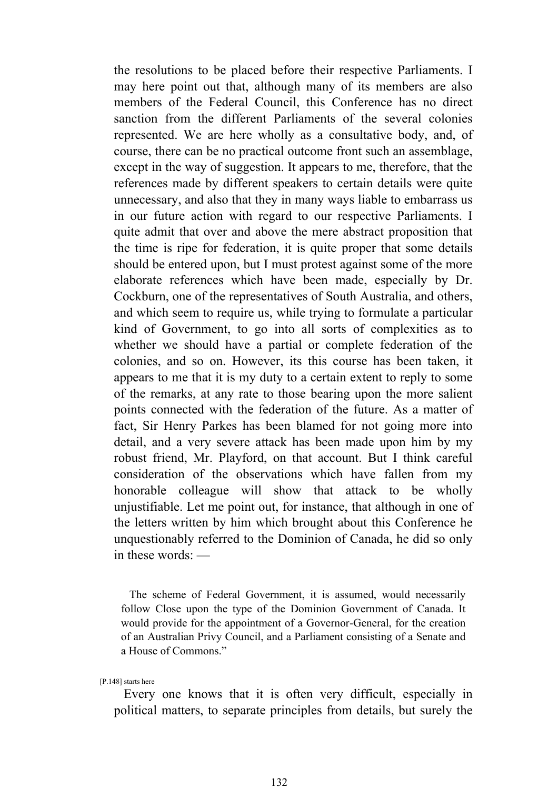the resolutions to be placed before their respective Parliaments. I may here point out that, although many of its members are also members of the Federal Council, this Conference has no direct sanction from the different Parliaments of the several colonies represented. We are here wholly as a consultative body, and, of course, there can be no practical outcome front such an assemblage, except in the way of suggestion. It appears to me, therefore, that the references made by different speakers to certain details were quite unnecessary, and also that they in many ways liable to embarrass us in our future action with regard to our respective Parliaments. I quite admit that over and above the mere abstract proposition that the time is ripe for federation, it is quite proper that some details should be entered upon, but I must protest against some of the more elaborate references which have been made, especially by Dr. Cockburn, one of the representatives of South Australia, and others, and which seem to require us, while trying to formulate a particular kind of Government, to go into all sorts of complexities as to whether we should have a partial or complete federation of the colonies, and so on. However, its this course has been taken, it appears to me that it is my duty to a certain extent to reply to some of the remarks, at any rate to those bearing upon the more salient points connected with the federation of the future. As a matter of fact, Sir Henry Parkes has been blamed for not going more into detail, and a very severe attack has been made upon him by my robust friend, Mr. Playford, on that account. But I think careful consideration of the observations which have fallen from my honorable colleague will show that attack to be wholly unjustifiable. Let me point out, for instance, that although in one of the letters written by him which brought about this Conference he unquestionably referred to the Dominion of Canada, he did so only in these words: —

 The scheme of Federal Government, it is assumed, would necessarily follow Close upon the type of the Dominion Government of Canada. It would provide for the appointment of a Governor-General, for the creation of an Australian Privy Council, and a Parliament consisting of a Senate and a House of Commons."

[P.148] starts here

 Every one knows that it is often very difficult, especially in political matters, to separate principles from details, but surely the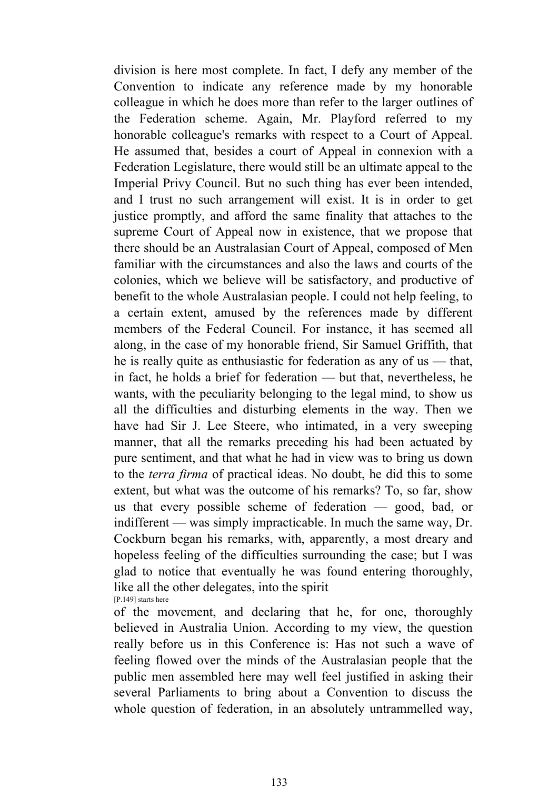division is here most complete. In fact, I defy any member of the Convention to indicate any reference made by my honorable colleague in which he does more than refer to the larger outlines of the Federation scheme. Again, Mr. Playford referred to my honorable colleague's remarks with respect to a Court of Appeal. He assumed that, besides a court of Appeal in connexion with a Federation Legislature, there would still be an ultimate appeal to the Imperial Privy Council. But no such thing has ever been intended, and I trust no such arrangement will exist. It is in order to get justice promptly, and afford the same finality that attaches to the supreme Court of Appeal now in existence, that we propose that there should be an Australasian Court of Appeal, composed of Men familiar with the circumstances and also the laws and courts of the colonies, which we believe will be satisfactory, and productive of benefit to the whole Australasian people. I could not help feeling, to a certain extent, amused by the references made by different members of the Federal Council. For instance, it has seemed all along, in the case of my honorable friend, Sir Samuel Griffith, that he is really quite as enthusiastic for federation as any of us — that, in fact, he holds a brief for federation — but that, nevertheless, he wants, with the peculiarity belonging to the legal mind, to show us all the difficulties and disturbing elements in the way. Then we have had Sir J. Lee Steere, who intimated, in a very sweeping manner, that all the remarks preceding his had been actuated by pure sentiment, and that what he had in view was to bring us down to the *terra firma* of practical ideas. No doubt, he did this to some extent, but what was the outcome of his remarks? To, so far, show us that every possible scheme of federation — good, bad, or indifferent — was simply impracticable. In much the same way, Dr. Cockburn began his remarks, with, apparently, a most dreary and hopeless feeling of the difficulties surrounding the case; but I was glad to notice that eventually he was found entering thoroughly, like all the other delegates, into the spirit [P.149] starts here

of the movement, and declaring that he, for one, thoroughly believed in Australia Union. According to my view, the question really before us in this Conference is: Has not such a wave of feeling flowed over the minds of the Australasian people that the public men assembled here may well feel justified in asking their several Parliaments to bring about a Convention to discuss the whole question of federation, in an absolutely untrammelled way,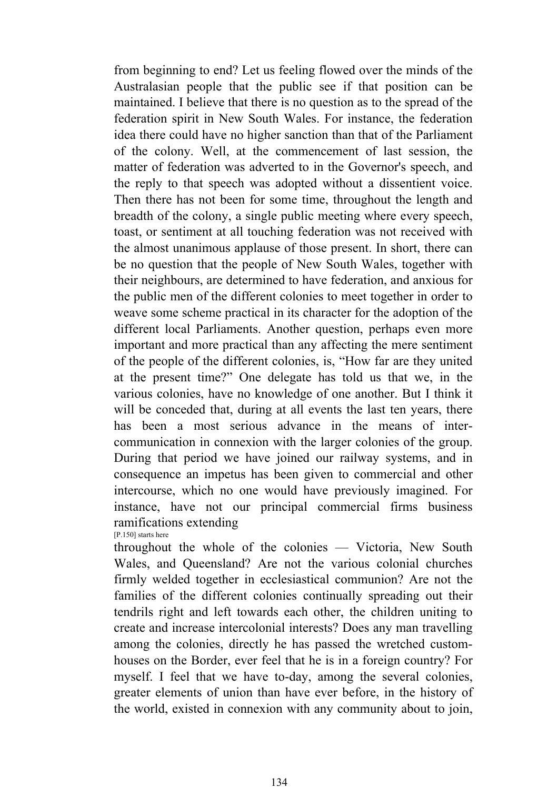from beginning to end? Let us feeling flowed over the minds of the Australasian people that the public see if that position can be maintained. I believe that there is no question as to the spread of the federation spirit in New South Wales. For instance, the federation idea there could have no higher sanction than that of the Parliament of the colony. Well, at the commencement of last session, the matter of federation was adverted to in the Governor's speech, and the reply to that speech was adopted without a dissentient voice. Then there has not been for some time, throughout the length and breadth of the colony, a single public meeting where every speech, toast, or sentiment at all touching federation was not received with the almost unanimous applause of those present. In short, there can be no question that the people of New South Wales, together with their neighbours, are determined to have federation, and anxious for the public men of the different colonies to meet together in order to weave some scheme practical in its character for the adoption of the different local Parliaments. Another question, perhaps even more important and more practical than any affecting the mere sentiment of the people of the different colonies, is, "How far are they united at the present time?" One delegate has told us that we, in the various colonies, have no knowledge of one another. But I think it will be conceded that, during at all events the last ten years, there has been a most serious advance in the means of intercommunication in connexion with the larger colonies of the group. During that period we have joined our railway systems, and in consequence an impetus has been given to commercial and other intercourse, which no one would have previously imagined. For instance, have not our principal commercial firms business ramifications extending

[P.150] starts here

throughout the whole of the colonies — Victoria, New South Wales, and Queensland? Are not the various colonial churches firmly welded together in ecclesiastical communion? Are not the families of the different colonies continually spreading out their tendrils right and left towards each other, the children uniting to create and increase intercolonial interests? Does any man travelling among the colonies, directly he has passed the wretched customhouses on the Border, ever feel that he is in a foreign country? For myself. I feel that we have to-day, among the several colonies, greater elements of union than have ever before, in the history of the world, existed in connexion with any community about to join,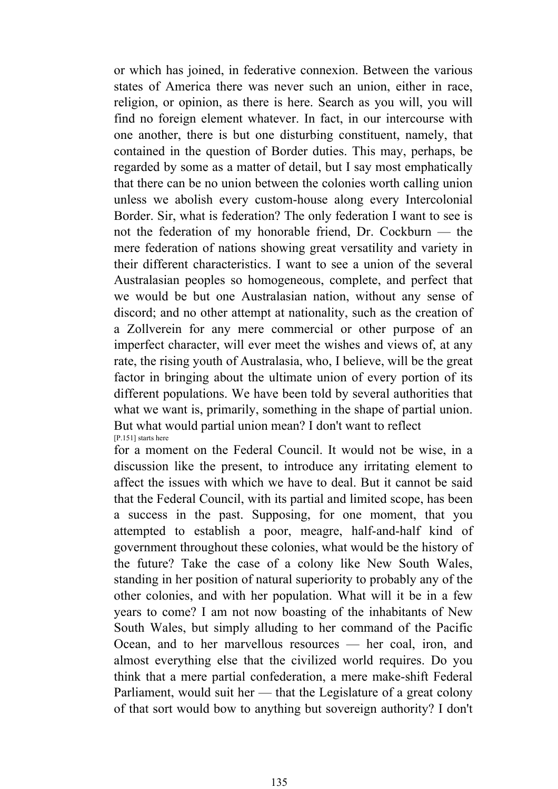or which has joined, in federative connexion. Between the various states of America there was never such an union, either in race, religion, or opinion, as there is here. Search as you will, you will find no foreign element whatever. In fact, in our intercourse with one another, there is but one disturbing constituent, namely, that contained in the question of Border duties. This may, perhaps, be regarded by some as a matter of detail, but I say most emphatically that there can be no union between the colonies worth calling union unless we abolish every custom-house along every Intercolonial Border. Sir, what is federation? The only federation I want to see is not the federation of my honorable friend, Dr. Cockburn — the mere federation of nations showing great versatility and variety in their different characteristics. I want to see a union of the several Australasian peoples so homogeneous, complete, and perfect that we would be but one Australasian nation, without any sense of discord; and no other attempt at nationality, such as the creation of a Zollverein for any mere commercial or other purpose of an imperfect character, will ever meet the wishes and views of, at any rate, the rising youth of Australasia, who, I believe, will be the great factor in bringing about the ultimate union of every portion of its different populations. We have been told by several authorities that what we want is, primarily, something in the shape of partial union. But what would partial union mean? I don't want to reflect [P.151] starts here

for a moment on the Federal Council. It would not be wise, in a discussion like the present, to introduce any irritating element to affect the issues with which we have to deal. But it cannot be said that the Federal Council, with its partial and limited scope, has been a success in the past. Supposing, for one moment, that you attempted to establish a poor, meagre, half-and-half kind of government throughout these colonies, what would be the history of the future? Take the case of a colony like New South Wales, standing in her position of natural superiority to probably any of the other colonies, and with her population. What will it be in a few years to come? I am not now boasting of the inhabitants of New South Wales, but simply alluding to her command of the Pacific Ocean, and to her marvellous resources — her coal, iron, and almost everything else that the civilized world requires. Do you think that a mere partial confederation, a mere make-shift Federal Parliament, would suit her — that the Legislature of a great colony of that sort would bow to anything but sovereign authority? I don't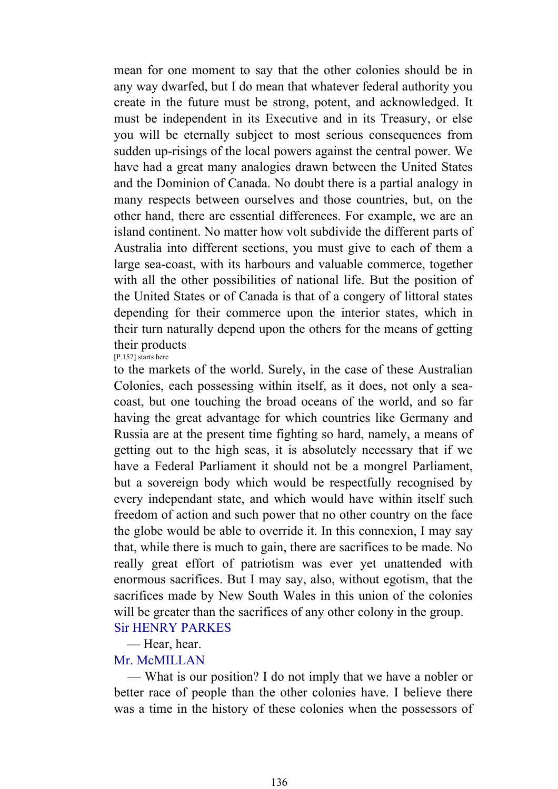mean for one moment to say that the other colonies should be in any way dwarfed, but I do mean that whatever federal authority you create in the future must be strong, potent, and acknowledged. It must be independent in its Executive and in its Treasury, or else you will be eternally subject to most serious consequences from sudden up-risings of the local powers against the central power. We have had a great many analogies drawn between the United States and the Dominion of Canada. No doubt there is a partial analogy in many respects between ourselves and those countries, but, on the other hand, there are essential differences. For example, we are an island continent. No matter how volt subdivide the different parts of Australia into different sections, you must give to each of them a large sea-coast, with its harbours and valuable commerce, together with all the other possibilities of national life. But the position of the United States or of Canada is that of a congery of littoral states depending for their commerce upon the interior states, which in their turn naturally depend upon the others for the means of getting their products [P.152] starts here

to the markets of the world. Surely, in the case of these Australian Colonies, each possessing within itself, as it does, not only a seacoast, but one touching the broad oceans of the world, and so far having the great advantage for which countries like Germany and Russia are at the present time fighting so hard, namely, a means of getting out to the high seas, it is absolutely necessary that if we have a Federal Parliament it should not be a mongrel Parliament, but a sovereign body which would be respectfully recognised by every independant state, and which would have within itself such freedom of action and such power that no other country on the face the globe would be able to override it. In this connexion, I may say that, while there is much to gain, there are sacrifices to be made. No really great effort of patriotism was ever yet unattended with enormous sacrifices. But I may say, also, without egotism, that the sacrifices made by New South Wales in this union of the colonies will be greater than the sacrifices of any other colony in the group. Sir HENRY PARKES

— Hear, hear.

# Mr. McMILLAN

 — What is our position? I do not imply that we have a nobler or better race of people than the other colonies have. I believe there was a time in the history of these colonies when the possessors of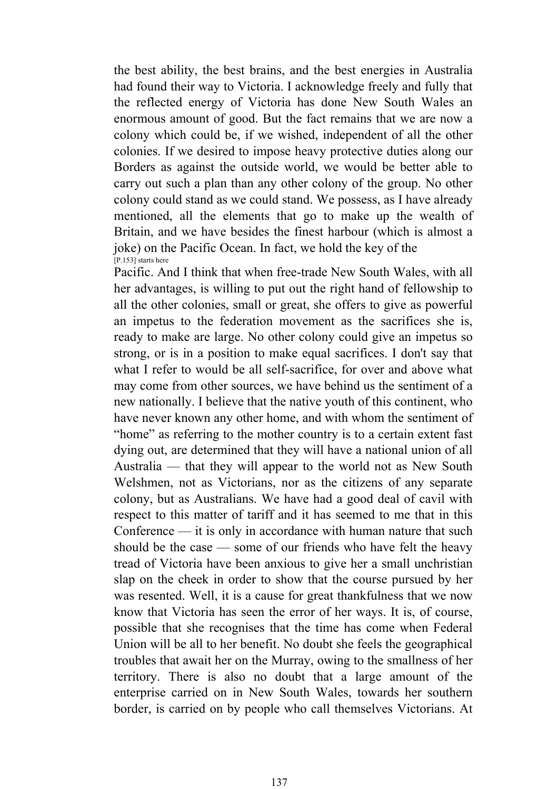the best ability, the best brains, and the best energies in Australia had found their way to Victoria. I acknowledge freely and fully that the reflected energy of Victoria has done New South Wales an enormous amount of good. But the fact remains that we are now a colony which could be, if we wished, independent of all the other colonies. If we desired to impose heavy protective duties along our Borders as against the outside world, we would be better able to carry out such a plan than any other colony of the group. No other colony could stand as we could stand. We possess, as I have already mentioned, all the elements that go to make up the wealth of Britain, and we have besides the finest harbour (which is almost a joke) on the Pacific Ocean. In fact, we hold the key of the  $[P.153]$  starts here

Pacific. And I think that when free-trade New South Wales, with all her advantages, is willing to put out the right hand of fellowship to all the other colonies, small or great, she offers to give as powerful an impetus to the federation movement as the sacrifices she is, ready to make are large. No other colony could give an impetus so strong, or is in a position to make equal sacrifices. I don't say that what I refer to would be all self-sacrifice, for over and above what may come from other sources, we have behind us the sentiment of a new nationally. I believe that the native youth of this continent, who have never known any other home, and with whom the sentiment of "home" as referring to the mother country is to a certain extent fast dying out, are determined that they will have a national union of all Australia — that they will appear to the world not as New South Welshmen, not as Victorians, nor as the citizens of any separate colony, but as Australians. We have had a good deal of cavil with respect to this matter of tariff and it has seemed to me that in this Conference — it is only in accordance with human nature that such should be the case — some of our friends who have felt the heavy tread of Victoria have been anxious to give her a small unchristian slap on the cheek in order to show that the course pursued by her was resented. Well, it is a cause for great thankfulness that we now know that Victoria has seen the error of her ways. It is, of course, possible that she recognises that the time has come when Federal Union will be all to her benefit. No doubt she feels the geographical troubles that await her on the Murray, owing to the smallness of her territory. There is also no doubt that a large amount of the enterprise carried on in New South Wales, towards her southern border, is carried on by people who call themselves Victorians. At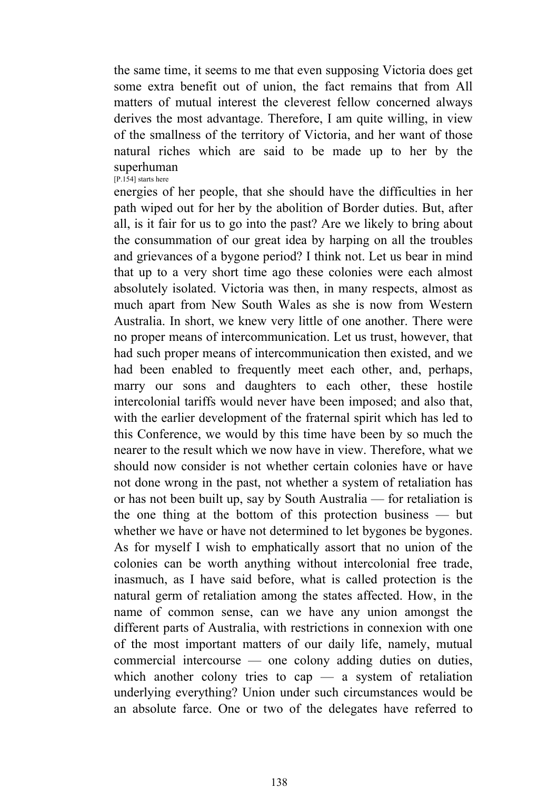the same time, it seems to me that even supposing Victoria does get some extra benefit out of union, the fact remains that from All matters of mutual interest the cleverest fellow concerned always derives the most advantage. Therefore, I am quite willing, in view of the smallness of the territory of Victoria, and her want of those natural riches which are said to be made up to her by the superhuman [P.154] starts here

energies of her people, that she should have the difficulties in her path wiped out for her by the abolition of Border duties. But, after all, is it fair for us to go into the past? Are we likely to bring about the consummation of our great idea by harping on all the troubles and grievances of a bygone period? I think not. Let us bear in mind that up to a very short time ago these colonies were each almost absolutely isolated. Victoria was then, in many respects, almost as much apart from New South Wales as she is now from Western Australia. In short, we knew very little of one another. There were no proper means of intercommunication. Let us trust, however, that had such proper means of intercommunication then existed, and we had been enabled to frequently meet each other, and, perhaps, marry our sons and daughters to each other, these hostile intercolonial tariffs would never have been imposed; and also that, with the earlier development of the fraternal spirit which has led to this Conference, we would by this time have been by so much the nearer to the result which we now have in view. Therefore, what we should now consider is not whether certain colonies have or have not done wrong in the past, not whether a system of retaliation has or has not been built up, say by South Australia — for retaliation is the one thing at the bottom of this protection business — but whether we have or have not determined to let bygones be bygones. As for myself I wish to emphatically assort that no union of the colonies can be worth anything without intercolonial free trade, inasmuch, as I have said before, what is called protection is the natural germ of retaliation among the states affected. How, in the name of common sense, can we have any union amongst the different parts of Australia, with restrictions in connexion with one of the most important matters of our daily life, namely, mutual commercial intercourse — one colony adding duties on duties, which another colony tries to cap — a system of retaliation underlying everything? Union under such circumstances would be an absolute farce. One or two of the delegates have referred to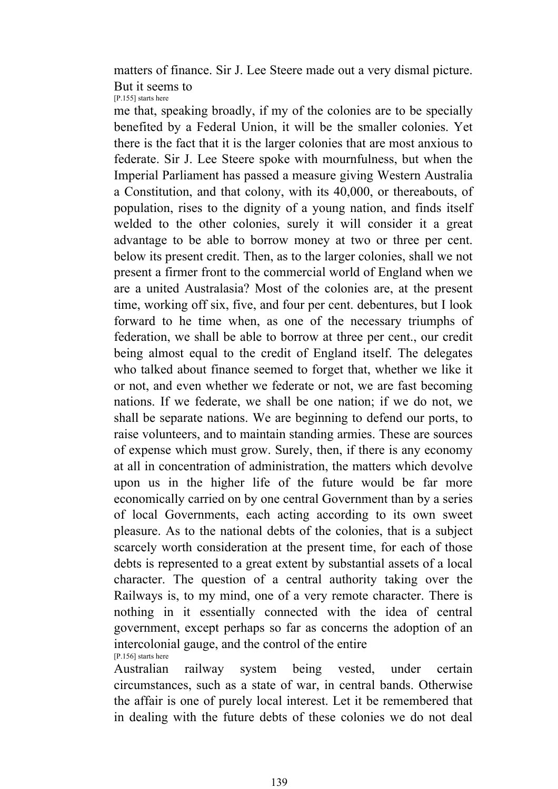matters of finance. Sir J. Lee Steere made out a very dismal picture. But it seems to [P.155] starts here

me that, speaking broadly, if my of the colonies are to be specially benefited by a Federal Union, it will be the smaller colonies. Yet there is the fact that it is the larger colonies that are most anxious to federate. Sir J. Lee Steere spoke with mournfulness, but when the Imperial Parliament has passed a measure giving Western Australia a Constitution, and that colony, with its 40,000, or thereabouts, of population, rises to the dignity of a young nation, and finds itself welded to the other colonies, surely it will consider it a great advantage to be able to borrow money at two or three per cent. below its present credit. Then, as to the larger colonies, shall we not present a firmer front to the commercial world of England when we are a united Australasia? Most of the colonies are, at the present time, working off six, five, and four per cent. debentures, but I look forward to he time when, as one of the necessary triumphs of federation, we shall be able to borrow at three per cent., our credit being almost equal to the credit of England itself. The delegates who talked about finance seemed to forget that, whether we like it or not, and even whether we federate or not, we are fast becoming nations. If we federate, we shall be one nation; if we do not, we shall be separate nations. We are beginning to defend our ports, to raise volunteers, and to maintain standing armies. These are sources of expense which must grow. Surely, then, if there is any economy at all in concentration of administration, the matters which devolve upon us in the higher life of the future would be far more economically carried on by one central Government than by a series of local Governments, each acting according to its own sweet pleasure. As to the national debts of the colonies, that is a subject scarcely worth consideration at the present time, for each of those debts is represented to a great extent by substantial assets of a local character. The question of a central authority taking over the Railways is, to my mind, one of a very remote character. There is nothing in it essentially connected with the idea of central government, except perhaps so far as concerns the adoption of an intercolonial gauge, and the control of the entire [P.156] starts here

Australian railway system being vested, under certain circumstances, such as a state of war, in central bands. Otherwise the affair is one of purely local interest. Let it be remembered that in dealing with the future debts of these colonies we do not deal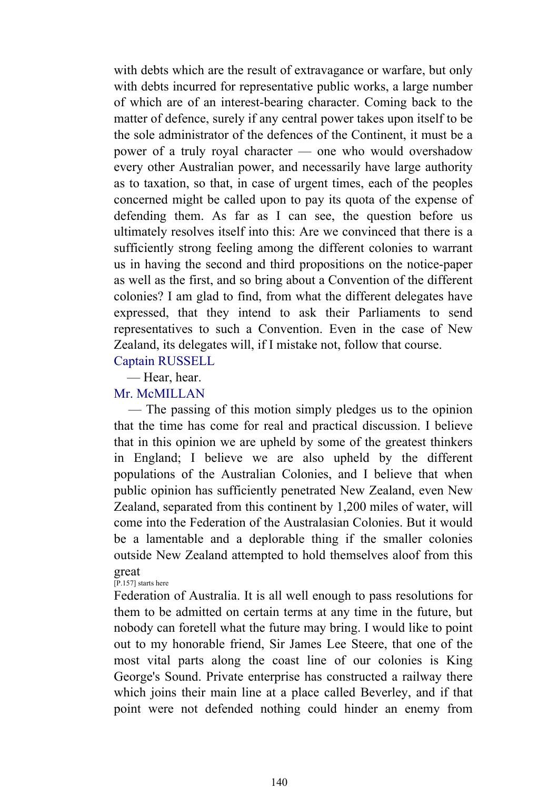with debts which are the result of extravagance or warfare, but only with debts incurred for representative public works, a large number of which are of an interest-bearing character. Coming back to the matter of defence, surely if any central power takes upon itself to be the sole administrator of the defences of the Continent, it must be a power of a truly royal character — one who would overshadow every other Australian power, and necessarily have large authority as to taxation, so that, in case of urgent times, each of the peoples concerned might be called upon to pay its quota of the expense of defending them. As far as I can see, the question before us ultimately resolves itself into this: Are we convinced that there is a sufficiently strong feeling among the different colonies to warrant us in having the second and third propositions on the notice-paper as well as the first, and so bring about a Convention of the different colonies? I am glad to find, from what the different delegates have expressed, that they intend to ask their Parliaments to send representatives to such a Convention. Even in the case of New Zealand, its delegates will, if I mistake not, follow that course.

Captain RUSSELL — Hear, hear.

# Mr. McMILLAN

 — The passing of this motion simply pledges us to the opinion that the time has come for real and practical discussion. I believe that in this opinion we are upheld by some of the greatest thinkers in England; I believe we are also upheld by the different populations of the Australian Colonies, and I believe that when public opinion has sufficiently penetrated New Zealand, even New Zealand, separated from this continent by 1,200 miles of water, will come into the Federation of the Australasian Colonies. But it would be a lamentable and a deplorable thing if the smaller colonies outside New Zealand attempted to hold themselves aloof from this great

#### [P.157] starts here

Federation of Australia. It is all well enough to pass resolutions for them to be admitted on certain terms at any time in the future, but nobody can foretell what the future may bring. I would like to point out to my honorable friend, Sir James Lee Steere, that one of the most vital parts along the coast line of our colonies is King George's Sound. Private enterprise has constructed a railway there which joins their main line at a place called Beverley, and if that point were not defended nothing could hinder an enemy from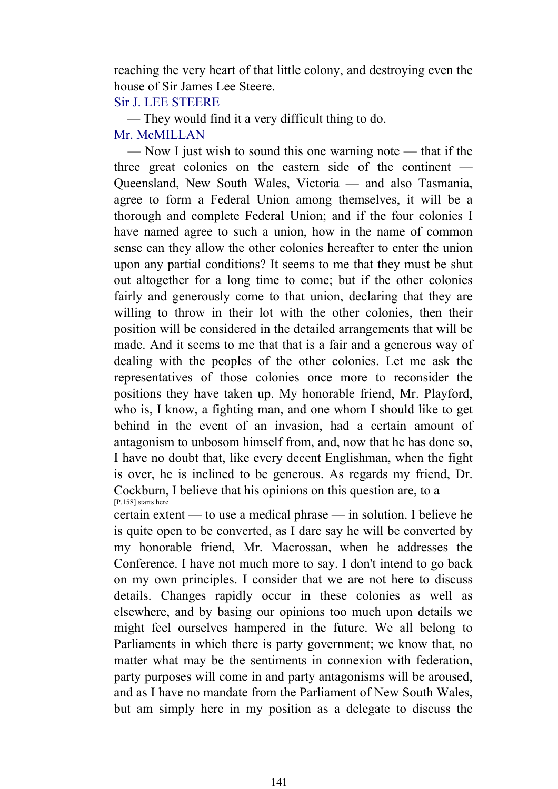reaching the very heart of that little colony, and destroying even the house of Sir James Lee Steere.

# Sir J. LEE STEERE

 — They would find it a very difficult thing to do. Mr. McMILLAN

 — Now I just wish to sound this one warning note — that if the three great colonies on the eastern side of the continent — Queensland, New South Wales, Victoria — and also Tasmania, agree to form a Federal Union among themselves, it will be a thorough and complete Federal Union; and if the four colonies I have named agree to such a union, how in the name of common sense can they allow the other colonies hereafter to enter the union upon any partial conditions? It seems to me that they must be shut out altogether for a long time to come; but if the other colonies fairly and generously come to that union, declaring that they are willing to throw in their lot with the other colonies, then their position will be considered in the detailed arrangements that will be made. And it seems to me that that is a fair and a generous way of dealing with the peoples of the other colonies. Let me ask the representatives of those colonies once more to reconsider the positions they have taken up. My honorable friend, Mr. Playford, who is, I know, a fighting man, and one whom I should like to get behind in the event of an invasion, had a certain amount of antagonism to unbosom himself from, and, now that he has done so, I have no doubt that, like every decent Englishman, when the fight is over, he is inclined to be generous. As regards my friend, Dr. Cockburn, I believe that his opinions on this question are, to a [P.158] starts here

certain extent — to use a medical phrase — in solution. I believe he is quite open to be converted, as I dare say he will be converted by my honorable friend, Mr. Macrossan, when he addresses the Conference. I have not much more to say. I don't intend to go back on my own principles. I consider that we are not here to discuss details. Changes rapidly occur in these colonies as well as elsewhere, and by basing our opinions too much upon details we might feel ourselves hampered in the future. We all belong to Parliaments in which there is party government; we know that, no matter what may be the sentiments in connexion with federation, party purposes will come in and party antagonisms will be aroused, and as I have no mandate from the Parliament of New South Wales, but am simply here in my position as a delegate to discuss the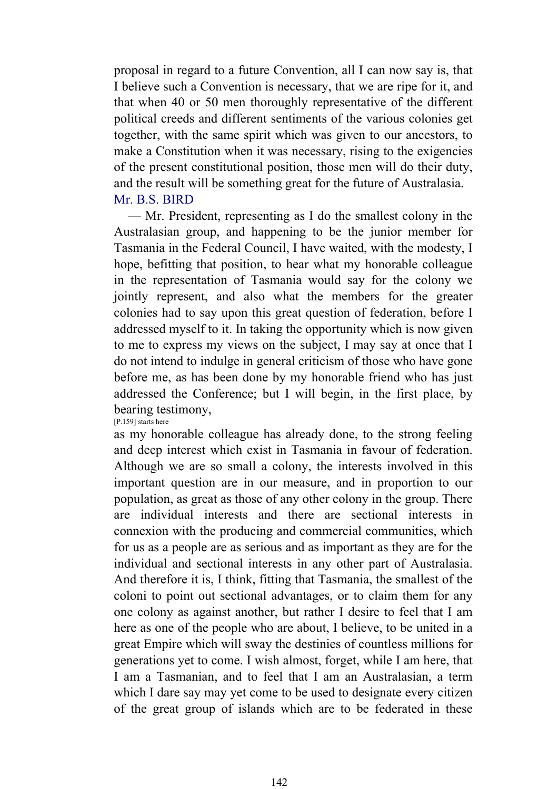proposal in regard to a future Convention, all I can now say is, that I believe such a Convention is necessary, that we are ripe for it, and that when 40 or 50 men thoroughly representative of the different political creeds and different sentiments of the various colonies get together, with the same spirit which was given to our ancestors, to make a Constitution when it was necessary, rising to the exigencies of the present constitutional position, those men will do their duty, and the result will be something great for the future of Australasia. Mr. B.S. BIRD

 — Mr. President, representing as I do the smallest colony in the Australasian group, and happening to be the junior member for Tasmania in the Federal Council, I have waited, with the modesty, I hope, befitting that position, to hear what my honorable colleague in the representation of Tasmania would say for the colony we jointly represent, and also what the members for the greater colonies had to say upon this great question of federation, before I addressed myself to it. In taking the opportunity which is now given to me to express my views on the subject, I may say at once that I do not intend to indulge in general criticism of those who have gone before me, as has been done by my honorable friend who has just addressed the Conference; but I will begin, in the first place, by bearing testimony,

[P.159] starts here

as my honorable colleague has already done, to the strong feeling and deep interest which exist in Tasmania in favour of federation. Although we are so small a colony, the interests involved in this important question are in our measure, and in proportion to our population, as great as those of any other colony in the group. There are individual interests and there are sectional interests in connexion with the producing and commercial communities, which for us as a people are as serious and as important as they are for the individual and sectional interests in any other part of Australasia. And therefore it is, I think, fitting that Tasmania, the smallest of the coloni to point out sectional advantages, or to claim them for any one colony as against another, but rather I desire to feel that I am here as one of the people who are about, I believe, to be united in a great Empire which will sway the destinies of countless millions for generations yet to come. I wish almost, forget, while I am here, that I am a Tasmanian, and to feel that I am an Australasian, a term which I dare say may yet come to be used to designate every citizen of the great group of islands which are to be federated in these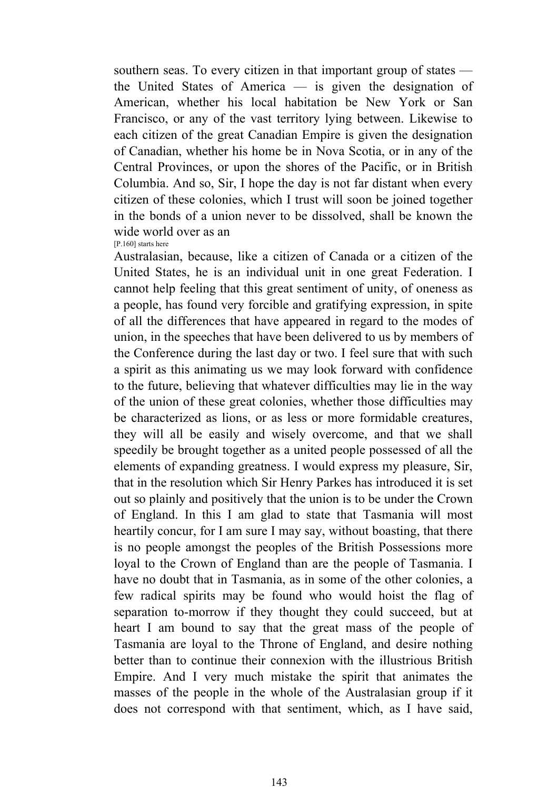southern seas. To every citizen in that important group of states the United States of America — is given the designation of American, whether his local habitation be New York or San Francisco, or any of the vast territory lying between. Likewise to each citizen of the great Canadian Empire is given the designation of Canadian, whether his home be in Nova Scotia, or in any of the Central Provinces, or upon the shores of the Pacific, or in British Columbia. And so, Sir, I hope the day is not far distant when every citizen of these colonies, which I trust will soon be joined together in the bonds of a union never to be dissolved, shall be known the wide world over as an [P.160] starts here

Australasian, because, like a citizen of Canada or a citizen of the United States, he is an individual unit in one great Federation. I cannot help feeling that this great sentiment of unity, of oneness as a people, has found very forcible and gratifying expression, in spite of all the differences that have appeared in regard to the modes of union, in the speeches that have been delivered to us by members of the Conference during the last day or two. I feel sure that with such a spirit as this animating us we may look forward with confidence to the future, believing that whatever difficulties may lie in the way of the union of these great colonies, whether those difficulties may be characterized as lions, or as less or more formidable creatures, they will all be easily and wisely overcome, and that we shall speedily be brought together as a united people possessed of all the elements of expanding greatness. I would express my pleasure, Sir, that in the resolution which Sir Henry Parkes has introduced it is set out so plainly and positively that the union is to be under the Crown of England. In this I am glad to state that Tasmania will most heartily concur, for I am sure I may say, without boasting, that there is no people amongst the peoples of the British Possessions more loyal to the Crown of England than are the people of Tasmania. I have no doubt that in Tasmania, as in some of the other colonies, a few radical spirits may be found who would hoist the flag of separation to-morrow if they thought they could succeed, but at heart I am bound to say that the great mass of the people of Tasmania are loyal to the Throne of England, and desire nothing better than to continue their connexion with the illustrious British Empire. And I very much mistake the spirit that animates the masses of the people in the whole of the Australasian group if it does not correspond with that sentiment, which, as I have said,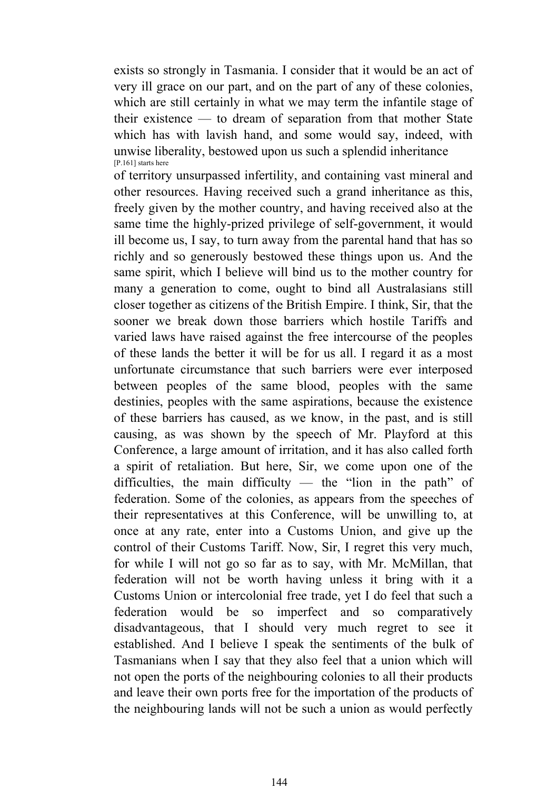exists so strongly in Tasmania. I consider that it would be an act of very ill grace on our part, and on the part of any of these colonies, which are still certainly in what we may term the infantile stage of their existence — to dream of separation from that mother State which has with lavish hand, and some would say, indeed, with unwise liberality, bestowed upon us such a splendid inheritance [P.161] starts here

of territory unsurpassed infertility, and containing vast mineral and other resources. Having received such a grand inheritance as this, freely given by the mother country, and having received also at the same time the highly-prized privilege of self-government, it would ill become us, I say, to turn away from the parental hand that has so richly and so generously bestowed these things upon us. And the same spirit, which I believe will bind us to the mother country for many a generation to come, ought to bind all Australasians still closer together as citizens of the British Empire. I think, Sir, that the sooner we break down those barriers which hostile Tariffs and varied laws have raised against the free intercourse of the peoples of these lands the better it will be for us all. I regard it as a most unfortunate circumstance that such barriers were ever interposed between peoples of the same blood, peoples with the same destinies, peoples with the same aspirations, because the existence of these barriers has caused, as we know, in the past, and is still causing, as was shown by the speech of Mr. Playford at this Conference, a large amount of irritation, and it has also called forth a spirit of retaliation. But here, Sir, we come upon one of the difficulties, the main difficulty — the "lion in the path" of federation. Some of the colonies, as appears from the speeches of their representatives at this Conference, will be unwilling to, at once at any rate, enter into a Customs Union, and give up the control of their Customs Tariff. Now, Sir, I regret this very much, for while I will not go so far as to say, with Mr. McMillan, that federation will not be worth having unless it bring with it a Customs Union or intercolonial free trade, yet I do feel that such a federation would be so imperfect and so comparatively disadvantageous, that I should very much regret to see it established. And I believe I speak the sentiments of the bulk of Tasmanians when I say that they also feel that a union which will not open the ports of the neighbouring colonies to all their products and leave their own ports free for the importation of the products of the neighbouring lands will not be such a union as would perfectly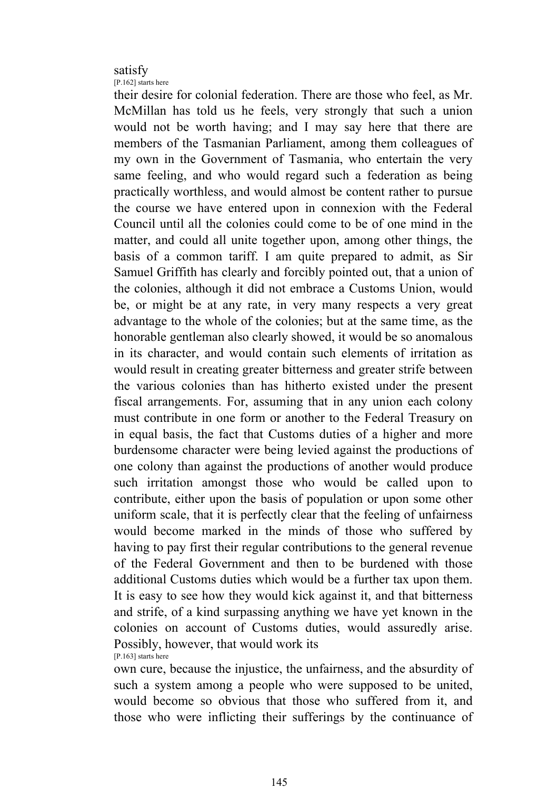# satisfy

[P.162] starts here

their desire for colonial federation. There are those who feel, as Mr. McMillan has told us he feels, very strongly that such a union would not be worth having; and I may say here that there are members of the Tasmanian Parliament, among them colleagues of my own in the Government of Tasmania, who entertain the very same feeling, and who would regard such a federation as being practically worthless, and would almost be content rather to pursue the course we have entered upon in connexion with the Federal Council until all the colonies could come to be of one mind in the matter, and could all unite together upon, among other things, the basis of a common tariff. I am quite prepared to admit, as Sir Samuel Griffith has clearly and forcibly pointed out, that a union of the colonies, although it did not embrace a Customs Union, would be, or might be at any rate, in very many respects a very great advantage to the whole of the colonies; but at the same time, as the honorable gentleman also clearly showed, it would be so anomalous in its character, and would contain such elements of irritation as would result in creating greater bitterness and greater strife between the various colonies than has hitherto existed under the present fiscal arrangements. For, assuming that in any union each colony must contribute in one form or another to the Federal Treasury on in equal basis, the fact that Customs duties of a higher and more burdensome character were being levied against the productions of one colony than against the productions of another would produce such irritation amongst those who would be called upon to contribute, either upon the basis of population or upon some other uniform scale, that it is perfectly clear that the feeling of unfairness would become marked in the minds of those who suffered by having to pay first their regular contributions to the general revenue of the Federal Government and then to be burdened with those additional Customs duties which would be a further tax upon them. It is easy to see how they would kick against it, and that bitterness and strife, of a kind surpassing anything we have yet known in the colonies on account of Customs duties, would assuredly arise. Possibly, however, that would work its [P.163] starts here

own cure, because the injustice, the unfairness, and the absurdity of such a system among a people who were supposed to be united, would become so obvious that those who suffered from it, and those who were inflicting their sufferings by the continuance of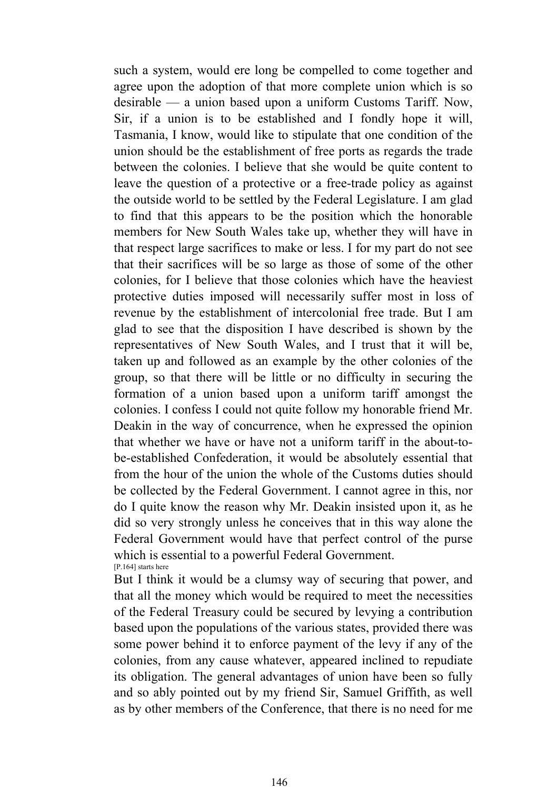such a system, would ere long be compelled to come together and agree upon the adoption of that more complete union which is so desirable — a union based upon a uniform Customs Tariff. Now, Sir, if a union is to be established and I fondly hope it will, Tasmania, I know, would like to stipulate that one condition of the union should be the establishment of free ports as regards the trade between the colonies. I believe that she would be quite content to leave the question of a protective or a free-trade policy as against the outside world to be settled by the Federal Legislature. I am glad to find that this appears to be the position which the honorable members for New South Wales take up, whether they will have in that respect large sacrifices to make or less. I for my part do not see that their sacrifices will be so large as those of some of the other colonies, for I believe that those colonies which have the heaviest protective duties imposed will necessarily suffer most in loss of revenue by the establishment of intercolonial free trade. But I am glad to see that the disposition I have described is shown by the representatives of New South Wales, and I trust that it will be, taken up and followed as an example by the other colonies of the group, so that there will be little or no difficulty in securing the formation of a union based upon a uniform tariff amongst the colonies. I confess I could not quite follow my honorable friend Mr. Deakin in the way of concurrence, when he expressed the opinion that whether we have or have not a uniform tariff in the about-tobe-established Confederation, it would be absolutely essential that from the hour of the union the whole of the Customs duties should be collected by the Federal Government. I cannot agree in this, nor do I quite know the reason why Mr. Deakin insisted upon it, as he did so very strongly unless he conceives that in this way alone the Federal Government would have that perfect control of the purse which is essential to a powerful Federal Government. [P.164] starts here

But I think it would be a clumsy way of securing that power, and that all the money which would be required to meet the necessities of the Federal Treasury could be secured by levying a contribution based upon the populations of the various states, provided there was some power behind it to enforce payment of the levy if any of the colonies, from any cause whatever, appeared inclined to repudiate its obligation. The general advantages of union have been so fully and so ably pointed out by my friend Sir, Samuel Griffith, as well as by other members of the Conference, that there is no need for me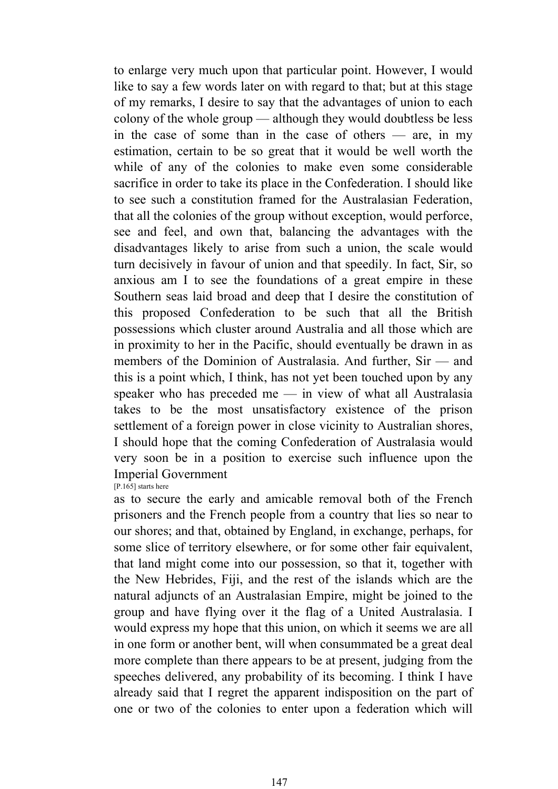to enlarge very much upon that particular point. However, I would like to say a few words later on with regard to that; but at this stage of my remarks, I desire to say that the advantages of union to each colony of the whole group — although they would doubtless be less in the case of some than in the case of others — are, in my estimation, certain to be so great that it would be well worth the while of any of the colonies to make even some considerable sacrifice in order to take its place in the Confederation. I should like to see such a constitution framed for the Australasian Federation, that all the colonies of the group without exception, would perforce, see and feel, and own that, balancing the advantages with the disadvantages likely to arise from such a union, the scale would turn decisively in favour of union and that speedily. In fact, Sir, so anxious am I to see the foundations of a great empire in these Southern seas laid broad and deep that I desire the constitution of this proposed Confederation to be such that all the British possessions which cluster around Australia and all those which are in proximity to her in the Pacific, should eventually be drawn in as members of the Dominion of Australasia. And further, Sir — and this is a point which, I think, has not yet been touched upon by any speaker who has preceded me — in view of what all Australasia takes to be the most unsatisfactory existence of the prison settlement of a foreign power in close vicinity to Australian shores, I should hope that the coming Confederation of Australasia would very soon be in a position to exercise such influence upon the Imperial Government

[P.165] starts here

as to secure the early and amicable removal both of the French prisoners and the French people from a country that lies so near to our shores; and that, obtained by England, in exchange, perhaps, for some slice of territory elsewhere, or for some other fair equivalent, that land might come into our possession, so that it, together with the New Hebrides, Fiji, and the rest of the islands which are the natural adjuncts of an Australasian Empire, might be joined to the group and have flying over it the flag of a United Australasia. I would express my hope that this union, on which it seems we are all in one form or another bent, will when consummated be a great deal more complete than there appears to be at present, judging from the speeches delivered, any probability of its becoming. I think I have already said that I regret the apparent indisposition on the part of one or two of the colonies to enter upon a federation which will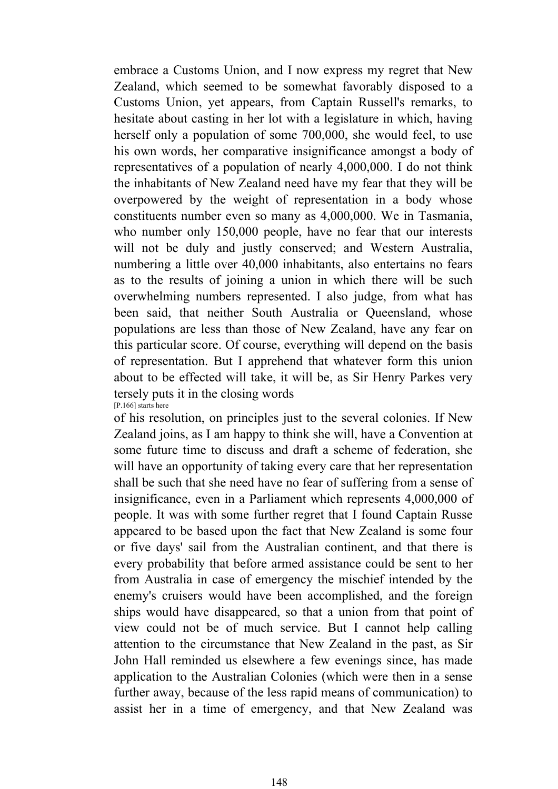embrace a Customs Union, and I now express my regret that New Zealand, which seemed to be somewhat favorably disposed to a Customs Union, yet appears, from Captain Russell's remarks, to hesitate about casting in her lot with a legislature in which, having herself only a population of some 700,000, she would feel, to use his own words, her comparative insignificance amongst a body of representatives of a population of nearly 4,000,000. I do not think the inhabitants of New Zealand need have my fear that they will be overpowered by the weight of representation in a body whose constituents number even so many as 4,000,000. We in Tasmania, who number only 150,000 people, have no fear that our interests will not be duly and justly conserved; and Western Australia, numbering a little over 40,000 inhabitants, also entertains no fears as to the results of joining a union in which there will be such overwhelming numbers represented. I also judge, from what has been said, that neither South Australia or Queensland, whose populations are less than those of New Zealand, have any fear on this particular score. Of course, everything will depend on the basis of representation. But I apprehend that whatever form this union about to be effected will take, it will be, as Sir Henry Parkes very tersely puts it in the closing words [P.166] starts here

of his resolution, on principles just to the several colonies. If New Zealand joins, as I am happy to think she will, have a Convention at some future time to discuss and draft a scheme of federation, she will have an opportunity of taking every care that her representation shall be such that she need have no fear of suffering from a sense of insignificance, even in a Parliament which represents 4,000,000 of people. It was with some further regret that I found Captain Russe appeared to be based upon the fact that New Zealand is some four or five days' sail from the Australian continent, and that there is every probability that before armed assistance could be sent to her from Australia in case of emergency the mischief intended by the enemy's cruisers would have been accomplished, and the foreign ships would have disappeared, so that a union from that point of view could not be of much service. But I cannot help calling attention to the circumstance that New Zealand in the past, as Sir John Hall reminded us elsewhere a few evenings since, has made application to the Australian Colonies (which were then in a sense further away, because of the less rapid means of communication) to assist her in a time of emergency, and that New Zealand was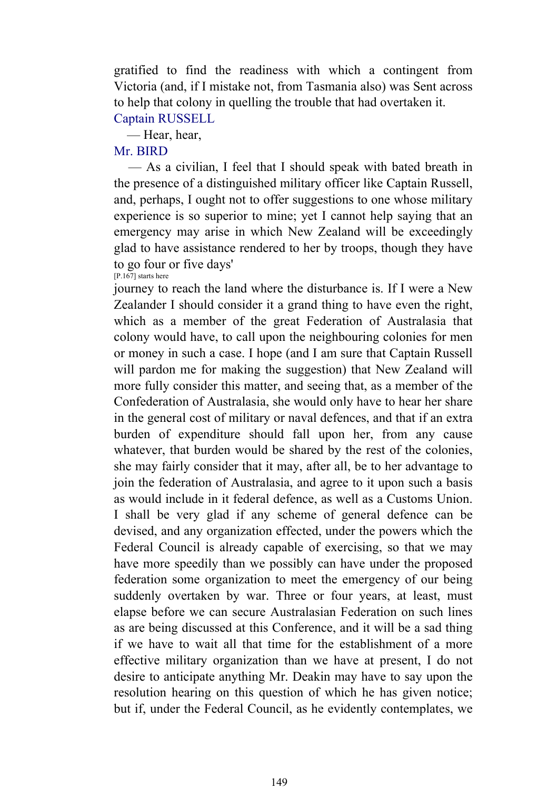gratified to find the readiness with which a contingent from Victoria (and, if I mistake not, from Tasmania also) was Sent across to help that colony in quelling the trouble that had overtaken it. Captain RUSSELL

— Hear, hear,

# Mr. BIRD

 — As a civilian, I feel that I should speak with bated breath in the presence of a distinguished military officer like Captain Russell, and, perhaps, I ought not to offer suggestions to one whose military experience is so superior to mine; yet I cannot help saying that an emergency may arise in which New Zealand will be exceedingly glad to have assistance rendered to her by troops, though they have to go four or five days' [P.167] starts here

journey to reach the land where the disturbance is. If I were a New Zealander I should consider it a grand thing to have even the right, which as a member of the great Federation of Australasia that colony would have, to call upon the neighbouring colonies for men or money in such a case. I hope (and I am sure that Captain Russell will pardon me for making the suggestion) that New Zealand will more fully consider this matter, and seeing that, as a member of the Confederation of Australasia, she would only have to hear her share in the general cost of military or naval defences, and that if an extra burden of expenditure should fall upon her, from any cause whatever, that burden would be shared by the rest of the colonies, she may fairly consider that it may, after all, be to her advantage to join the federation of Australasia, and agree to it upon such a basis as would include in it federal defence, as well as a Customs Union. I shall be very glad if any scheme of general defence can be devised, and any organization effected, under the powers which the Federal Council is already capable of exercising, so that we may have more speedily than we possibly can have under the proposed federation some organization to meet the emergency of our being suddenly overtaken by war. Three or four years, at least, must elapse before we can secure Australasian Federation on such lines as are being discussed at this Conference, and it will be a sad thing if we have to wait all that time for the establishment of a more effective military organization than we have at present, I do not desire to anticipate anything Mr. Deakin may have to say upon the resolution hearing on this question of which he has given notice; but if, under the Federal Council, as he evidently contemplates, we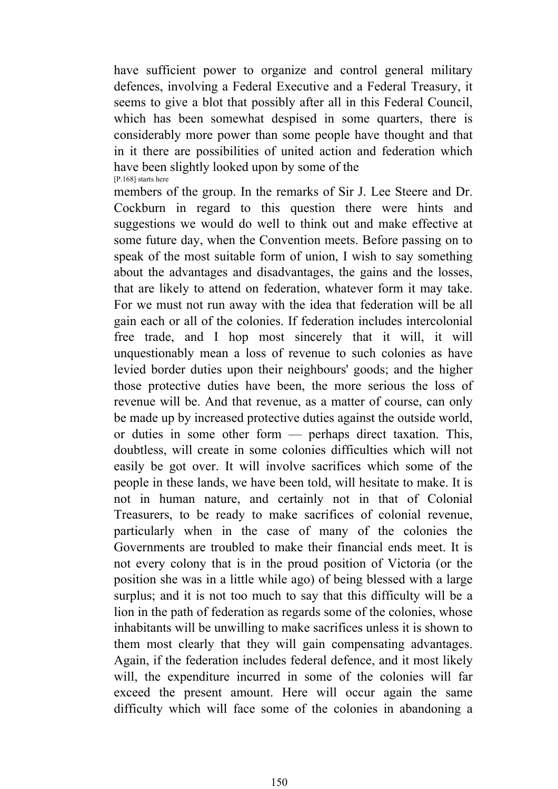have sufficient power to organize and control general military defences, involving a Federal Executive and a Federal Treasury, it seems to give a blot that possibly after all in this Federal Council, which has been somewhat despised in some quarters, there is considerably more power than some people have thought and that in it there are possibilities of united action and federation which have been slightly looked upon by some of the [P.168] starts here

members of the group. In the remarks of Sir J. Lee Steere and Dr. Cockburn in regard to this question there were hints and suggestions we would do well to think out and make effective at some future day, when the Convention meets. Before passing on to speak of the most suitable form of union, I wish to say something about the advantages and disadvantages, the gains and the losses, that are likely to attend on federation, whatever form it may take. For we must not run away with the idea that federation will be all gain each or all of the colonies. If federation includes intercolonial free trade, and I hop most sincerely that it will, it will unquestionably mean a loss of revenue to such colonies as have levied border duties upon their neighbours' goods; and the higher those protective duties have been, the more serious the loss of revenue will be. And that revenue, as a matter of course, can only be made up by increased protective duties against the outside world, or duties in some other form — perhaps direct taxation. This, doubtless, will create in some colonies difficulties which will not easily be got over. It will involve sacrifices which some of the people in these lands, we have been told, will hesitate to make. It is not in human nature, and certainly not in that of Colonial Treasurers, to be ready to make sacrifices of colonial revenue, particularly when in the case of many of the colonies the Governments are troubled to make their financial ends meet. It is not every colony that is in the proud position of Victoria (or the position she was in a little while ago) of being blessed with a large surplus; and it is not too much to say that this difficulty will be a lion in the path of federation as regards some of the colonies, whose inhabitants will be unwilling to make sacrifices unless it is shown to them most clearly that they will gain compensating advantages. Again, if the federation includes federal defence, and it most likely will, the expenditure incurred in some of the colonies will far exceed the present amount. Here will occur again the same difficulty which will face some of the colonies in abandoning a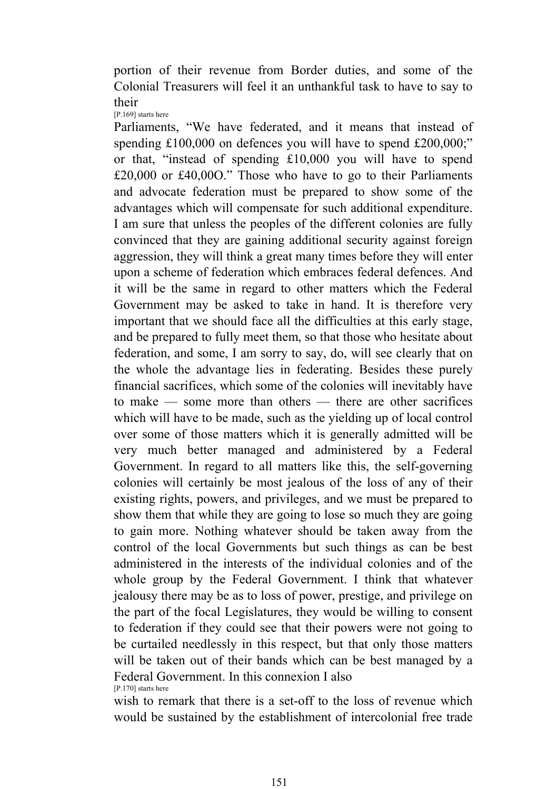portion of their revenue from Border duties, and some of the Colonial Treasurers will feel it an unthankful task to have to say to their [P.169] starts here

Parliaments, "We have federated, and it means that instead of spending £100,000 on defences you will have to spend £200,000;" or that, "instead of spending £10,000 you will have to spend £20,000 or £40,00O." Those who have to go to their Parliaments and advocate federation must be prepared to show some of the advantages which will compensate for such additional expenditure. I am sure that unless the peoples of the different colonies are fully convinced that they are gaining additional security against foreign aggression, they will think a great many times before they will enter upon a scheme of federation which embraces federal defences. And it will be the same in regard to other matters which the Federal Government may be asked to take in hand. It is therefore very important that we should face all the difficulties at this early stage, and be prepared to fully meet them, so that those who hesitate about federation, and some, I am sorry to say, do, will see clearly that on the whole the advantage lies in federating. Besides these purely financial sacrifices, which some of the colonies will inevitably have to make — some more than others — there are other sacrifices which will have to be made, such as the yielding up of local control over some of those matters which it is generally admitted will be very much better managed and administered by a Federal Government. In regard to all matters like this, the self-governing colonies will certainly be most jealous of the loss of any of their existing rights, powers, and privileges, and we must be prepared to show them that while they are going to lose so much they are going to gain more. Nothing whatever should be taken away from the control of the local Governments but such things as can be best administered in the interests of the individual colonies and of the whole group by the Federal Government. I think that whatever jealousy there may be as to loss of power, prestige, and privilege on the part of the focal Legislatures, they would be willing to consent to federation if they could see that their powers were not going to be curtailed needlessly in this respect, but that only those matters will be taken out of their bands which can be best managed by a Federal Government. In this connexion I also [P.170] starts here

wish to remark that there is a set-off to the loss of revenue which would be sustained by the establishment of intercolonial free trade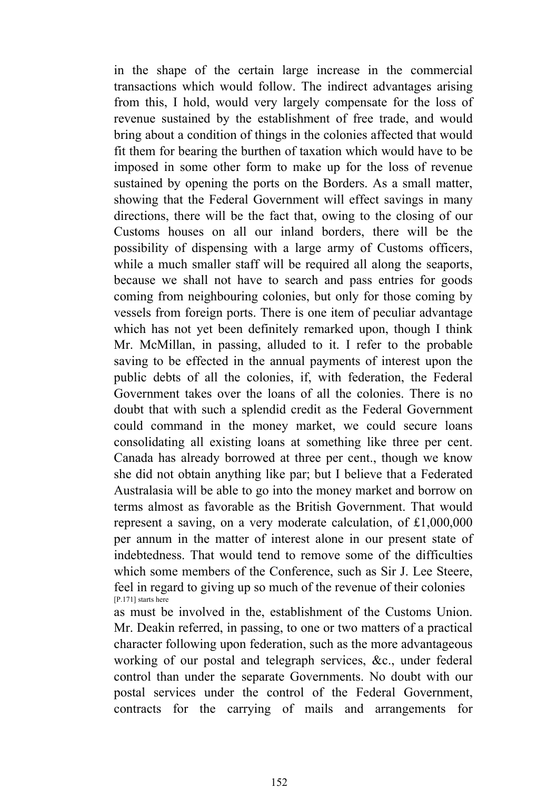in the shape of the certain large increase in the commercial transactions which would follow. The indirect advantages arising from this, I hold, would very largely compensate for the loss of revenue sustained by the establishment of free trade, and would bring about a condition of things in the colonies affected that would fit them for bearing the burthen of taxation which would have to be imposed in some other form to make up for the loss of revenue sustained by opening the ports on the Borders. As a small matter, showing that the Federal Government will effect savings in many directions, there will be the fact that, owing to the closing of our Customs houses on all our inland borders, there will be the possibility of dispensing with a large army of Customs officers, while a much smaller staff will be required all along the seaports, because we shall not have to search and pass entries for goods coming from neighbouring colonies, but only for those coming by vessels from foreign ports. There is one item of peculiar advantage which has not yet been definitely remarked upon, though I think Mr. McMillan, in passing, alluded to it. I refer to the probable saving to be effected in the annual payments of interest upon the public debts of all the colonies, if, with federation, the Federal Government takes over the loans of all the colonies. There is no doubt that with such a splendid credit as the Federal Government could command in the money market, we could secure loans consolidating all existing loans at something like three per cent. Canada has already borrowed at three per cent., though we know she did not obtain anything like par; but I believe that a Federated Australasia will be able to go into the money market and borrow on terms almost as favorable as the British Government. That would represent a saving, on a very moderate calculation, of £1,000,000 per annum in the matter of interest alone in our present state of indebtedness. That would tend to remove some of the difficulties which some members of the Conference, such as Sir J. Lee Steere, feel in regard to giving up so much of the revenue of their colonies [P.171] starts here

as must be involved in the, establishment of the Customs Union. Mr. Deakin referred, in passing, to one or two matters of a practical character following upon federation, such as the more advantageous working of our postal and telegraph services, &c., under federal control than under the separate Governments. No doubt with our postal services under the control of the Federal Government, contracts for the carrying of mails and arrangements for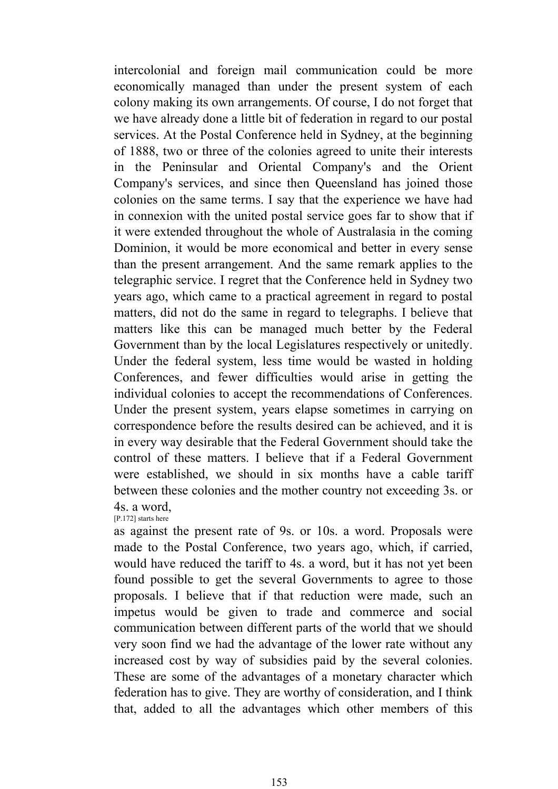intercolonial and foreign mail communication could be more economically managed than under the present system of each colony making its own arrangements. Of course, I do not forget that we have already done a little bit of federation in regard to our postal services. At the Postal Conference held in Sydney, at the beginning of 1888, two or three of the colonies agreed to unite their interests in the Peninsular and Oriental Company's and the Orient Company's services, and since then Queensland has joined those colonies on the same terms. I say that the experience we have had in connexion with the united postal service goes far to show that if it were extended throughout the whole of Australasia in the coming Dominion, it would be more economical and better in every sense than the present arrangement. And the same remark applies to the telegraphic service. I regret that the Conference held in Sydney two years ago, which came to a practical agreement in regard to postal matters, did not do the same in regard to telegraphs. I believe that matters like this can be managed much better by the Federal Government than by the local Legislatures respectively or unitedly. Under the federal system, less time would be wasted in holding Conferences, and fewer difficulties would arise in getting the individual colonies to accept the recommendations of Conferences. Under the present system, years elapse sometimes in carrying on correspondence before the results desired can be achieved, and it is in every way desirable that the Federal Government should take the control of these matters. I believe that if a Federal Government were established, we should in six months have a cable tariff between these colonies and the mother country not exceeding 3s. or 4s. a word,

[P.172] starts here

as against the present rate of 9s. or 10s. a word. Proposals were made to the Postal Conference, two years ago, which, if carried, would have reduced the tariff to 4s. a word, but it has not yet been found possible to get the several Governments to agree to those proposals. I believe that if that reduction were made, such an impetus would be given to trade and commerce and social communication between different parts of the world that we should very soon find we had the advantage of the lower rate without any increased cost by way of subsidies paid by the several colonies. These are some of the advantages of a monetary character which federation has to give. They are worthy of consideration, and I think that, added to all the advantages which other members of this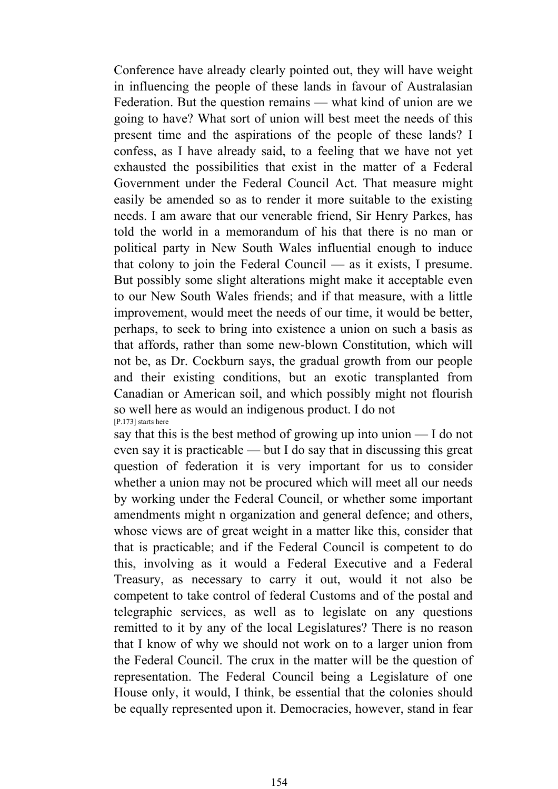Conference have already clearly pointed out, they will have weight in influencing the people of these lands in favour of Australasian Federation. But the question remains — what kind of union are we going to have? What sort of union will best meet the needs of this present time and the aspirations of the people of these lands? I confess, as I have already said, to a feeling that we have not yet exhausted the possibilities that exist in the matter of a Federal Government under the Federal Council Act. That measure might easily be amended so as to render it more suitable to the existing needs. I am aware that our venerable friend, Sir Henry Parkes, has told the world in a memorandum of his that there is no man or political party in New South Wales influential enough to induce that colony to join the Federal Council — as it exists, I presume. But possibly some slight alterations might make it acceptable even to our New South Wales friends; and if that measure, with a little improvement, would meet the needs of our time, it would be better, perhaps, to seek to bring into existence a union on such a basis as that affords, rather than some new-blown Constitution, which will not be, as Dr. Cockburn says, the gradual growth from our people and their existing conditions, but an exotic transplanted from Canadian or American soil, and which possibly might not flourish so well here as would an indigenous product. I do not [P.173] starts here

say that this is the best method of growing up into union — I do not even say it is practicable — but I do say that in discussing this great question of federation it is very important for us to consider whether a union may not be procured which will meet all our needs by working under the Federal Council, or whether some important amendments might n organization and general defence; and others, whose views are of great weight in a matter like this, consider that that is practicable; and if the Federal Council is competent to do this, involving as it would a Federal Executive and a Federal Treasury, as necessary to carry it out, would it not also be competent to take control of federal Customs and of the postal and telegraphic services, as well as to legislate on any questions remitted to it by any of the local Legislatures? There is no reason that I know of why we should not work on to a larger union from the Federal Council. The crux in the matter will be the question of representation. The Federal Council being a Legislature of one House only, it would, I think, be essential that the colonies should be equally represented upon it. Democracies, however, stand in fear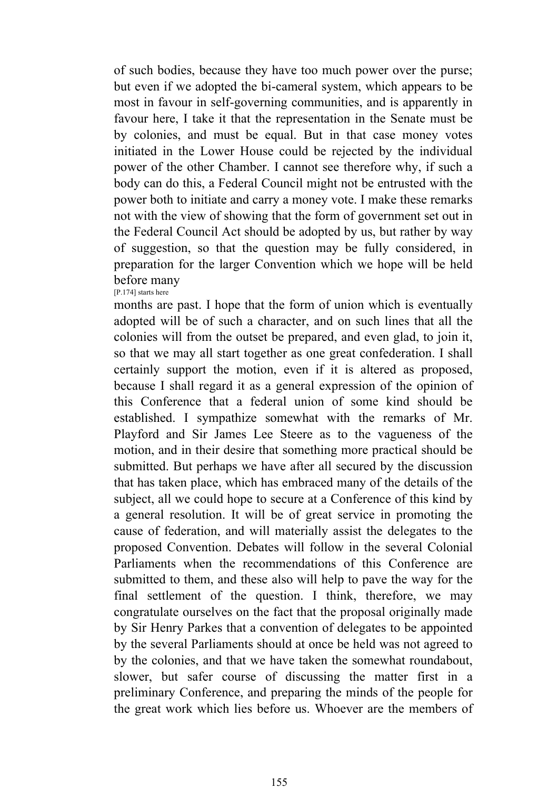of such bodies, because they have too much power over the purse; but even if we adopted the bi-cameral system, which appears to be most in favour in self-governing communities, and is apparently in favour here, I take it that the representation in the Senate must be by colonies, and must be equal. But in that case money votes initiated in the Lower House could be rejected by the individual power of the other Chamber. I cannot see therefore why, if such a body can do this, a Federal Council might not be entrusted with the power both to initiate and carry a money vote. I make these remarks not with the view of showing that the form of government set out in the Federal Council Act should be adopted by us, but rather by way of suggestion, so that the question may be fully considered, in preparation for the larger Convention which we hope will be held before many [P.174] starts here

months are past. I hope that the form of union which is eventually adopted will be of such a character, and on such lines that all the colonies will from the outset be prepared, and even glad, to join it, so that we may all start together as one great confederation. I shall certainly support the motion, even if it is altered as proposed, because I shall regard it as a general expression of the opinion of this Conference that a federal union of some kind should be established. I sympathize somewhat with the remarks of Mr. Playford and Sir James Lee Steere as to the vagueness of the motion, and in their desire that something more practical should be submitted. But perhaps we have after all secured by the discussion that has taken place, which has embraced many of the details of the subject, all we could hope to secure at a Conference of this kind by a general resolution. It will be of great service in promoting the cause of federation, and will materially assist the delegates to the proposed Convention. Debates will follow in the several Colonial Parliaments when the recommendations of this Conference are submitted to them, and these also will help to pave the way for the final settlement of the question. I think, therefore, we may congratulate ourselves on the fact that the proposal originally made by Sir Henry Parkes that a convention of delegates to be appointed by the several Parliaments should at once be held was not agreed to by the colonies, and that we have taken the somewhat roundabout, slower, but safer course of discussing the matter first in a preliminary Conference, and preparing the minds of the people for the great work which lies before us. Whoever are the members of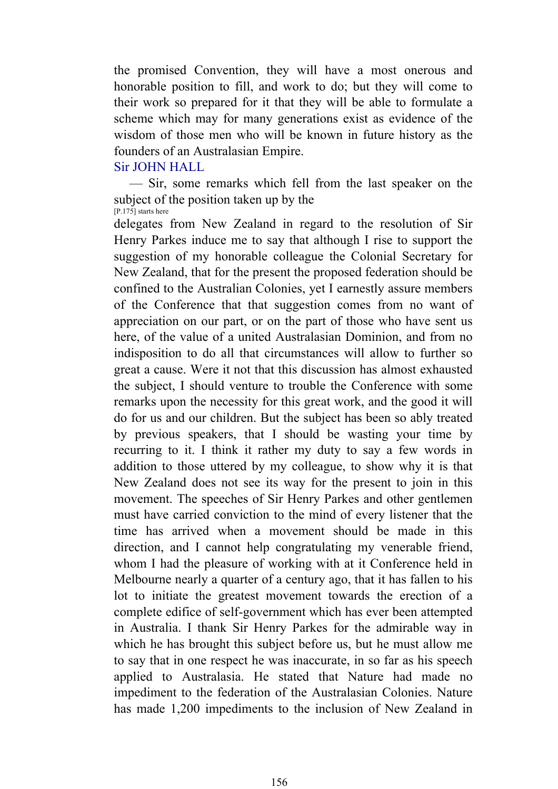the promised Convention, they will have a most onerous and honorable position to fill, and work to do; but they will come to their work so prepared for it that they will be able to formulate a scheme which may for many generations exist as evidence of the wisdom of those men who will be known in future history as the founders of an Australasian Empire.

### Sir JOHN HALL

 — Sir, some remarks which fell from the last speaker on the subject of the position taken up by the [P.175] starts here

delegates from New Zealand in regard to the resolution of Sir Henry Parkes induce me to say that although I rise to support the suggestion of my honorable colleague the Colonial Secretary for New Zealand, that for the present the proposed federation should be confined to the Australian Colonies, yet I earnestly assure members of the Conference that that suggestion comes from no want of appreciation on our part, or on the part of those who have sent us here, of the value of a united Australasian Dominion, and from no indisposition to do all that circumstances will allow to further so great a cause. Were it not that this discussion has almost exhausted the subject, I should venture to trouble the Conference with some remarks upon the necessity for this great work, and the good it will do for us and our children. But the subject has been so ably treated by previous speakers, that I should be wasting your time by recurring to it. I think it rather my duty to say a few words in addition to those uttered by my colleague, to show why it is that New Zealand does not see its way for the present to join in this movement. The speeches of Sir Henry Parkes and other gentlemen must have carried conviction to the mind of every listener that the time has arrived when a movement should be made in this direction, and I cannot help congratulating my venerable friend, whom I had the pleasure of working with at it Conference held in Melbourne nearly a quarter of a century ago, that it has fallen to his lot to initiate the greatest movement towards the erection of a complete edifice of self-government which has ever been attempted in Australia. I thank Sir Henry Parkes for the admirable way in which he has brought this subject before us, but he must allow me to say that in one respect he was inaccurate, in so far as his speech applied to Australasia. He stated that Nature had made no impediment to the federation of the Australasian Colonies. Nature has made 1,200 impediments to the inclusion of New Zealand in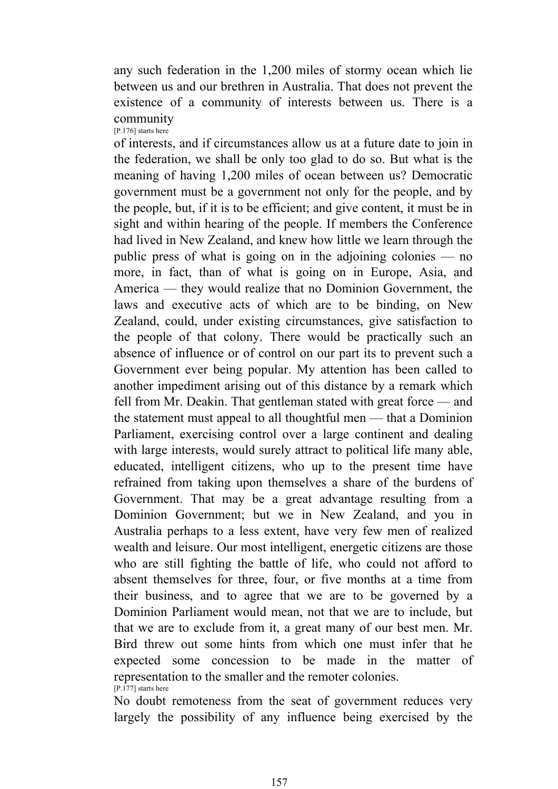any such federation in the 1,200 miles of stormy ocean which lie between us and our brethren in Australia. That does not prevent the existence of a community of interests between us. There is a community [P.176] starts here

of interests, and if circumstances allow us at a future date to join in the federation, we shall be only too glad to do so. But what is the meaning of having 1,200 miles of ocean between us? Democratic government must be a government not only for the people, and by the people, but, if it is to be efficient; and give content, it must be in sight and within hearing of the people. If members the Conference had lived in New Zealand, and knew how little we learn through the public press of what is going on in the adjoining colonies — no more, in fact, than of what is going on in Europe, Asia, and America — they would realize that no Dominion Government, the laws and executive acts of which are to be binding, on New Zealand, could, under existing circumstances, give satisfaction to the people of that colony. There would be practically such an absence of influence or of control on our part its to prevent such a Government ever being popular. My attention has been called to another impediment arising out of this distance by a remark which fell from Mr. Deakin. That gentleman stated with great force — and the statement must appeal to all thoughtful men — that a Dominion Parliament, exercising control over a large continent and dealing with large interests, would surely attract to political life many able, educated, intelligent citizens, who up to the present time have refrained from taking upon themselves a share of the burdens of Government. That may be a great advantage resulting from a Dominion Government; but we in New Zealand, and you in Australia perhaps to a less extent, have very few men of realized wealth and leisure. Our most intelligent, energetic citizens are those who are still fighting the battle of life, who could not afford to absent themselves for three, four, or five months at a time from their business, and to agree that we are to be governed by a Dominion Parliament would mean, not that we are to include, but that we are to exclude from it, a great many of our best men. Mr. Bird threw out some hints from which one must infer that he expected some concession to be made in the matter of representation to the smaller and the remoter colonies. [P.177] starts here

No doubt remoteness from the seat of government reduces very largely the possibility of any influence being exercised by the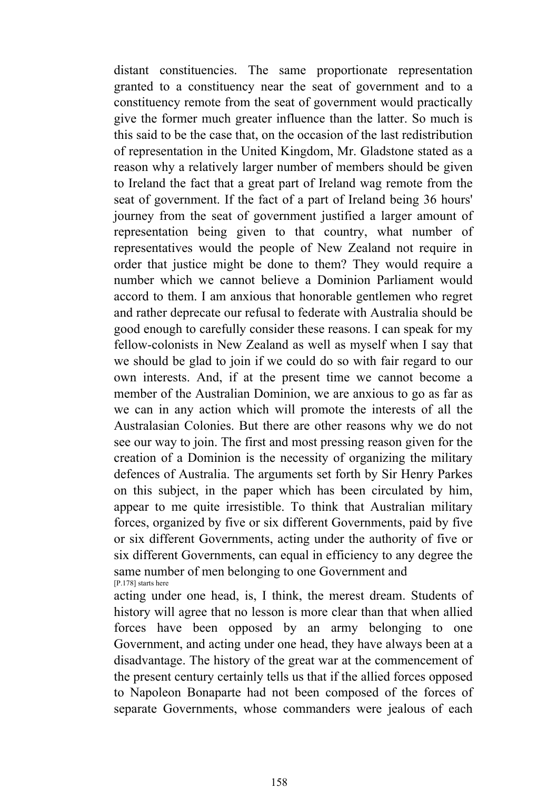distant constituencies. The same proportionate representation granted to a constituency near the seat of government and to a constituency remote from the seat of government would practically give the former much greater influence than the latter. So much is this said to be the case that, on the occasion of the last redistribution of representation in the United Kingdom, Mr. Gladstone stated as a reason why a relatively larger number of members should be given to Ireland the fact that a great part of Ireland wag remote from the seat of government. If the fact of a part of Ireland being 36 hours' journey from the seat of government justified a larger amount of representation being given to that country, what number of representatives would the people of New Zealand not require in order that justice might be done to them? They would require a number which we cannot believe a Dominion Parliament would accord to them. I am anxious that honorable gentlemen who regret and rather deprecate our refusal to federate with Australia should be good enough to carefully consider these reasons. I can speak for my fellow-colonists in New Zealand as well as myself when I say that we should be glad to join if we could do so with fair regard to our own interests. And, if at the present time we cannot become a member of the Australian Dominion, we are anxious to go as far as we can in any action which will promote the interests of all the Australasian Colonies. But there are other reasons why we do not see our way to join. The first and most pressing reason given for the creation of a Dominion is the necessity of organizing the military defences of Australia. The arguments set forth by Sir Henry Parkes on this subject, in the paper which has been circulated by him, appear to me quite irresistible. To think that Australian military forces, organized by five or six different Governments, paid by five or six different Governments, acting under the authority of five or six different Governments, can equal in efficiency to any degree the same number of men belonging to one Government and [P.178] starts here

acting under one head, is, I think, the merest dream. Students of history will agree that no lesson is more clear than that when allied forces have been opposed by an army belonging to one Government, and acting under one head, they have always been at a disadvantage. The history of the great war at the commencement of the present century certainly tells us that if the allied forces opposed to Napoleon Bonaparte had not been composed of the forces of separate Governments, whose commanders were jealous of each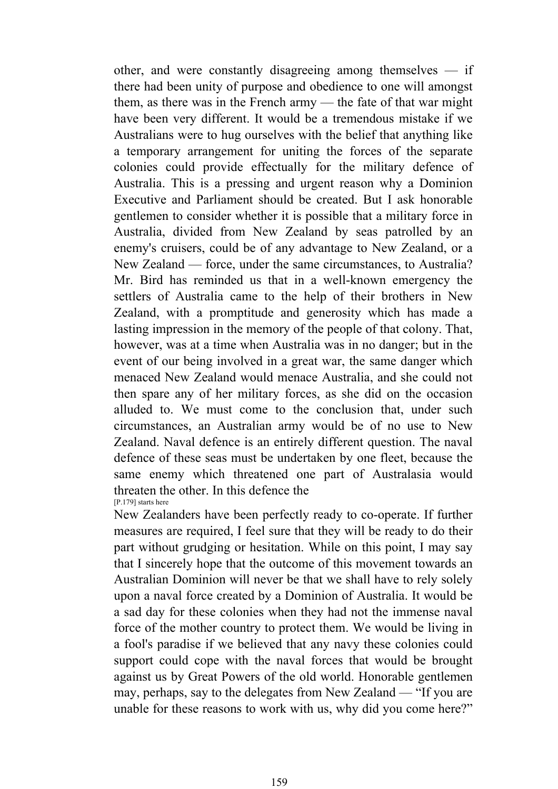other, and were constantly disagreeing among themselves — if there had been unity of purpose and obedience to one will amongst them, as there was in the French army — the fate of that war might have been very different. It would be a tremendous mistake if we Australians were to hug ourselves with the belief that anything like a temporary arrangement for uniting the forces of the separate colonies could provide effectually for the military defence of Australia. This is a pressing and urgent reason why a Dominion Executive and Parliament should be created. But I ask honorable gentlemen to consider whether it is possible that a military force in Australia, divided from New Zealand by seas patrolled by an enemy's cruisers, could be of any advantage to New Zealand, or a New Zealand — force, under the same circumstances, to Australia? Mr. Bird has reminded us that in a well-known emergency the settlers of Australia came to the help of their brothers in New Zealand, with a promptitude and generosity which has made a lasting impression in the memory of the people of that colony. That, however, was at a time when Australia was in no danger; but in the event of our being involved in a great war, the same danger which menaced New Zealand would menace Australia, and she could not then spare any of her military forces, as she did on the occasion alluded to. We must come to the conclusion that, under such circumstances, an Australian army would be of no use to New Zealand. Naval defence is an entirely different question. The naval defence of these seas must be undertaken by one fleet, because the same enemy which threatened one part of Australasia would threaten the other. In this defence the [P.179] starts here

New Zealanders have been perfectly ready to co-operate. If further measures are required, I feel sure that they will be ready to do their part without grudging or hesitation. While on this point, I may say that I sincerely hope that the outcome of this movement towards an Australian Dominion will never be that we shall have to rely solely upon a naval force created by a Dominion of Australia. It would be a sad day for these colonies when they had not the immense naval force of the mother country to protect them. We would be living in a fool's paradise if we believed that any navy these colonies could support could cope with the naval forces that would be brought against us by Great Powers of the old world. Honorable gentlemen may, perhaps, say to the delegates from New Zealand — "If you are unable for these reasons to work with us, why did you come here?"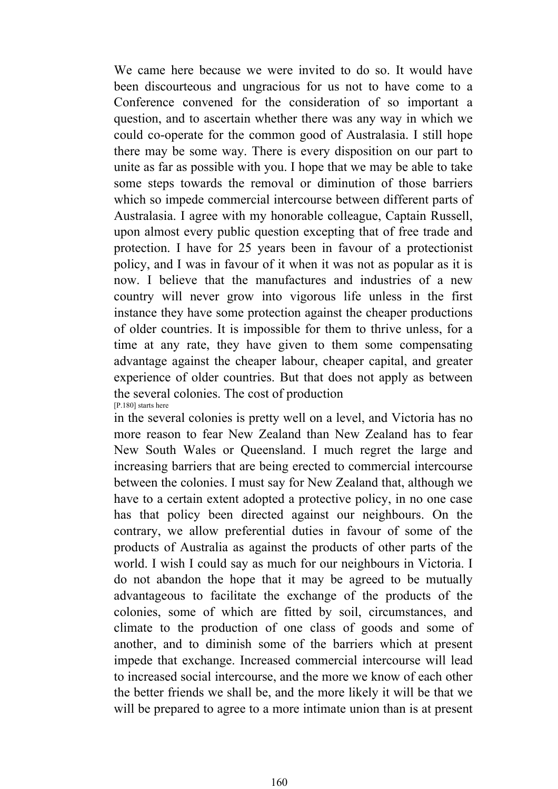We came here because we were invited to do so. It would have been discourteous and ungracious for us not to have come to a Conference convened for the consideration of so important a question, and to ascertain whether there was any way in which we could co-operate for the common good of Australasia. I still hope there may be some way. There is every disposition on our part to unite as far as possible with you. I hope that we may be able to take some steps towards the removal or diminution of those barriers which so impede commercial intercourse between different parts of Australasia. I agree with my honorable colleague, Captain Russell, upon almost every public question excepting that of free trade and protection. I have for 25 years been in favour of a protectionist policy, and I was in favour of it when it was not as popular as it is now. I believe that the manufactures and industries of a new country will never grow into vigorous life unless in the first instance they have some protection against the cheaper productions of older countries. It is impossible for them to thrive unless, for a time at any rate, they have given to them some compensating advantage against the cheaper labour, cheaper capital, and greater experience of older countries. But that does not apply as between the several colonies. The cost of production [P.180] starts here

in the several colonies is pretty well on a level, and Victoria has no more reason to fear New Zealand than New Zealand has to fear New South Wales or Queensland. I much regret the large and increasing barriers that are being erected to commercial intercourse between the colonies. I must say for New Zealand that, although we have to a certain extent adopted a protective policy, in no one case has that policy been directed against our neighbours. On the contrary, we allow preferential duties in favour of some of the products of Australia as against the products of other parts of the world. I wish I could say as much for our neighbours in Victoria. I do not abandon the hope that it may be agreed to be mutually advantageous to facilitate the exchange of the products of the colonies, some of which are fitted by soil, circumstances, and climate to the production of one class of goods and some of another, and to diminish some of the barriers which at present impede that exchange. Increased commercial intercourse will lead to increased social intercourse, and the more we know of each other the better friends we shall be, and the more likely it will be that we will be prepared to agree to a more intimate union than is at present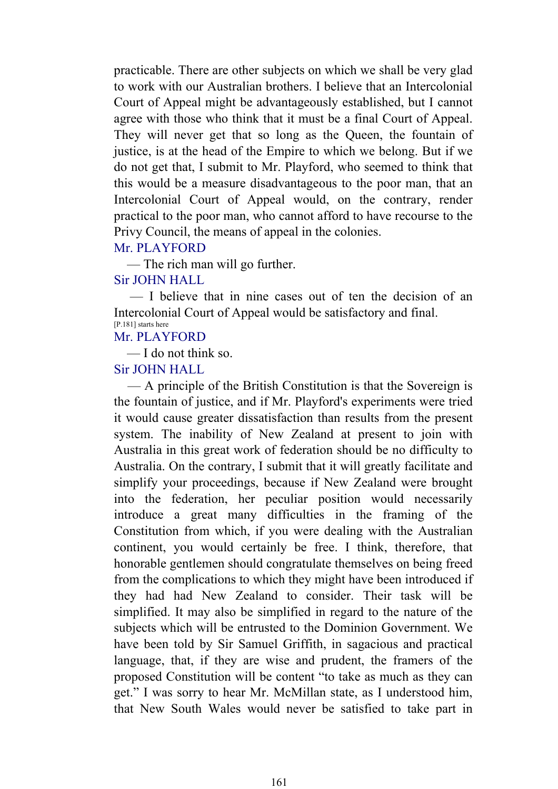practicable. There are other subjects on which we shall be very glad to work with our Australian brothers. I believe that an Intercolonial Court of Appeal might be advantageously established, but I cannot agree with those who think that it must be a final Court of Appeal. They will never get that so long as the Queen, the fountain of justice, is at the head of the Empire to which we belong. But if we do not get that, I submit to Mr. Playford, who seemed to think that this would be a measure disadvantageous to the poor man, that an Intercolonial Court of Appeal would, on the contrary, render practical to the poor man, who cannot afford to have recourse to the Privy Council, the means of appeal in the colonies.

#### Mr. PLAYFORD

— The rich man will go further.

## Sir JOHN HALL

 — I believe that in nine cases out of ten the decision of an Intercolonial Court of Appeal would be satisfactory and final. [P.181] starts here

# Mr. PLAYFORD

— I do not think so.

#### Sir JOHN HALL

 — A principle of the British Constitution is that the Sovereign is the fountain of justice, and if Mr. Playford's experiments were tried it would cause greater dissatisfaction than results from the present system. The inability of New Zealand at present to join with Australia in this great work of federation should be no difficulty to Australia. On the contrary, I submit that it will greatly facilitate and simplify your proceedings, because if New Zealand were brought into the federation, her peculiar position would necessarily introduce a great many difficulties in the framing of the Constitution from which, if you were dealing with the Australian continent, you would certainly be free. I think, therefore, that honorable gentlemen should congratulate themselves on being freed from the complications to which they might have been introduced if they had had New Zealand to consider. Their task will be simplified. It may also be simplified in regard to the nature of the subjects which will be entrusted to the Dominion Government. We have been told by Sir Samuel Griffith, in sagacious and practical language, that, if they are wise and prudent, the framers of the proposed Constitution will be content "to take as much as they can get." I was sorry to hear Mr. McMillan state, as I understood him, that New South Wales would never be satisfied to take part in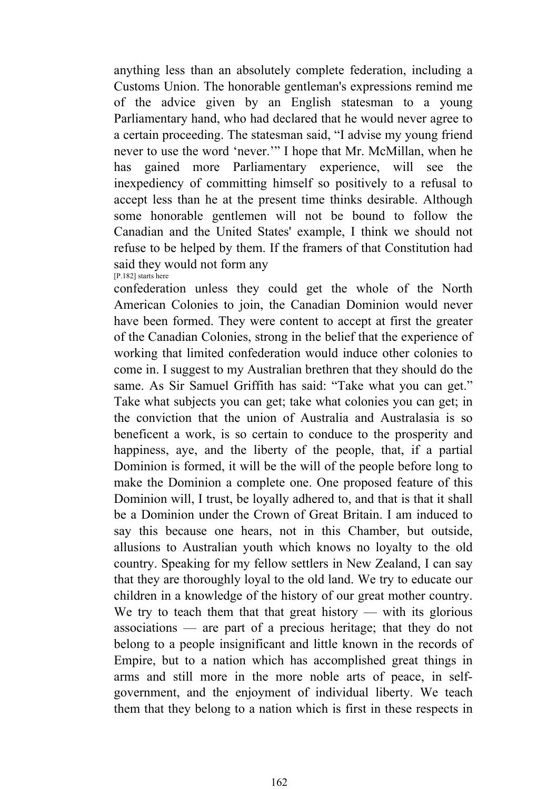anything less than an absolutely complete federation, including a Customs Union. The honorable gentleman's expressions remind me of the advice given by an English statesman to a young Parliamentary hand, who had declared that he would never agree to a certain proceeding. The statesman said, "I advise my young friend never to use the word 'never.'" I hope that Mr. McMillan, when he has gained more Parliamentary experience, will see the inexpediency of committing himself so positively to a refusal to accept less than he at the present time thinks desirable. Although some honorable gentlemen will not be bound to follow the Canadian and the United States' example, I think we should not refuse to be helped by them. If the framers of that Constitution had said they would not form any [P.182] starts here

confederation unless they could get the whole of the North American Colonies to join, the Canadian Dominion would never have been formed. They were content to accept at first the greater of the Canadian Colonies, strong in the belief that the experience of working that limited confederation would induce other colonies to come in. I suggest to my Australian brethren that they should do the same. As Sir Samuel Griffith has said: "Take what you can get." Take what subjects you can get; take what colonies you can get; in the conviction that the union of Australia and Australasia is so beneficent a work, is so certain to conduce to the prosperity and happiness, aye, and the liberty of the people, that, if a partial Dominion is formed, it will be the will of the people before long to make the Dominion a complete one. One proposed feature of this Dominion will, I trust, be loyally adhered to, and that is that it shall be a Dominion under the Crown of Great Britain. I am induced to say this because one hears, not in this Chamber, but outside, allusions to Australian youth which knows no loyalty to the old country. Speaking for my fellow settlers in New Zealand, I can say that they are thoroughly loyal to the old land. We try to educate our children in a knowledge of the history of our great mother country. We try to teach them that that great history — with its glorious associations — are part of a precious heritage; that they do not belong to a people insignificant and little known in the records of Empire, but to a nation which has accomplished great things in arms and still more in the more noble arts of peace, in selfgovernment, and the enjoyment of individual liberty. We teach them that they belong to a nation which is first in these respects in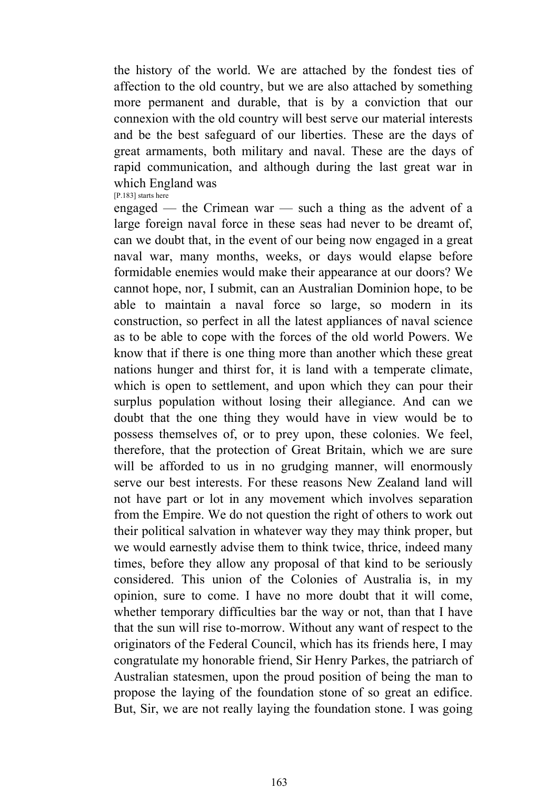the history of the world. We are attached by the fondest ties of affection to the old country, but we are also attached by something more permanent and durable, that is by a conviction that our connexion with the old country will best serve our material interests and be the best safeguard of our liberties. These are the days of great armaments, both military and naval. These are the days of rapid communication, and although during the last great war in which England was [P.183] starts here

engaged — the Crimean war — such a thing as the advent of a large foreign naval force in these seas had never to be dreamt of, can we doubt that, in the event of our being now engaged in a great naval war, many months, weeks, or days would elapse before formidable enemies would make their appearance at our doors? We cannot hope, nor, I submit, can an Australian Dominion hope, to be able to maintain a naval force so large, so modern in its construction, so perfect in all the latest appliances of naval science as to be able to cope with the forces of the old world Powers. We know that if there is one thing more than another which these great nations hunger and thirst for, it is land with a temperate climate, which is open to settlement, and upon which they can pour their surplus population without losing their allegiance. And can we doubt that the one thing they would have in view would be to possess themselves of, or to prey upon, these colonies. We feel, therefore, that the protection of Great Britain, which we are sure will be afforded to us in no grudging manner, will enormously serve our best interests. For these reasons New Zealand land will not have part or lot in any movement which involves separation from the Empire. We do not question the right of others to work out their political salvation in whatever way they may think proper, but we would earnestly advise them to think twice, thrice, indeed many times, before they allow any proposal of that kind to be seriously considered. This union of the Colonies of Australia is, in my opinion, sure to come. I have no more doubt that it will come, whether temporary difficulties bar the way or not, than that I have that the sun will rise to-morrow. Without any want of respect to the originators of the Federal Council, which has its friends here, I may congratulate my honorable friend, Sir Henry Parkes, the patriarch of Australian statesmen, upon the proud position of being the man to propose the laying of the foundation stone of so great an edifice. But, Sir, we are not really laying the foundation stone. I was going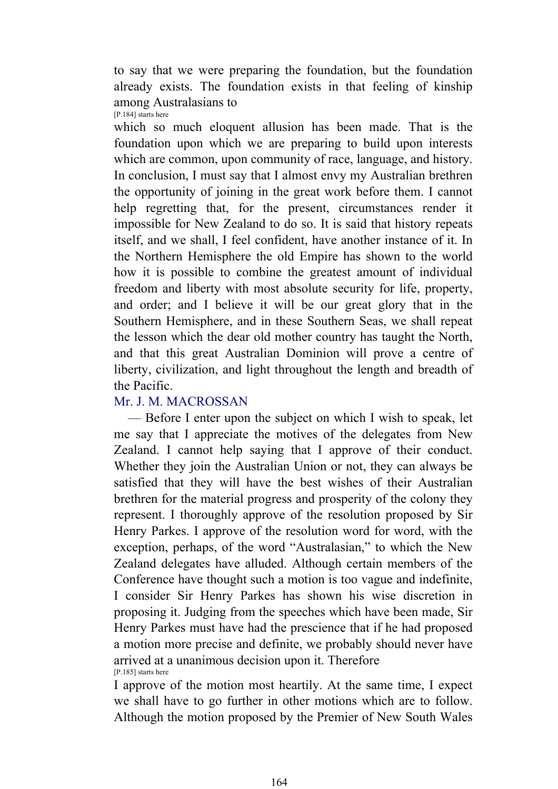to say that we were preparing the foundation, but the foundation already exists. The foundation exists in that feeling of kinship among Australasians to [P.184] starts here

which so much eloquent allusion has been made. That is the foundation upon which we are preparing to build upon interests which are common, upon community of race, language, and history. In conclusion, I must say that I almost envy my Australian brethren the opportunity of joining in the great work before them. I cannot help regretting that, for the present, circumstances render it impossible for New Zealand to do so. It is said that history repeats itself, and we shall, I feel confident, have another instance of it. In the Northern Hemisphere the old Empire has shown to the world how it is possible to combine the greatest amount of individual freedom and liberty with most absolute security for life, property, and order; and I believe it will be our great glory that in the Southern Hemisphere, and in these Southern Seas, we shall repeat the lesson which the dear old mother country has taught the North, and that this great Australian Dominion will prove a centre of liberty, civilization, and light throughout the length and breadth of the Pacific.

# Mr. J. M. MACROSSAN

 — Before I enter upon the subject on which I wish to speak, let me say that I appreciate the motives of the delegates from New Zealand. I cannot help saying that I approve of their conduct. Whether they join the Australian Union or not, they can always be satisfied that they will have the best wishes of their Australian brethren for the material progress and prosperity of the colony they represent. I thoroughly approve of the resolution proposed by Sir Henry Parkes. I approve of the resolution word for word, with the exception, perhaps, of the word "Australasian," to which the New Zealand delegates have alluded. Although certain members of the Conference have thought such a motion is too vague and indefinite, I consider Sir Henry Parkes has shown his wise discretion in proposing it. Judging from the speeches which have been made, Sir Henry Parkes must have had the prescience that if he had proposed a motion more precise and definite, we probably should never have arrived at a unanimous decision upon it. Therefore [P.185] starts here

I approve of the motion most heartily. At the same time, I expect we shall have to go further in other motions which are to follow. Although the motion proposed by the Premier of New South Wales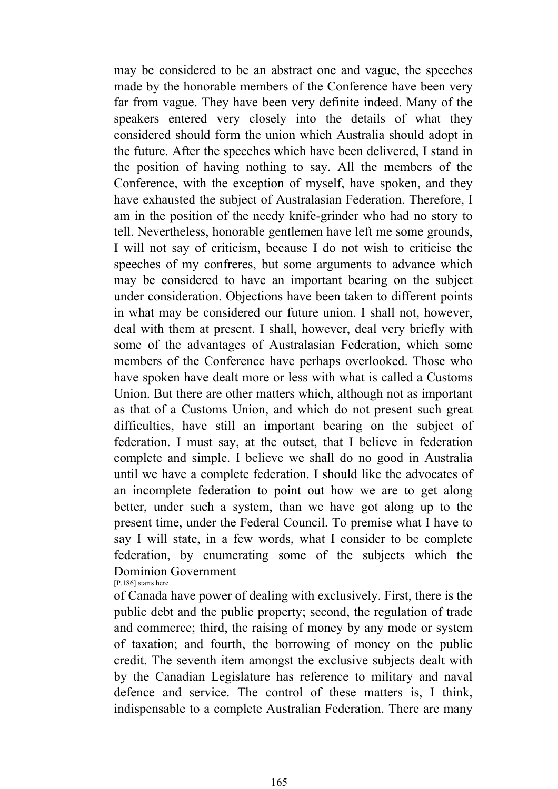may be considered to be an abstract one and vague, the speeches made by the honorable members of the Conference have been very far from vague. They have been very definite indeed. Many of the speakers entered very closely into the details of what they considered should form the union which Australia should adopt in the future. After the speeches which have been delivered, I stand in the position of having nothing to say. All the members of the Conference, with the exception of myself, have spoken, and they have exhausted the subject of Australasian Federation. Therefore, I am in the position of the needy knife-grinder who had no story to tell. Nevertheless, honorable gentlemen have left me some grounds, I will not say of criticism, because I do not wish to criticise the speeches of my confreres, but some arguments to advance which may be considered to have an important bearing on the subject under consideration. Objections have been taken to different points in what may be considered our future union. I shall not, however, deal with them at present. I shall, however, deal very briefly with some of the advantages of Australasian Federation, which some members of the Conference have perhaps overlooked. Those who have spoken have dealt more or less with what is called a Customs Union. But there are other matters which, although not as important as that of a Customs Union, and which do not present such great difficulties, have still an important bearing on the subject of federation. I must say, at the outset, that I believe in federation complete and simple. I believe we shall do no good in Australia until we have a complete federation. I should like the advocates of an incomplete federation to point out how we are to get along better, under such a system, than we have got along up to the present time, under the Federal Council. To premise what I have to say I will state, in a few words, what I consider to be complete federation, by enumerating some of the subjects which the Dominion Government

[P.186] starts here

of Canada have power of dealing with exclusively. First, there is the public debt and the public property; second, the regulation of trade and commerce; third, the raising of money by any mode or system of taxation; and fourth, the borrowing of money on the public credit. The seventh item amongst the exclusive subjects dealt with by the Canadian Legislature has reference to military and naval defence and service. The control of these matters is, I think, indispensable to a complete Australian Federation. There are many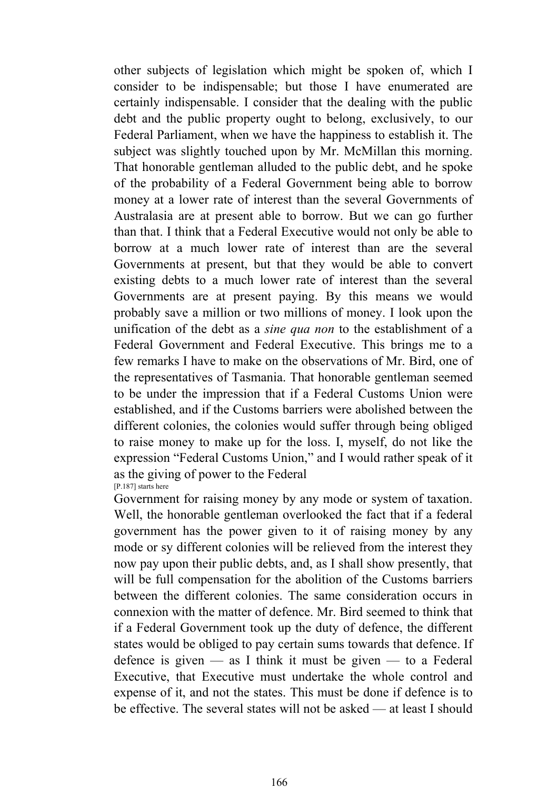other subjects of legislation which might be spoken of, which I consider to be indispensable; but those I have enumerated are certainly indispensable. I consider that the dealing with the public debt and the public property ought to belong, exclusively, to our Federal Parliament, when we have the happiness to establish it. The subject was slightly touched upon by Mr. McMillan this morning. That honorable gentleman alluded to the public debt, and he spoke of the probability of a Federal Government being able to borrow money at a lower rate of interest than the several Governments of Australasia are at present able to borrow. But we can go further than that. I think that a Federal Executive would not only be able to borrow at a much lower rate of interest than are the several Governments at present, but that they would be able to convert existing debts to a much lower rate of interest than the several Governments are at present paying. By this means we would probably save a million or two millions of money. I look upon the unification of the debt as a *sine qua non* to the establishment of a Federal Government and Federal Executive. This brings me to a few remarks I have to make on the observations of Mr. Bird, one of the representatives of Tasmania. That honorable gentleman seemed to be under the impression that if a Federal Customs Union were established, and if the Customs barriers were abolished between the different colonies, the colonies would suffer through being obliged to raise money to make up for the loss. I, myself, do not like the expression "Federal Customs Union," and I would rather speak of it as the giving of power to the Federal [P.187] starts here

Government for raising money by any mode or system of taxation. Well, the honorable gentleman overlooked the fact that if a federal government has the power given to it of raising money by any mode or sy different colonies will be relieved from the interest they now pay upon their public debts, and, as I shall show presently, that will be full compensation for the abolition of the Customs barriers between the different colonies. The same consideration occurs in connexion with the matter of defence. Mr. Bird seemed to think that if a Federal Government took up the duty of defence, the different states would be obliged to pay certain sums towards that defence. If defence is given  $-$  as I think it must be given  $-$  to a Federal Executive, that Executive must undertake the whole control and expense of it, and not the states. This must be done if defence is to be effective. The several states will not be asked — at least I should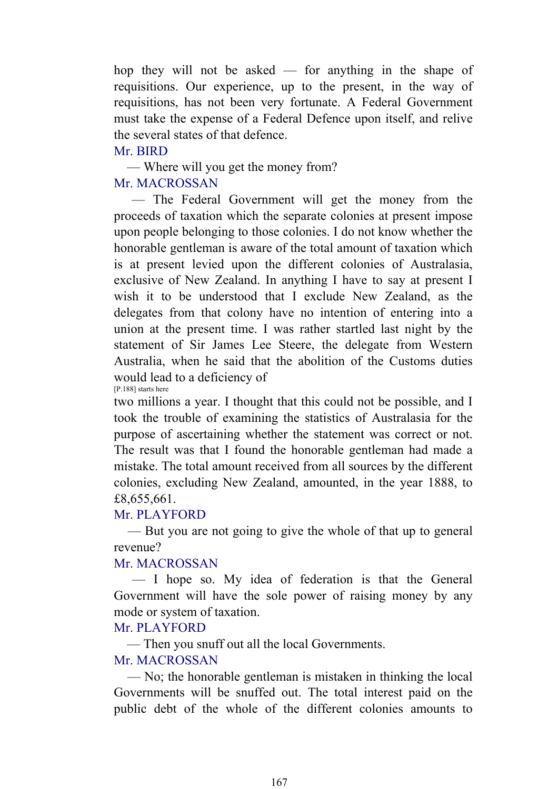hop they will not be asked — for anything in the shape of requisitions. Our experience, up to the present, in the way of requisitions, has not been very fortunate. A Federal Government must take the expense of a Federal Defence upon itself, and relive the several states of that defence.

#### Mr. BIRD

— Where will you get the money from?

# Mr. MACROSSAN

 — The Federal Government will get the money from the proceeds of taxation which the separate colonies at present impose upon people belonging to those colonies. I do not know whether the honorable gentleman is aware of the total amount of taxation which is at present levied upon the different colonies of Australasia, exclusive of New Zealand. In anything I have to say at present I wish it to be understood that I exclude New Zealand, as the delegates from that colony have no intention of entering into a union at the present time. I was rather startled last night by the statement of Sir James Lee Steere, the delegate from Western Australia, when he said that the abolition of the Customs duties would lead to a deficiency of [P.188] starts here

two millions a year. I thought that this could not be possible, and I took the trouble of examining the statistics of Australasia for the purpose of ascertaining whether the statement was correct or not. The result was that I found the honorable gentleman had made a mistake. The total amount received from all sources by the different colonies, excluding New Zealand, amounted, in the year 1888, to £8,655,661.

## Mr. PLAYFORD

 — But you are not going to give the whole of that up to general revenue?

## Mr. MACROSSAN

 — I hope so. My idea of federation is that the General Government will have the sole power of raising money by any mode or system of taxation.

## Mr. PLAYFORD

— Then you snuff out all the local Governments.

## Mr. MACROSSAN

 — No; the honorable gentleman is mistaken in thinking the local Governments will be snuffed out. The total interest paid on the public debt of the whole of the different colonies amounts to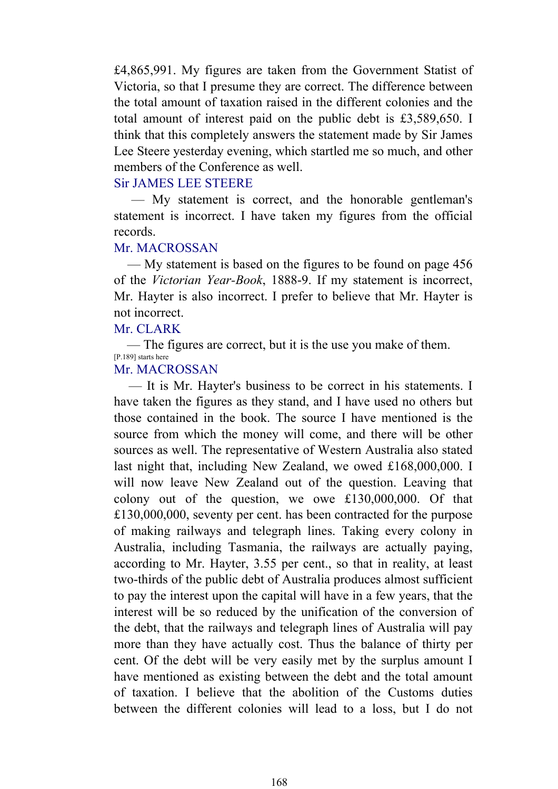£4,865,991. My figures are taken from the Government Statist of Victoria, so that I presume they are correct. The difference between the total amount of taxation raised in the different colonies and the total amount of interest paid on the public debt is £3,589,650. I think that this completely answers the statement made by Sir James Lee Steere yesterday evening, which startled me so much, and other members of the Conference as well.

# Sir JAMES LEE STEERE

 — My statement is correct, and the honorable gentleman's statement is incorrect. I have taken my figures from the official records.

#### Mr. MACROSSAN

 — My statement is based on the figures to be found on page 456 of the *Victorian Year-Book*, 1888-9. If my statement is incorrect, Mr. Hayter is also incorrect. I prefer to believe that Mr. Hayter is not incorrect.

# Mr. CLARK

 — The figures are correct, but it is the use you make of them. [P.189] starts here

# Mr. MACROSSAN

 — It is Mr. Hayter's business to be correct in his statements. I have taken the figures as they stand, and I have used no others but those contained in the book. The source I have mentioned is the source from which the money will come, and there will be other sources as well. The representative of Western Australia also stated last night that, including New Zealand, we owed £168,000,000. I will now leave New Zealand out of the question. Leaving that colony out of the question, we owe £130,000,000. Of that £130,000,000, seventy per cent. has been contracted for the purpose of making railways and telegraph lines. Taking every colony in Australia, including Tasmania, the railways are actually paying, according to Mr. Hayter, 3.55 per cent., so that in reality, at least two-thirds of the public debt of Australia produces almost sufficient to pay the interest upon the capital will have in a few years, that the interest will be so reduced by the unification of the conversion of the debt, that the railways and telegraph lines of Australia will pay more than they have actually cost. Thus the balance of thirty per cent. Of the debt will be very easily met by the surplus amount I have mentioned as existing between the debt and the total amount of taxation. I believe that the abolition of the Customs duties between the different colonies will lead to a loss, but I do not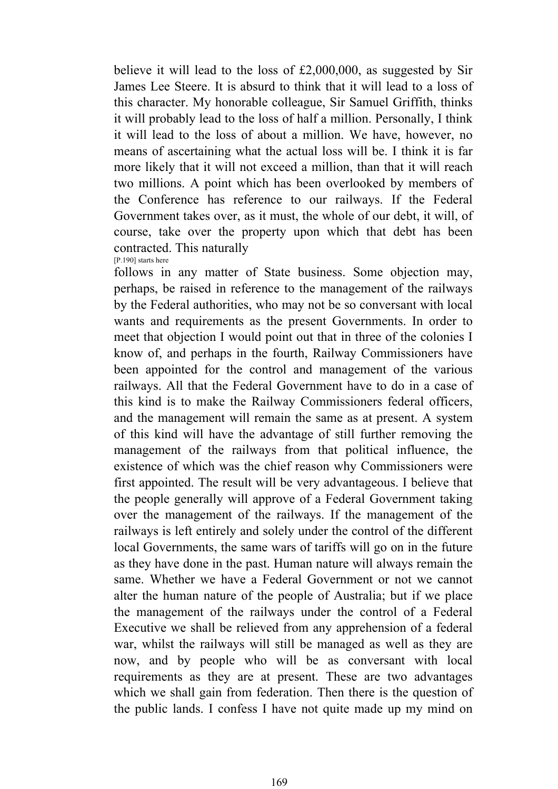believe it will lead to the loss of £2,000,000, as suggested by Sir James Lee Steere. It is absurd to think that it will lead to a loss of this character. My honorable colleague, Sir Samuel Griffith, thinks it will probably lead to the loss of half a million. Personally, I think it will lead to the loss of about a million. We have, however, no means of ascertaining what the actual loss will be. I think it is far more likely that it will not exceed a million, than that it will reach two millions. A point which has been overlooked by members of the Conference has reference to our railways. If the Federal Government takes over, as it must, the whole of our debt, it will, of course, take over the property upon which that debt has been contracted. This naturally [P.190] starts here

follows in any matter of State business. Some objection may, perhaps, be raised in reference to the management of the railways by the Federal authorities, who may not be so conversant with local wants and requirements as the present Governments. In order to meet that objection I would point out that in three of the colonies I know of, and perhaps in the fourth, Railway Commissioners have been appointed for the control and management of the various railways. All that the Federal Government have to do in a case of this kind is to make the Railway Commissioners federal officers, and the management will remain the same as at present. A system of this kind will have the advantage of still further removing the management of the railways from that political influence, the existence of which was the chief reason why Commissioners were first appointed. The result will be very advantageous. I believe that the people generally will approve of a Federal Government taking over the management of the railways. If the management of the railways is left entirely and solely under the control of the different local Governments, the same wars of tariffs will go on in the future as they have done in the past. Human nature will always remain the same. Whether we have a Federal Government or not we cannot alter the human nature of the people of Australia; but if we place the management of the railways under the control of a Federal Executive we shall be relieved from any apprehension of a federal war, whilst the railways will still be managed as well as they are now, and by people who will be as conversant with local requirements as they are at present. These are two advantages which we shall gain from federation. Then there is the question of the public lands. I confess I have not quite made up my mind on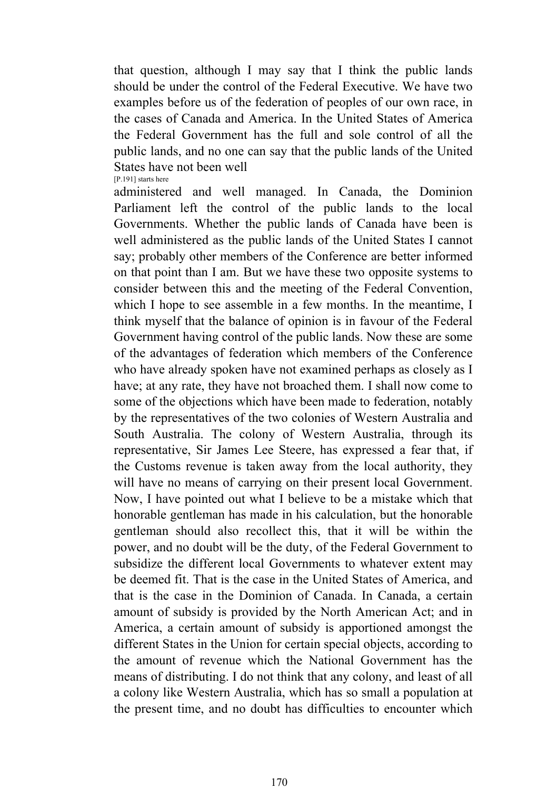that question, although I may say that I think the public lands should be under the control of the Federal Executive. We have two examples before us of the federation of peoples of our own race, in the cases of Canada and America. In the United States of America the Federal Government has the full and sole control of all the public lands, and no one can say that the public lands of the United States have not been well [P.191] starts here

administered and well managed. In Canada, the Dominion Parliament left the control of the public lands to the local Governments. Whether the public lands of Canada have been is well administered as the public lands of the United States I cannot say; probably other members of the Conference are better informed on that point than I am. But we have these two opposite systems to consider between this and the meeting of the Federal Convention, which I hope to see assemble in a few months. In the meantime, I think myself that the balance of opinion is in favour of the Federal Government having control of the public lands. Now these are some of the advantages of federation which members of the Conference who have already spoken have not examined perhaps as closely as I have; at any rate, they have not broached them. I shall now come to some of the objections which have been made to federation, notably by the representatives of the two colonies of Western Australia and South Australia. The colony of Western Australia, through its representative, Sir James Lee Steere, has expressed a fear that, if the Customs revenue is taken away from the local authority, they will have no means of carrying on their present local Government. Now, I have pointed out what I believe to be a mistake which that honorable gentleman has made in his calculation, but the honorable gentleman should also recollect this, that it will be within the power, and no doubt will be the duty, of the Federal Government to subsidize the different local Governments to whatever extent may be deemed fit. That is the case in the United States of America, and that is the case in the Dominion of Canada. In Canada, a certain amount of subsidy is provided by the North American Act; and in America, a certain amount of subsidy is apportioned amongst the different States in the Union for certain special objects, according to the amount of revenue which the National Government has the means of distributing. I do not think that any colony, and least of all a colony like Western Australia, which has so small a population at the present time, and no doubt has difficulties to encounter which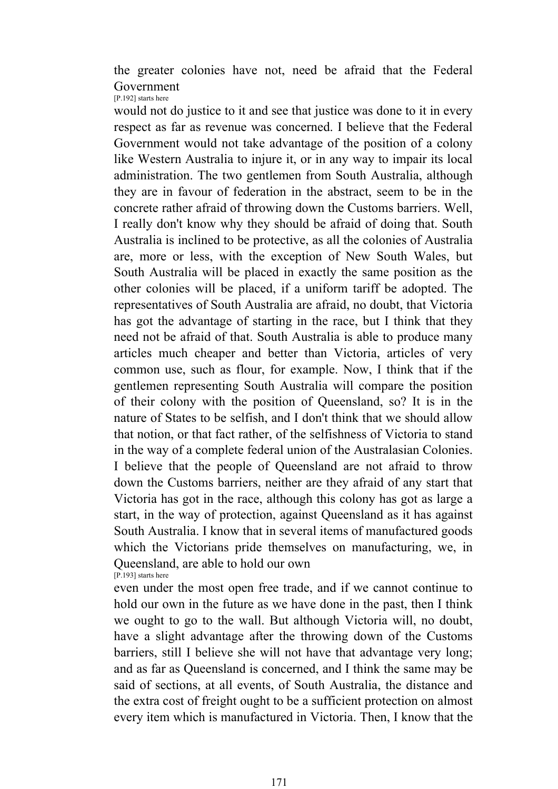the greater colonies have not, need be afraid that the Federal Government [P.192] starts here

would not do justice to it and see that justice was done to it in every respect as far as revenue was concerned. I believe that the Federal Government would not take advantage of the position of a colony like Western Australia to injure it, or in any way to impair its local administration. The two gentlemen from South Australia, although they are in favour of federation in the abstract, seem to be in the concrete rather afraid of throwing down the Customs barriers. Well, I really don't know why they should be afraid of doing that. South Australia is inclined to be protective, as all the colonies of Australia are, more or less, with the exception of New South Wales, but South Australia will be placed in exactly the same position as the other colonies will be placed, if a uniform tariff be adopted. The representatives of South Australia are afraid, no doubt, that Victoria has got the advantage of starting in the race, but I think that they need not be afraid of that. South Australia is able to produce many articles much cheaper and better than Victoria, articles of very common use, such as flour, for example. Now, I think that if the gentlemen representing South Australia will compare the position of their colony with the position of Queensland, so? It is in the nature of States to be selfish, and I don't think that we should allow that notion, or that fact rather, of the selfishness of Victoria to stand in the way of a complete federal union of the Australasian Colonies. I believe that the people of Queensland are not afraid to throw down the Customs barriers, neither are they afraid of any start that Victoria has got in the race, although this colony has got as large a start, in the way of protection, against Queensland as it has against South Australia. I know that in several items of manufactured goods which the Victorians pride themselves on manufacturing, we, in Queensland, are able to hold our own [P.193] starts here

even under the most open free trade, and if we cannot continue to hold our own in the future as we have done in the past, then I think we ought to go to the wall. But although Victoria will, no doubt, have a slight advantage after the throwing down of the Customs barriers, still I believe she will not have that advantage very long; and as far as Queensland is concerned, and I think the same may be said of sections, at all events, of South Australia, the distance and the extra cost of freight ought to be a sufficient protection on almost every item which is manufactured in Victoria. Then, I know that the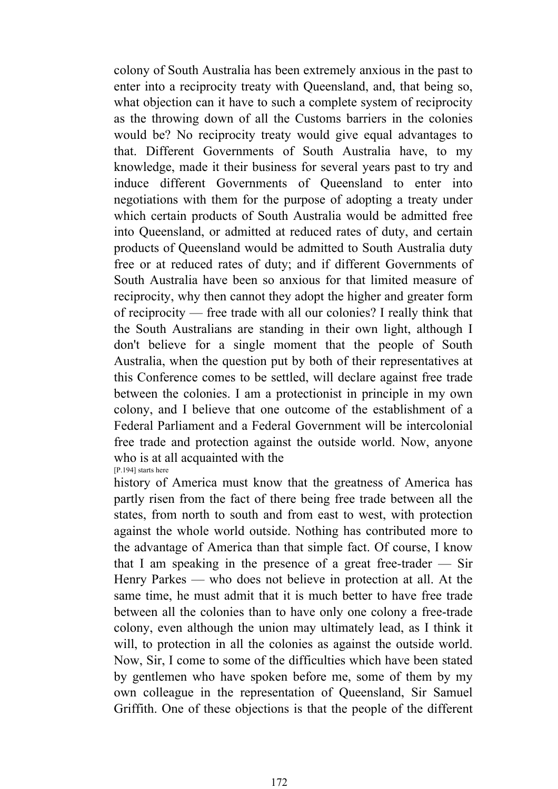colony of South Australia has been extremely anxious in the past to enter into a reciprocity treaty with Queensland, and, that being so, what objection can it have to such a complete system of reciprocity as the throwing down of all the Customs barriers in the colonies would be? No reciprocity treaty would give equal advantages to that. Different Governments of South Australia have, to my knowledge, made it their business for several years past to try and induce different Governments of Queensland to enter into negotiations with them for the purpose of adopting a treaty under which certain products of South Australia would be admitted free into Queensland, or admitted at reduced rates of duty, and certain products of Queensland would be admitted to South Australia duty free or at reduced rates of duty; and if different Governments of South Australia have been so anxious for that limited measure of reciprocity, why then cannot they adopt the higher and greater form of reciprocity — free trade with all our colonies? I really think that the South Australians are standing in their own light, although I don't believe for a single moment that the people of South Australia, when the question put by both of their representatives at this Conference comes to be settled, will declare against free trade between the colonies. I am a protectionist in principle in my own colony, and I believe that one outcome of the establishment of a Federal Parliament and a Federal Government will be intercolonial free trade and protection against the outside world. Now, anyone who is at all acquainted with the [P.194] starts here

history of America must know that the greatness of America has partly risen from the fact of there being free trade between all the states, from north to south and from east to west, with protection against the whole world outside. Nothing has contributed more to the advantage of America than that simple fact. Of course, I know that I am speaking in the presence of a great free-trader — Sir Henry Parkes — who does not believe in protection at all. At the same time, he must admit that it is much better to have free trade between all the colonies than to have only one colony a free-trade colony, even although the union may ultimately lead, as I think it will, to protection in all the colonies as against the outside world. Now, Sir, I come to some of the difficulties which have been stated by gentlemen who have spoken before me, some of them by my own colleague in the representation of Queensland, Sir Samuel Griffith. One of these objections is that the people of the different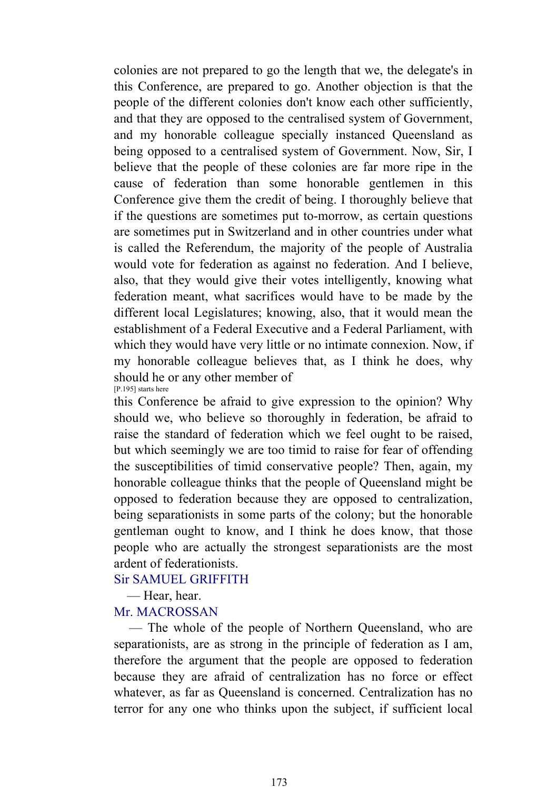colonies are not prepared to go the length that we, the delegate's in this Conference, are prepared to go. Another objection is that the people of the different colonies don't know each other sufficiently, and that they are opposed to the centralised system of Government, and my honorable colleague specially instanced Queensland as being opposed to a centralised system of Government. Now, Sir, I believe that the people of these colonies are far more ripe in the cause of federation than some honorable gentlemen in this Conference give them the credit of being. I thoroughly believe that if the questions are sometimes put to-morrow, as certain questions are sometimes put in Switzerland and in other countries under what is called the Referendum, the majority of the people of Australia would vote for federation as against no federation. And I believe, also, that they would give their votes intelligently, knowing what federation meant, what sacrifices would have to be made by the different local Legislatures; knowing, also, that it would mean the establishment of a Federal Executive and a Federal Parliament, with which they would have very little or no intimate connexion. Now, if my honorable colleague believes that, as I think he does, why should he or any other member of [P.195] starts here

this Conference be afraid to give expression to the opinion? Why should we, who believe so thoroughly in federation, be afraid to raise the standard of federation which we feel ought to be raised, but which seemingly we are too timid to raise for fear of offending the susceptibilities of timid conservative people? Then, again, my honorable colleague thinks that the people of Queensland might be opposed to federation because they are opposed to centralization, being separationists in some parts of the colony; but the honorable gentleman ought to know, and I think he does know, that those people who are actually the strongest separationists are the most ardent of federationists.

## Sir SAMUEL GRIFFITH

— Hear, hear.

## Mr. MACROSSAN

 — The whole of the people of Northern Queensland, who are separationists, are as strong in the principle of federation as I am, therefore the argument that the people are opposed to federation because they are afraid of centralization has no force or effect whatever, as far as Queensland is concerned. Centralization has no terror for any one who thinks upon the subject, if sufficient local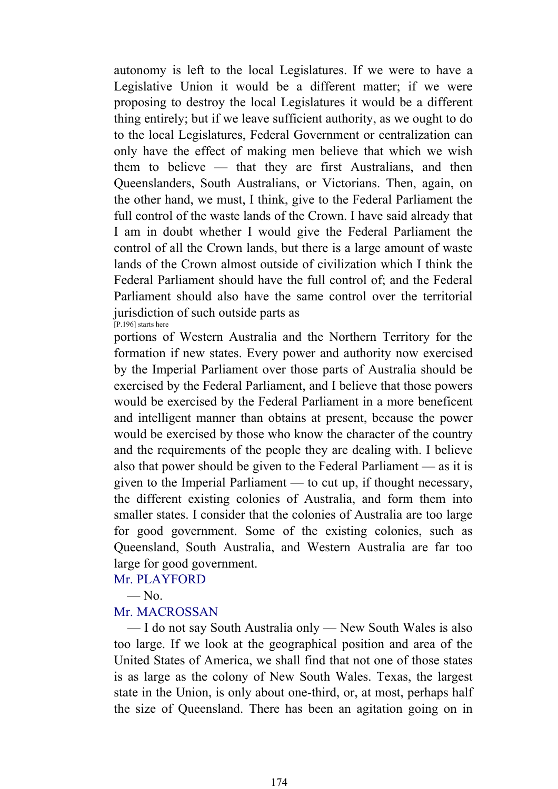autonomy is left to the local Legislatures. If we were to have a Legislative Union it would be a different matter; if we were proposing to destroy the local Legislatures it would be a different thing entirely; but if we leave sufficient authority, as we ought to do to the local Legislatures, Federal Government or centralization can only have the effect of making men believe that which we wish them to believe — that they are first Australians, and then Queenslanders, South Australians, or Victorians. Then, again, on the other hand, we must, I think, give to the Federal Parliament the full control of the waste lands of the Crown. I have said already that I am in doubt whether I would give the Federal Parliament the control of all the Crown lands, but there is a large amount of waste lands of the Crown almost outside of civilization which I think the Federal Parliament should have the full control of; and the Federal Parliament should also have the same control over the territorial jurisdiction of such outside parts as  $[P.196]$  starts here

portions of Western Australia and the Northern Territory for the formation if new states. Every power and authority now exercised by the Imperial Parliament over those parts of Australia should be exercised by the Federal Parliament, and I believe that those powers would be exercised by the Federal Parliament in a more beneficent and intelligent manner than obtains at present, because the power would be exercised by those who know the character of the country and the requirements of the people they are dealing with. I believe also that power should be given to the Federal Parliament — as it is given to the Imperial Parliament — to cut up, if thought necessary, the different existing colonies of Australia, and form them into smaller states. I consider that the colonies of Australia are too large for good government. Some of the existing colonies, such as Queensland, South Australia, and Western Australia are far too large for good government.

Mr. PLAYFORD

 $-\mathrm{No}$ 

# Mr. MACROSSAN

 — I do not say South Australia only — New South Wales is also too large. If we look at the geographical position and area of the United States of America, we shall find that not one of those states is as large as the colony of New South Wales. Texas, the largest state in the Union, is only about one-third, or, at most, perhaps half the size of Queensland. There has been an agitation going on in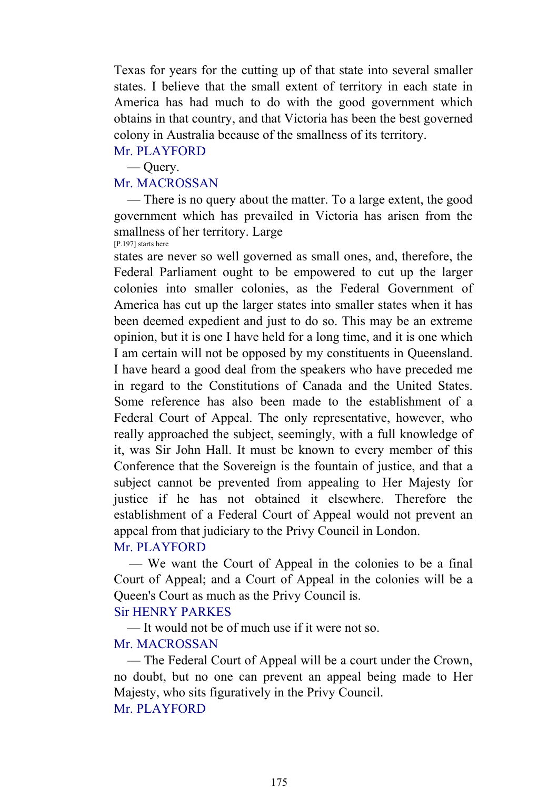Texas for years for the cutting up of that state into several smaller states. I believe that the small extent of territory in each state in America has had much to do with the good government which obtains in that country, and that Victoria has been the best governed colony in Australia because of the smallness of its territory.

# Mr. PLAYFORD

— Query.

# Mr. MACROSSAN

 — There is no query about the matter. To a large extent, the good government which has prevailed in Victoria has arisen from the smallness of her territory. Large [P.197] starts here

states are never so well governed as small ones, and, therefore, the Federal Parliament ought to be empowered to cut up the larger colonies into smaller colonies, as the Federal Government of America has cut up the larger states into smaller states when it has been deemed expedient and just to do so. This may be an extreme opinion, but it is one I have held for a long time, and it is one which I am certain will not be opposed by my constituents in Queensland. I have heard a good deal from the speakers who have preceded me in regard to the Constitutions of Canada and the United States. Some reference has also been made to the establishment of a Federal Court of Appeal. The only representative, however, who really approached the subject, seemingly, with a full knowledge of it, was Sir John Hall. It must be known to every member of this Conference that the Sovereign is the fountain of justice, and that a subject cannot be prevented from appealing to Her Majesty for justice if he has not obtained it elsewhere. Therefore the establishment of a Federal Court of Appeal would not prevent an appeal from that judiciary to the Privy Council in London.

## Mr. PLAYFORD

 — We want the Court of Appeal in the colonies to be a final Court of Appeal; and a Court of Appeal in the colonies will be a Queen's Court as much as the Privy Council is.

# Sir HENRY PARKES

— It would not be of much use if it were not so.

# Mr. MACROSSAN

 — The Federal Court of Appeal will be a court under the Crown, no doubt, but no one can prevent an appeal being made to Her Majesty, who sits figuratively in the Privy Council. Mr. PLAYFORD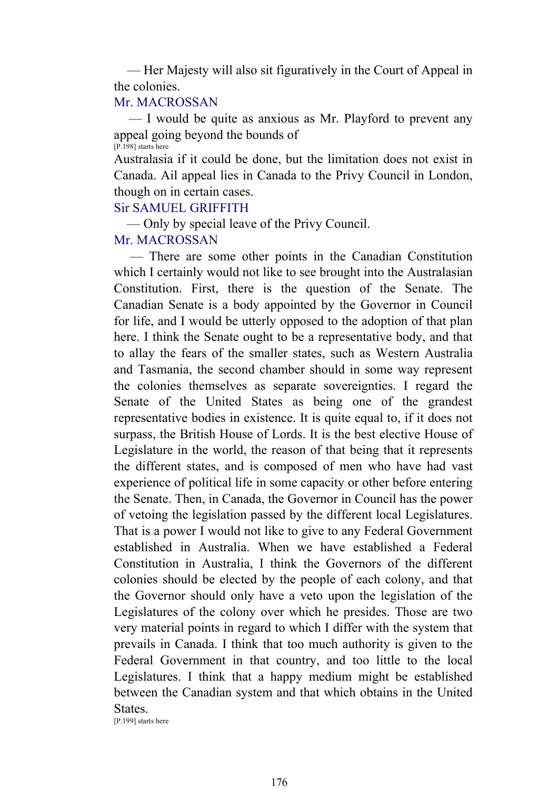— Her Majesty will also sit figuratively in the Court of Appeal in the colonies.

### Mr. MACROSSAN

 — I would be quite as anxious as Mr. Playford to prevent any appeal going beyond the bounds of [P.198] starts here

Australasia if it could be done, but the limitation does not exist in Canada. Ail appeal lies in Canada to the Privy Council in London, though on in certain cases.

#### Sir SAMUEL GRIFFITH

— Only by special leave of the Privy Council.

## Mr. MACROSSAN

 — There are some other points in the Canadian Constitution which I certainly would not like to see brought into the Australasian Constitution. First, there is the question of the Senate. The Canadian Senate is a body appointed by the Governor in Council for life, and I would be utterly opposed to the adoption of that plan here. I think the Senate ought to be a representative body, and that to allay the fears of the smaller states, such as Western Australia and Tasmania, the second chamber should in some way represent the colonies themselves as separate sovereignties. I regard the Senate of the United States as being one of the grandest representative bodies in existence. It is quite equal to, if it does not surpass, the British House of Lords. It is the best elective House of Legislature in the world, the reason of that being that it represents the different states, and is composed of men who have had vast experience of political life in some capacity or other before entering the Senate. Then, in Canada, the Governor in Council has the power of vetoing the legislation passed by the different local Legislatures. That is a power I would not like to give to any Federal Government established in Australia. When we have established a Federal Constitution in Australia, I think the Governors of the different colonies should be elected by the people of each colony, and that the Governor should only have a veto upon the legislation of the Legislatures of the colony over which he presides. Those are two very material points in regard to which I differ with the system that prevails in Canada. I think that too much authority is given to the Federal Government in that country, and too little to the local Legislatures. I think that a happy medium might be established between the Canadian system and that which obtains in the United States.

[P.199] starts here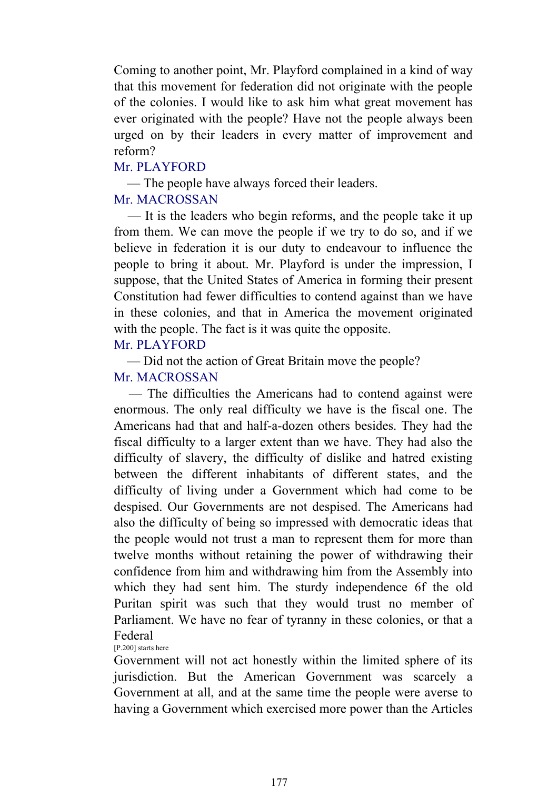Coming to another point, Mr. Playford complained in a kind of way that this movement for federation did not originate with the people of the colonies. I would like to ask him what great movement has ever originated with the people? Have not the people always been urged on by their leaders in every matter of improvement and reform?

# Mr. PLAYFORD

— The people have always forced their leaders.

# Mr. MACROSSAN

 — It is the leaders who begin reforms, and the people take it up from them. We can move the people if we try to do so, and if we believe in federation it is our duty to endeavour to influence the people to bring it about. Mr. Playford is under the impression, I suppose, that the United States of America in forming their present Constitution had fewer difficulties to contend against than we have in these colonies, and that in America the movement originated with the people. The fact is it was quite the opposite.

# Mr. PLAYFORD

— Did not the action of Great Britain move the people?

# Mr. MACROSSAN

 — The difficulties the Americans had to contend against were enormous. The only real difficulty we have is the fiscal one. The Americans had that and half-a-dozen others besides. They had the fiscal difficulty to a larger extent than we have. They had also the difficulty of slavery, the difficulty of dislike and hatred existing between the different inhabitants of different states, and the difficulty of living under a Government which had come to be despised. Our Governments are not despised. The Americans had also the difficulty of being so impressed with democratic ideas that the people would not trust a man to represent them for more than twelve months without retaining the power of withdrawing their confidence from him and withdrawing him from the Assembly into which they had sent him. The sturdy independence 6f the old Puritan spirit was such that they would trust no member of Parliament. We have no fear of tyranny in these colonies, or that a Federal

[P.200] starts here

Government will not act honestly within the limited sphere of its jurisdiction. But the American Government was scarcely a Government at all, and at the same time the people were averse to having a Government which exercised more power than the Articles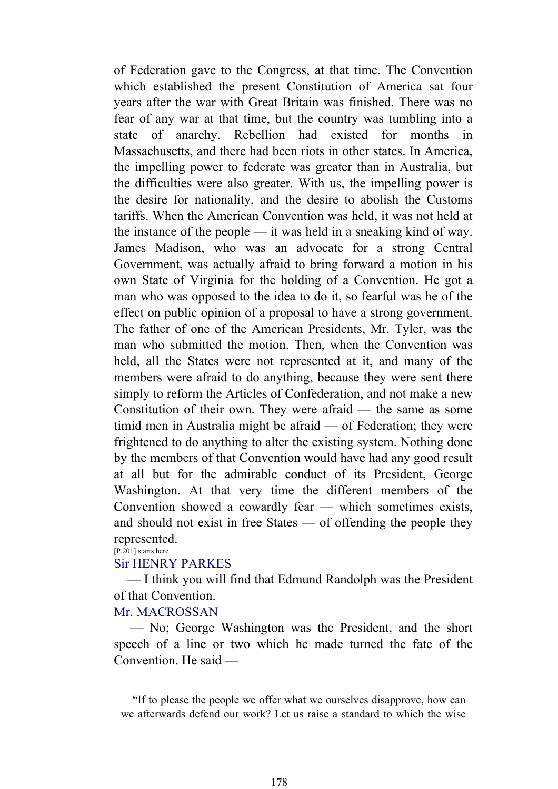of Federation gave to the Congress, at that time. The Convention which established the present Constitution of America sat four years after the war with Great Britain was finished. There was no fear of any war at that time, but the country was tumbling into a state of anarchy. Rebellion had existed for months in Massachusetts, and there had been riots in other states. In America, the impelling power to federate was greater than in Australia, but the difficulties were also greater. With us, the impelling power is the desire for nationality, and the desire to abolish the Customs tariffs. When the American Convention was held, it was not held at the instance of the people — it was held in a sneaking kind of way. James Madison, who was an advocate for a strong Central Government, was actually afraid to bring forward a motion in his own State of Virginia for the holding of a Convention. He got a man who was opposed to the idea to do it, so fearful was he of the effect on public opinion of a proposal to have a strong government. The father of one of the American Presidents, Mr. Tyler, was the man who submitted the motion. Then, when the Convention was held, all the States were not represented at it, and many of the members were afraid to do anything, because they were sent there simply to reform the Articles of Confederation, and not make a new Constitution of their own. They were afraid — the same as some timid men in Australia might be afraid — of Federation; they were frightened to do anything to alter the existing system. Nothing done by the members of that Convention would have had any good result at all but for the admirable conduct of its President, George Washington. At that very time the different members of the Convention showed a cowardly fear — which sometimes exists, and should not exist in free States — of offending the people they represented.

#### [P.201] starts here

#### Sir HENRY PARKES

 — I think you will find that Edmund Randolph was the President of that Convention.

#### Mr. MACROSSAN

 — No; George Washington was the President, and the short speech of a line or two which he made turned the fate of the Convention. He said —

 "If to please the people we offer what we ourselves disapprove, how can we afterwards defend our work? Let us raise a standard to which the wise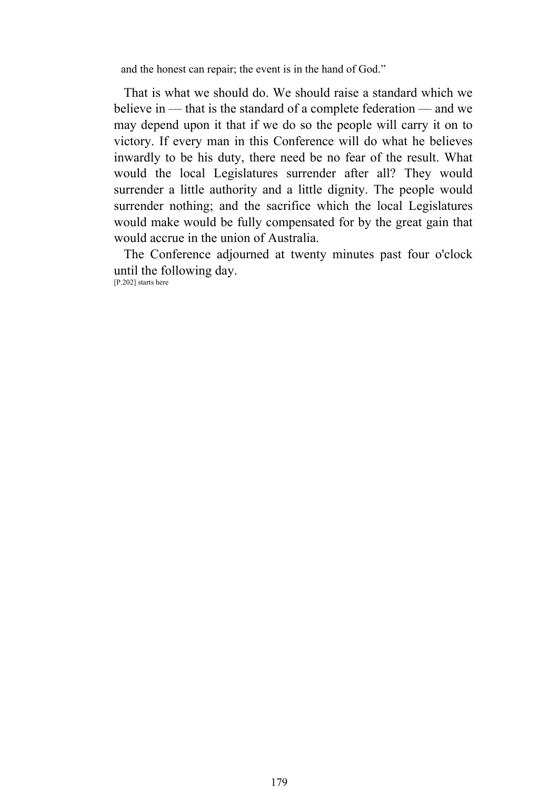and the honest can repair; the event is in the hand of God."

 That is what we should do. We should raise a standard which we believe in — that is the standard of a complete federation — and we may depend upon it that if we do so the people will carry it on to victory. If every man in this Conference will do what he believes inwardly to be his duty, there need be no fear of the result. What would the local Legislatures surrender after all? They would surrender a little authority and a little dignity. The people would surrender nothing; and the sacrifice which the local Legislatures would make would be fully compensated for by the great gain that would accrue in the union of Australia.

 The Conference adjourned at twenty minutes past four o'clock until the following day.

[P.202] starts here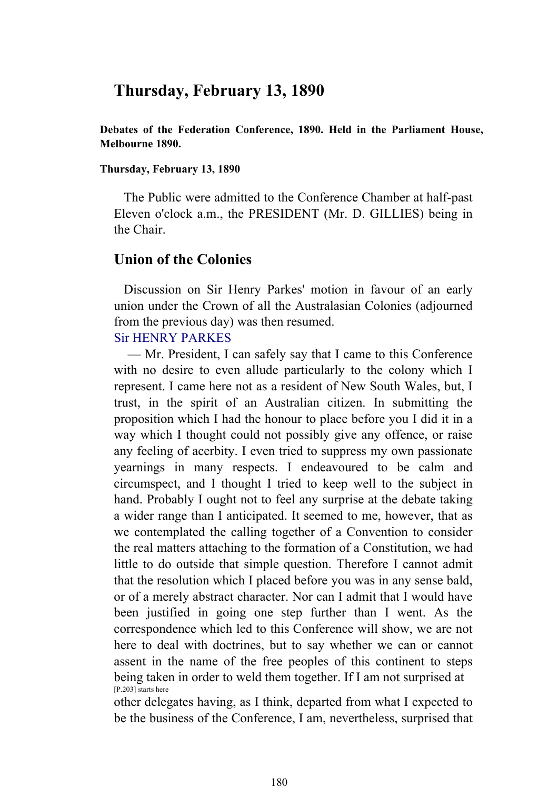# **Thursday, February 13, 1890**

**Debates of the Federation Conference, 1890. Held in the Parliament House, Melbourne 1890.** 

#### **Thursday, February 13, 1890**

 The Public were admitted to the Conference Chamber at half-past Eleven o'clock a.m., the PRESIDENT (Mr. D. GILLIES) being in the Chair.

# **Union of the Colonies**

 Discussion on Sir Henry Parkes' motion in favour of an early union under the Crown of all the Australasian Colonies (adjourned from the previous day) was then resumed.

## Sir HENRY PARKES

 — Mr. President, I can safely say that I came to this Conference with no desire to even allude particularly to the colony which I represent. I came here not as a resident of New South Wales, but, I trust, in the spirit of an Australian citizen. In submitting the proposition which I had the honour to place before you I did it in a way which I thought could not possibly give any offence, or raise any feeling of acerbity. I even tried to suppress my own passionate yearnings in many respects. I endeavoured to be calm and circumspect, and I thought I tried to keep well to the subject in hand. Probably I ought not to feel any surprise at the debate taking a wider range than I anticipated. It seemed to me, however, that as we contemplated the calling together of a Convention to consider the real matters attaching to the formation of a Constitution, we had little to do outside that simple question. Therefore I cannot admit that the resolution which I placed before you was in any sense bald, or of a merely abstract character. Nor can I admit that I would have been justified in going one step further than I went. As the correspondence which led to this Conference will show, we are not here to deal with doctrines, but to say whether we can or cannot assent in the name of the free peoples of this continent to steps being taken in order to weld them together. If I am not surprised at [P.203] starts here

other delegates having, as I think, departed from what I expected to be the business of the Conference, I am, nevertheless, surprised that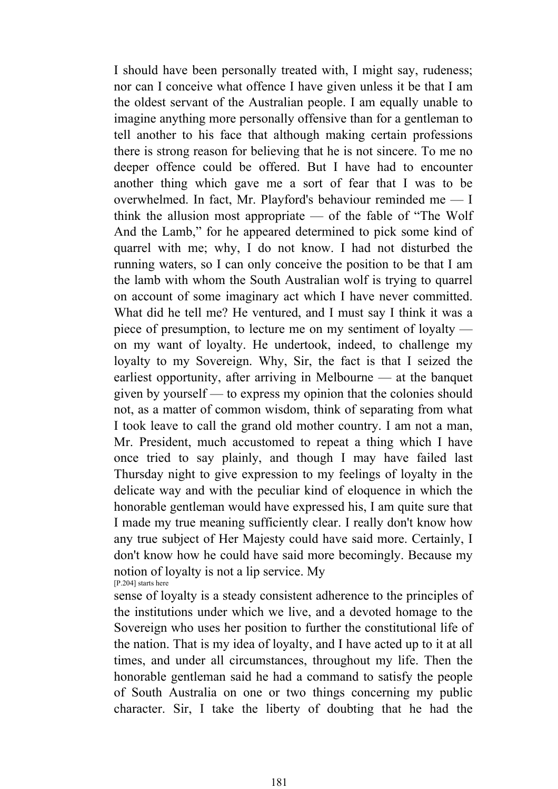I should have been personally treated with, I might say, rudeness; nor can I conceive what offence I have given unless it be that I am the oldest servant of the Australian people. I am equally unable to imagine anything more personally offensive than for a gentleman to tell another to his face that although making certain professions there is strong reason for believing that he is not sincere. To me no deeper offence could be offered. But I have had to encounter another thing which gave me a sort of fear that I was to be overwhelmed. In fact, Mr. Playford's behaviour reminded me — I think the allusion most appropriate — of the fable of "The Wolf And the Lamb," for he appeared determined to pick some kind of quarrel with me; why, I do not know. I had not disturbed the running waters, so I can only conceive the position to be that I am the lamb with whom the South Australian wolf is trying to quarrel on account of some imaginary act which I have never committed. What did he tell me? He ventured, and I must say I think it was a piece of presumption, to lecture me on my sentiment of loyalty on my want of loyalty. He undertook, indeed, to challenge my loyalty to my Sovereign. Why, Sir, the fact is that I seized the earliest opportunity, after arriving in Melbourne — at the banquet given by yourself — to express my opinion that the colonies should not, as a matter of common wisdom, think of separating from what I took leave to call the grand old mother country. I am not a man, Mr. President, much accustomed to repeat a thing which I have once tried to say plainly, and though I may have failed last Thursday night to give expression to my feelings of loyalty in the delicate way and with the peculiar kind of eloquence in which the honorable gentleman would have expressed his, I am quite sure that I made my true meaning sufficiently clear. I really don't know how any true subject of Her Majesty could have said more. Certainly, I don't know how he could have said more becomingly. Because my notion of loyalty is not a lip service. My [P.204] starts here

sense of loyalty is a steady consistent adherence to the principles of the institutions under which we live, and a devoted homage to the Sovereign who uses her position to further the constitutional life of the nation. That is my idea of loyalty, and I have acted up to it at all times, and under all circumstances, throughout my life. Then the honorable gentleman said he had a command to satisfy the people of South Australia on one or two things concerning my public character. Sir, I take the liberty of doubting that he had the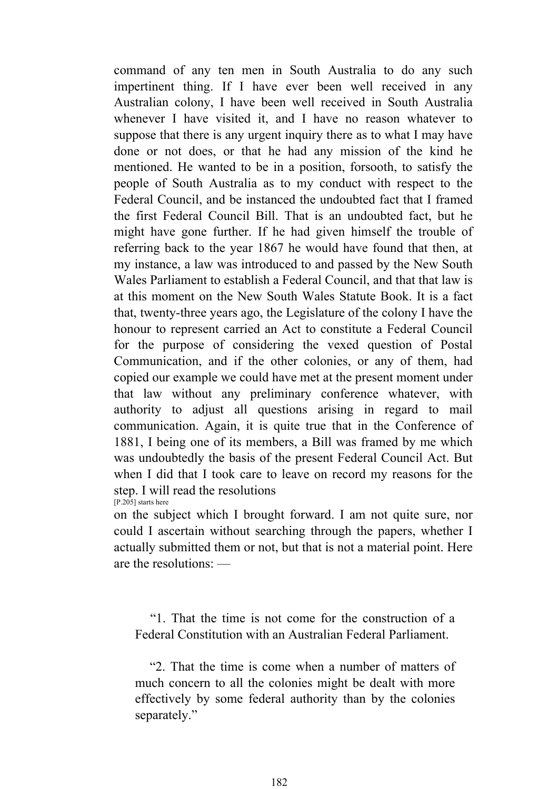command of any ten men in South Australia to do any such impertinent thing. If I have ever been well received in any Australian colony, I have been well received in South Australia whenever I have visited it, and I have no reason whatever to suppose that there is any urgent inquiry there as to what I may have done or not does, or that he had any mission of the kind he mentioned. He wanted to be in a position, forsooth, to satisfy the people of South Australia as to my conduct with respect to the Federal Council, and be instanced the undoubted fact that I framed the first Federal Council Bill. That is an undoubted fact, but he might have gone further. If he had given himself the trouble of referring back to the year 1867 he would have found that then, at my instance, a law was introduced to and passed by the New South Wales Parliament to establish a Federal Council, and that that law is at this moment on the New South Wales Statute Book. It is a fact that, twenty-three years ago, the Legislature of the colony I have the honour to represent carried an Act to constitute a Federal Council for the purpose of considering the vexed question of Postal Communication, and if the other colonies, or any of them, had copied our example we could have met at the present moment under that law without any preliminary conference whatever, with authority to adjust all questions arising in regard to mail communication. Again, it is quite true that in the Conference of 1881, I being one of its members, a Bill was framed by me which was undoubtedly the basis of the present Federal Council Act. But when I did that I took care to leave on record my reasons for the step. I will read the resolutions [P.205] starts here

on the subject which I brought forward. I am not quite sure, nor could I ascertain without searching through the papers, whether I actually submitted them or not, but that is not a material point. Here are the resolutions: —

 "1. That the time is not come for the construction of a Federal Constitution with an Australian Federal Parliament.

 "2. That the time is come when a number of matters of much concern to all the colonies might be dealt with more effectively by some federal authority than by the colonies separately."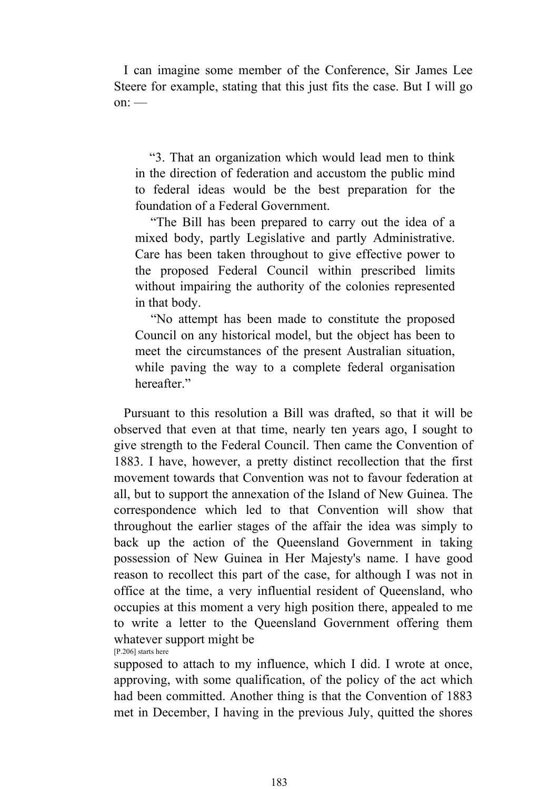I can imagine some member of the Conference, Sir James Lee Steere for example, stating that this just fits the case. But I will go  $\alpha$ n: —

 "3. That an organization which would lead men to think in the direction of federation and accustom the public mind to federal ideas would be the best preparation for the foundation of a Federal Government.

 "The Bill has been prepared to carry out the idea of a mixed body, partly Legislative and partly Administrative. Care has been taken throughout to give effective power to the proposed Federal Council within prescribed limits without impairing the authority of the colonies represented in that body.

 "No attempt has been made to constitute the proposed Council on any historical model, but the object has been to meet the circumstances of the present Australian situation, while paving the way to a complete federal organisation hereafter."

 Pursuant to this resolution a Bill was drafted, so that it will be observed that even at that time, nearly ten years ago, I sought to give strength to the Federal Council. Then came the Convention of 1883. I have, however, a pretty distinct recollection that the first movement towards that Convention was not to favour federation at all, but to support the annexation of the Island of New Guinea. The correspondence which led to that Convention will show that throughout the earlier stages of the affair the idea was simply to back up the action of the Queensland Government in taking possession of New Guinea in Her Majesty's name. I have good reason to recollect this part of the case, for although I was not in office at the time, a very influential resident of Queensland, who occupies at this moment a very high position there, appealed to me to write a letter to the Queensland Government offering them whatever support might be [P.206] starts here

supposed to attach to my influence, which I did. I wrote at once, approving, with some qualification, of the policy of the act which had been committed. Another thing is that the Convention of 1883 met in December, I having in the previous July, quitted the shores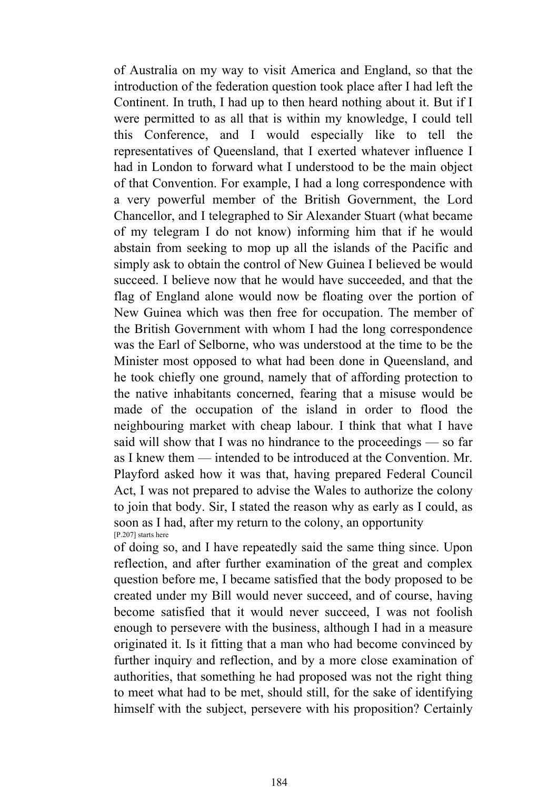of Australia on my way to visit America and England, so that the introduction of the federation question took place after I had left the Continent. In truth, I had up to then heard nothing about it. But if I were permitted to as all that is within my knowledge, I could tell this Conference, and I would especially like to tell the representatives of Queensland, that I exerted whatever influence I had in London to forward what I understood to be the main object of that Convention. For example, I had a long correspondence with a very powerful member of the British Government, the Lord Chancellor, and I telegraphed to Sir Alexander Stuart (what became of my telegram I do not know) informing him that if he would abstain from seeking to mop up all the islands of the Pacific and simply ask to obtain the control of New Guinea I believed be would succeed. I believe now that he would have succeeded, and that the flag of England alone would now be floating over the portion of New Guinea which was then free for occupation. The member of the British Government with whom I had the long correspondence was the Earl of Selborne, who was understood at the time to be the Minister most opposed to what had been done in Queensland, and he took chiefly one ground, namely that of affording protection to the native inhabitants concerned, fearing that a misuse would be made of the occupation of the island in order to flood the neighbouring market with cheap labour. I think that what I have said will show that I was no hindrance to the proceedings — so far as I knew them — intended to be introduced at the Convention. Mr. Playford asked how it was that, having prepared Federal Council Act, I was not prepared to advise the Wales to authorize the colony to join that body. Sir, I stated the reason why as early as I could, as soon as I had, after my return to the colony, an opportunity [P.207] starts here

of doing so, and I have repeatedly said the same thing since. Upon reflection, and after further examination of the great and complex question before me, I became satisfied that the body proposed to be created under my Bill would never succeed, and of course, having become satisfied that it would never succeed, I was not foolish enough to persevere with the business, although I had in a measure originated it. Is it fitting that a man who had become convinced by further inquiry and reflection, and by a more close examination of authorities, that something he had proposed was not the right thing to meet what had to be met, should still, for the sake of identifying himself with the subject, persevere with his proposition? Certainly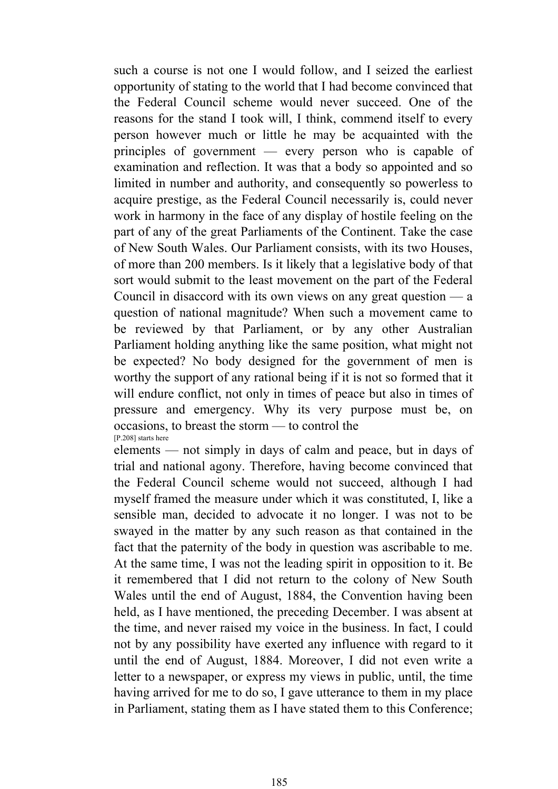such a course is not one I would follow, and I seized the earliest opportunity of stating to the world that I had become convinced that the Federal Council scheme would never succeed. One of the reasons for the stand I took will, I think, commend itself to every person however much or little he may be acquainted with the principles of government — every person who is capable of examination and reflection. It was that a body so appointed and so limited in number and authority, and consequently so powerless to acquire prestige, as the Federal Council necessarily is, could never work in harmony in the face of any display of hostile feeling on the part of any of the great Parliaments of the Continent. Take the case of New South Wales. Our Parliament consists, with its two Houses, of more than 200 members. Is it likely that a legislative body of that sort would submit to the least movement on the part of the Federal Council in disaccord with its own views on any great question — a question of national magnitude? When such a movement came to be reviewed by that Parliament, or by any other Australian Parliament holding anything like the same position, what might not be expected? No body designed for the government of men is worthy the support of any rational being if it is not so formed that it will endure conflict, not only in times of peace but also in times of pressure and emergency. Why its very purpose must be, on occasions, to breast the storm — to control the [P.208] starts here

elements — not simply in days of calm and peace, but in days of trial and national agony. Therefore, having become convinced that the Federal Council scheme would not succeed, although I had myself framed the measure under which it was constituted, I, like a sensible man, decided to advocate it no longer. I was not to be swayed in the matter by any such reason as that contained in the fact that the paternity of the body in question was ascribable to me. At the same time, I was not the leading spirit in opposition to it. Be it remembered that I did not return to the colony of New South Wales until the end of August, 1884, the Convention having been held, as I have mentioned, the preceding December. I was absent at the time, and never raised my voice in the business. In fact, I could not by any possibility have exerted any influence with regard to it until the end of August, 1884. Moreover, I did not even write a letter to a newspaper, or express my views in public, until, the time having arrived for me to do so, I gave utterance to them in my place in Parliament, stating them as I have stated them to this Conference;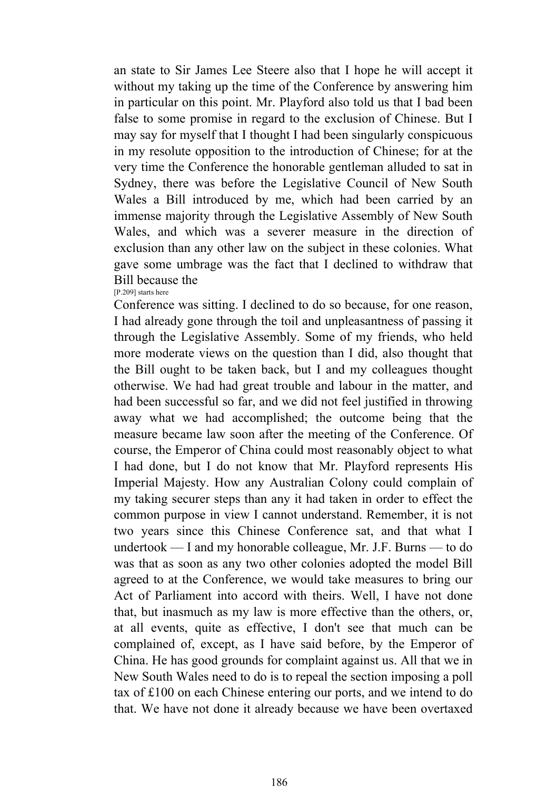an state to Sir James Lee Steere also that I hope he will accept it without my taking up the time of the Conference by answering him in particular on this point. Mr. Playford also told us that I bad been false to some promise in regard to the exclusion of Chinese. But I may say for myself that I thought I had been singularly conspicuous in my resolute opposition to the introduction of Chinese; for at the very time the Conference the honorable gentleman alluded to sat in Sydney, there was before the Legislative Council of New South Wales a Bill introduced by me, which had been carried by an immense majority through the Legislative Assembly of New South Wales, and which was a severer measure in the direction of exclusion than any other law on the subject in these colonies. What gave some umbrage was the fact that I declined to withdraw that Bill because the

[P.209] starts here

Conference was sitting. I declined to do so because, for one reason, I had already gone through the toil and unpleasantness of passing it through the Legislative Assembly. Some of my friends, who held more moderate views on the question than I did, also thought that the Bill ought to be taken back, but I and my colleagues thought otherwise. We had had great trouble and labour in the matter, and had been successful so far, and we did not feel justified in throwing away what we had accomplished; the outcome being that the measure became law soon after the meeting of the Conference. Of course, the Emperor of China could most reasonably object to what I had done, but I do not know that Mr. Playford represents His Imperial Majesty. How any Australian Colony could complain of my taking securer steps than any it had taken in order to effect the common purpose in view I cannot understand. Remember, it is not two years since this Chinese Conference sat, and that what I undertook — I and my honorable colleague, Mr. J.F. Burns — to do was that as soon as any two other colonies adopted the model Bill agreed to at the Conference, we would take measures to bring our Act of Parliament into accord with theirs. Well, I have not done that, but inasmuch as my law is more effective than the others, or, at all events, quite as effective, I don't see that much can be complained of, except, as I have said before, by the Emperor of China. He has good grounds for complaint against us. All that we in New South Wales need to do is to repeal the section imposing a poll tax of £100 on each Chinese entering our ports, and we intend to do that. We have not done it already because we have been overtaxed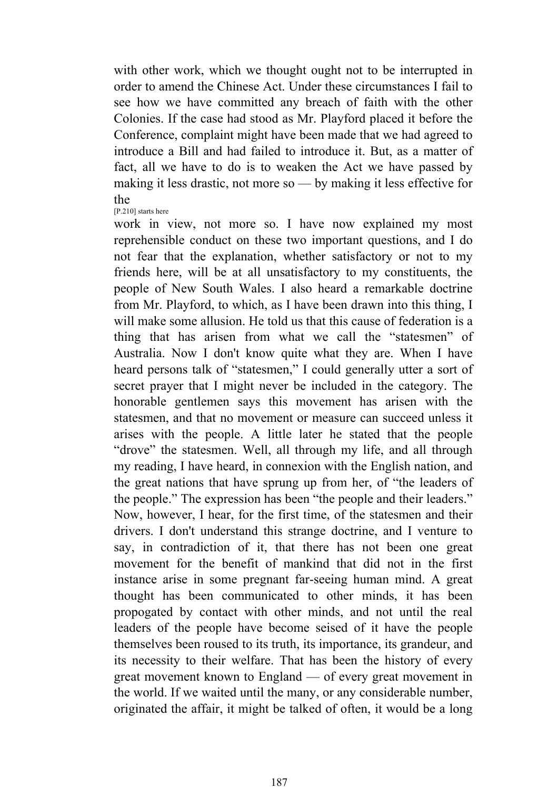with other work, which we thought ought not to be interrupted in order to amend the Chinese Act. Under these circumstances I fail to see how we have committed any breach of faith with the other Colonies. If the case had stood as Mr. Playford placed it before the Conference, complaint might have been made that we had agreed to introduce a Bill and had failed to introduce it. But, as a matter of fact, all we have to do is to weaken the Act we have passed by making it less drastic, not more so — by making it less effective for the

[P.210] starts here

work in view, not more so. I have now explained my most reprehensible conduct on these two important questions, and I do not fear that the explanation, whether satisfactory or not to my friends here, will be at all unsatisfactory to my constituents, the people of New South Wales. I also heard a remarkable doctrine from Mr. Playford, to which, as I have been drawn into this thing, I will make some allusion. He told us that this cause of federation is a thing that has arisen from what we call the "statesmen" of Australia. Now I don't know quite what they are. When I have heard persons talk of "statesmen," I could generally utter a sort of secret prayer that I might never be included in the category. The honorable gentlemen says this movement has arisen with the statesmen, and that no movement or measure can succeed unless it arises with the people. A little later he stated that the people "drove" the statesmen. Well, all through my life, and all through my reading, I have heard, in connexion with the English nation, and the great nations that have sprung up from her, of "the leaders of the people." The expression has been "the people and their leaders." Now, however, I hear, for the first time, of the statesmen and their drivers. I don't understand this strange doctrine, and I venture to say, in contradiction of it, that there has not been one great movement for the benefit of mankind that did not in the first instance arise in some pregnant far-seeing human mind. A great thought has been communicated to other minds, it has been propogated by contact with other minds, and not until the real leaders of the people have become seised of it have the people themselves been roused to its truth, its importance, its grandeur, and its necessity to their welfare. That has been the history of every great movement known to England — of every great movement in the world. If we waited until the many, or any considerable number, originated the affair, it might be talked of often, it would be a long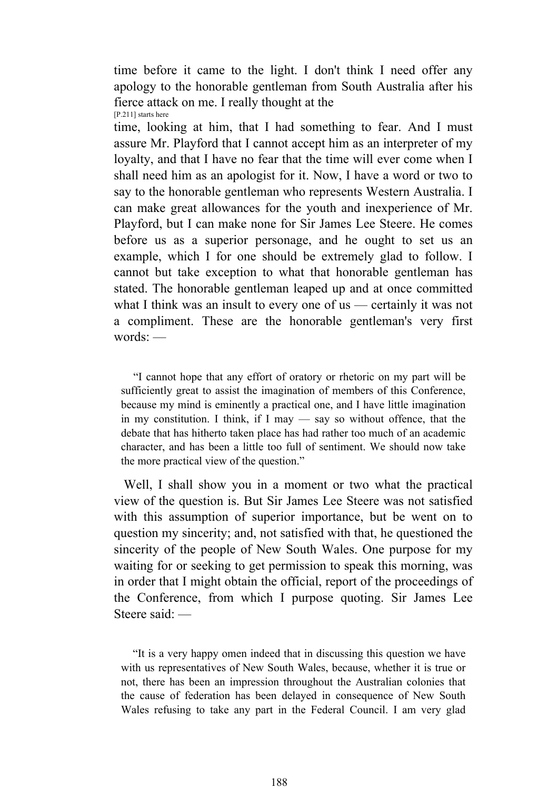time before it came to the light. I don't think I need offer any apology to the honorable gentleman from South Australia after his fierce attack on me. I really thought at the [P.211] starts here

time, looking at him, that I had something to fear. And I must assure Mr. Playford that I cannot accept him as an interpreter of my loyalty, and that I have no fear that the time will ever come when I shall need him as an apologist for it. Now, I have a word or two to say to the honorable gentleman who represents Western Australia. I can make great allowances for the youth and inexperience of Mr. Playford, but I can make none for Sir James Lee Steere. He comes before us as a superior personage, and he ought to set us an example, which I for one should be extremely glad to follow. I cannot but take exception to what that honorable gentleman has stated. The honorable gentleman leaped up and at once committed what I think was an insult to every one of us — certainly it was not a compliment. These are the honorable gentleman's very first words: —

 "I cannot hope that any effort of oratory or rhetoric on my part will be sufficiently great to assist the imagination of members of this Conference, because my mind is eminently a practical one, and I have little imagination in my constitution. I think, if I may — say so without offence, that the debate that has hitherto taken place has had rather too much of an academic character, and has been a little too full of sentiment. We should now take the more practical view of the question."

 Well, I shall show you in a moment or two what the practical view of the question is. But Sir James Lee Steere was not satisfied with this assumption of superior importance, but be went on to question my sincerity; and, not satisfied with that, he questioned the sincerity of the people of New South Wales. One purpose for my waiting for or seeking to get permission to speak this morning, was in order that I might obtain the official, report of the proceedings of the Conference, from which I purpose quoting. Sir James Lee Steere said: —

 "It is a very happy omen indeed that in discussing this question we have with us representatives of New South Wales, because, whether it is true or not, there has been an impression throughout the Australian colonies that the cause of federation has been delayed in consequence of New South Wales refusing to take any part in the Federal Council. I am very glad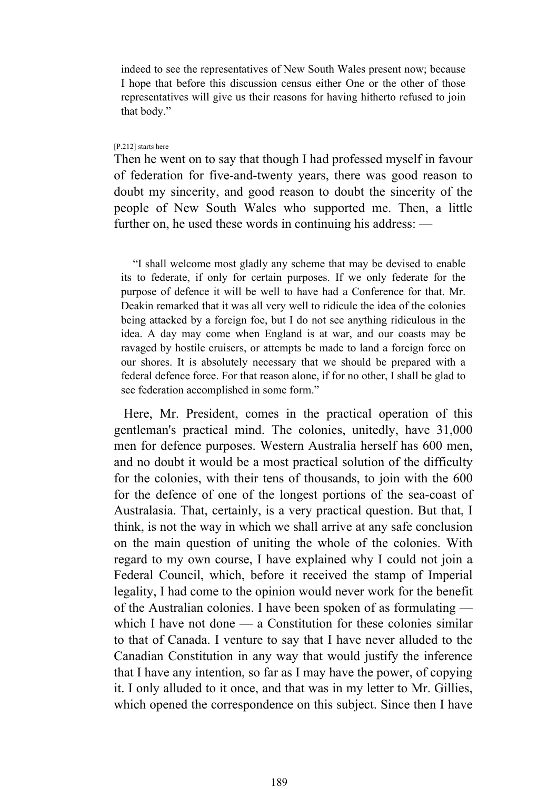indeed to see the representatives of New South Wales present now; because I hope that before this discussion census either One or the other of those representatives will give us their reasons for having hitherto refused to join that body."

#### [P.212] starts here

Then he went on to say that though I had professed myself in favour of federation for five-and-twenty years, there was good reason to doubt my sincerity, and good reason to doubt the sincerity of the people of New South Wales who supported me. Then, a little further on, he used these words in continuing his address: —

 "I shall welcome most gladly any scheme that may be devised to enable its to federate, if only for certain purposes. If we only federate for the purpose of defence it will be well to have had a Conference for that. Mr. Deakin remarked that it was all very well to ridicule the idea of the colonies being attacked by a foreign foe, but I do not see anything ridiculous in the idea. A day may come when England is at war, and our coasts may be ravaged by hostile cruisers, or attempts be made to land a foreign force on our shores. It is absolutely necessary that we should be prepared with a federal defence force. For that reason alone, if for no other, I shall be glad to see federation accomplished in some form."

 Here, Mr. President, comes in the practical operation of this gentleman's practical mind. The colonies, unitedly, have 31,000 men for defence purposes. Western Australia herself has 600 men, and no doubt it would be a most practical solution of the difficulty for the colonies, with their tens of thousands, to join with the 600 for the defence of one of the longest portions of the sea-coast of Australasia. That, certainly, is a very practical question. But that, I think, is not the way in which we shall arrive at any safe conclusion on the main question of uniting the whole of the colonies. With regard to my own course, I have explained why I could not join a Federal Council, which, before it received the stamp of Imperial legality, I had come to the opinion would never work for the benefit of the Australian colonies. I have been spoken of as formulating which I have not done — a Constitution for these colonies similar to that of Canada. I venture to say that I have never alluded to the Canadian Constitution in any way that would justify the inference that I have any intention, so far as I may have the power, of copying it. I only alluded to it once, and that was in my letter to Mr. Gillies, which opened the correspondence on this subject. Since then I have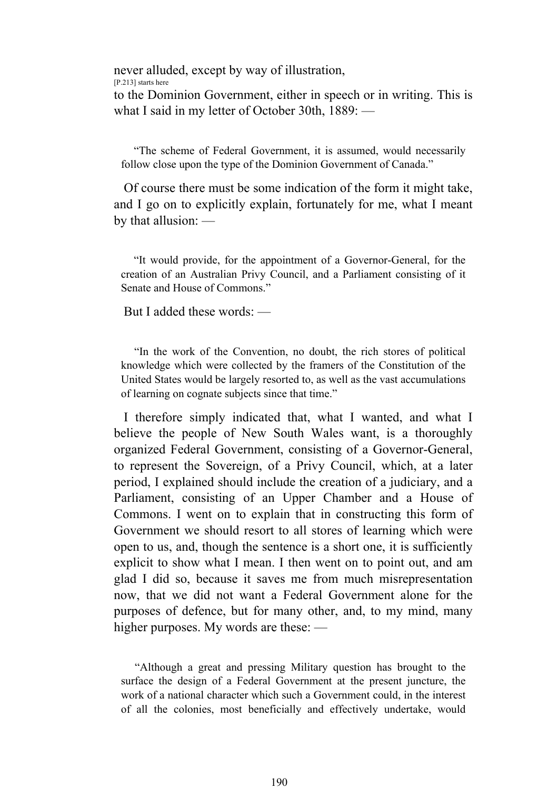never alluded, except by way of illustration,

[P.213] starts here

to the Dominion Government, either in speech or in writing. This is what I said in my letter of October 30th, 1889: —

 "The scheme of Federal Government, it is assumed, would necessarily follow close upon the type of the Dominion Government of Canada."

 Of course there must be some indication of the form it might take, and I go on to explicitly explain, fortunately for me, what I meant by that allusion: —

 "It would provide, for the appointment of a Governor-General, for the creation of an Australian Privy Council, and a Parliament consisting of it Senate and House of Commons."

But I added these words: —

 "In the work of the Convention, no doubt, the rich stores of political knowledge which were collected by the framers of the Constitution of the United States would be largely resorted to, as well as the vast accumulations of learning on cognate subjects since that time."

 I therefore simply indicated that, what I wanted, and what I believe the people of New South Wales want, is a thoroughly organized Federal Government, consisting of a Governor-General, to represent the Sovereign, of a Privy Council, which, at a later period, I explained should include the creation of a judiciary, and a Parliament, consisting of an Upper Chamber and a House of Commons. I went on to explain that in constructing this form of Government we should resort to all stores of learning which were open to us, and, though the sentence is a short one, it is sufficiently explicit to show what I mean. I then went on to point out, and am glad I did so, because it saves me from much misrepresentation now, that we did not want a Federal Government alone for the purposes of defence, but for many other, and, to my mind, many higher purposes. My words are these: —

 "Although a great and pressing Military question has brought to the surface the design of a Federal Government at the present juncture, the work of a national character which such a Government could, in the interest of all the colonies, most beneficially and effectively undertake, would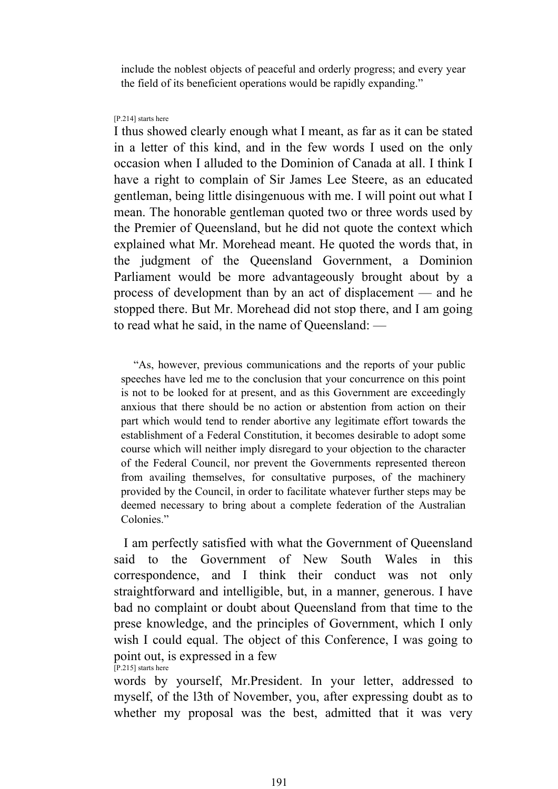include the noblest objects of peaceful and orderly progress; and every year the field of its beneficient operations would be rapidly expanding."

#### [P.214] starts here

I thus showed clearly enough what I meant, as far as it can be stated in a letter of this kind, and in the few words I used on the only occasion when I alluded to the Dominion of Canada at all. I think I have a right to complain of Sir James Lee Steere, as an educated gentleman, being little disingenuous with me. I will point out what I mean. The honorable gentleman quoted two or three words used by the Premier of Queensland, but he did not quote the context which explained what Mr. Morehead meant. He quoted the words that, in the judgment of the Queensland Government, a Dominion Parliament would be more advantageously brought about by a process of development than by an act of displacement — and he stopped there. But Mr. Morehead did not stop there, and I am going to read what he said, in the name of Queensland: —

 "As, however, previous communications and the reports of your public speeches have led me to the conclusion that your concurrence on this point is not to be looked for at present, and as this Government are exceedingly anxious that there should be no action or abstention from action on their part which would tend to render abortive any legitimate effort towards the establishment of a Federal Constitution, it becomes desirable to adopt some course which will neither imply disregard to your objection to the character of the Federal Council, nor prevent the Governments represented thereon from availing themselves, for consultative purposes, of the machinery provided by the Council, in order to facilitate whatever further steps may be deemed necessary to bring about a complete federation of the Australian Colonies."

 I am perfectly satisfied with what the Government of Queensland said to the Government of New South Wales in this correspondence, and I think their conduct was not only straightforward and intelligible, but, in a manner, generous. I have bad no complaint or doubt about Queensland from that time to the prese knowledge, and the principles of Government, which I only wish I could equal. The object of this Conference, I was going to point out, is expressed in a few [P.215] starts here

words by yourself, Mr.President. In your letter, addressed to myself, of the l3th of November, you, after expressing doubt as to whether my proposal was the best, admitted that it was very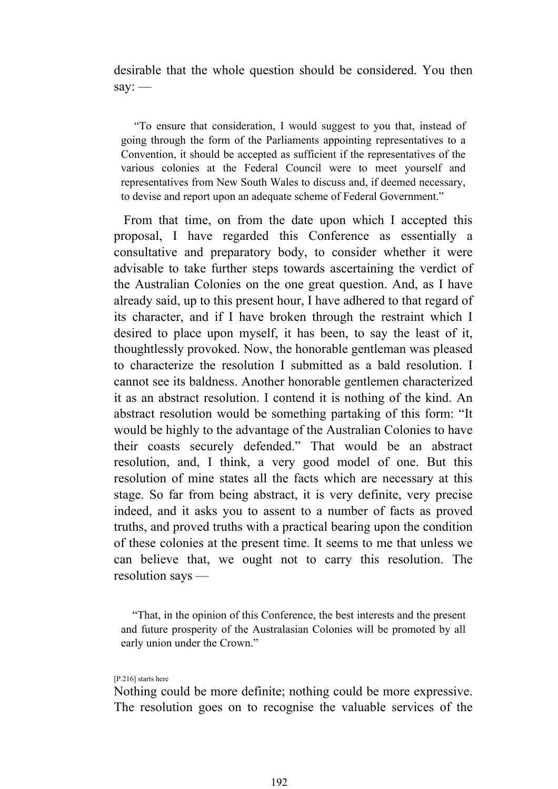desirable that the whole question should be considered. You then say: —

 "To ensure that consideration, I would suggest to you that, instead of going through the form of the Parliaments appointing representatives to a Convention, it should be accepted as sufficient if the representatives of the various colonies at the Federal Council were to meet yourself and representatives from New South Wales to discuss and, if deemed necessary, to devise and report upon an adequate scheme of Federal Government."

 From that time, on from the date upon which I accepted this proposal, I have regarded this Conference as essentially a consultative and preparatory body, to consider whether it were advisable to take further steps towards ascertaining the verdict of the Australian Colonies on the one great question. And, as I have already said, up to this present hour, I have adhered to that regard of its character, and if I have broken through the restraint which I desired to place upon myself, it has been, to say the least of it, thoughtlessly provoked. Now, the honorable gentleman was pleased to characterize the resolution I submitted as a bald resolution. I cannot see its baldness. Another honorable gentlemen characterized it as an abstract resolution. I contend it is nothing of the kind. An abstract resolution would be something partaking of this form: "It would be highly to the advantage of the Australian Colonies to have their coasts securely defended." That would be an abstract resolution, and, I think, a very good model of one. But this resolution of mine states all the facts which are necessary at this stage. So far from being abstract, it is very definite, very precise indeed, and it asks you to assent to a number of facts as proved truths, and proved truths with a practical bearing upon the condition of these colonies at the present time. It seems to me that unless we can believe that, we ought not to carry this resolution. The resolution says —

 "That, in the opinion of this Conference, the best interests and the present and future prosperity of the Australasian Colonies will be promoted by all early union under the Crown."

#### [P.216] starts here

Nothing could be more definite; nothing could be more expressive. The resolution goes on to recognise the valuable services of the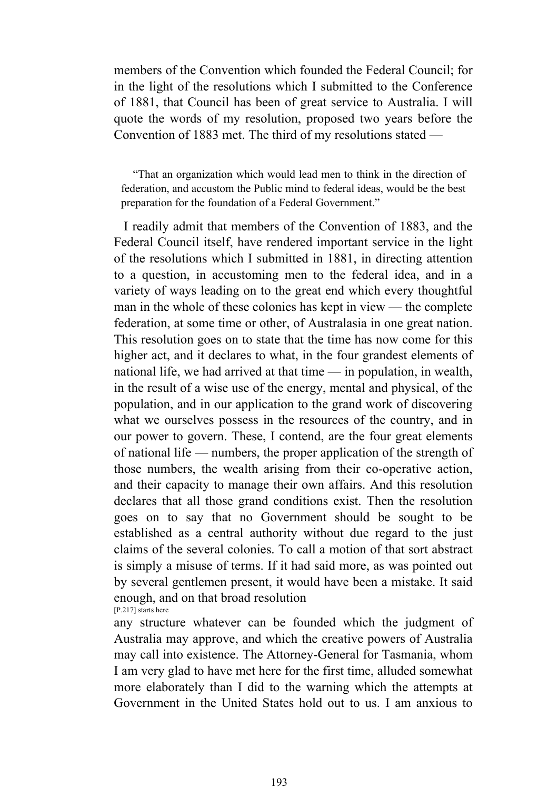members of the Convention which founded the Federal Council; for in the light of the resolutions which I submitted to the Conference of 1881, that Council has been of great service to Australia. I will quote the words of my resolution, proposed two years before the Convention of 1883 met. The third of my resolutions stated —

 "That an organization which would lead men to think in the direction of federation, and accustom the Public mind to federal ideas, would be the best preparation for the foundation of a Federal Government."

 I readily admit that members of the Convention of 1883, and the Federal Council itself, have rendered important service in the light of the resolutions which I submitted in 1881, in directing attention to a question, in accustoming men to the federal idea, and in a variety of ways leading on to the great end which every thoughtful man in the whole of these colonies has kept in view — the complete federation, at some time or other, of Australasia in one great nation. This resolution goes on to state that the time has now come for this higher act, and it declares to what, in the four grandest elements of national life, we had arrived at that time — in population, in wealth, in the result of a wise use of the energy, mental and physical, of the population, and in our application to the grand work of discovering what we ourselves possess in the resources of the country, and in our power to govern. These, I contend, are the four great elements of national life — numbers, the proper application of the strength of those numbers, the wealth arising from their co-operative action, and their capacity to manage their own affairs. And this resolution declares that all those grand conditions exist. Then the resolution goes on to say that no Government should be sought to be established as a central authority without due regard to the just claims of the several colonies. To call a motion of that sort abstract is simply a misuse of terms. If it had said more, as was pointed out by several gentlemen present, it would have been a mistake. It said enough, and on that broad resolution [P.217] starts here

any structure whatever can be founded which the judgment of Australia may approve, and which the creative powers of Australia may call into existence. The Attorney-General for Tasmania, whom I am very glad to have met here for the first time, alluded somewhat more elaborately than I did to the warning which the attempts at Government in the United States hold out to us. I am anxious to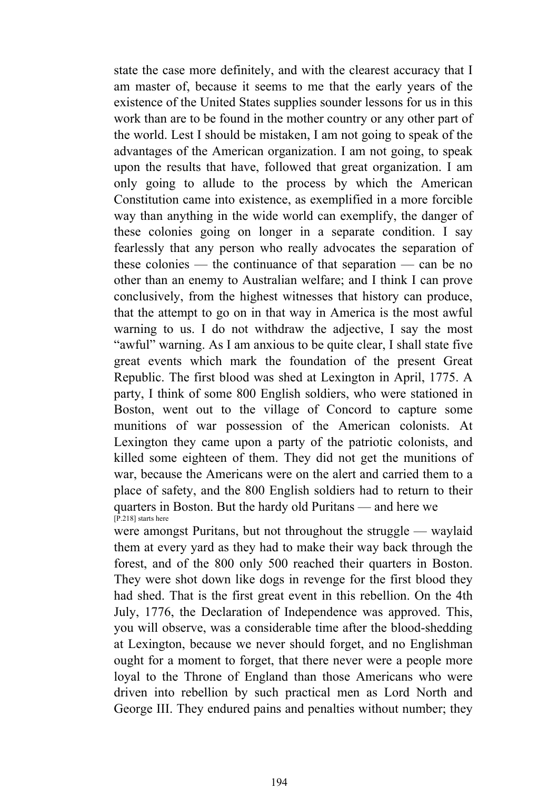state the case more definitely, and with the clearest accuracy that I am master of, because it seems to me that the early years of the existence of the United States supplies sounder lessons for us in this work than are to be found in the mother country or any other part of the world. Lest I should be mistaken, I am not going to speak of the advantages of the American organization. I am not going, to speak upon the results that have, followed that great organization. I am only going to allude to the process by which the American Constitution came into existence, as exemplified in a more forcible way than anything in the wide world can exemplify, the danger of these colonies going on longer in a separate condition. I say fearlessly that any person who really advocates the separation of these colonies — the continuance of that separation — can be no other than an enemy to Australian welfare; and I think I can prove conclusively, from the highest witnesses that history can produce, that the attempt to go on in that way in America is the most awful warning to us. I do not withdraw the adjective, I say the most "awful" warning. As I am anxious to be quite clear, I shall state five great events which mark the foundation of the present Great Republic. The first blood was shed at Lexington in April, 1775. A party, I think of some 800 English soldiers, who were stationed in Boston, went out to the village of Concord to capture some munitions of war possession of the American colonists. At Lexington they came upon a party of the patriotic colonists, and killed some eighteen of them. They did not get the munitions of war, because the Americans were on the alert and carried them to a place of safety, and the 800 English soldiers had to return to their quarters in Boston. But the hardy old Puritans — and here we [P.218] starts here

were amongst Puritans, but not throughout the struggle — waylaid them at every yard as they had to make their way back through the forest, and of the 800 only 500 reached their quarters in Boston. They were shot down like dogs in revenge for the first blood they had shed. That is the first great event in this rebellion. On the 4th July, 1776, the Declaration of Independence was approved. This, you will observe, was a considerable time after the blood-shedding at Lexington, because we never should forget, and no Englishman ought for a moment to forget, that there never were a people more loyal to the Throne of England than those Americans who were driven into rebellion by such practical men as Lord North and George III. They endured pains and penalties without number; they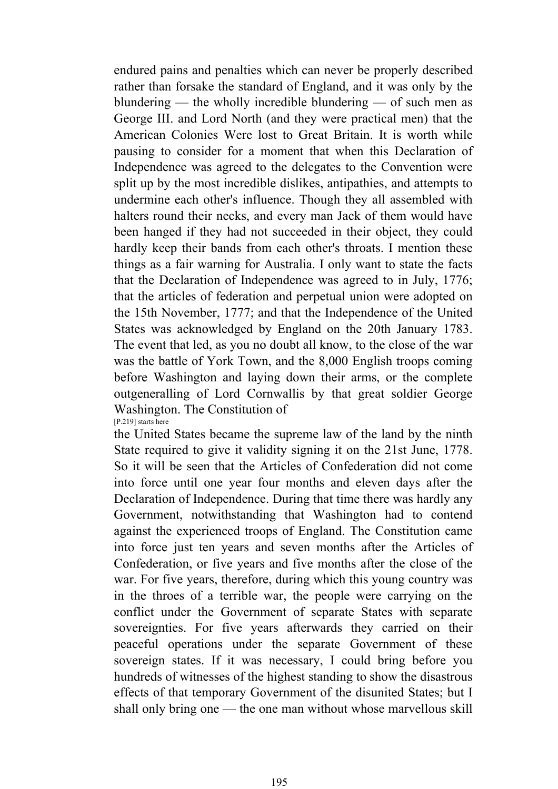endured pains and penalties which can never be properly described rather than forsake the standard of England, and it was only by the blundering — the wholly incredible blundering — of such men as George III. and Lord North (and they were practical men) that the American Colonies Were lost to Great Britain. It is worth while pausing to consider for a moment that when this Declaration of Independence was agreed to the delegates to the Convention were split up by the most incredible dislikes, antipathies, and attempts to undermine each other's influence. Though they all assembled with halters round their necks, and every man Jack of them would have been hanged if they had not succeeded in their object, they could hardly keep their bands from each other's throats. I mention these things as a fair warning for Australia. I only want to state the facts that the Declaration of Independence was agreed to in July, 1776; that the articles of federation and perpetual union were adopted on the 15th November, 1777; and that the Independence of the United States was acknowledged by England on the 20th January 1783. The event that led, as you no doubt all know, to the close of the war was the battle of York Town, and the 8,000 English troops coming before Washington and laying down their arms, or the complete outgeneralling of Lord Cornwallis by that great soldier George Washington. The Constitution of [P.219] starts here

the United States became the supreme law of the land by the ninth State required to give it validity signing it on the 21st June, 1778. So it will be seen that the Articles of Confederation did not come into force until one year four months and eleven days after the Declaration of Independence. During that time there was hardly any Government, notwithstanding that Washington had to contend against the experienced troops of England. The Constitution came into force just ten years and seven months after the Articles of Confederation, or five years and five months after the close of the war. For five years, therefore, during which this young country was in the throes of a terrible war, the people were carrying on the conflict under the Government of separate States with separate sovereignties. For five years afterwards they carried on their peaceful operations under the separate Government of these sovereign states. If it was necessary, I could bring before you hundreds of witnesses of the highest standing to show the disastrous effects of that temporary Government of the disunited States; but I shall only bring one — the one man without whose marvellous skill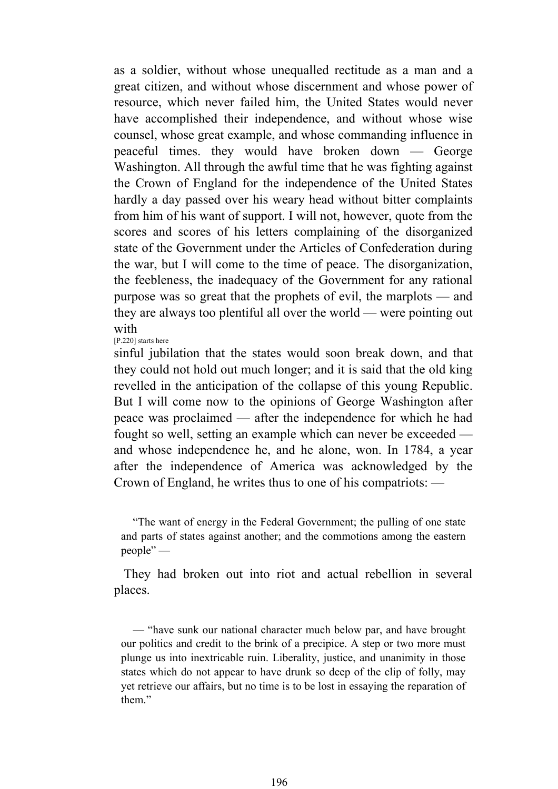as a soldier, without whose unequalled rectitude as a man and a great citizen, and without whose discernment and whose power of resource, which never failed him, the United States would never have accomplished their independence, and without whose wise counsel, whose great example, and whose commanding influence in peaceful times. they would have broken down — George Washington. All through the awful time that he was fighting against the Crown of England for the independence of the United States hardly a day passed over his weary head without bitter complaints from him of his want of support. I will not, however, quote from the scores and scores of his letters complaining of the disorganized state of the Government under the Articles of Confederation during the war, but I will come to the time of peace. The disorganization, the feebleness, the inadequacy of the Government for any rational purpose was so great that the prophets of evil, the marplots — and they are always too plentiful all over the world — were pointing out with

[P.220] starts here

sinful jubilation that the states would soon break down, and that they could not hold out much longer; and it is said that the old king revelled in the anticipation of the collapse of this young Republic. But I will come now to the opinions of George Washington after peace was proclaimed — after the independence for which he had fought so well, setting an example which can never be exceeded and whose independence he, and he alone, won. In 1784, a year after the independence of America was acknowledged by the Crown of England, he writes thus to one of his compatriots: —

 "The want of energy in the Federal Government; the pulling of one state and parts of states against another; and the commotions among the eastern people" —

 They had broken out into riot and actual rebellion in several places.

 — "have sunk our national character much below par, and have brought our politics and credit to the brink of a precipice. A step or two more must plunge us into inextricable ruin. Liberality, justice, and unanimity in those states which do not appear to have drunk so deep of the clip of folly, may yet retrieve our affairs, but no time is to be lost in essaying the reparation of them"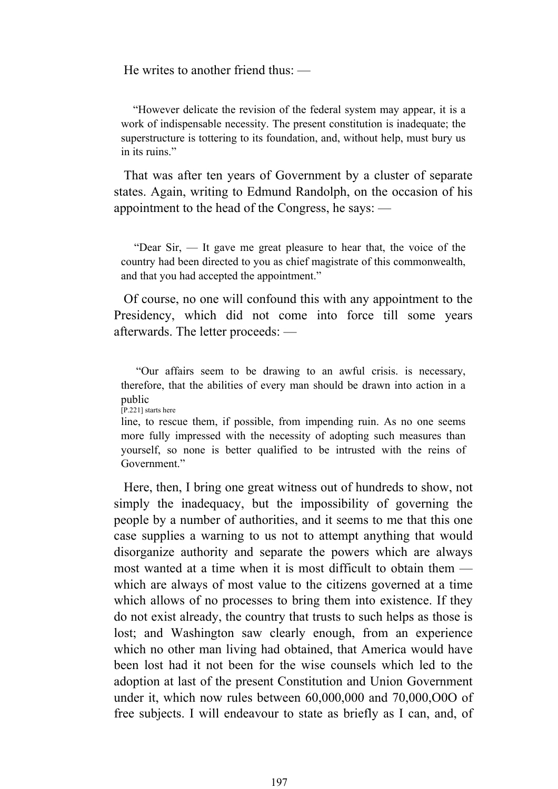He writes to another friend thus: —

 "However delicate the revision of the federal system may appear, it is a work of indispensable necessity. The present constitution is inadequate; the superstructure is tottering to its foundation, and, without help, must bury us in its ruins."

 That was after ten years of Government by a cluster of separate states. Again, writing to Edmund Randolph, on the occasion of his appointment to the head of the Congress, he says: —

 "Dear Sir, — It gave me great pleasure to hear that, the voice of the country had been directed to you as chief magistrate of this commonwealth, and that you had accepted the appointment."

 Of course, no one will confound this with any appointment to the Presidency, which did not come into force till some years afterwards. The letter proceeds: —

 "Our affairs seem to be drawing to an awful crisis. is necessary, therefore, that the abilities of every man should be drawn into action in a public [P.221] starts here

line, to rescue them, if possible, from impending ruin. As no one seems more fully impressed with the necessity of adopting such measures than yourself, so none is better qualified to be intrusted with the reins of Government<sup>"</sup>

 Here, then, I bring one great witness out of hundreds to show, not simply the inadequacy, but the impossibility of governing the people by a number of authorities, and it seems to me that this one case supplies a warning to us not to attempt anything that would disorganize authority and separate the powers which are always most wanted at a time when it is most difficult to obtain them which are always of most value to the citizens governed at a time which allows of no processes to bring them into existence. If they do not exist already, the country that trusts to such helps as those is lost; and Washington saw clearly enough, from an experience which no other man living had obtained, that America would have been lost had it not been for the wise counsels which led to the adoption at last of the present Constitution and Union Government under it, which now rules between 60,000,000 and 70,000,O0O of free subjects. I will endeavour to state as briefly as I can, and, of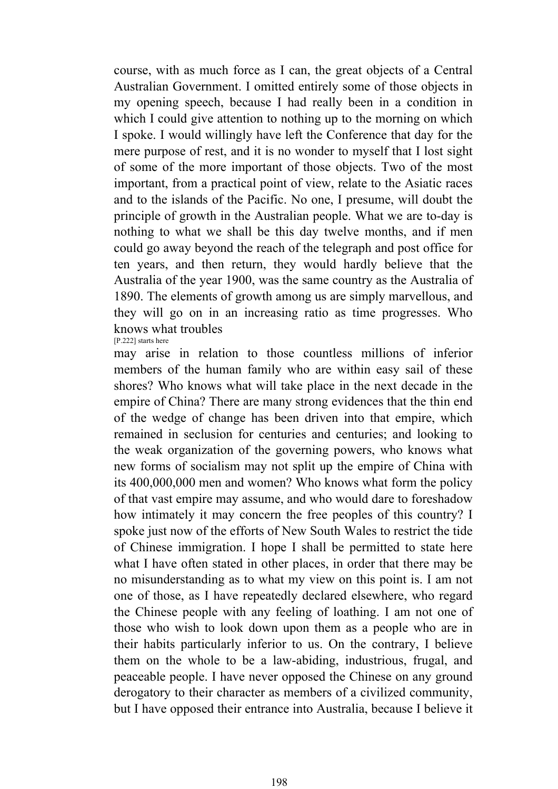course, with as much force as I can, the great objects of a Central Australian Government. I omitted entirely some of those objects in my opening speech, because I had really been in a condition in which I could give attention to nothing up to the morning on which I spoke. I would willingly have left the Conference that day for the mere purpose of rest, and it is no wonder to myself that I lost sight of some of the more important of those objects. Two of the most important, from a practical point of view, relate to the Asiatic races and to the islands of the Pacific. No one, I presume, will doubt the principle of growth in the Australian people. What we are to-day is nothing to what we shall be this day twelve months, and if men could go away beyond the reach of the telegraph and post office for ten years, and then return, they would hardly believe that the Australia of the year 1900, was the same country as the Australia of 1890. The elements of growth among us are simply marvellous, and they will go on in an increasing ratio as time progresses. Who knows what troubles

[P.222] starts here

may arise in relation to those countless millions of inferior members of the human family who are within easy sail of these shores? Who knows what will take place in the next decade in the empire of China? There are many strong evidences that the thin end of the wedge of change has been driven into that empire, which remained in seclusion for centuries and centuries; and looking to the weak organization of the governing powers, who knows what new forms of socialism may not split up the empire of China with its 400,000,000 men and women? Who knows what form the policy of that vast empire may assume, and who would dare to foreshadow how intimately it may concern the free peoples of this country? I spoke just now of the efforts of New South Wales to restrict the tide of Chinese immigration. I hope I shall be permitted to state here what I have often stated in other places, in order that there may be no misunderstanding as to what my view on this point is. I am not one of those, as I have repeatedly declared elsewhere, who regard the Chinese people with any feeling of loathing. I am not one of those who wish to look down upon them as a people who are in their habits particularly inferior to us. On the contrary, I believe them on the whole to be a law-abiding, industrious, frugal, and peaceable people. I have never opposed the Chinese on any ground derogatory to their character as members of a civilized community, but I have opposed their entrance into Australia, because I believe it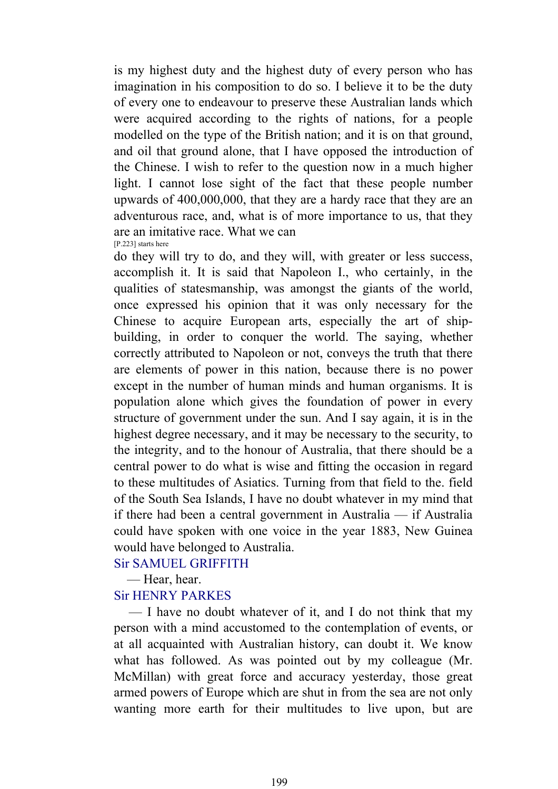is my highest duty and the highest duty of every person who has imagination in his composition to do so. I believe it to be the duty of every one to endeavour to preserve these Australian lands which were acquired according to the rights of nations, for a people modelled on the type of the British nation; and it is on that ground, and oil that ground alone, that I have opposed the introduction of the Chinese. I wish to refer to the question now in a much higher light. I cannot lose sight of the fact that these people number upwards of 400,000,000, that they are a hardy race that they are an adventurous race, and, what is of more importance to us, that they are an imitative race. What we can [P.223] starts here

do they will try to do, and they will, with greater or less success, accomplish it. It is said that Napoleon I., who certainly, in the qualities of statesmanship, was amongst the giants of the world, once expressed his opinion that it was only necessary for the Chinese to acquire European arts, especially the art of shipbuilding, in order to conquer the world. The saying, whether correctly attributed to Napoleon or not, conveys the truth that there are elements of power in this nation, because there is no power except in the number of human minds and human organisms. It is population alone which gives the foundation of power in every structure of government under the sun. And I say again, it is in the highest degree necessary, and it may be necessary to the security, to the integrity, and to the honour of Australia, that there should be a central power to do what is wise and fitting the occasion in regard to these multitudes of Asiatics. Turning from that field to the. field of the South Sea Islands, I have no doubt whatever in my mind that if there had been a central government in Australia — if Australia could have spoken with one voice in the year 1883, New Guinea would have belonged to Australia.

## Sir SAMUEL GRIFFITH

— Hear, hear.

## Sir HENRY PARKES

 — I have no doubt whatever of it, and I do not think that my person with a mind accustomed to the contemplation of events, or at all acquainted with Australian history, can doubt it. We know what has followed. As was pointed out by my colleague (Mr. McMillan) with great force and accuracy yesterday, those great armed powers of Europe which are shut in from the sea are not only wanting more earth for their multitudes to live upon, but are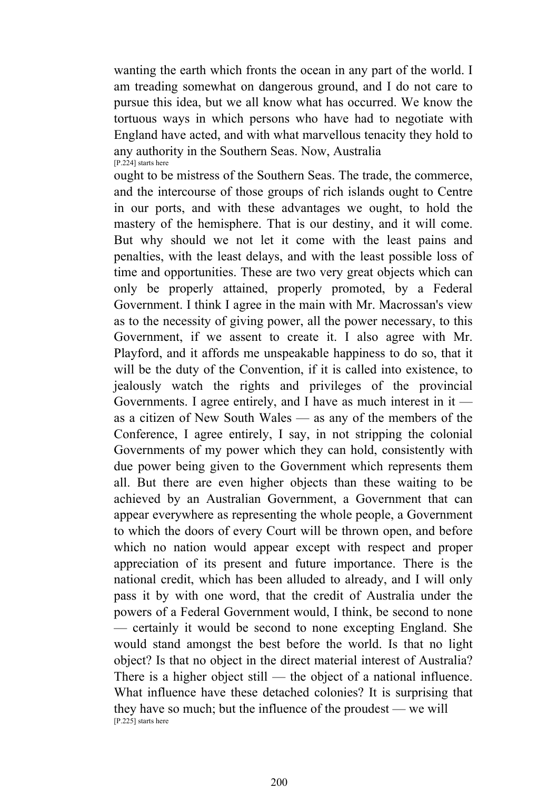wanting the earth which fronts the ocean in any part of the world. I am treading somewhat on dangerous ground, and I do not care to pursue this idea, but we all know what has occurred. We know the tortuous ways in which persons who have had to negotiate with England have acted, and with what marvellous tenacity they hold to any authority in the Southern Seas. Now, Australia [P.224] starts here

ought to be mistress of the Southern Seas. The trade, the commerce, and the intercourse of those groups of rich islands ought to Centre in our ports, and with these advantages we ought, to hold the mastery of the hemisphere. That is our destiny, and it will come. But why should we not let it come with the least pains and penalties, with the least delays, and with the least possible loss of time and opportunities. These are two very great objects which can only be properly attained, properly promoted, by a Federal Government. I think I agree in the main with Mr. Macrossan's view as to the necessity of giving power, all the power necessary, to this Government, if we assent to create it. I also agree with Mr. Playford, and it affords me unspeakable happiness to do so, that it will be the duty of the Convention, if it is called into existence, to jealously watch the rights and privileges of the provincial Governments. I agree entirely, and I have as much interest in it  $$ as a citizen of New South Wales — as any of the members of the Conference, I agree entirely, I say, in not stripping the colonial Governments of my power which they can hold, consistently with due power being given to the Government which represents them all. But there are even higher objects than these waiting to be achieved by an Australian Government, a Government that can appear everywhere as representing the whole people, a Government to which the doors of every Court will be thrown open, and before which no nation would appear except with respect and proper appreciation of its present and future importance. There is the national credit, which has been alluded to already, and I will only pass it by with one word, that the credit of Australia under the powers of a Federal Government would, I think, be second to none — certainly it would be second to none excepting England. She would stand amongst the best before the world. Is that no light object? Is that no object in the direct material interest of Australia? There is a higher object still — the object of a national influence. What influence have these detached colonies? It is surprising that they have so much; but the influence of the proudest — we will [P.225] starts here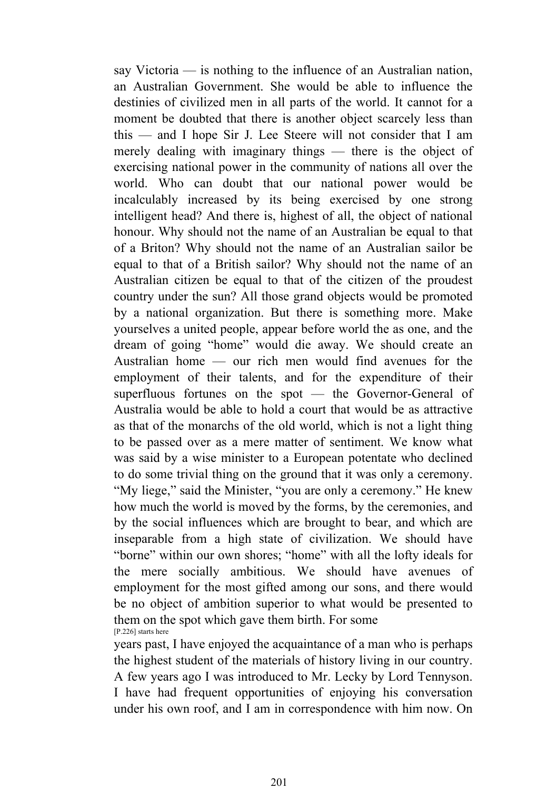say Victoria — is nothing to the influence of an Australian nation, an Australian Government. She would be able to influence the destinies of civilized men in all parts of the world. It cannot for a moment be doubted that there is another object scarcely less than this — and I hope Sir J. Lee Steere will not consider that I am merely dealing with imaginary things — there is the object of exercising national power in the community of nations all over the world. Who can doubt that our national power would be incalculably increased by its being exercised by one strong intelligent head? And there is, highest of all, the object of national honour. Why should not the name of an Australian be equal to that of a Briton? Why should not the name of an Australian sailor be equal to that of a British sailor? Why should not the name of an Australian citizen be equal to that of the citizen of the proudest country under the sun? All those grand objects would be promoted by a national organization. But there is something more. Make yourselves a united people, appear before world the as one, and the dream of going "home" would die away. We should create an Australian home — our rich men would find avenues for the employment of their talents, and for the expenditure of their superfluous fortunes on the spot — the Governor-General of Australia would be able to hold a court that would be as attractive as that of the monarchs of the old world, which is not a light thing to be passed over as a mere matter of sentiment. We know what was said by a wise minister to a European potentate who declined to do some trivial thing on the ground that it was only a ceremony. "My liege," said the Minister, "you are only a ceremony." He knew how much the world is moved by the forms, by the ceremonies, and by the social influences which are brought to bear, and which are inseparable from a high state of civilization. We should have "borne" within our own shores; "home" with all the lofty ideals for the mere socially ambitious. We should have avenues of employment for the most gifted among our sons, and there would be no object of ambition superior to what would be presented to them on the spot which gave them birth. For some [P.226] starts here

years past, I have enjoyed the acquaintance of a man who is perhaps the highest student of the materials of history living in our country. A few years ago I was introduced to Mr. Lecky by Lord Tennyson. I have had frequent opportunities of enjoying his conversation under his own roof, and I am in correspondence with him now. On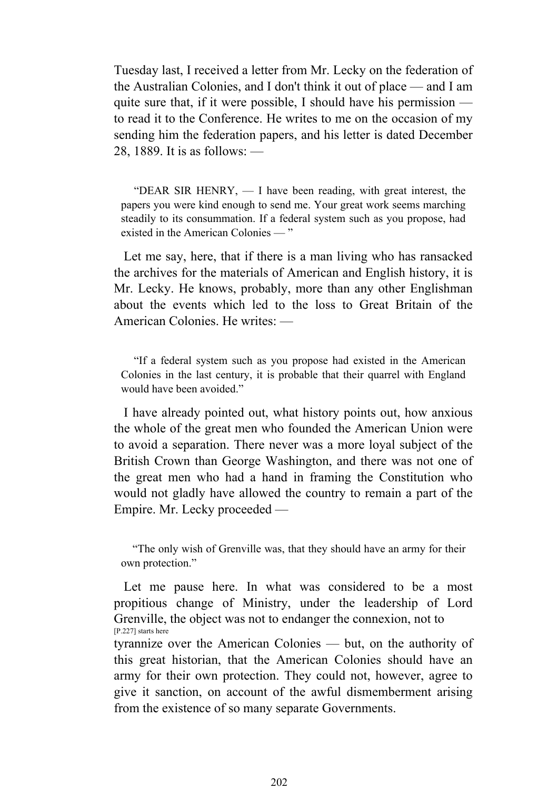Tuesday last, I received a letter from Mr. Lecky on the federation of the Australian Colonies, and I don't think it out of place — and I am quite sure that, if it were possible, I should have his permission to read it to the Conference. He writes to me on the occasion of my sending him the federation papers, and his letter is dated December 28, 1889. It is as follows: —

 "DEAR SIR HENRY, — I have been reading, with great interest, the papers you were kind enough to send me. Your great work seems marching steadily to its consummation. If a federal system such as you propose, had existed in the American Colonies — "

 Let me say, here, that if there is a man living who has ransacked the archives for the materials of American and English history, it is Mr. Lecky. He knows, probably, more than any other Englishman about the events which led to the loss to Great Britain of the American Colonies. He writes: —

 "If a federal system such as you propose had existed in the American Colonies in the last century, it is probable that their quarrel with England would have been avoided."

 I have already pointed out, what history points out, how anxious the whole of the great men who founded the American Union were to avoid a separation. There never was a more loyal subject of the British Crown than George Washington, and there was not one of the great men who had a hand in framing the Constitution who would not gladly have allowed the country to remain a part of the Empire. Mr. Lecky proceeded —

 "The only wish of Grenville was, that they should have an army for their own protection."

 Let me pause here. In what was considered to be a most propitious change of Ministry, under the leadership of Lord Grenville, the object was not to endanger the connexion, not to [P.227] starts here

tyrannize over the American Colonies — but, on the authority of this great historian, that the American Colonies should have an army for their own protection. They could not, however, agree to give it sanction, on account of the awful dismemberment arising from the existence of so many separate Governments.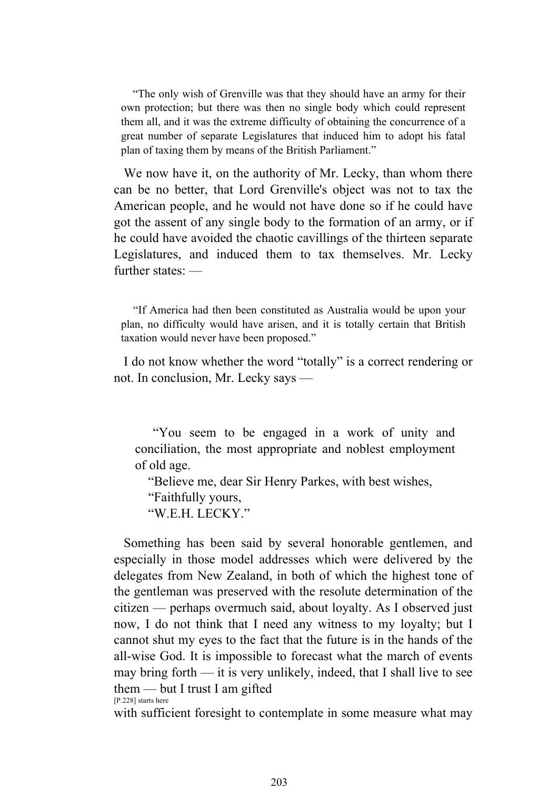"The only wish of Grenville was that they should have an army for their own protection; but there was then no single body which could represent them all, and it was the extreme difficulty of obtaining the concurrence of a great number of separate Legislatures that induced him to adopt his fatal plan of taxing them by means of the British Parliament."

We now have it, on the authority of Mr. Lecky, than whom there can be no better, that Lord Grenville's object was not to tax the American people, and he would not have done so if he could have got the assent of any single body to the formation of an army, or if he could have avoided the chaotic cavillings of the thirteen separate Legislatures, and induced them to tax themselves. Mr. Lecky further states: —

 "If America had then been constituted as Australia would be upon your plan, no difficulty would have arisen, and it is totally certain that British taxation would never have been proposed."

 I do not know whether the word "totally" is a correct rendering or not. In conclusion, Mr. Lecky says —

 "You seem to be engaged in a work of unity and conciliation, the most appropriate and noblest employment of old age.

"Believe me, dear Sir Henry Parkes, with best wishes,

"Faithfully yours,

"WEH LECKY"

 Something has been said by several honorable gentlemen, and especially in those model addresses which were delivered by the delegates from New Zealand, in both of which the highest tone of the gentleman was preserved with the resolute determination of the citizen — perhaps overmuch said, about loyalty. As I observed just now, I do not think that I need any witness to my loyalty; but I cannot shut my eyes to the fact that the future is in the hands of the all-wise God. It is impossible to forecast what the march of events may bring forth — it is very unlikely, indeed, that I shall live to see them — but I trust I am gifted [P.228] starts here

with sufficient foresight to contemplate in some measure what may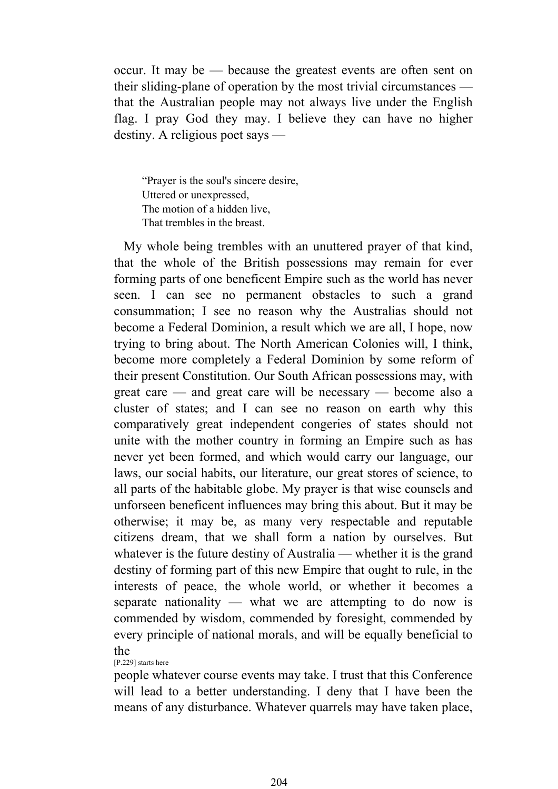occur. It may be — because the greatest events are often sent on their sliding-plane of operation by the most trivial circumstances that the Australian people may not always live under the English flag. I pray God they may. I believe they can have no higher destiny. A religious poet says —

"Prayer is the soul's sincere desire, Uttered or unexpressed, The motion of a hidden live, That trembles in the breast.

 My whole being trembles with an unuttered prayer of that kind, that the whole of the British possessions may remain for ever forming parts of one beneficent Empire such as the world has never seen. I can see no permanent obstacles to such a grand consummation; I see no reason why the Australias should not become a Federal Dominion, a result which we are all, I hope, now trying to bring about. The North American Colonies will, I think, become more completely a Federal Dominion by some reform of their present Constitution. Our South African possessions may, with great care — and great care will be necessary — become also a cluster of states; and I can see no reason on earth why this comparatively great independent congeries of states should not unite with the mother country in forming an Empire such as has never yet been formed, and which would carry our language, our laws, our social habits, our literature, our great stores of science, to all parts of the habitable globe. My prayer is that wise counsels and unforseen beneficent influences may bring this about. But it may be otherwise; it may be, as many very respectable and reputable citizens dream, that we shall form a nation by ourselves. But whatever is the future destiny of Australia — whether it is the grand destiny of forming part of this new Empire that ought to rule, in the interests of peace, the whole world, or whether it becomes a separate nationality — what we are attempting to do now is commended by wisdom, commended by foresight, commended by every principle of national morals, and will be equally beneficial to the

[P.229] starts here

people whatever course events may take. I trust that this Conference will lead to a better understanding. I deny that I have been the means of any disturbance. Whatever quarrels may have taken place,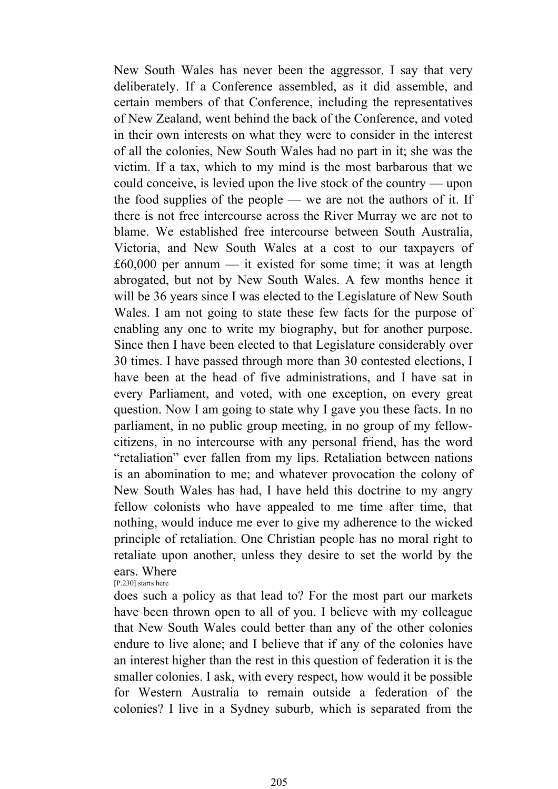New South Wales has never been the aggressor. I say that very deliberately. If a Conference assembled, as it did assemble, and certain members of that Conference, including the representatives of New Zealand, went behind the back of the Conference, and voted in their own interests on what they were to consider in the interest of all the colonies, New South Wales had no part in it; she was the victim. If a tax, which to my mind is the most barbarous that we could conceive, is levied upon the live stock of the country — upon the food supplies of the people — we are not the authors of it. If there is not free intercourse across the River Murray we are not to blame. We established free intercourse between South Australia, Victoria, and New South Wales at a cost to our taxpayers of £60,000 per annum — it existed for some time; it was at length abrogated, but not by New South Wales. A few months hence it will be 36 years since I was elected to the Legislature of New South Wales. I am not going to state these few facts for the purpose of enabling any one to write my biography, but for another purpose. Since then I have been elected to that Legislature considerably over 30 times. I have passed through more than 30 contested elections, I have been at the head of five administrations, and I have sat in every Parliament, and voted, with one exception, on every great question. Now I am going to state why I gave you these facts. In no parliament, in no public group meeting, in no group of my fellowcitizens, in no intercourse with any personal friend, has the word "retaliation" ever fallen from my lips. Retaliation between nations is an abomination to me; and whatever provocation the colony of New South Wales has had, I have held this doctrine to my angry fellow colonists who have appealed to me time after time, that nothing, would induce me ever to give my adherence to the wicked principle of retaliation. One Christian people has no moral right to retaliate upon another, unless they desire to set the world by the ears. Where

[P.230] starts here

does such a policy as that lead to? For the most part our markets have been thrown open to all of you. I believe with my colleague that New South Wales could better than any of the other colonies endure to live alone; and I believe that if any of the colonies have an interest higher than the rest in this question of federation it is the smaller colonies. I ask, with every respect, how would it be possible for Western Australia to remain outside a federation of the colonies? I live in a Sydney suburb, which is separated from the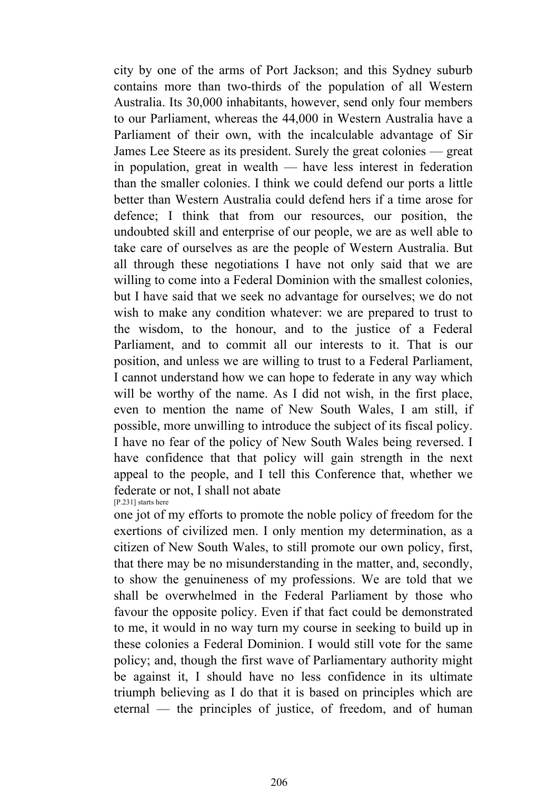city by one of the arms of Port Jackson; and this Sydney suburb contains more than two-thirds of the population of all Western Australia. Its 30,000 inhabitants, however, send only four members to our Parliament, whereas the 44,000 in Western Australia have a Parliament of their own, with the incalculable advantage of Sir James Lee Steere as its president. Surely the great colonies — great in population, great in wealth — have less interest in federation than the smaller colonies. I think we could defend our ports a little better than Western Australia could defend hers if a time arose for defence; I think that from our resources, our position, the undoubted skill and enterprise of our people, we are as well able to take care of ourselves as are the people of Western Australia. But all through these negotiations I have not only said that we are willing to come into a Federal Dominion with the smallest colonies, but I have said that we seek no advantage for ourselves; we do not wish to make any condition whatever: we are prepared to trust to the wisdom, to the honour, and to the justice of a Federal Parliament, and to commit all our interests to it. That is our position, and unless we are willing to trust to a Federal Parliament, I cannot understand how we can hope to federate in any way which will be worthy of the name. As I did not wish, in the first place, even to mention the name of New South Wales, I am still, if possible, more unwilling to introduce the subject of its fiscal policy. I have no fear of the policy of New South Wales being reversed. I have confidence that that policy will gain strength in the next appeal to the people, and I tell this Conference that, whether we federate or not, I shall not abate [P.231] starts here

one jot of my efforts to promote the noble policy of freedom for the exertions of civilized men. I only mention my determination, as a citizen of New South Wales, to still promote our own policy, first, that there may be no misunderstanding in the matter, and, secondly, to show the genuineness of my professions. We are told that we shall be overwhelmed in the Federal Parliament by those who favour the opposite policy. Even if that fact could be demonstrated to me, it would in no way turn my course in seeking to build up in these colonies a Federal Dominion. I would still vote for the same policy; and, though the first wave of Parliamentary authority might be against it, I should have no less confidence in its ultimate triumph believing as I do that it is based on principles which are eternal — the principles of justice, of freedom, and of human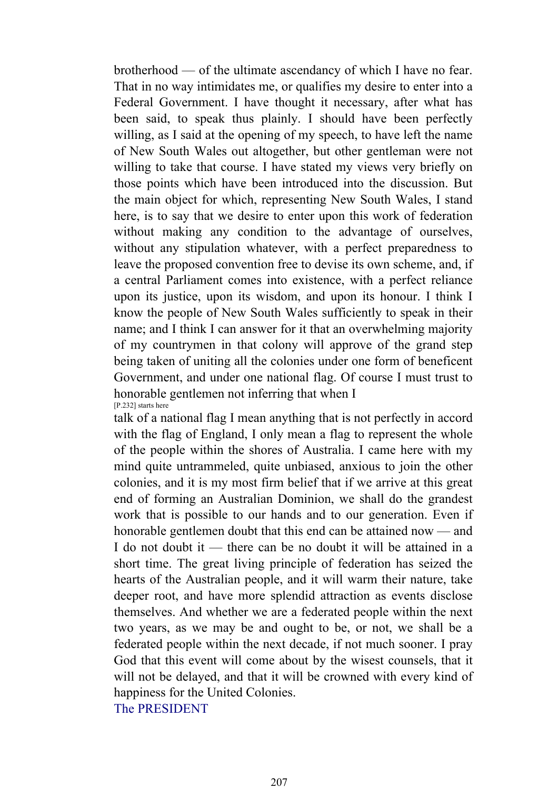brotherhood — of the ultimate ascendancy of which I have no fear. That in no way intimidates me, or qualifies my desire to enter into a Federal Government. I have thought it necessary, after what has been said, to speak thus plainly. I should have been perfectly willing, as I said at the opening of my speech, to have left the name of New South Wales out altogether, but other gentleman were not willing to take that course. I have stated my views very briefly on those points which have been introduced into the discussion. But the main object for which, representing New South Wales, I stand here, is to say that we desire to enter upon this work of federation without making any condition to the advantage of ourselves, without any stipulation whatever, with a perfect preparedness to leave the proposed convention free to devise its own scheme, and, if a central Parliament comes into existence, with a perfect reliance upon its justice, upon its wisdom, and upon its honour. I think I know the people of New South Wales sufficiently to speak in their name; and I think I can answer for it that an overwhelming majority of my countrymen in that colony will approve of the grand step being taken of uniting all the colonies under one form of beneficent Government, and under one national flag. Of course I must trust to honorable gentlemen not inferring that when I [P.232] starts here

talk of a national flag I mean anything that is not perfectly in accord with the flag of England, I only mean a flag to represent the whole of the people within the shores of Australia. I came here with my mind quite untrammeled, quite unbiased, anxious to join the other colonies, and it is my most firm belief that if we arrive at this great end of forming an Australian Dominion, we shall do the grandest work that is possible to our hands and to our generation. Even if honorable gentlemen doubt that this end can be attained now — and I do not doubt it — there can be no doubt it will be attained in a short time. The great living principle of federation has seized the hearts of the Australian people, and it will warm their nature, take deeper root, and have more splendid attraction as events disclose themselves. And whether we are a federated people within the next two years, as we may be and ought to be, or not, we shall be a federated people within the next decade, if not much sooner. I pray God that this event will come about by the wisest counsels, that it will not be delayed, and that it will be crowned with every kind of happiness for the United Colonies.

The PRESIDENT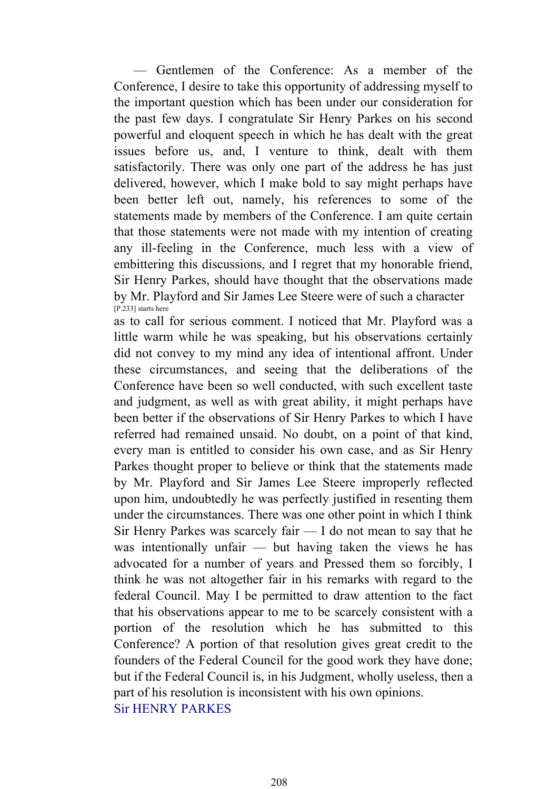— Gentlemen of the Conference: As a member of the Conference, I desire to take this opportunity of addressing myself to the important question which has been under our consideration for the past few days. I congratulate Sir Henry Parkes on his second powerful and eloquent speech in which he has dealt with the great issues before us, and, I venture to think, dealt with them satisfactorily. There was only one part of the address he has just delivered, however, which I make bold to say might perhaps have been better left out, namely, his references to some of the statements made by members of the Conference. I am quite certain that those statements were not made with my intention of creating any ill-feeling in the Conference, much less with a view of embittering this discussions, and I regret that my honorable friend, Sir Henry Parkes, should have thought that the observations made by Mr. Playford and Sir James Lee Steere were of such a character [P.233] starts here

as to call for serious comment. I noticed that Mr. Playford was a little warm while he was speaking, but his observations certainly did not convey to my mind any idea of intentional affront. Under these circumstances, and seeing that the deliberations of the Conference have been so well conducted, with such excellent taste and judgment, as well as with great ability, it might perhaps have been better if the observations of Sir Henry Parkes to which I have referred had remained unsaid. No doubt, on a point of that kind, every man is entitled to consider his own case, and as Sir Henry Parkes thought proper to believe or think that the statements made by Mr. Playford and Sir James Lee Steere improperly reflected upon him, undoubtedly he was perfectly justified in resenting them under the circumstances. There was one other point in which I think Sir Henry Parkes was scarcely fair — I do not mean to say that he was intentionally unfair — but having taken the views he has advocated for a number of years and Pressed them so forcibly, I think he was not altogether fair in his remarks with regard to the federal Council. May I be permitted to draw attention to the fact that his observations appear to me to be scarcely consistent with a portion of the resolution which he has submitted to this Conference? A portion of that resolution gives great credit to the founders of the Federal Council for the good work they have done; but if the Federal Council is, in his Judgment, wholly useless, then a part of his resolution is inconsistent with his own opinions. Sir HENRY PARKES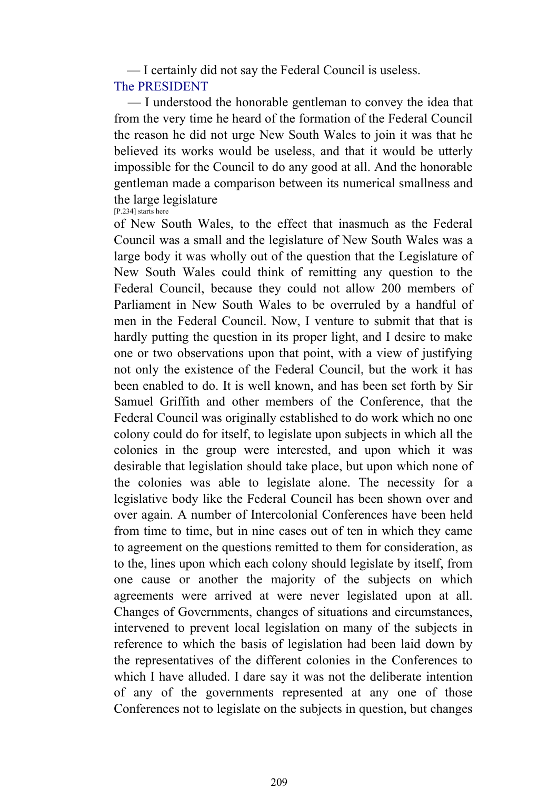— I certainly did not say the Federal Council is useless. The PRESIDENT

 — I understood the honorable gentleman to convey the idea that from the very time he heard of the formation of the Federal Council the reason he did not urge New South Wales to join it was that he believed its works would be useless, and that it would be utterly impossible for the Council to do any good at all. And the honorable gentleman made a comparison between its numerical smallness and the large legislature [P.234] starts here

of New South Wales, to the effect that inasmuch as the Federal Council was a small and the legislature of New South Wales was a large body it was wholly out of the question that the Legislature of New South Wales could think of remitting any question to the Federal Council, because they could not allow 200 members of Parliament in New South Wales to be overruled by a handful of men in the Federal Council. Now, I venture to submit that that is hardly putting the question in its proper light, and I desire to make one or two observations upon that point, with a view of justifying not only the existence of the Federal Council, but the work it has been enabled to do. It is well known, and has been set forth by Sir Samuel Griffith and other members of the Conference, that the Federal Council was originally established to do work which no one colony could do for itself, to legislate upon subjects in which all the colonies in the group were interested, and upon which it was desirable that legislation should take place, but upon which none of the colonies was able to legislate alone. The necessity for a legislative body like the Federal Council has been shown over and over again. A number of Intercolonial Conferences have been held from time to time, but in nine cases out of ten in which they came to agreement on the questions remitted to them for consideration, as to the, lines upon which each colony should legislate by itself, from one cause or another the majority of the subjects on which agreements were arrived at were never legislated upon at all. Changes of Governments, changes of situations and circumstances, intervened to prevent local legislation on many of the subjects in reference to which the basis of legislation had been laid down by the representatives of the different colonies in the Conferences to which I have alluded. I dare say it was not the deliberate intention of any of the governments represented at any one of those Conferences not to legislate on the subjects in question, but changes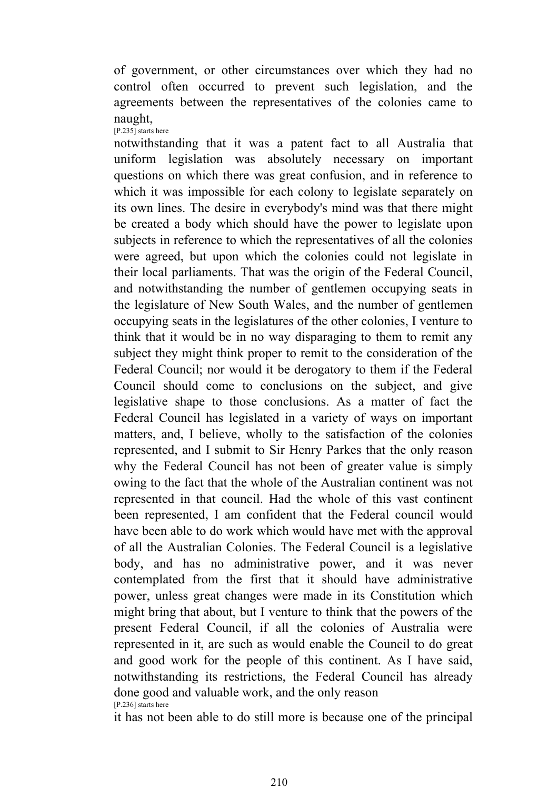of government, or other circumstances over which they had no control often occurred to prevent such legislation, and the agreements between the representatives of the colonies came to naught, [P.235] starts here

notwithstanding that it was a patent fact to all Australia that uniform legislation was absolutely necessary on important questions on which there was great confusion, and in reference to which it was impossible for each colony to legislate separately on its own lines. The desire in everybody's mind was that there might be created a body which should have the power to legislate upon subjects in reference to which the representatives of all the colonies were agreed, but upon which the colonies could not legislate in their local parliaments. That was the origin of the Federal Council, and notwithstanding the number of gentlemen occupying seats in the legislature of New South Wales, and the number of gentlemen occupying seats in the legislatures of the other colonies, I venture to think that it would be in no way disparaging to them to remit any subject they might think proper to remit to the consideration of the Federal Council; nor would it be derogatory to them if the Federal Council should come to conclusions on the subject, and give legislative shape to those conclusions. As a matter of fact the Federal Council has legislated in a variety of ways on important matters, and, I believe, wholly to the satisfaction of the colonies represented, and I submit to Sir Henry Parkes that the only reason why the Federal Council has not been of greater value is simply owing to the fact that the whole of the Australian continent was not represented in that council. Had the whole of this vast continent been represented, I am confident that the Federal council would have been able to do work which would have met with the approval of all the Australian Colonies. The Federal Council is a legislative body, and has no administrative power, and it was never contemplated from the first that it should have administrative power, unless great changes were made in its Constitution which might bring that about, but I venture to think that the powers of the present Federal Council, if all the colonies of Australia were represented in it, are such as would enable the Council to do great and good work for the people of this continent. As I have said, notwithstanding its restrictions, the Federal Council has already done good and valuable work, and the only reason [P.236] starts here

it has not been able to do still more is because one of the principal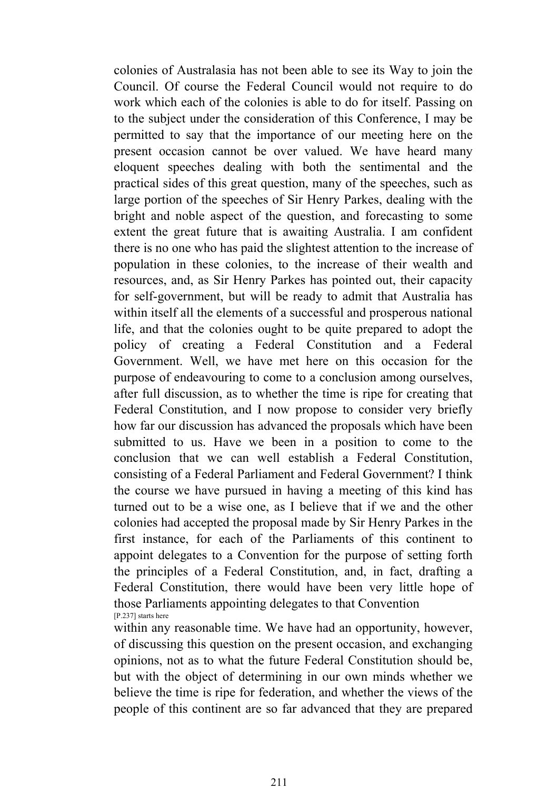colonies of Australasia has not been able to see its Way to join the Council. Of course the Federal Council would not require to do work which each of the colonies is able to do for itself. Passing on to the subject under the consideration of this Conference, I may be permitted to say that the importance of our meeting here on the present occasion cannot be over valued. We have heard many eloquent speeches dealing with both the sentimental and the practical sides of this great question, many of the speeches, such as large portion of the speeches of Sir Henry Parkes, dealing with the bright and noble aspect of the question, and forecasting to some extent the great future that is awaiting Australia. I am confident there is no one who has paid the slightest attention to the increase of population in these colonies, to the increase of their wealth and resources, and, as Sir Henry Parkes has pointed out, their capacity for self-government, but will be ready to admit that Australia has within itself all the elements of a successful and prosperous national life, and that the colonies ought to be quite prepared to adopt the policy of creating a Federal Constitution and a Federal Government. Well, we have met here on this occasion for the purpose of endeavouring to come to a conclusion among ourselves, after full discussion, as to whether the time is ripe for creating that Federal Constitution, and I now propose to consider very briefly how far our discussion has advanced the proposals which have been submitted to us. Have we been in a position to come to the conclusion that we can well establish a Federal Constitution, consisting of a Federal Parliament and Federal Government? I think the course we have pursued in having a meeting of this kind has turned out to be a wise one, as I believe that if we and the other colonies had accepted the proposal made by Sir Henry Parkes in the first instance, for each of the Parliaments of this continent to appoint delegates to a Convention for the purpose of setting forth the principles of a Federal Constitution, and, in fact, drafting a Federal Constitution, there would have been very little hope of those Parliaments appointing delegates to that Convention [P.237] starts here

within any reasonable time. We have had an opportunity, however, of discussing this question on the present occasion, and exchanging opinions, not as to what the future Federal Constitution should be, but with the object of determining in our own minds whether we believe the time is ripe for federation, and whether the views of the people of this continent are so far advanced that they are prepared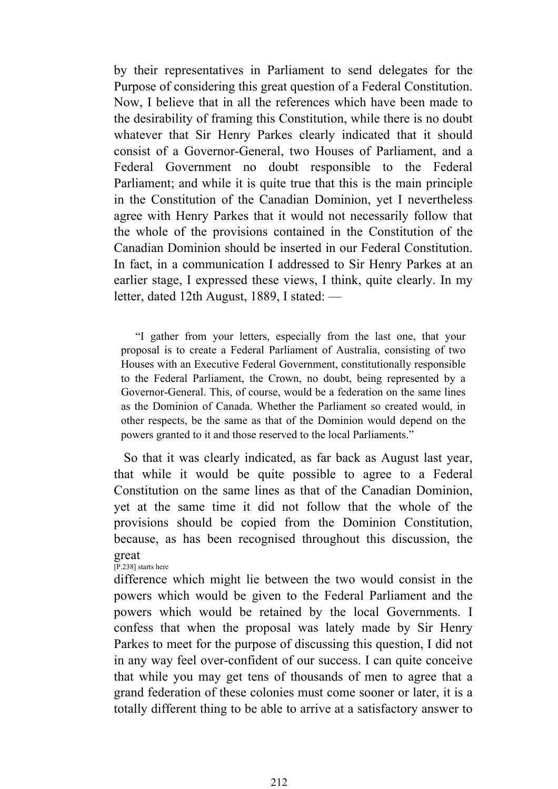by their representatives in Parliament to send delegates for the Purpose of considering this great question of a Federal Constitution. Now, I believe that in all the references which have been made to the desirability of framing this Constitution, while there is no doubt whatever that Sir Henry Parkes clearly indicated that it should consist of a Governor-General, two Houses of Parliament, and a Federal Government no doubt responsible to the Federal Parliament; and while it is quite true that this is the main principle in the Constitution of the Canadian Dominion, yet I nevertheless agree with Henry Parkes that it would not necessarily follow that the whole of the provisions contained in the Constitution of the Canadian Dominion should be inserted in our Federal Constitution. In fact, in a communication I addressed to Sir Henry Parkes at an earlier stage, I expressed these views, I think, quite clearly. In my letter, dated 12th August, 1889, I stated: —

 "I gather from your letters, especially from the last one, that your proposal is to create a Federal Parliament of Australia, consisting of two Houses with an Executive Federal Government, constitutionally responsible to the Federal Parliament, the Crown, no doubt, being represented by a Governor-General. This, of course, would be a federation on the same lines as the Dominion of Canada. Whether the Parliament so created would, in other respects, be the same as that of the Dominion would depend on the powers granted to it and those reserved to the local Parliaments."

 So that it was clearly indicated, as far back as August last year, that while it would be quite possible to agree to a Federal Constitution on the same lines as that of the Canadian Dominion, yet at the same time it did not follow that the whole of the provisions should be copied from the Dominion Constitution, because, as has been recognised throughout this discussion, the great

[P.238] starts here

difference which might lie between the two would consist in the powers which would be given to the Federal Parliament and the powers which would be retained by the local Governments. I confess that when the proposal was lately made by Sir Henry Parkes to meet for the purpose of discussing this question, I did not in any way feel over-confident of our success. I can quite conceive that while you may get tens of thousands of men to agree that a grand federation of these colonies must come sooner or later, it is a totally different thing to be able to arrive at a satisfactory answer to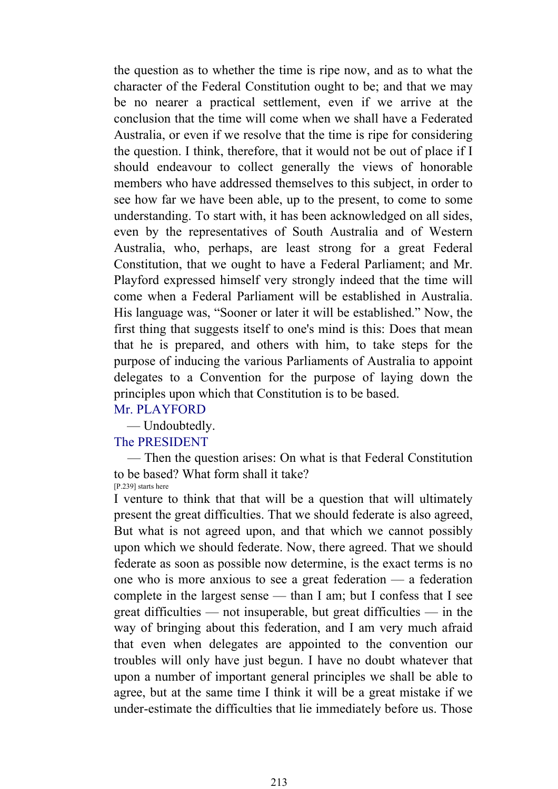the question as to whether the time is ripe now, and as to what the character of the Federal Constitution ought to be; and that we may be no nearer a practical settlement, even if we arrive at the conclusion that the time will come when we shall have a Federated Australia, or even if we resolve that the time is ripe for considering the question. I think, therefore, that it would not be out of place if I should endeavour to collect generally the views of honorable members who have addressed themselves to this subject, in order to see how far we have been able, up to the present, to come to some understanding. To start with, it has been acknowledged on all sides, even by the representatives of South Australia and of Western Australia, who, perhaps, are least strong for a great Federal Constitution, that we ought to have a Federal Parliament; and Mr. Playford expressed himself very strongly indeed that the time will come when a Federal Parliament will be established in Australia. His language was, "Sooner or later it will be established." Now, the first thing that suggests itself to one's mind is this: Does that mean that he is prepared, and others with him, to take steps for the purpose of inducing the various Parliaments of Australia to appoint delegates to a Convention for the purpose of laying down the principles upon which that Constitution is to be based.

# Mr. PLAYFORD

— Undoubtedly.

### The PRESIDENT

 — Then the question arises: On what is that Federal Constitution to be based? What form shall it take? [P.239] starts here

I venture to think that that will be a question that will ultimately present the great difficulties. That we should federate is also agreed, But what is not agreed upon, and that which we cannot possibly upon which we should federate. Now, there agreed. That we should federate as soon as possible now determine, is the exact terms is no one who is more anxious to see a great federation — a federation complete in the largest sense — than I am; but I confess that I see great difficulties — not insuperable, but great difficulties — in the way of bringing about this federation, and I am very much afraid that even when delegates are appointed to the convention our troubles will only have just begun. I have no doubt whatever that upon a number of important general principles we shall be able to agree, but at the same time I think it will be a great mistake if we under-estimate the difficulties that lie immediately before us. Those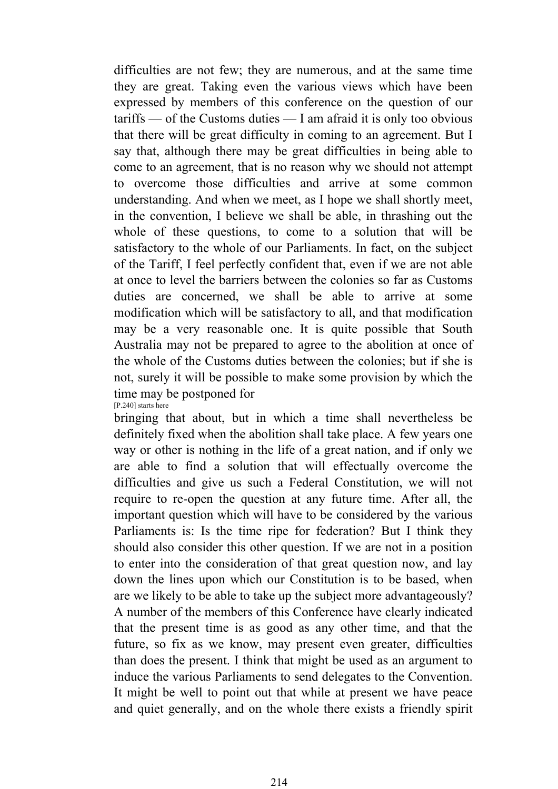difficulties are not few; they are numerous, and at the same time they are great. Taking even the various views which have been expressed by members of this conference on the question of our tariffs — of the Customs duties — I am afraid it is only too obvious that there will be great difficulty in coming to an agreement. But I say that, although there may be great difficulties in being able to come to an agreement, that is no reason why we should not attempt to overcome those difficulties and arrive at some common understanding. And when we meet, as I hope we shall shortly meet, in the convention, I believe we shall be able, in thrashing out the whole of these questions, to come to a solution that will be satisfactory to the whole of our Parliaments. In fact, on the subject of the Tariff, I feel perfectly confident that, even if we are not able at once to level the barriers between the colonies so far as Customs duties are concerned, we shall be able to arrive at some modification which will be satisfactory to all, and that modification may be a very reasonable one. It is quite possible that South Australia may not be prepared to agree to the abolition at once of the whole of the Customs duties between the colonies; but if she is not, surely it will be possible to make some provision by which the time may be postponed for [P.240] starts here

bringing that about, but in which a time shall nevertheless be definitely fixed when the abolition shall take place. A few years one way or other is nothing in the life of a great nation, and if only we are able to find a solution that will effectually overcome the difficulties and give us such a Federal Constitution, we will not require to re-open the question at any future time. After all, the important question which will have to be considered by the various Parliaments is: Is the time ripe for federation? But I think they should also consider this other question. If we are not in a position to enter into the consideration of that great question now, and lay down the lines upon which our Constitution is to be based, when are we likely to be able to take up the subject more advantageously? A number of the members of this Conference have clearly indicated that the present time is as good as any other time, and that the future, so fix as we know, may present even greater, difficulties than does the present. I think that might be used as an argument to induce the various Parliaments to send delegates to the Convention. It might be well to point out that while at present we have peace and quiet generally, and on the whole there exists a friendly spirit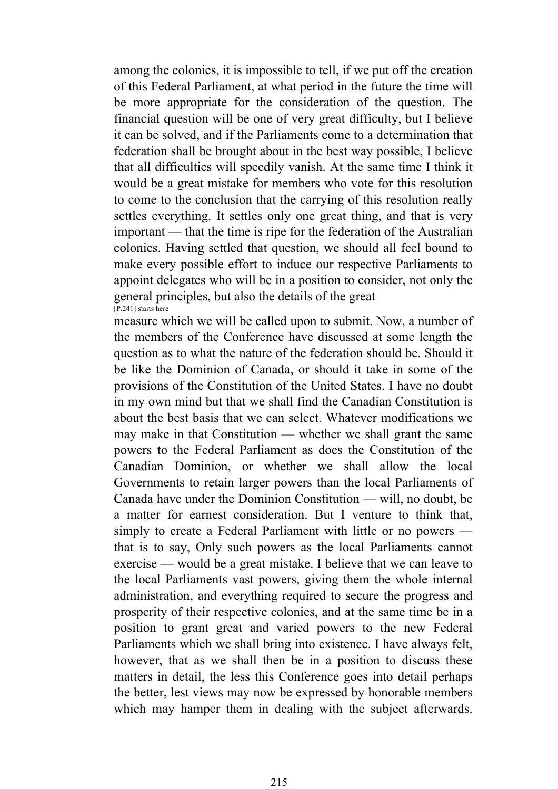among the colonies, it is impossible to tell, if we put off the creation of this Federal Parliament, at what period in the future the time will be more appropriate for the consideration of the question. The financial question will be one of very great difficulty, but I believe it can be solved, and if the Parliaments come to a determination that federation shall be brought about in the best way possible, I believe that all difficulties will speedily vanish. At the same time I think it would be a great mistake for members who vote for this resolution to come to the conclusion that the carrying of this resolution really settles everything. It settles only one great thing, and that is very important — that the time is ripe for the federation of the Australian colonies. Having settled that question, we should all feel bound to make every possible effort to induce our respective Parliaments to appoint delegates who will be in a position to consider, not only the general principles, but also the details of the great [P.241] starts here

measure which we will be called upon to submit. Now, a number of the members of the Conference have discussed at some length the question as to what the nature of the federation should be. Should it be like the Dominion of Canada, or should it take in some of the provisions of the Constitution of the United States. I have no doubt in my own mind but that we shall find the Canadian Constitution is about the best basis that we can select. Whatever modifications we may make in that Constitution — whether we shall grant the same powers to the Federal Parliament as does the Constitution of the Canadian Dominion, or whether we shall allow the local Governments to retain larger powers than the local Parliaments of Canada have under the Dominion Constitution — will, no doubt, be a matter for earnest consideration. But I venture to think that, simply to create a Federal Parliament with little or no powers that is to say, Only such powers as the local Parliaments cannot exercise — would be a great mistake. I believe that we can leave to the local Parliaments vast powers, giving them the whole internal administration, and everything required to secure the progress and prosperity of their respective colonies, and at the same time be in a position to grant great and varied powers to the new Federal Parliaments which we shall bring into existence. I have always felt, however, that as we shall then be in a position to discuss these matters in detail, the less this Conference goes into detail perhaps the better, lest views may now be expressed by honorable members which may hamper them in dealing with the subject afterwards.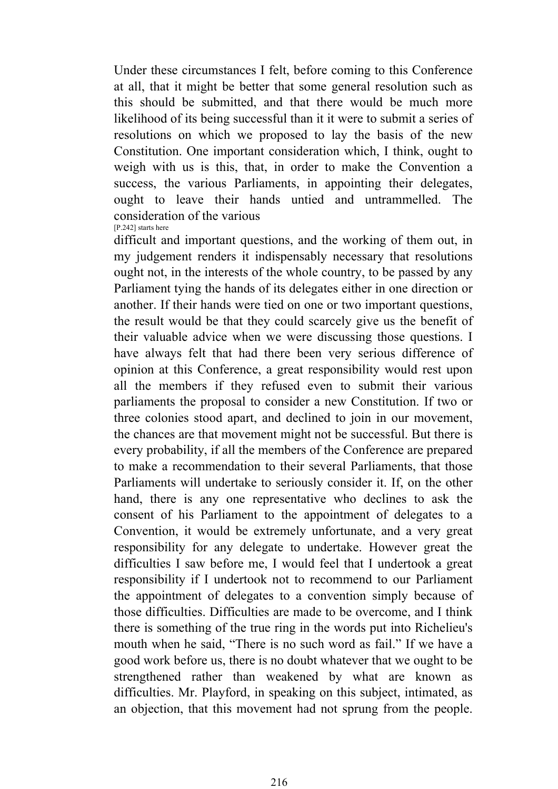Under these circumstances I felt, before coming to this Conference at all, that it might be better that some general resolution such as this should be submitted, and that there would be much more likelihood of its being successful than it it were to submit a series of resolutions on which we proposed to lay the basis of the new Constitution. One important consideration which, I think, ought to weigh with us is this, that, in order to make the Convention a success, the various Parliaments, in appointing their delegates, ought to leave their hands untied and untrammelled. The consideration of the various

[P.242] starts here

difficult and important questions, and the working of them out, in my judgement renders it indispensably necessary that resolutions ought not, in the interests of the whole country, to be passed by any Parliament tying the hands of its delegates either in one direction or another. If their hands were tied on one or two important questions, the result would be that they could scarcely give us the benefit of their valuable advice when we were discussing those questions. I have always felt that had there been very serious difference of opinion at this Conference, a great responsibility would rest upon all the members if they refused even to submit their various parliaments the proposal to consider a new Constitution. If two or three colonies stood apart, and declined to join in our movement, the chances are that movement might not be successful. But there is every probability, if all the members of the Conference are prepared to make a recommendation to their several Parliaments, that those Parliaments will undertake to seriously consider it. If, on the other hand, there is any one representative who declines to ask the consent of his Parliament to the appointment of delegates to a Convention, it would be extremely unfortunate, and a very great responsibility for any delegate to undertake. However great the difficulties I saw before me, I would feel that I undertook a great responsibility if I undertook not to recommend to our Parliament the appointment of delegates to a convention simply because of those difficulties. Difficulties are made to be overcome, and I think there is something of the true ring in the words put into Richelieu's mouth when he said, "There is no such word as fail." If we have a good work before us, there is no doubt whatever that we ought to be strengthened rather than weakened by what are known as difficulties. Mr. Playford, in speaking on this subject, intimated, as an objection, that this movement had not sprung from the people.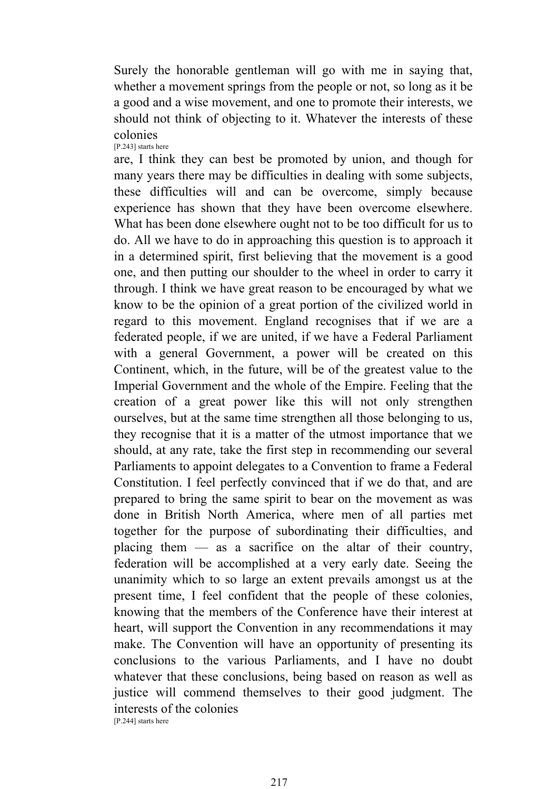Surely the honorable gentleman will go with me in saying that, whether a movement springs from the people or not, so long as it be a good and a wise movement, and one to promote their interests, we should not think of objecting to it. Whatever the interests of these colonies [P.243] starts here

are, I think they can best be promoted by union, and though for many years there may be difficulties in dealing with some subjects, these difficulties will and can be overcome, simply because experience has shown that they have been overcome elsewhere. What has been done elsewhere ought not to be too difficult for us to do. All we have to do in approaching this question is to approach it in a determined spirit, first believing that the movement is a good one, and then putting our shoulder to the wheel in order to carry it through. I think we have great reason to be encouraged by what we know to be the opinion of a great portion of the civilized world in regard to this movement. England recognises that if we are a federated people, if we are united, if we have a Federal Parliament with a general Government, a power will be created on this Continent, which, in the future, will be of the greatest value to the Imperial Government and the whole of the Empire. Feeling that the creation of a great power like this will not only strengthen ourselves, but at the same time strengthen all those belonging to us, they recognise that it is a matter of the utmost importance that we should, at any rate, take the first step in recommending our several Parliaments to appoint delegates to a Convention to frame a Federal Constitution. I feel perfectly convinced that if we do that, and are prepared to bring the same spirit to bear on the movement as was done in British North America, where men of all parties met together for the purpose of subordinating their difficulties, and placing them  $\frac{1}{\sqrt{2}}$  as a sacrifice on the altar of their country, federation will be accomplished at a very early date. Seeing the unanimity which to so large an extent prevails amongst us at the present time, I feel confident that the people of these colonies, knowing that the members of the Conference have their interest at heart, will support the Convention in any recommendations it may make. The Convention will have an opportunity of presenting its conclusions to the various Parliaments, and I have no doubt whatever that these conclusions, being based on reason as well as justice will commend themselves to their good judgment. The interests of the colonies [P.244] starts here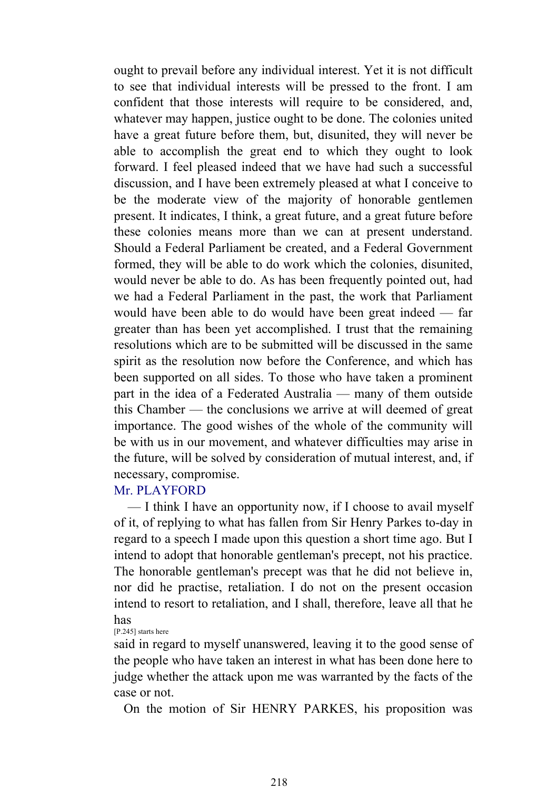ought to prevail before any individual interest. Yet it is not difficult to see that individual interests will be pressed to the front. I am confident that those interests will require to be considered, and, whatever may happen, justice ought to be done. The colonies united have a great future before them, but, disunited, they will never be able to accomplish the great end to which they ought to look forward. I feel pleased indeed that we have had such a successful discussion, and I have been extremely pleased at what I conceive to be the moderate view of the majority of honorable gentlemen present. It indicates, I think, a great future, and a great future before these colonies means more than we can at present understand. Should a Federal Parliament be created, and a Federal Government formed, they will be able to do work which the colonies, disunited, would never be able to do. As has been frequently pointed out, had we had a Federal Parliament in the past, the work that Parliament would have been able to do would have been great indeed — far greater than has been yet accomplished. I trust that the remaining resolutions which are to be submitted will be discussed in the same spirit as the resolution now before the Conference, and which has been supported on all sides. To those who have taken a prominent part in the idea of a Federated Australia — many of them outside this Chamber — the conclusions we arrive at will deemed of great importance. The good wishes of the whole of the community will be with us in our movement, and whatever difficulties may arise in the future, will be solved by consideration of mutual interest, and, if necessary, compromise.

# Mr. PLAYFORD

 — I think I have an opportunity now, if I choose to avail myself of it, of replying to what has fallen from Sir Henry Parkes to-day in regard to a speech I made upon this question a short time ago. But I intend to adopt that honorable gentleman's precept, not his practice. The honorable gentleman's precept was that he did not believe in, nor did he practise, retaliation. I do not on the present occasion intend to resort to retaliation, and I shall, therefore, leave all that he has

#### [P.245] starts here

said in regard to myself unanswered, leaving it to the good sense of the people who have taken an interest in what has been done here to judge whether the attack upon me was warranted by the facts of the case or not.

On the motion of Sir HENRY PARKES, his proposition was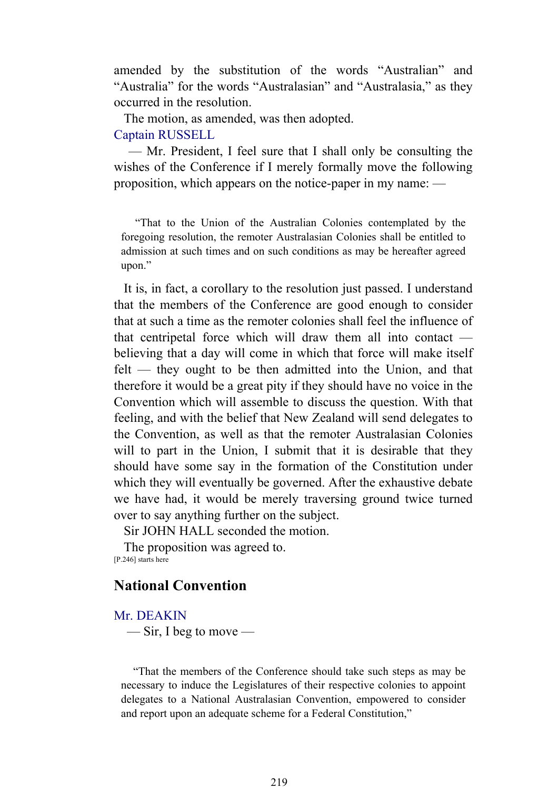amended by the substitution of the words "Australian" and "Australia" for the words "Australasian" and "Australasia," as they occurred in the resolution.

 The motion, as amended, was then adopted. Captain RUSSELL

 — Mr. President, I feel sure that I shall only be consulting the wishes of the Conference if I merely formally move the following proposition, which appears on the notice-paper in my name: —

 "That to the Union of the Australian Colonies contemplated by the foregoing resolution, the remoter Australasian Colonies shall be entitled to admission at such times and on such conditions as may be hereafter agreed upon."

 It is, in fact, a corollary to the resolution just passed. I understand that the members of the Conference are good enough to consider that at such a time as the remoter colonies shall feel the influence of that centripetal force which will draw them all into contact believing that a day will come in which that force will make itself felt — they ought to be then admitted into the Union, and that therefore it would be a great pity if they should have no voice in the Convention which will assemble to discuss the question. With that feeling, and with the belief that New Zealand will send delegates to the Convention, as well as that the remoter Australasian Colonies will to part in the Union, I submit that it is desirable that they should have some say in the formation of the Constitution under which they will eventually be governed. After the exhaustive debate we have had, it would be merely traversing ground twice turned over to say anything further on the subject.

Sir JOHN HALL seconded the motion.

 The proposition was agreed to. [P.246] starts here

# **National Convention**

Mr. DEAKIN

 $\equiv$  Sir, I beg to move  $\equiv$ 

 "That the members of the Conference should take such steps as may be necessary to induce the Legislatures of their respective colonies to appoint delegates to a National Australasian Convention, empowered to consider and report upon an adequate scheme for a Federal Constitution,"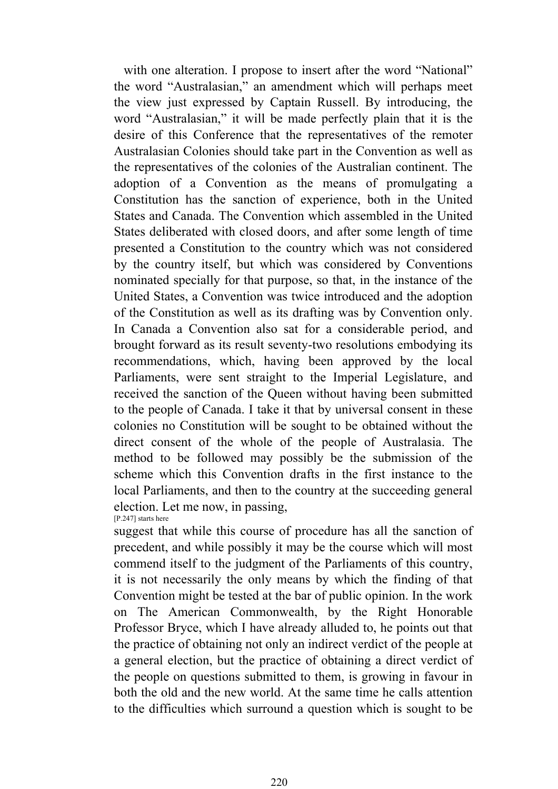with one alteration. I propose to insert after the word "National" the word "Australasian," an amendment which will perhaps meet the view just expressed by Captain Russell. By introducing, the word "Australasian," it will be made perfectly plain that it is the desire of this Conference that the representatives of the remoter Australasian Colonies should take part in the Convention as well as the representatives of the colonies of the Australian continent. The adoption of a Convention as the means of promulgating a Constitution has the sanction of experience, both in the United States and Canada. The Convention which assembled in the United States deliberated with closed doors, and after some length of time presented a Constitution to the country which was not considered by the country itself, but which was considered by Conventions nominated specially for that purpose, so that, in the instance of the United States, a Convention was twice introduced and the adoption of the Constitution as well as its drafting was by Convention only. In Canada a Convention also sat for a considerable period, and brought forward as its result seventy-two resolutions embodying its recommendations, which, having been approved by the local Parliaments, were sent straight to the Imperial Legislature, and received the sanction of the Queen without having been submitted to the people of Canada. I take it that by universal consent in these colonies no Constitution will be sought to be obtained without the direct consent of the whole of the people of Australasia. The method to be followed may possibly be the submission of the scheme which this Convention drafts in the first instance to the local Parliaments, and then to the country at the succeeding general election. Let me now, in passing, [P.247] starts here

suggest that while this course of procedure has all the sanction of precedent, and while possibly it may be the course which will most commend itself to the judgment of the Parliaments of this country, it is not necessarily the only means by which the finding of that Convention might be tested at the bar of public opinion. In the work on The American Commonwealth, by the Right Honorable Professor Bryce, which I have already alluded to, he points out that the practice of obtaining not only an indirect verdict of the people at a general election, but the practice of obtaining a direct verdict of the people on questions submitted to them, is growing in favour in both the old and the new world. At the same time he calls attention to the difficulties which surround a question which is sought to be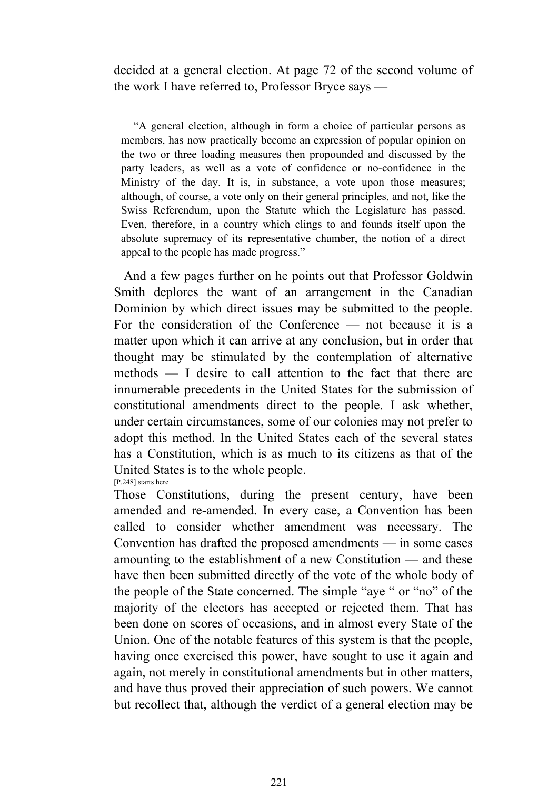decided at a general election. At page 72 of the second volume of the work I have referred to, Professor Bryce says —

 "A general election, although in form a choice of particular persons as members, has now practically become an expression of popular opinion on the two or three loading measures then propounded and discussed by the party leaders, as well as a vote of confidence or no-confidence in the Ministry of the day. It is, in substance, a vote upon those measures; although, of course, a vote only on their general principles, and not, like the Swiss Referendum, upon the Statute which the Legislature has passed. Even, therefore, in a country which clings to and founds itself upon the absolute supremacy of its representative chamber, the notion of a direct appeal to the people has made progress."

 And a few pages further on he points out that Professor Goldwin Smith deplores the want of an arrangement in the Canadian Dominion by which direct issues may be submitted to the people. For the consideration of the Conference — not because it is a matter upon which it can arrive at any conclusion, but in order that thought may be stimulated by the contemplation of alternative methods — I desire to call attention to the fact that there are innumerable precedents in the United States for the submission of constitutional amendments direct to the people. I ask whether, under certain circumstances, some of our colonies may not prefer to adopt this method. In the United States each of the several states has a Constitution, which is as much to its citizens as that of the United States is to the whole people.

[P.248] starts here

Those Constitutions, during the present century, have been amended and re-amended. In every case, a Convention has been called to consider whether amendment was necessary. The Convention has drafted the proposed amendments — in some cases amounting to the establishment of a new Constitution — and these have then been submitted directly of the vote of the whole body of the people of the State concerned. The simple "aye " or "no" of the majority of the electors has accepted or rejected them. That has been done on scores of occasions, and in almost every State of the Union. One of the notable features of this system is that the people, having once exercised this power, have sought to use it again and again, not merely in constitutional amendments but in other matters, and have thus proved their appreciation of such powers. We cannot but recollect that, although the verdict of a general election may be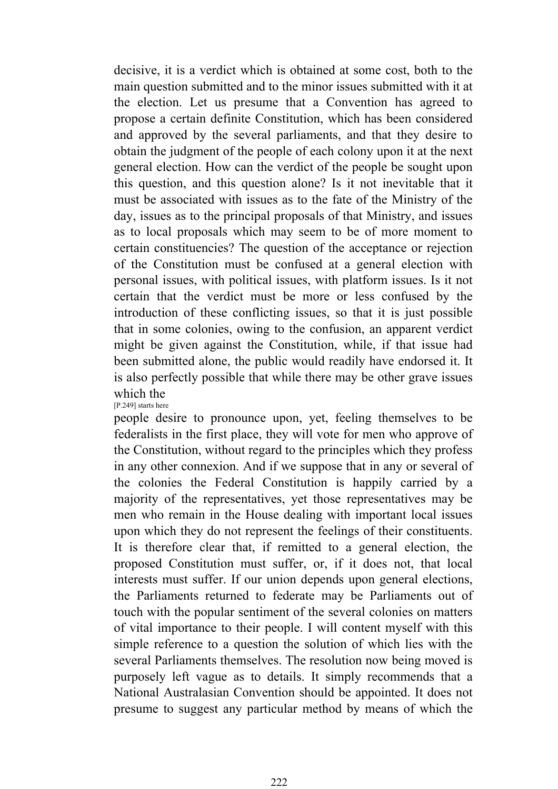decisive, it is a verdict which is obtained at some cost, both to the main question submitted and to the minor issues submitted with it at the election. Let us presume that a Convention has agreed to propose a certain definite Constitution, which has been considered and approved by the several parliaments, and that they desire to obtain the judgment of the people of each colony upon it at the next general election. How can the verdict of the people be sought upon this question, and this question alone? Is it not inevitable that it must be associated with issues as to the fate of the Ministry of the day, issues as to the principal proposals of that Ministry, and issues as to local proposals which may seem to be of more moment to certain constituencies? The question of the acceptance or rejection of the Constitution must be confused at a general election with personal issues, with political issues, with platform issues. Is it not certain that the verdict must be more or less confused by the introduction of these conflicting issues, so that it is just possible that in some colonies, owing to the confusion, an apparent verdict might be given against the Constitution, while, if that issue had been submitted alone, the public would readily have endorsed it. It is also perfectly possible that while there may be other grave issues which the

[P.249] starts here

people desire to pronounce upon, yet, feeling themselves to be federalists in the first place, they will vote for men who approve of the Constitution, without regard to the principles which they profess in any other connexion. And if we suppose that in any or several of the colonies the Federal Constitution is happily carried by a majority of the representatives, yet those representatives may be men who remain in the House dealing with important local issues upon which they do not represent the feelings of their constituents. It is therefore clear that, if remitted to a general election, the proposed Constitution must suffer, or, if it does not, that local interests must suffer. If our union depends upon general elections, the Parliaments returned to federate may be Parliaments out of touch with the popular sentiment of the several colonies on matters of vital importance to their people. I will content myself with this simple reference to a question the solution of which lies with the several Parliaments themselves. The resolution now being moved is purposely left vague as to details. It simply recommends that a National Australasian Convention should be appointed. It does not presume to suggest any particular method by means of which the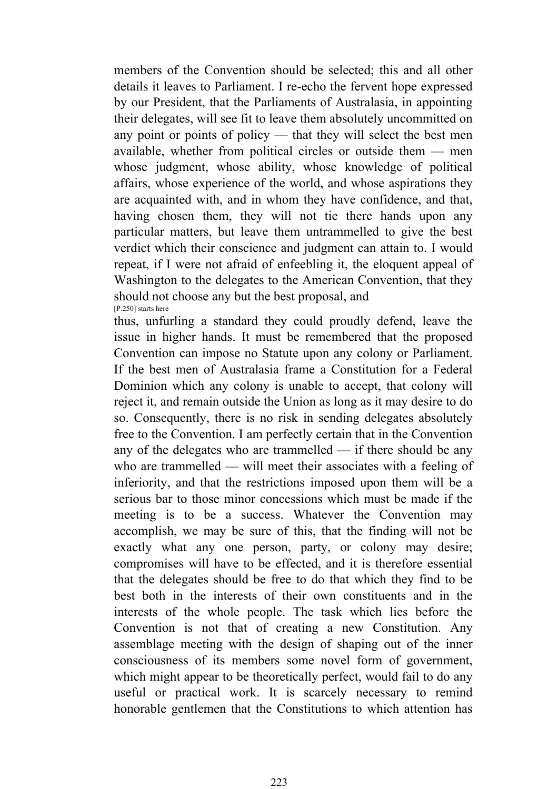members of the Convention should be selected; this and all other details it leaves to Parliament. I re-echo the fervent hope expressed by our President, that the Parliaments of Australasia, in appointing their delegates, will see fit to leave them absolutely uncommitted on any point or points of policy — that they will select the best men available, whether from political circles or outside them — men whose judgment, whose ability, whose knowledge of political affairs, whose experience of the world, and whose aspirations they are acquainted with, and in whom they have confidence, and that, having chosen them, they will not tie there hands upon any particular matters, but leave them untrammelled to give the best verdict which their conscience and judgment can attain to. I would repeat, if I were not afraid of enfeebling it, the eloquent appeal of Washington to the delegates to the American Convention, that they should not choose any but the best proposal, and [P.250] starts here

thus, unfurling a standard they could proudly defend, leave the issue in higher hands. It must be remembered that the proposed Convention can impose no Statute upon any colony or Parliament. If the best men of Australasia frame a Constitution for a Federal Dominion which any colony is unable to accept, that colony will reject it, and remain outside the Union as long as it may desire to do so. Consequently, there is no risk in sending delegates absolutely free to the Convention. I am perfectly certain that in the Convention any of the delegates who are trammelled — if there should be any who are trammelled — will meet their associates with a feeling of inferiority, and that the restrictions imposed upon them will be a serious bar to those minor concessions which must be made if the meeting is to be a success. Whatever the Convention may accomplish, we may be sure of this, that the finding will not be exactly what any one person, party, or colony may desire; compromises will have to be effected, and it is therefore essential that the delegates should be free to do that which they find to be best both in the interests of their own constituents and in the interests of the whole people. The task which lies before the Convention is not that of creating a new Constitution. Any assemblage meeting with the design of shaping out of the inner consciousness of its members some novel form of government, which might appear to be theoretically perfect, would fail to do any useful or practical work. It is scarcely necessary to remind honorable gentlemen that the Constitutions to which attention has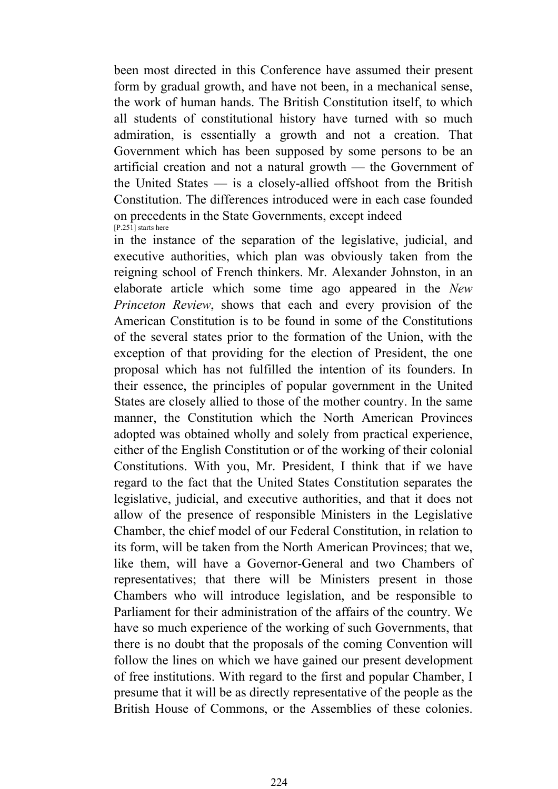been most directed in this Conference have assumed their present form by gradual growth, and have not been, in a mechanical sense, the work of human hands. The British Constitution itself, to which all students of constitutional history have turned with so much admiration, is essentially a growth and not a creation. That Government which has been supposed by some persons to be an artificial creation and not a natural growth — the Government of the United States — is a closely-allied offshoot from the British Constitution. The differences introduced were in each case founded on precedents in the State Governments, except indeed [P.251] starts here

in the instance of the separation of the legislative, judicial, and executive authorities, which plan was obviously taken from the reigning school of French thinkers. Mr. Alexander Johnston, in an elaborate article which some time ago appeared in the *New Princeton Review*, shows that each and every provision of the American Constitution is to be found in some of the Constitutions of the several states prior to the formation of the Union, with the exception of that providing for the election of President, the one proposal which has not fulfilled the intention of its founders. In their essence, the principles of popular government in the United States are closely allied to those of the mother country. In the same manner, the Constitution which the North American Provinces adopted was obtained wholly and solely from practical experience, either of the English Constitution or of the working of their colonial Constitutions. With you, Mr. President, I think that if we have regard to the fact that the United States Constitution separates the legislative, judicial, and executive authorities, and that it does not allow of the presence of responsible Ministers in the Legislative Chamber, the chief model of our Federal Constitution, in relation to its form, will be taken from the North American Provinces; that we, like them, will have a Governor-General and two Chambers of representatives; that there will be Ministers present in those Chambers who will introduce legislation, and be responsible to Parliament for their administration of the affairs of the country. We have so much experience of the working of such Governments, that there is no doubt that the proposals of the coming Convention will follow the lines on which we have gained our present development of free institutions. With regard to the first and popular Chamber, I presume that it will be as directly representative of the people as the British House of Commons, or the Assemblies of these colonies.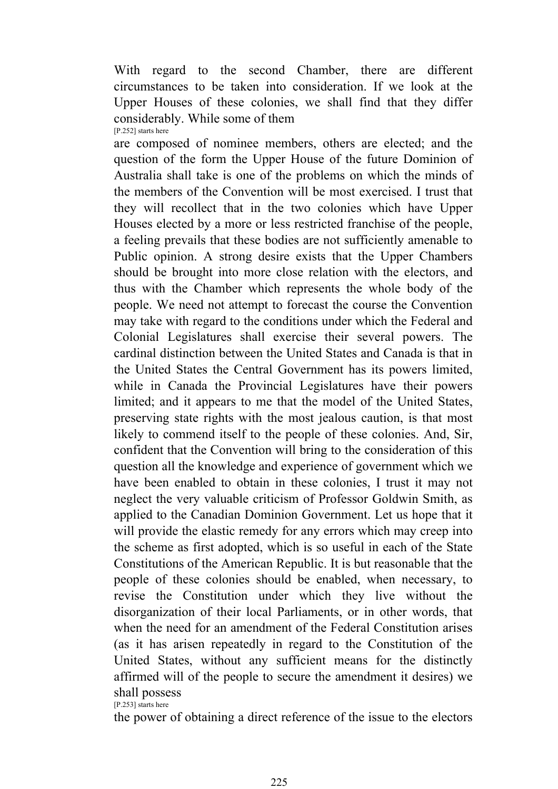With regard to the second Chamber, there are different circumstances to be taken into consideration. If we look at the Upper Houses of these colonies, we shall find that they differ considerably. While some of them [P.252] starts here

are composed of nominee members, others are elected; and the question of the form the Upper House of the future Dominion of Australia shall take is one of the problems on which the minds of the members of the Convention will be most exercised. I trust that they will recollect that in the two colonies which have Upper Houses elected by a more or less restricted franchise of the people, a feeling prevails that these bodies are not sufficiently amenable to Public opinion. A strong desire exists that the Upper Chambers should be brought into more close relation with the electors, and thus with the Chamber which represents the whole body of the people. We need not attempt to forecast the course the Convention may take with regard to the conditions under which the Federal and Colonial Legislatures shall exercise their several powers. The cardinal distinction between the United States and Canada is that in the United States the Central Government has its powers limited, while in Canada the Provincial Legislatures have their powers limited; and it appears to me that the model of the United States, preserving state rights with the most jealous caution, is that most likely to commend itself to the people of these colonies. And, Sir, confident that the Convention will bring to the consideration of this question all the knowledge and experience of government which we have been enabled to obtain in these colonies, I trust it may not neglect the very valuable criticism of Professor Goldwin Smith, as applied to the Canadian Dominion Government. Let us hope that it will provide the elastic remedy for any errors which may creep into the scheme as first adopted, which is so useful in each of the State Constitutions of the American Republic. It is but reasonable that the people of these colonies should be enabled, when necessary, to revise the Constitution under which they live without the disorganization of their local Parliaments, or in other words, that when the need for an amendment of the Federal Constitution arises (as it has arisen repeatedly in regard to the Constitution of the United States, without any sufficient means for the distinctly affirmed will of the people to secure the amendment it desires) we shall possess [P.253] starts here

the power of obtaining a direct reference of the issue to the electors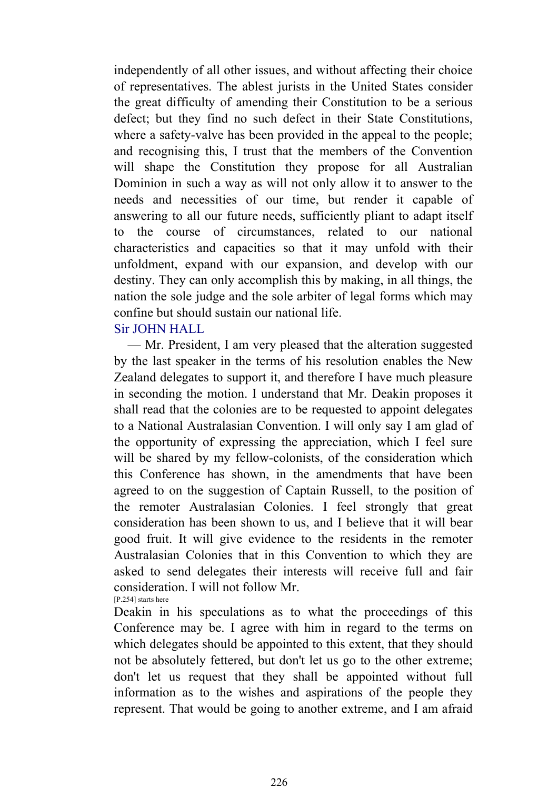independently of all other issues, and without affecting their choice of representatives. The ablest jurists in the United States consider the great difficulty of amending their Constitution to be a serious defect; but they find no such defect in their State Constitutions, where a safety-valve has been provided in the appeal to the people; and recognising this, I trust that the members of the Convention will shape the Constitution they propose for all Australian Dominion in such a way as will not only allow it to answer to the needs and necessities of our time, but render it capable of answering to all our future needs, sufficiently pliant to adapt itself to the course of circumstances, related to our national characteristics and capacities so that it may unfold with their unfoldment, expand with our expansion, and develop with our destiny. They can only accomplish this by making, in all things, the nation the sole judge and the sole arbiter of legal forms which may confine but should sustain our national life.

# Sir JOHN HALL

 — Mr. President, I am very pleased that the alteration suggested by the last speaker in the terms of his resolution enables the New Zealand delegates to support it, and therefore I have much pleasure in seconding the motion. I understand that Mr. Deakin proposes it shall read that the colonies are to be requested to appoint delegates to a National Australasian Convention. I will only say I am glad of the opportunity of expressing the appreciation, which I feel sure will be shared by my fellow-colonists, of the consideration which this Conference has shown, in the amendments that have been agreed to on the suggestion of Captain Russell, to the position of the remoter Australasian Colonies. I feel strongly that great consideration has been shown to us, and I believe that it will bear good fruit. It will give evidence to the residents in the remoter Australasian Colonies that in this Convention to which they are asked to send delegates their interests will receive full and fair consideration. I will not follow Mr. [P.254] starts here

Deakin in his speculations as to what the proceedings of this Conference may be. I agree with him in regard to the terms on which delegates should be appointed to this extent, that they should not be absolutely fettered, but don't let us go to the other extreme; don't let us request that they shall be appointed without full information as to the wishes and aspirations of the people they represent. That would be going to another extreme, and I am afraid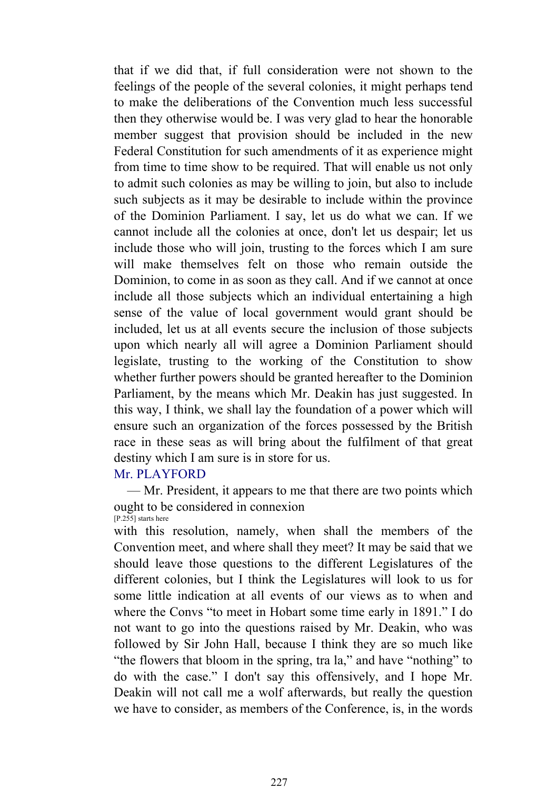that if we did that, if full consideration were not shown to the feelings of the people of the several colonies, it might perhaps tend to make the deliberations of the Convention much less successful then they otherwise would be. I was very glad to hear the honorable member suggest that provision should be included in the new Federal Constitution for such amendments of it as experience might from time to time show to be required. That will enable us not only to admit such colonies as may be willing to join, but also to include such subjects as it may be desirable to include within the province of the Dominion Parliament. I say, let us do what we can. If we cannot include all the colonies at once, don't let us despair; let us include those who will join, trusting to the forces which I am sure will make themselves felt on those who remain outside the Dominion, to come in as soon as they call. And if we cannot at once include all those subjects which an individual entertaining a high sense of the value of local government would grant should be included, let us at all events secure the inclusion of those subjects upon which nearly all will agree a Dominion Parliament should legislate, trusting to the working of the Constitution to show whether further powers should be granted hereafter to the Dominion Parliament, by the means which Mr. Deakin has just suggested. In this way, I think, we shall lay the foundation of a power which will ensure such an organization of the forces possessed by the British race in these seas as will bring about the fulfilment of that great destiny which I am sure is in store for us.

# Mr. PLAYFORD

 — Mr. President, it appears to me that there are two points which ought to be considered in connexion [P.255] starts here

with this resolution, namely, when shall the members of the Convention meet, and where shall they meet? It may be said that we should leave those questions to the different Legislatures of the different colonies, but I think the Legislatures will look to us for some little indication at all events of our views as to when and where the Convs "to meet in Hobart some time early in 1891." I do not want to go into the questions raised by Mr. Deakin, who was followed by Sir John Hall, because I think they are so much like "the flowers that bloom in the spring, tra la," and have "nothing" to do with the case." I don't say this offensively, and I hope Mr. Deakin will not call me a wolf afterwards, but really the question we have to consider, as members of the Conference, is, in the words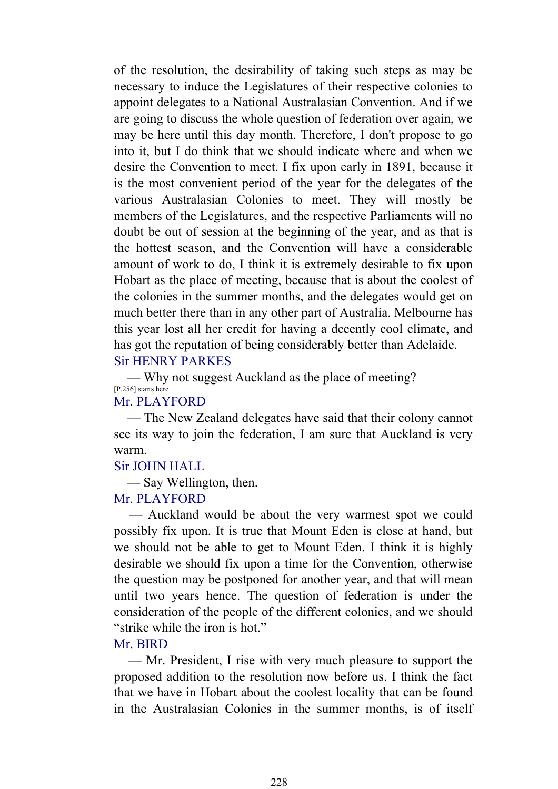of the resolution, the desirability of taking such steps as may be necessary to induce the Legislatures of their respective colonies to appoint delegates to a National Australasian Convention. And if we are going to discuss the whole question of federation over again, we may be here until this day month. Therefore, I don't propose to go into it, but I do think that we should indicate where and when we desire the Convention to meet. I fix upon early in 1891, because it is the most convenient period of the year for the delegates of the various Australasian Colonies to meet. They will mostly be members of the Legislatures, and the respective Parliaments will no doubt be out of session at the beginning of the year, and as that is the hottest season, and the Convention will have a considerable amount of work to do, I think it is extremely desirable to fix upon Hobart as the place of meeting, because that is about the coolest of the colonies in the summer months, and the delegates would get on much better there than in any other part of Australia. Melbourne has this year lost all her credit for having a decently cool climate, and has got the reputation of being considerably better than Adelaide. Sir HENRY PARKES

 — Why not suggest Auckland as the place of meeting? [P.256] starts here

#### Mr. PLAYFORD

 — The New Zealand delegates have said that their colony cannot see its way to join the federation, I am sure that Auckland is very warm.

# Sir JOHN HALL

— Say Wellington, then.

# Mr. PLAYFORD

 — Auckland would be about the very warmest spot we could possibly fix upon. It is true that Mount Eden is close at hand, but we should not be able to get to Mount Eden. I think it is highly desirable we should fix upon a time for the Convention, otherwise the question may be postponed for another year, and that will mean until two years hence. The question of federation is under the consideration of the people of the different colonies, and we should "strike while the iron is hot."

# Mr. BIRD

 — Mr. President, I rise with very much pleasure to support the proposed addition to the resolution now before us. I think the fact that we have in Hobart about the coolest locality that can be found in the Australasian Colonies in the summer months, is of itself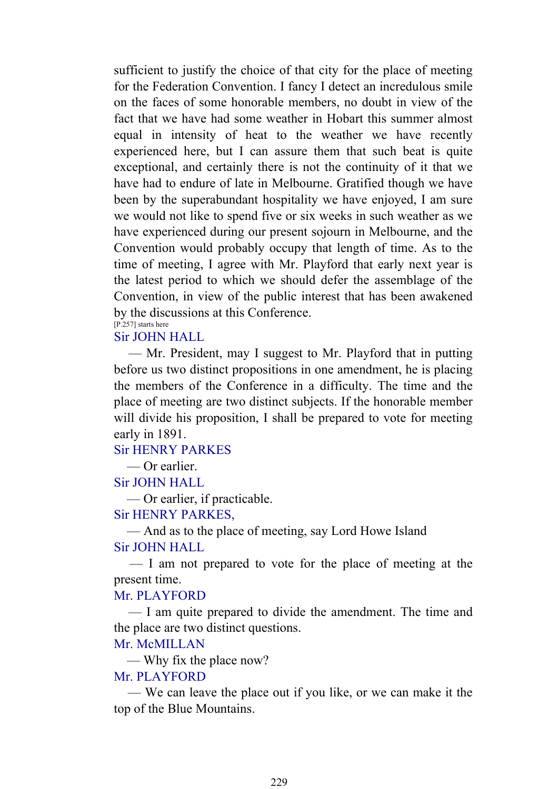sufficient to justify the choice of that city for the place of meeting for the Federation Convention. I fancy I detect an incredulous smile on the faces of some honorable members, no doubt in view of the fact that we have had some weather in Hobart this summer almost equal in intensity of heat to the weather we have recently experienced here, but I can assure them that such beat is quite exceptional, and certainly there is not the continuity of it that we have had to endure of late in Melbourne. Gratified though we have been by the superabundant hospitality we have enjoyed, I am sure we would not like to spend five or six weeks in such weather as we have experienced during our present sojourn in Melbourne, and the Convention would probably occupy that length of time. As to the time of meeting, I agree with Mr. Playford that early next year is the latest period to which we should defer the assemblage of the Convention, in view of the public interest that has been awakened by the discussions at this Conference. [P.257] starts here

# Sir JOHN HALL

 — Mr. President, may I suggest to Mr. Playford that in putting before us two distinct propositions in one amendment, he is placing the members of the Conference in a difficulty. The time and the place of meeting are two distinct subjects. If the honorable member will divide his proposition, I shall be prepared to vote for meeting early in 1891.

Sir HENRY PARKES

— Or earlier.

Sir JOHN HALL

— Or earlier, if practicable.

Sir HENRY PARKES,

 — And as to the place of meeting, say Lord Howe Island Sir JOHN HALL

 — I am not prepared to vote for the place of meeting at the present time.

#### Mr. PLAYFORD

 — I am quite prepared to divide the amendment. The time and the place are two distinct questions.

### Mr. McMILLAN

— Why fix the place now?

#### Mr. PLAYFORD

 — We can leave the place out if you like, or we can make it the top of the Blue Mountains.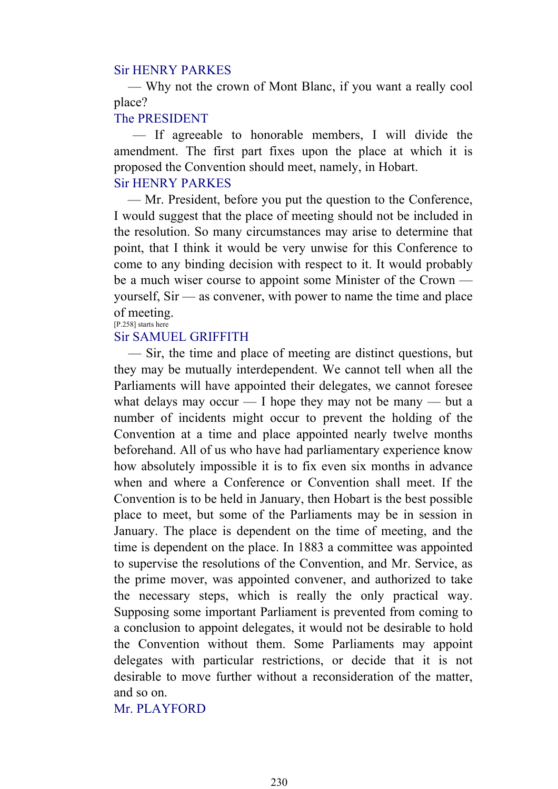#### Sir HENRY PARKES

 — Why not the crown of Mont Blanc, if you want a really cool place?

# The PRESIDENT

 — If agreeable to honorable members, I will divide the amendment. The first part fixes upon the place at which it is proposed the Convention should meet, namely, in Hobart. Sir HENRY PARKES

 — Mr. President, before you put the question to the Conference, I would suggest that the place of meeting should not be included in the resolution. So many circumstances may arise to determine that point, that I think it would be very unwise for this Conference to come to any binding decision with respect to it. It would probably be a much wiser course to appoint some Minister of the Crown yourself, Sir — as convener, with power to name the time and place of meeting. [P.258] starts here

# Sir SAMUEL GRIFFITH

 — Sir, the time and place of meeting are distinct questions, but they may be mutually interdependent. We cannot tell when all the Parliaments will have appointed their delegates, we cannot foresee what delays may occur  $-$  I hope they may not be many  $-$  but a number of incidents might occur to prevent the holding of the Convention at a time and place appointed nearly twelve months beforehand. All of us who have had parliamentary experience know how absolutely impossible it is to fix even six months in advance when and where a Conference or Convention shall meet. If the Convention is to be held in January, then Hobart is the best possible place to meet, but some of the Parliaments may be in session in January. The place is dependent on the time of meeting, and the time is dependent on the place. In 1883 a committee was appointed to supervise the resolutions of the Convention, and Mr. Service, as the prime mover, was appointed convener, and authorized to take the necessary steps, which is really the only practical way. Supposing some important Parliament is prevented from coming to a conclusion to appoint delegates, it would not be desirable to hold the Convention without them. Some Parliaments may appoint delegates with particular restrictions, or decide that it is not desirable to move further without a reconsideration of the matter, and so on.

Mr. PLAYFORD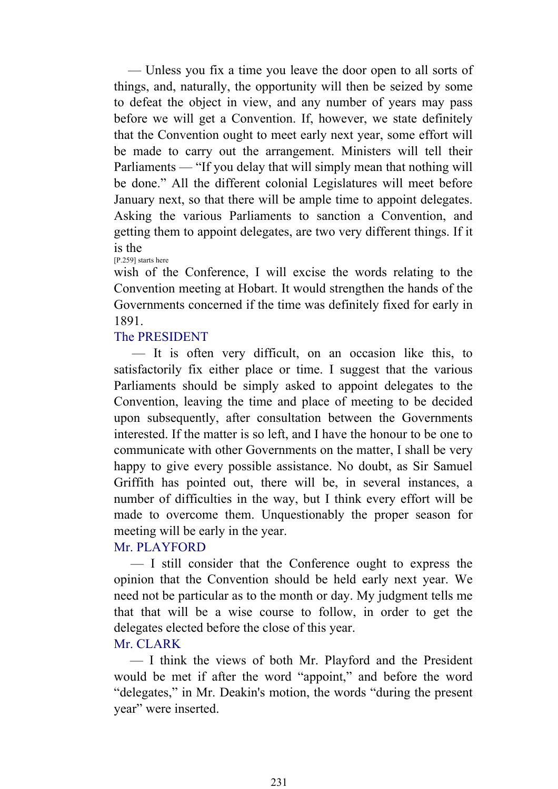— Unless you fix a time you leave the door open to all sorts of things, and, naturally, the opportunity will then be seized by some to defeat the object in view, and any number of years may pass before we will get a Convention. If, however, we state definitely that the Convention ought to meet early next year, some effort will be made to carry out the arrangement. Ministers will tell their Parliaments — "If you delay that will simply mean that nothing will be done." All the different colonial Legislatures will meet before January next, so that there will be ample time to appoint delegates. Asking the various Parliaments to sanction a Convention, and getting them to appoint delegates, are two very different things. If it is the [P.259] starts here

wish of the Conference, I will excise the words relating to the Convention meeting at Hobart. It would strengthen the hands of the Governments concerned if the time was definitely fixed for early in 1891.

# The PRESIDENT

 — It is often very difficult, on an occasion like this, to satisfactorily fix either place or time. I suggest that the various Parliaments should be simply asked to appoint delegates to the Convention, leaving the time and place of meeting to be decided upon subsequently, after consultation between the Governments interested. If the matter is so left, and I have the honour to be one to communicate with other Governments on the matter, I shall be very happy to give every possible assistance. No doubt, as Sir Samuel Griffith has pointed out, there will be, in several instances, a number of difficulties in the way, but I think every effort will be made to overcome them. Unquestionably the proper season for meeting will be early in the year.

# Mr. PLAYFORD

 — I still consider that the Conference ought to express the opinion that the Convention should be held early next year. We need not be particular as to the month or day. My judgment tells me that that will be a wise course to follow, in order to get the delegates elected before the close of this year.

# Mr. CLARK

 — I think the views of both Mr. Playford and the President would be met if after the word "appoint," and before the word "delegates," in Mr. Deakin's motion, the words "during the present year" were inserted.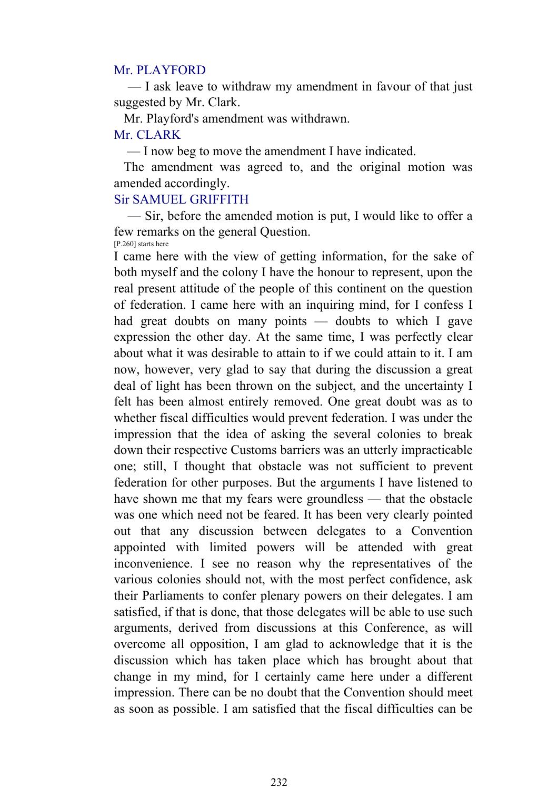#### Mr. PLAYFORD

 — I ask leave to withdraw my amendment in favour of that just suggested by Mr. Clark.

 Mr. Playford's amendment was withdrawn. Mr. CLARK

— I now beg to move the amendment I have indicated.

 The amendment was agreed to, and the original motion was amended accordingly.

# Sir SAMUEL GRIFFITH

 — Sir, before the amended motion is put, I would like to offer a few remarks on the general Question. [P.260] starts here

I came here with the view of getting information, for the sake of both myself and the colony I have the honour to represent, upon the real present attitude of the people of this continent on the question of federation. I came here with an inquiring mind, for I confess I had great doubts on many points — doubts to which I gave expression the other day. At the same time, I was perfectly clear about what it was desirable to attain to if we could attain to it. I am now, however, very glad to say that during the discussion a great deal of light has been thrown on the subject, and the uncertainty I felt has been almost entirely removed. One great doubt was as to whether fiscal difficulties would prevent federation. I was under the impression that the idea of asking the several colonies to break down their respective Customs barriers was an utterly impracticable one; still, I thought that obstacle was not sufficient to prevent federation for other purposes. But the arguments I have listened to have shown me that my fears were groundless — that the obstacle was one which need not be feared. It has been very clearly pointed out that any discussion between delegates to a Convention appointed with limited powers will be attended with great inconvenience. I see no reason why the representatives of the various colonies should not, with the most perfect confidence, ask their Parliaments to confer plenary powers on their delegates. I am satisfied, if that is done, that those delegates will be able to use such arguments, derived from discussions at this Conference, as will overcome all opposition, I am glad to acknowledge that it is the discussion which has taken place which has brought about that change in my mind, for I certainly came here under a different impression. There can be no doubt that the Convention should meet as soon as possible. I am satisfied that the fiscal difficulties can be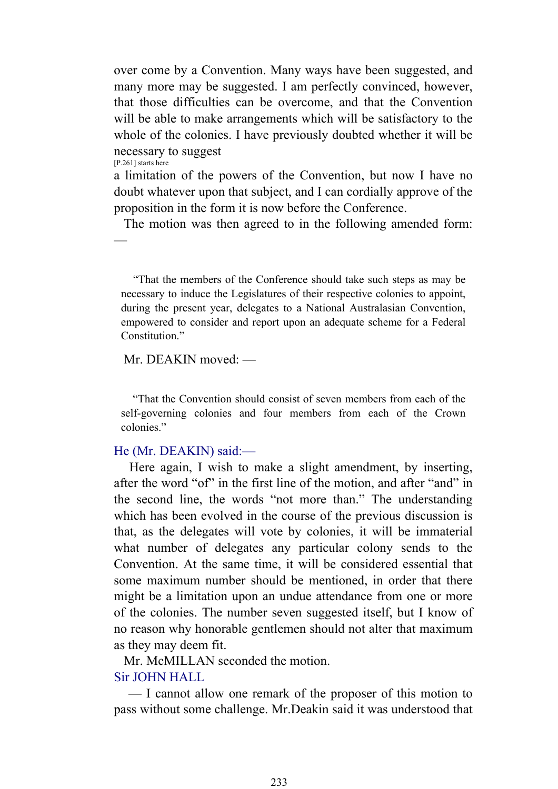over come by a Convention. Many ways have been suggested, and many more may be suggested. I am perfectly convinced, however, that those difficulties can be overcome, and that the Convention will be able to make arrangements which will be satisfactory to the whole of the colonies. I have previously doubted whether it will be necessary to suggest [P.261] starts here

a limitation of the powers of the Convention, but now I have no doubt whatever upon that subject, and I can cordially approve of the proposition in the form it is now before the Conference.

The motion was then agreed to in the following amended form:

 "That the members of the Conference should take such steps as may be necessary to induce the Legislatures of their respective colonies to appoint, during the present year, delegates to a National Australasian Convention, empowered to consider and report upon an adequate scheme for a Federal Constitution<sup>"</sup>

#### Mr. DEAKIN moved: —

—

 "That the Convention should consist of seven members from each of the self-governing colonies and four members from each of the Crown colonies."

### He (Mr. DEAKIN) said:—

 Here again, I wish to make a slight amendment, by inserting, after the word "of" in the first line of the motion, and after "and" in the second line, the words "not more than." The understanding which has been evolved in the course of the previous discussion is that, as the delegates will vote by colonies, it will be immaterial what number of delegates any particular colony sends to the Convention. At the same time, it will be considered essential that some maximum number should be mentioned, in order that there might be a limitation upon an undue attendance from one or more of the colonies. The number seven suggested itself, but I know of no reason why honorable gentlemen should not alter that maximum as they may deem fit.

Mr. McMILLAN seconded the motion.

# Sir JOHN HALL

 — I cannot allow one remark of the proposer of this motion to pass without some challenge. Mr.Deakin said it was understood that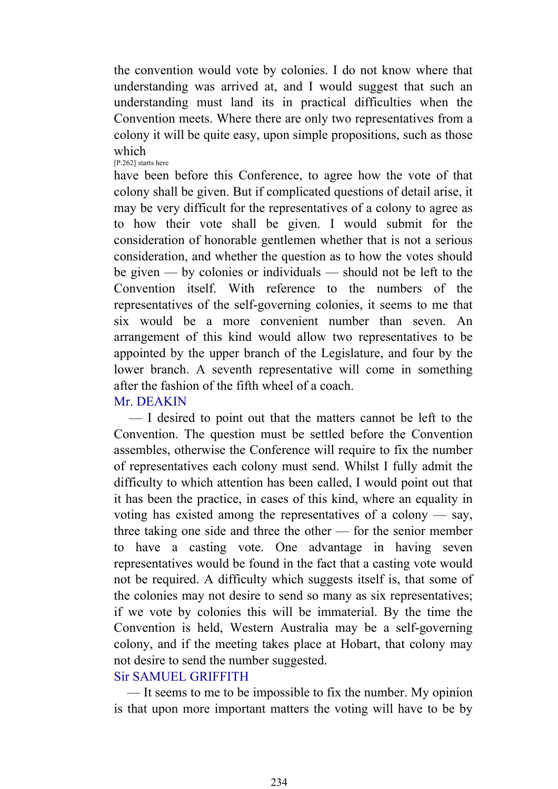the convention would vote by colonies. I do not know where that understanding was arrived at, and I would suggest that such an understanding must land its in practical difficulties when the Convention meets. Where there are only two representatives from a colony it will be quite easy, upon simple propositions, such as those which [P.262] starts here

have been before this Conference, to agree how the vote of that colony shall be given. But if complicated questions of detail arise, it may be very difficult for the representatives of a colony to agree as to how their vote shall be given. I would submit for the consideration of honorable gentlemen whether that is not a serious consideration, and whether the question as to how the votes should be given — by colonies or individuals — should not be left to the Convention itself. With reference to the numbers of the representatives of the self-governing colonies, it seems to me that six would be a more convenient number than seven. An arrangement of this kind would allow two representatives to be appointed by the upper branch of the Legislature, and four by the lower branch. A seventh representative will come in something after the fashion of the fifth wheel of a coach.

# Mr. DEAKIN

 — I desired to point out that the matters cannot be left to the Convention. The question must be settled before the Convention assembles, otherwise the Conference will require to fix the number of representatives each colony must send. Whilst I fully admit the difficulty to which attention has been called, I would point out that it has been the practice, in cases of this kind, where an equality in voting has existed among the representatives of a colony — say, three taking one side and three the other — for the senior member to have a casting vote. One advantage in having seven representatives would be found in the fact that a casting vote would not be required. A difficulty which suggests itself is, that some of the colonies may not desire to send so many as six representatives; if we vote by colonies this will be immaterial. By the time the Convention is held, Western Australia may be a self-governing colony, and if the meeting takes place at Hobart, that colony may not desire to send the number suggested.

# Sir SAMUEL GRIFFITH

 — It seems to me to be impossible to fix the number. My opinion is that upon more important matters the voting will have to be by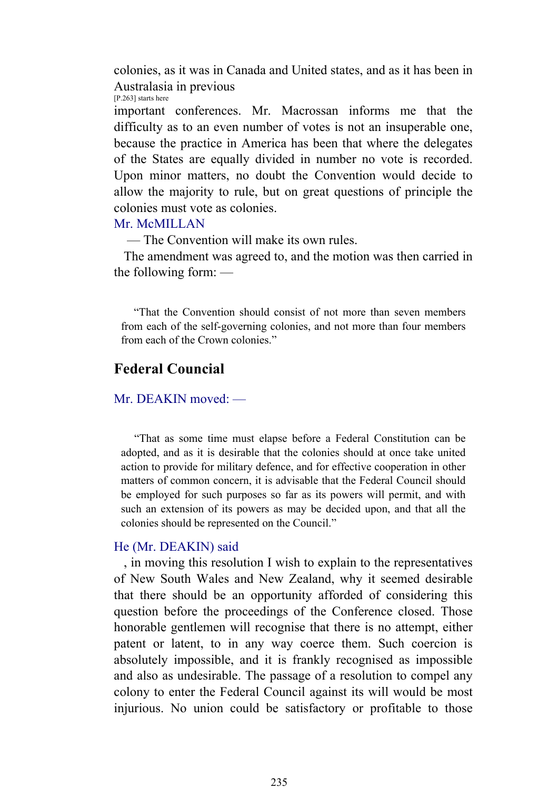colonies, as it was in Canada and United states, and as it has been in Australasia in previous [P.263] starts here

important conferences. Mr. Macrossan informs me that the difficulty as to an even number of votes is not an insuperable one, because the practice in America has been that where the delegates of the States are equally divided in number no vote is recorded. Upon minor matters, no doubt the Convention would decide to allow the majority to rule, but on great questions of principle the colonies must vote as colonies.

#### Mr. McMILLAN

— The Convention will make its own rules.

 The amendment was agreed to, and the motion was then carried in the following form: —

 "That the Convention should consist of not more than seven members from each of the self-governing colonies, and not more than four members from each of the Crown colonies."

# **Federal Councial**

#### Mr. DEAKIN moved: —

 "That as some time must elapse before a Federal Constitution can be adopted, and as it is desirable that the colonies should at once take united action to provide for military defence, and for effective cooperation in other matters of common concern, it is advisable that the Federal Council should be employed for such purposes so far as its powers will permit, and with such an extension of its powers as may be decided upon, and that all the colonies should be represented on the Council."

#### He (Mr. DEAKIN) said

 , in moving this resolution I wish to explain to the representatives of New South Wales and New Zealand, why it seemed desirable that there should be an opportunity afforded of considering this question before the proceedings of the Conference closed. Those honorable gentlemen will recognise that there is no attempt, either patent or latent, to in any way coerce them. Such coercion is absolutely impossible, and it is frankly recognised as impossible and also as undesirable. The passage of a resolution to compel any colony to enter the Federal Council against its will would be most injurious. No union could be satisfactory or profitable to those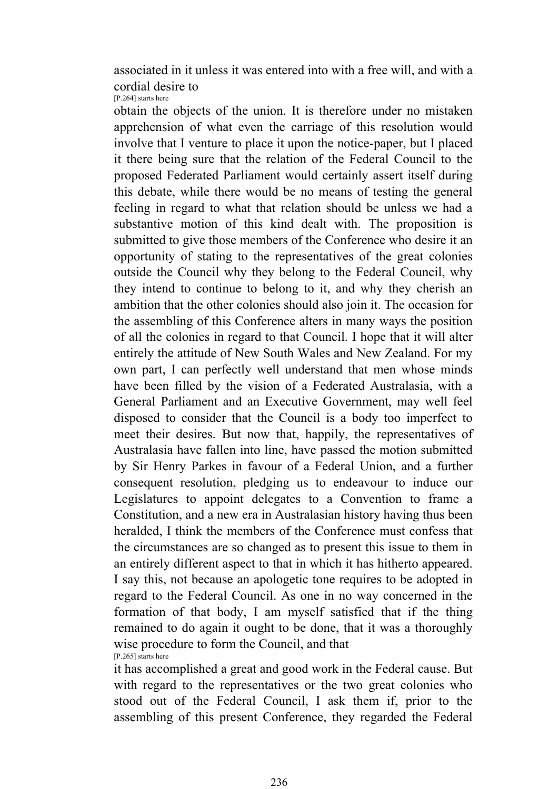associated in it unless it was entered into with a free will, and with a cordial desire to [P.264] starts here

obtain the objects of the union. It is therefore under no mistaken apprehension of what even the carriage of this resolution would involve that I venture to place it upon the notice-paper, but I placed it there being sure that the relation of the Federal Council to the proposed Federated Parliament would certainly assert itself during this debate, while there would be no means of testing the general feeling in regard to what that relation should be unless we had a substantive motion of this kind dealt with. The proposition is submitted to give those members of the Conference who desire it an opportunity of stating to the representatives of the great colonies outside the Council why they belong to the Federal Council, why they intend to continue to belong to it, and why they cherish an ambition that the other colonies should also join it. The occasion for the assembling of this Conference alters in many ways the position of all the colonies in regard to that Council. I hope that it will alter entirely the attitude of New South Wales and New Zealand. For my own part, I can perfectly well understand that men whose minds have been filled by the vision of a Federated Australasia, with a General Parliament and an Executive Government, may well feel disposed to consider that the Council is a body too imperfect to meet their desires. But now that, happily, the representatives of Australasia have fallen into line, have passed the motion submitted by Sir Henry Parkes in favour of a Federal Union, and a further consequent resolution, pledging us to endeavour to induce our Legislatures to appoint delegates to a Convention to frame a Constitution, and a new era in Australasian history having thus been heralded, I think the members of the Conference must confess that the circumstances are so changed as to present this issue to them in an entirely different aspect to that in which it has hitherto appeared. I say this, not because an apologetic tone requires to be adopted in regard to the Federal Council. As one in no way concerned in the formation of that body, I am myself satisfied that if the thing remained to do again it ought to be done, that it was a thoroughly wise procedure to form the Council, and that [P.265] starts here

it has accomplished a great and good work in the Federal cause. But with regard to the representatives or the two great colonies who stood out of the Federal Council, I ask them if, prior to the assembling of this present Conference, they regarded the Federal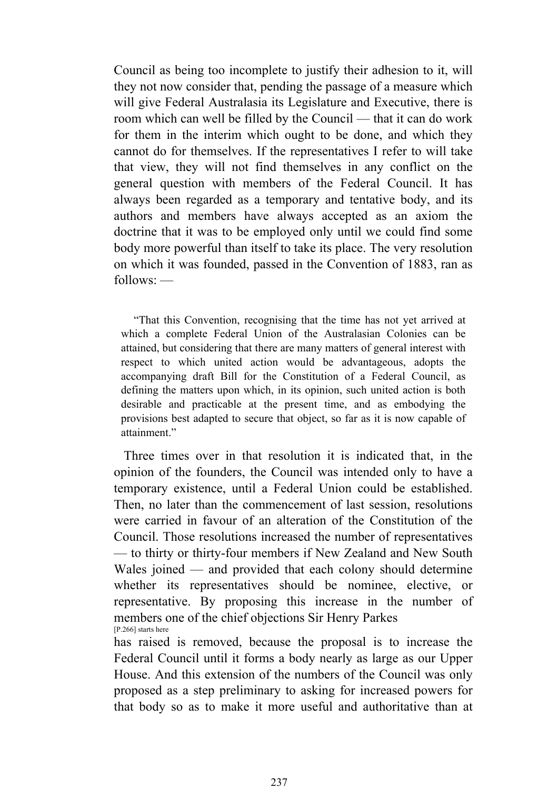Council as being too incomplete to justify their adhesion to it, will they not now consider that, pending the passage of a measure which will give Federal Australasia its Legislature and Executive, there is room which can well be filled by the Council — that it can do work for them in the interim which ought to be done, and which they cannot do for themselves. If the representatives I refer to will take that view, they will not find themselves in any conflict on the general question with members of the Federal Council. It has always been regarded as a temporary and tentative body, and its authors and members have always accepted as an axiom the doctrine that it was to be employed only until we could find some body more powerful than itself to take its place. The very resolution on which it was founded, passed in the Convention of 1883, ran as follows: —

 "That this Convention, recognising that the time has not yet arrived at which a complete Federal Union of the Australasian Colonies can be attained, but considering that there are many matters of general interest with respect to which united action would be advantageous, adopts the accompanying draft Bill for the Constitution of a Federal Council, as defining the matters upon which, in its opinion, such united action is both desirable and practicable at the present time, and as embodying the provisions best adapted to secure that object, so far as it is now capable of attainment."

 Three times over in that resolution it is indicated that, in the opinion of the founders, the Council was intended only to have a temporary existence, until a Federal Union could be established. Then, no later than the commencement of last session, resolutions were carried in favour of an alteration of the Constitution of the Council. Those resolutions increased the number of representatives — to thirty or thirty-four members if New Zealand and New South Wales joined — and provided that each colony should determine whether its representatives should be nominee, elective, or representative. By proposing this increase in the number of members one of the chief objections Sir Henry Parkes [P.266] starts here

has raised is removed, because the proposal is to increase the Federal Council until it forms a body nearly as large as our Upper House. And this extension of the numbers of the Council was only proposed as a step preliminary to asking for increased powers for that body so as to make it more useful and authoritative than at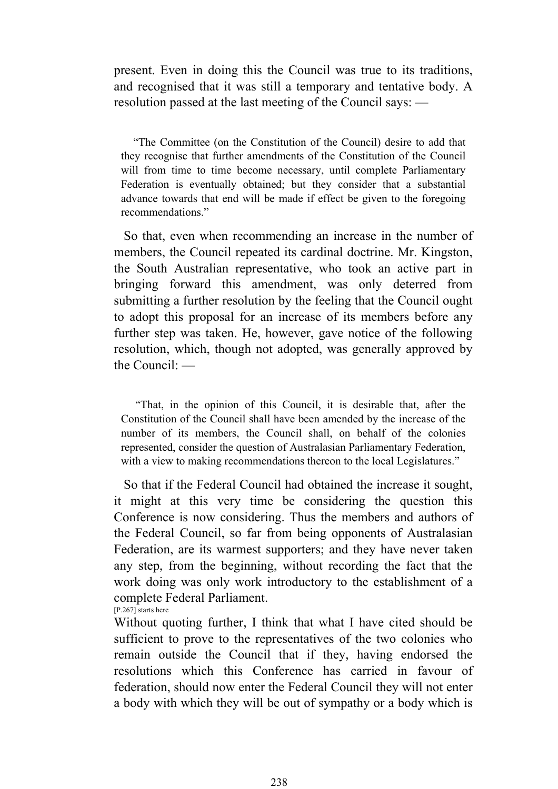present. Even in doing this the Council was true to its traditions, and recognised that it was still a temporary and tentative body. A resolution passed at the last meeting of the Council says: —

 "The Committee (on the Constitution of the Council) desire to add that they recognise that further amendments of the Constitution of the Council will from time to time become necessary, until complete Parliamentary Federation is eventually obtained; but they consider that a substantial advance towards that end will be made if effect be given to the foregoing recommendations."

 So that, even when recommending an increase in the number of members, the Council repeated its cardinal doctrine. Mr. Kingston, the South Australian representative, who took an active part in bringing forward this amendment, was only deterred from submitting a further resolution by the feeling that the Council ought to adopt this proposal for an increase of its members before any further step was taken. He, however, gave notice of the following resolution, which, though not adopted, was generally approved by the Council: —

 "That, in the opinion of this Council, it is desirable that, after the Constitution of the Council shall have been amended by the increase of the number of its members, the Council shall, on behalf of the colonies represented, consider the question of Australasian Parliamentary Federation, with a view to making recommendations thereon to the local Legislatures."

 So that if the Federal Council had obtained the increase it sought, it might at this very time be considering the question this Conference is now considering. Thus the members and authors of the Federal Council, so far from being opponents of Australasian Federation, are its warmest supporters; and they have never taken any step, from the beginning, without recording the fact that the work doing was only work introductory to the establishment of a complete Federal Parliament. [P.267] starts here

Without quoting further, I think that what I have cited should be sufficient to prove to the representatives of the two colonies who remain outside the Council that if they, having endorsed the resolutions which this Conference has carried in favour of federation, should now enter the Federal Council they will not enter a body with which they will be out of sympathy or a body which is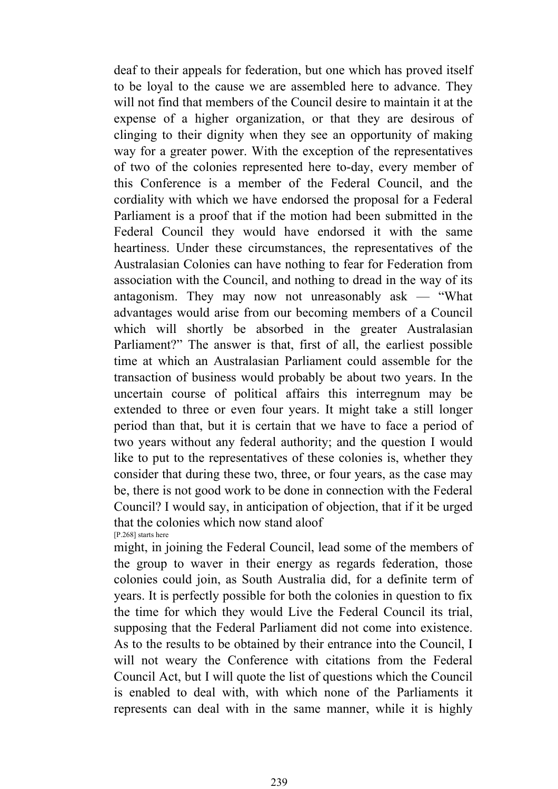deaf to their appeals for federation, but one which has proved itself to be loyal to the cause we are assembled here to advance. They will not find that members of the Council desire to maintain it at the expense of a higher organization, or that they are desirous of clinging to their dignity when they see an opportunity of making way for a greater power. With the exception of the representatives of two of the colonies represented here to-day, every member of this Conference is a member of the Federal Council, and the cordiality with which we have endorsed the proposal for a Federal Parliament is a proof that if the motion had been submitted in the Federal Council they would have endorsed it with the same heartiness. Under these circumstances, the representatives of the Australasian Colonies can have nothing to fear for Federation from association with the Council, and nothing to dread in the way of its antagonism. They may now not unreasonably ask — "What advantages would arise from our becoming members of a Council which will shortly be absorbed in the greater Australasian Parliament?" The answer is that, first of all, the earliest possible time at which an Australasian Parliament could assemble for the transaction of business would probably be about two years. In the uncertain course of political affairs this interregnum may be extended to three or even four years. It might take a still longer period than that, but it is certain that we have to face a period of two years without any federal authority; and the question I would like to put to the representatives of these colonies is, whether they consider that during these two, three, or four years, as the case may be, there is not good work to be done in connection with the Federal Council? I would say, in anticipation of objection, that if it be urged that the colonies which now stand aloof [P.268] starts here

might, in joining the Federal Council, lead some of the members of the group to waver in their energy as regards federation, those colonies could join, as South Australia did, for a definite term of years. It is perfectly possible for both the colonies in question to fix the time for which they would Live the Federal Council its trial, supposing that the Federal Parliament did not come into existence. As to the results to be obtained by their entrance into the Council, I will not weary the Conference with citations from the Federal Council Act, but I will quote the list of questions which the Council is enabled to deal with, with which none of the Parliaments it represents can deal with in the same manner, while it is highly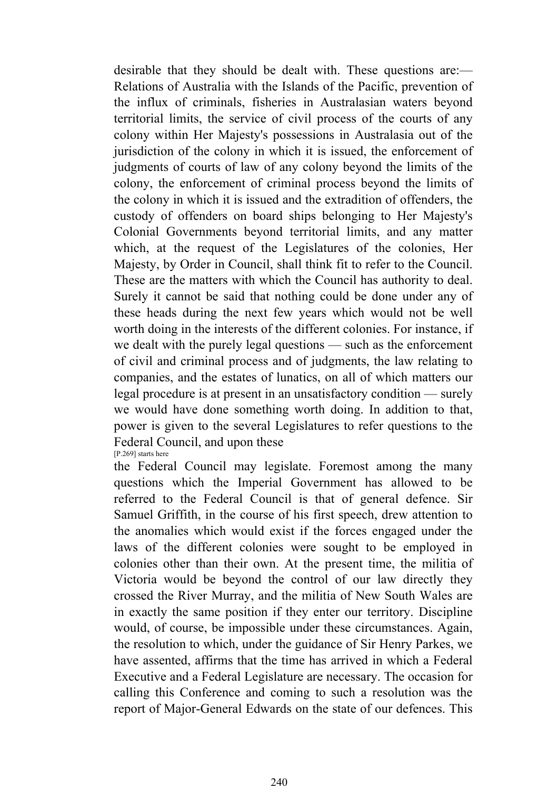desirable that they should be dealt with. These questions are:— Relations of Australia with the Islands of the Pacific, prevention of the influx of criminals, fisheries in Australasian waters beyond territorial limits, the service of civil process of the courts of any colony within Her Majesty's possessions in Australasia out of the jurisdiction of the colony in which it is issued, the enforcement of judgments of courts of law of any colony beyond the limits of the colony, the enforcement of criminal process beyond the limits of the colony in which it is issued and the extradition of offenders, the custody of offenders on board ships belonging to Her Majesty's Colonial Governments beyond territorial limits, and any matter which, at the request of the Legislatures of the colonies, Her Majesty, by Order in Council, shall think fit to refer to the Council. These are the matters with which the Council has authority to deal. Surely it cannot be said that nothing could be done under any of these heads during the next few years which would not be well worth doing in the interests of the different colonies. For instance, if we dealt with the purely legal questions — such as the enforcement of civil and criminal process and of judgments, the law relating to companies, and the estates of lunatics, on all of which matters our legal procedure is at present in an unsatisfactory condition — surely we would have done something worth doing. In addition to that, power is given to the several Legislatures to refer questions to the Federal Council, and upon these [P.269] starts here

the Federal Council may legislate. Foremost among the many questions which the Imperial Government has allowed to be referred to the Federal Council is that of general defence. Sir Samuel Griffith, in the course of his first speech, drew attention to the anomalies which would exist if the forces engaged under the laws of the different colonies were sought to be employed in colonies other than their own. At the present time, the militia of Victoria would be beyond the control of our law directly they crossed the River Murray, and the militia of New South Wales are in exactly the same position if they enter our territory. Discipline would, of course, be impossible under these circumstances. Again, the resolution to which, under the guidance of Sir Henry Parkes, we have assented, affirms that the time has arrived in which a Federal Executive and a Federal Legislature are necessary. The occasion for calling this Conference and coming to such a resolution was the report of Major-General Edwards on the state of our defences. This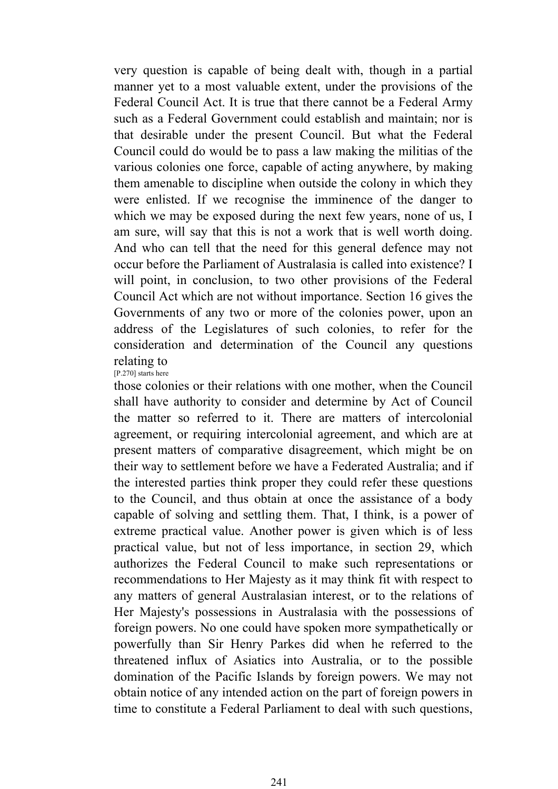very question is capable of being dealt with, though in a partial manner yet to a most valuable extent, under the provisions of the Federal Council Act. It is true that there cannot be a Federal Army such as a Federal Government could establish and maintain; nor is that desirable under the present Council. But what the Federal Council could do would be to pass a law making the militias of the various colonies one force, capable of acting anywhere, by making them amenable to discipline when outside the colony in which they were enlisted. If we recognise the imminence of the danger to which we may be exposed during the next few years, none of us, I am sure, will say that this is not a work that is well worth doing. And who can tell that the need for this general defence may not occur before the Parliament of Australasia is called into existence? I will point, in conclusion, to two other provisions of the Federal Council Act which are not without importance. Section 16 gives the Governments of any two or more of the colonies power, upon an address of the Legislatures of such colonies, to refer for the consideration and determination of the Council any questions relating to

[P.270] starts here

those colonies or their relations with one mother, when the Council shall have authority to consider and determine by Act of Council the matter so referred to it. There are matters of intercolonial agreement, or requiring intercolonial agreement, and which are at present matters of comparative disagreement, which might be on their way to settlement before we have a Federated Australia; and if the interested parties think proper they could refer these questions to the Council, and thus obtain at once the assistance of a body capable of solving and settling them. That, I think, is a power of extreme practical value. Another power is given which is of less practical value, but not of less importance, in section 29, which authorizes the Federal Council to make such representations or recommendations to Her Majesty as it may think fit with respect to any matters of general Australasian interest, or to the relations of Her Majesty's possessions in Australasia with the possessions of foreign powers. No one could have spoken more sympathetically or powerfully than Sir Henry Parkes did when he referred to the threatened influx of Asiatics into Australia, or to the possible domination of the Pacific Islands by foreign powers. We may not obtain notice of any intended action on the part of foreign powers in time to constitute a Federal Parliament to deal with such questions,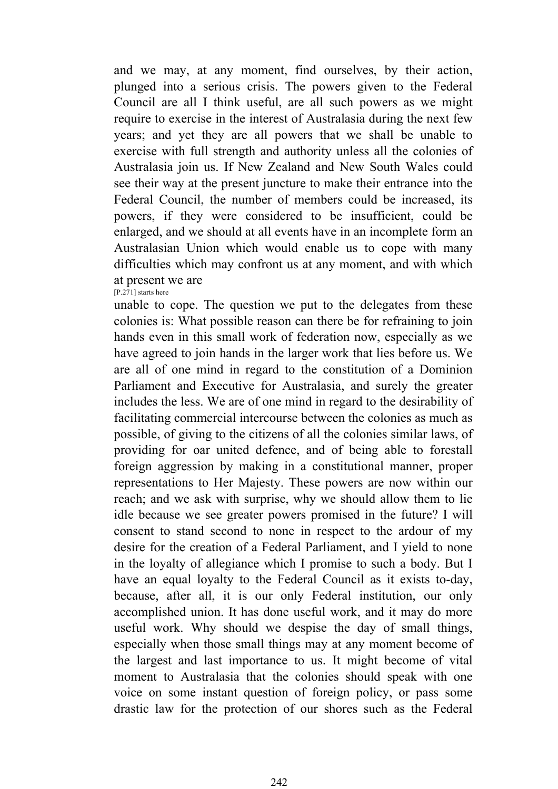and we may, at any moment, find ourselves, by their action, plunged into a serious crisis. The powers given to the Federal Council are all I think useful, are all such powers as we might require to exercise in the interest of Australasia during the next few years; and yet they are all powers that we shall be unable to exercise with full strength and authority unless all the colonies of Australasia join us. If New Zealand and New South Wales could see their way at the present juncture to make their entrance into the Federal Council, the number of members could be increased, its powers, if they were considered to be insufficient, could be enlarged, and we should at all events have in an incomplete form an Australasian Union which would enable us to cope with many difficulties which may confront us at any moment, and with which at present we are [P.271] starts here

unable to cope. The question we put to the delegates from these colonies is: What possible reason can there be for refraining to join hands even in this small work of federation now, especially as we have agreed to join hands in the larger work that lies before us. We are all of one mind in regard to the constitution of a Dominion Parliament and Executive for Australasia, and surely the greater includes the less. We are of one mind in regard to the desirability of facilitating commercial intercourse between the colonies as much as possible, of giving to the citizens of all the colonies similar laws, of providing for oar united defence, and of being able to forestall foreign aggression by making in a constitutional manner, proper representations to Her Majesty. These powers are now within our reach; and we ask with surprise, why we should allow them to lie idle because we see greater powers promised in the future? I will consent to stand second to none in respect to the ardour of my desire for the creation of a Federal Parliament, and I yield to none in the loyalty of allegiance which I promise to such a body. But I have an equal loyalty to the Federal Council as it exists to-day, because, after all, it is our only Federal institution, our only accomplished union. It has done useful work, and it may do more useful work. Why should we despise the day of small things, especially when those small things may at any moment become of the largest and last importance to us. It might become of vital moment to Australasia that the colonies should speak with one voice on some instant question of foreign policy, or pass some drastic law for the protection of our shores such as the Federal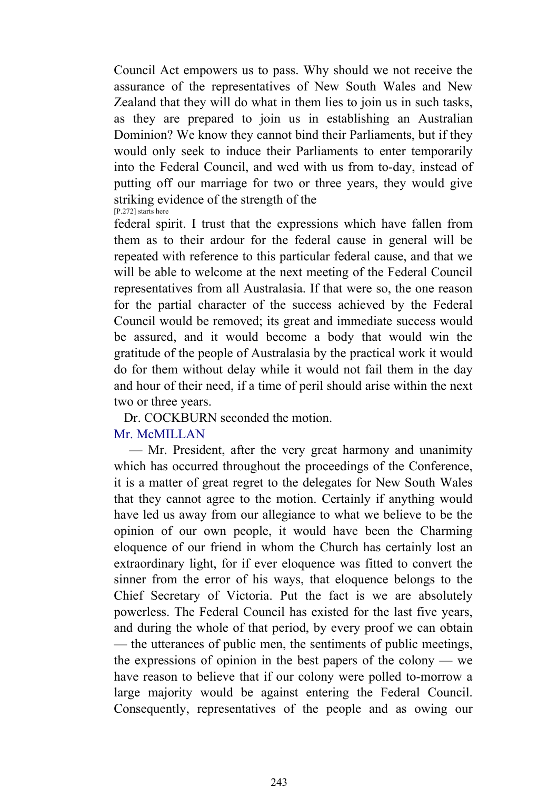Council Act empowers us to pass. Why should we not receive the assurance of the representatives of New South Wales and New Zealand that they will do what in them lies to join us in such tasks, as they are prepared to join us in establishing an Australian Dominion? We know they cannot bind their Parliaments, but if they would only seek to induce their Parliaments to enter temporarily into the Federal Council, and wed with us from to-day, instead of putting off our marriage for two or three years, they would give striking evidence of the strength of the [P.272] starts here

federal spirit. I trust that the expressions which have fallen from them as to their ardour for the federal cause in general will be repeated with reference to this particular federal cause, and that we will be able to welcome at the next meeting of the Federal Council representatives from all Australasia. If that were so, the one reason for the partial character of the success achieved by the Federal Council would be removed; its great and immediate success would be assured, and it would become a body that would win the gratitude of the people of Australasia by the practical work it would do for them without delay while it would not fail them in the day and hour of their need, if a time of peril should arise within the next two or three years.

Dr. COCKBURN seconded the motion.

# Mr. McMILLAN

 — Mr. President, after the very great harmony and unanimity which has occurred throughout the proceedings of the Conference, it is a matter of great regret to the delegates for New South Wales that they cannot agree to the motion. Certainly if anything would have led us away from our allegiance to what we believe to be the opinion of our own people, it would have been the Charming eloquence of our friend in whom the Church has certainly lost an extraordinary light, for if ever eloquence was fitted to convert the sinner from the error of his ways, that eloquence belongs to the Chief Secretary of Victoria. Put the fact is we are absolutely powerless. The Federal Council has existed for the last five years, and during the whole of that period, by every proof we can obtain — the utterances of public men, the sentiments of public meetings, the expressions of opinion in the best papers of the colony — we have reason to believe that if our colony were polled to-morrow a large majority would be against entering the Federal Council. Consequently, representatives of the people and as owing our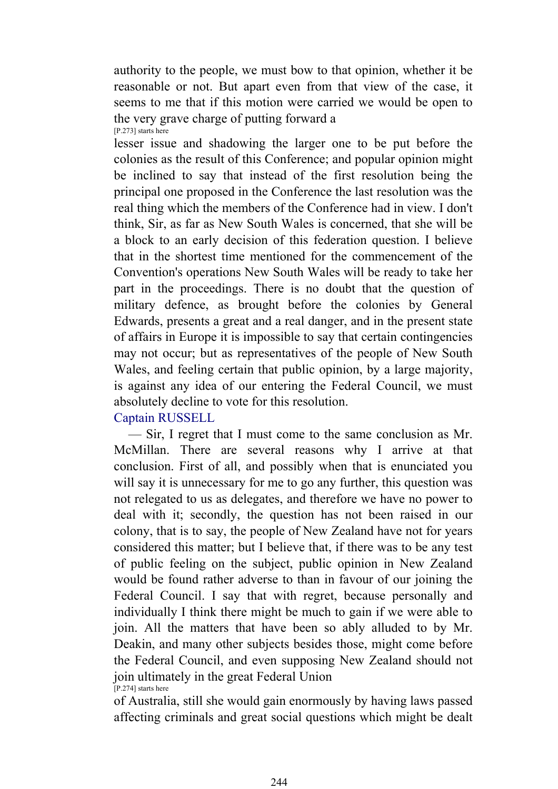authority to the people, we must bow to that opinion, whether it be reasonable or not. But apart even from that view of the case, it seems to me that if this motion were carried we would be open to the very grave charge of putting forward a [P.273] starts here

lesser issue and shadowing the larger one to be put before the colonies as the result of this Conference; and popular opinion might be inclined to say that instead of the first resolution being the principal one proposed in the Conference the last resolution was the real thing which the members of the Conference had in view. I don't think, Sir, as far as New South Wales is concerned, that she will be a block to an early decision of this federation question. I believe that in the shortest time mentioned for the commencement of the Convention's operations New South Wales will be ready to take her part in the proceedings. There is no doubt that the question of military defence, as brought before the colonies by General Edwards, presents a great and a real danger, and in the present state of affairs in Europe it is impossible to say that certain contingencies may not occur; but as representatives of the people of New South Wales, and feeling certain that public opinion, by a large majority, is against any idea of our entering the Federal Council, we must absolutely decline to vote for this resolution.

# Captain RUSSELL

 — Sir, I regret that I must come to the same conclusion as Mr. McMillan. There are several reasons why I arrive at that conclusion. First of all, and possibly when that is enunciated you will say it is unnecessary for me to go any further, this question was not relegated to us as delegates, and therefore we have no power to deal with it; secondly, the question has not been raised in our colony, that is to say, the people of New Zealand have not for years considered this matter; but I believe that, if there was to be any test of public feeling on the subject, public opinion in New Zealand would be found rather adverse to than in favour of our joining the Federal Council. I say that with regret, because personally and individually I think there might be much to gain if we were able to join. All the matters that have been so ably alluded to by Mr. Deakin, and many other subjects besides those, might come before the Federal Council, and even supposing New Zealand should not join ultimately in the great Federal Union [P.274] starts here

of Australia, still she would gain enormously by having laws passed affecting criminals and great social questions which might be dealt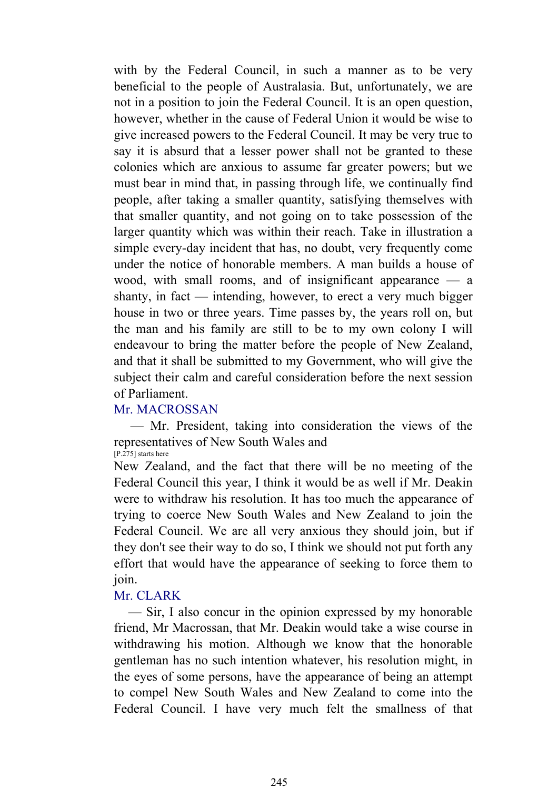with by the Federal Council, in such a manner as to be very beneficial to the people of Australasia. But, unfortunately, we are not in a position to join the Federal Council. It is an open question, however, whether in the cause of Federal Union it would be wise to give increased powers to the Federal Council. It may be very true to say it is absurd that a lesser power shall not be granted to these colonies which are anxious to assume far greater powers; but we must bear in mind that, in passing through life, we continually find people, after taking a smaller quantity, satisfying themselves with that smaller quantity, and not going on to take possession of the larger quantity which was within their reach. Take in illustration a simple every-day incident that has, no doubt, very frequently come under the notice of honorable members. A man builds a house of wood, with small rooms, and of insignificant appearance — a shanty, in fact — intending, however, to erect a very much bigger house in two or three years. Time passes by, the years roll on, but the man and his family are still to be to my own colony I will endeavour to bring the matter before the people of New Zealand, and that it shall be submitted to my Government, who will give the subject their calm and careful consideration before the next session of Parliament.

# Mr. MACROSSAN

 — Mr. President, taking into consideration the views of the representatives of New South Wales and

[P.275] starts here

New Zealand, and the fact that there will be no meeting of the Federal Council this year, I think it would be as well if Mr. Deakin were to withdraw his resolution. It has too much the appearance of trying to coerce New South Wales and New Zealand to join the Federal Council. We are all very anxious they should join, but if they don't see their way to do so, I think we should not put forth any effort that would have the appearance of seeking to force them to join.

# Mr. CLARK

 — Sir, I also concur in the opinion expressed by my honorable friend, Mr Macrossan, that Mr. Deakin would take a wise course in withdrawing his motion. Although we know that the honorable gentleman has no such intention whatever, his resolution might, in the eyes of some persons, have the appearance of being an attempt to compel New South Wales and New Zealand to come into the Federal Council. I have very much felt the smallness of that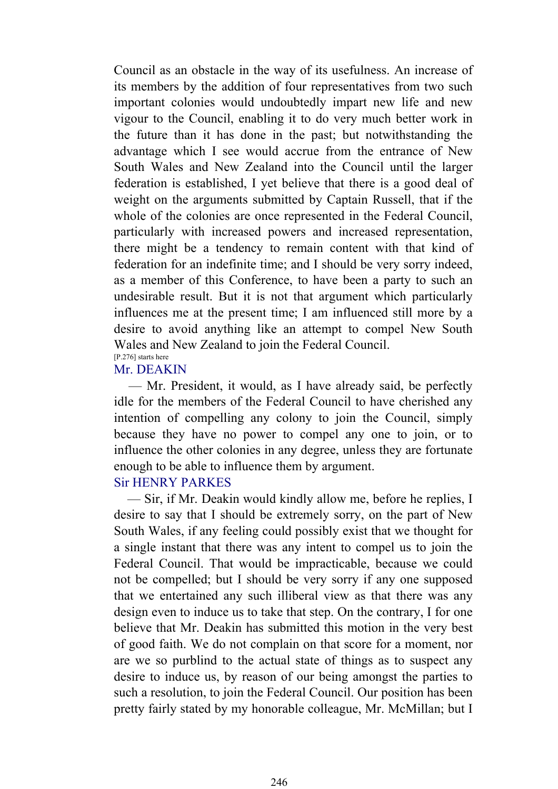Council as an obstacle in the way of its usefulness. An increase of its members by the addition of four representatives from two such important colonies would undoubtedly impart new life and new vigour to the Council, enabling it to do very much better work in the future than it has done in the past; but notwithstanding the advantage which I see would accrue from the entrance of New South Wales and New Zealand into the Council until the larger federation is established, I yet believe that there is a good deal of weight on the arguments submitted by Captain Russell, that if the whole of the colonies are once represented in the Federal Council, particularly with increased powers and increased representation, there might be a tendency to remain content with that kind of federation for an indefinite time; and I should be very sorry indeed, as a member of this Conference, to have been a party to such an undesirable result. But it is not that argument which particularly influences me at the present time; I am influenced still more by a desire to avoid anything like an attempt to compel New South Wales and New Zealand to join the Federal Council. [P.276] starts here

### Mr. DEAKIN

 — Mr. President, it would, as I have already said, be perfectly idle for the members of the Federal Council to have cherished any intention of compelling any colony to join the Council, simply because they have no power to compel any one to join, or to influence the other colonies in any degree, unless they are fortunate enough to be able to influence them by argument.

# Sir HENRY PARKES

 — Sir, if Mr. Deakin would kindly allow me, before he replies, I desire to say that I should be extremely sorry, on the part of New South Wales, if any feeling could possibly exist that we thought for a single instant that there was any intent to compel us to join the Federal Council. That would be impracticable, because we could not be compelled; but I should be very sorry if any one supposed that we entertained any such illiberal view as that there was any design even to induce us to take that step. On the contrary, I for one believe that Mr. Deakin has submitted this motion in the very best of good faith. We do not complain on that score for a moment, nor are we so purblind to the actual state of things as to suspect any desire to induce us, by reason of our being amongst the parties to such a resolution, to join the Federal Council. Our position has been pretty fairly stated by my honorable colleague, Mr. McMillan; but I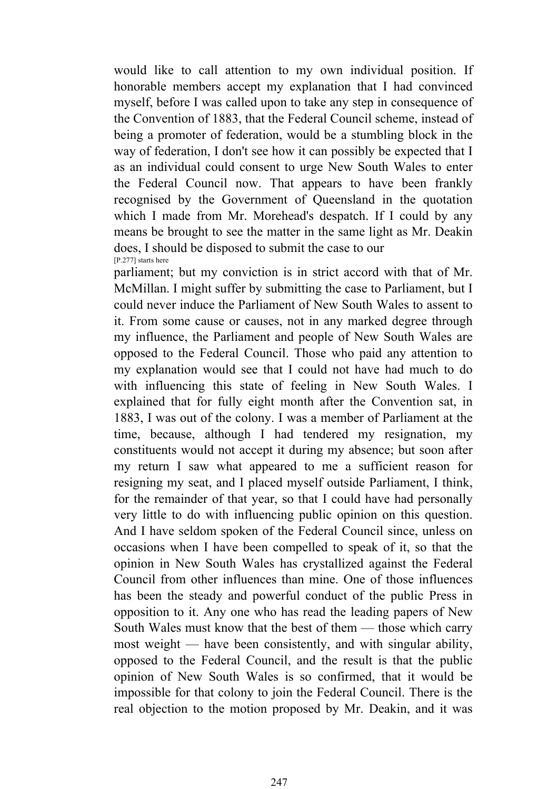would like to call attention to my own individual position. If honorable members accept my explanation that I had convinced myself, before I was called upon to take any step in consequence of the Convention of 1883, that the Federal Council scheme, instead of being a promoter of federation, would be a stumbling block in the way of federation, I don't see how it can possibly be expected that I as an individual could consent to urge New South Wales to enter the Federal Council now. That appears to have been frankly recognised by the Government of Queensland in the quotation which I made from Mr. Morehead's despatch. If I could by any means be brought to see the matter in the same light as Mr. Deakin does, I should be disposed to submit the case to our [P.277] starts here

parliament; but my conviction is in strict accord with that of Mr. McMillan. I might suffer by submitting the case to Parliament, but I could never induce the Parliament of New South Wales to assent to it. From some cause or causes, not in any marked degree through my influence, the Parliament and people of New South Wales are opposed to the Federal Council. Those who paid any attention to my explanation would see that I could not have had much to do with influencing this state of feeling in New South Wales. I explained that for fully eight month after the Convention sat, in 1883, I was out of the colony. I was a member of Parliament at the time, because, although I had tendered my resignation, my constituents would not accept it during my absence; but soon after my return I saw what appeared to me a sufficient reason for resigning my seat, and I placed myself outside Parliament, I think, for the remainder of that year, so that I could have had personally very little to do with influencing public opinion on this question. And I have seldom spoken of the Federal Council since, unless on occasions when I have been compelled to speak of it, so that the opinion in New South Wales has crystallized against the Federal Council from other influences than mine. One of those influences has been the steady and powerful conduct of the public Press in opposition to it. Any one who has read the leading papers of New South Wales must know that the best of them — those which carry most weight — have been consistently, and with singular ability, opposed to the Federal Council, and the result is that the public opinion of New South Wales is so confirmed, that it would be impossible for that colony to join the Federal Council. There is the real objection to the motion proposed by Mr. Deakin, and it was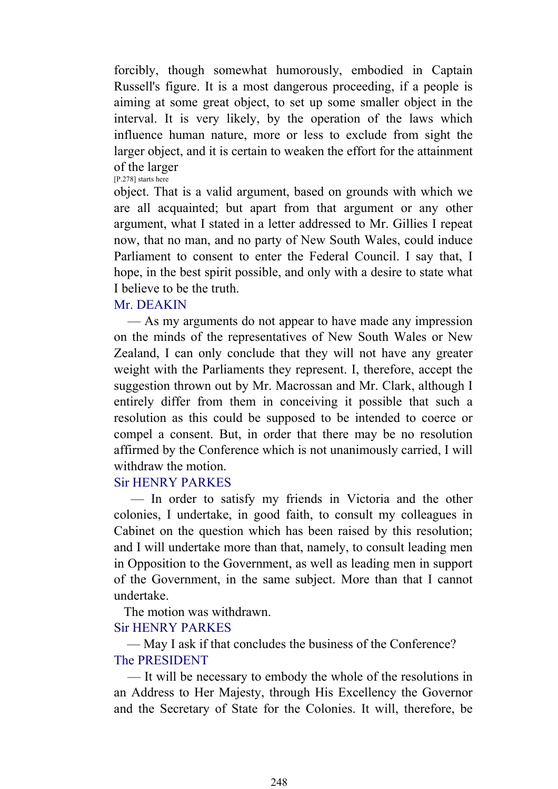forcibly, though somewhat humorously, embodied in Captain Russell's figure. It is a most dangerous proceeding, if a people is aiming at some great object, to set up some smaller object in the interval. It is very likely, by the operation of the laws which influence human nature, more or less to exclude from sight the larger object, and it is certain to weaken the effort for the attainment of the larger [P.278] starts here

object. That is a valid argument, based on grounds with which we are all acquainted; but apart from that argument or any other argument, what I stated in a letter addressed to Mr. Gillies I repeat now, that no man, and no party of New South Wales, could induce Parliament to consent to enter the Federal Council. I say that, I hope, in the best spirit possible, and only with a desire to state what I believe to be the truth.

# Mr. DEAKIN

 — As my arguments do not appear to have made any impression on the minds of the representatives of New South Wales or New Zealand, I can only conclude that they will not have any greater weight with the Parliaments they represent. I, therefore, accept the suggestion thrown out by Mr. Macrossan and Mr. Clark, although I entirely differ from them in conceiving it possible that such a resolution as this could be supposed to be intended to coerce or compel a consent. But, in order that there may be no resolution affirmed by the Conference which is not unanimously carried, I will withdraw the motion.

# Sir HENRY PARKES

 — In order to satisfy my friends in Victoria and the other colonies, I undertake, in good faith, to consult my colleagues in Cabinet on the question which has been raised by this resolution; and I will undertake more than that, namely, to consult leading men in Opposition to the Government, as well as leading men in support of the Government, in the same subject. More than that I cannot undertake.

The motion was withdrawn.

# Sir HENRY PARKES

 — May I ask if that concludes the business of the Conference? The PRESIDENT

 — It will be necessary to embody the whole of the resolutions in an Address to Her Majesty, through His Excellency the Governor and the Secretary of State for the Colonies. It will, therefore, be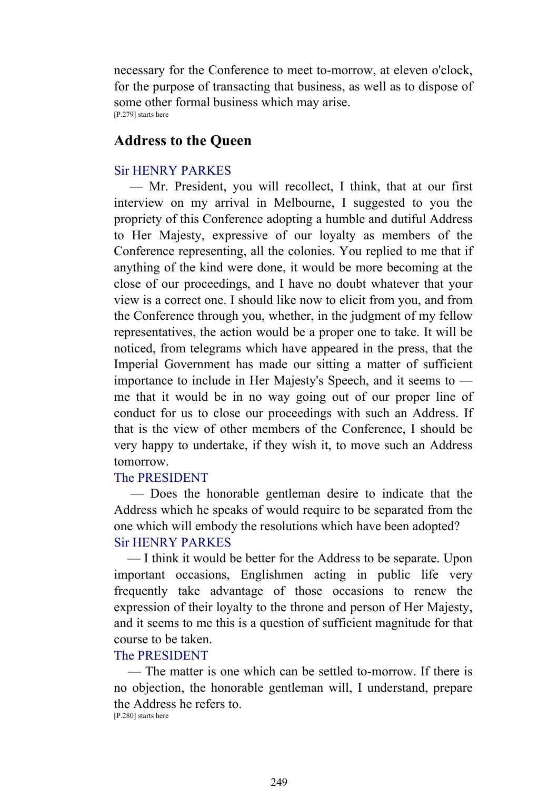necessary for the Conference to meet to-morrow, at eleven o'clock, for the purpose of transacting that business, as well as to dispose of some other formal business which may arise. [P.279] starts here

# **Address to the Queen**

# Sir HENRY PARKES

 — Mr. President, you will recollect, I think, that at our first interview on my arrival in Melbourne, I suggested to you the propriety of this Conference adopting a humble and dutiful Address to Her Majesty, expressive of our loyalty as members of the Conference representing, all the colonies. You replied to me that if anything of the kind were done, it would be more becoming at the close of our proceedings, and I have no doubt whatever that your view is a correct one. I should like now to elicit from you, and from the Conference through you, whether, in the judgment of my fellow representatives, the action would be a proper one to take. It will be noticed, from telegrams which have appeared in the press, that the Imperial Government has made our sitting a matter of sufficient importance to include in Her Majesty's Speech, and it seems to me that it would be in no way going out of our proper line of conduct for us to close our proceedings with such an Address. If that is the view of other members of the Conference, I should be very happy to undertake, if they wish it, to move such an Address tomorrow.

#### The PRESIDENT

 — Does the honorable gentleman desire to indicate that the Address which he speaks of would require to be separated from the one which will embody the resolutions which have been adopted? Sir HENRY PARKES

 — I think it would be better for the Address to be separate. Upon important occasions, Englishmen acting in public life very frequently take advantage of those occasions to renew the expression of their loyalty to the throne and person of Her Majesty, and it seems to me this is a question of sufficient magnitude for that course to be taken.

#### The PRESIDENT

 — The matter is one which can be settled to-morrow. If there is no objection, the honorable gentleman will, I understand, prepare the Address he refers to.

[P.280] starts here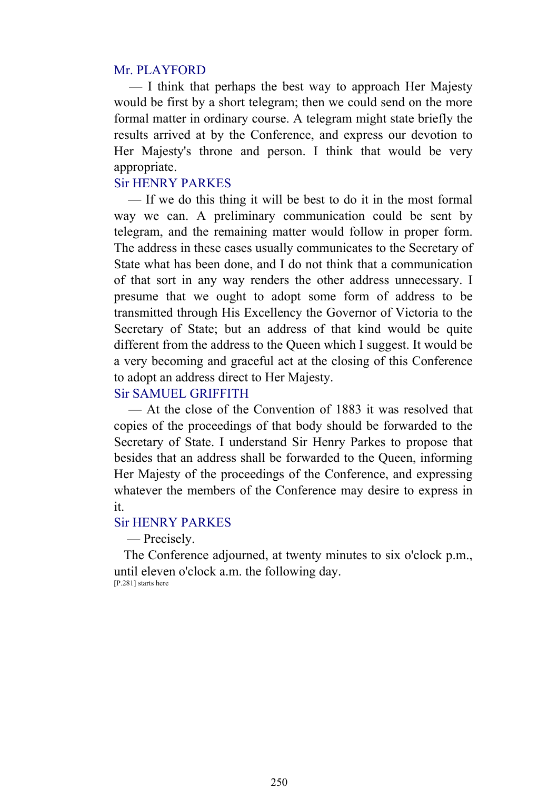#### Mr. PLAYFORD

 — I think that perhaps the best way to approach Her Majesty would be first by a short telegram; then we could send on the more formal matter in ordinary course. A telegram might state briefly the results arrived at by the Conference, and express our devotion to Her Majesty's throne and person. I think that would be very appropriate.

# Sir HENRY PARKES

 — If we do this thing it will be best to do it in the most formal way we can. A preliminary communication could be sent by telegram, and the remaining matter would follow in proper form. The address in these cases usually communicates to the Secretary of State what has been done, and I do not think that a communication of that sort in any way renders the other address unnecessary. I presume that we ought to adopt some form of address to be transmitted through His Excellency the Governor of Victoria to the Secretary of State; but an address of that kind would be quite different from the address to the Queen which I suggest. It would be a very becoming and graceful act at the closing of this Conference to adopt an address direct to Her Majesty.

#### Sir SAMUEL GRIFFITH

 — At the close of the Convention of 1883 it was resolved that copies of the proceedings of that body should be forwarded to the Secretary of State. I understand Sir Henry Parkes to propose that besides that an address shall be forwarded to the Queen, informing Her Majesty of the proceedings of the Conference, and expressing whatever the members of the Conference may desire to express in it.

#### Sir HENRY PARKES

— Precisely.

 The Conference adjourned, at twenty minutes to six o'clock p.m., until eleven o'clock a.m. the following day. [P.281] starts here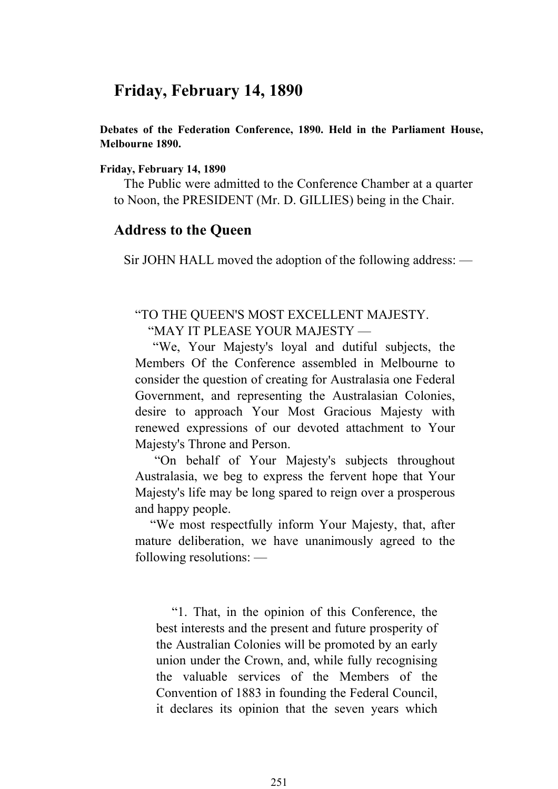# **Friday, February 14, 1890**

**Debates of the Federation Conference, 1890. Held in the Parliament House, Melbourne 1890.** 

#### **Friday, February 14, 1890**

 The Public were admitted to the Conference Chamber at a quarter to Noon, the PRESIDENT (Mr. D. GILLIES) being in the Chair.

### **Address to the Queen**

Sir JOHN HALL moved the adoption of the following address: —

### "TO THE QUEEN'S MOST EXCELLENT MAJESTY. "MAY IT PLEASE YOUR MAJESTY —

 "We, Your Majesty's loyal and dutiful subjects, the Members Of the Conference assembled in Melbourne to consider the question of creating for Australasia one Federal Government, and representing the Australasian Colonies, desire to approach Your Most Gracious Majesty with renewed expressions of our devoted attachment to Your Majesty's Throne and Person.

 "On behalf of Your Majesty's subjects throughout Australasia, we beg to express the fervent hope that Your Majesty's life may be long spared to reign over a prosperous and happy people.

 "We most respectfully inform Your Majesty, that, after mature deliberation, we have unanimously agreed to the following resolutions: —

 "1. That, in the opinion of this Conference, the best interests and the present and future prosperity of the Australian Colonies will be promoted by an early union under the Crown, and, while fully recognising the valuable services of the Members of the Convention of 1883 in founding the Federal Council, it declares its opinion that the seven years which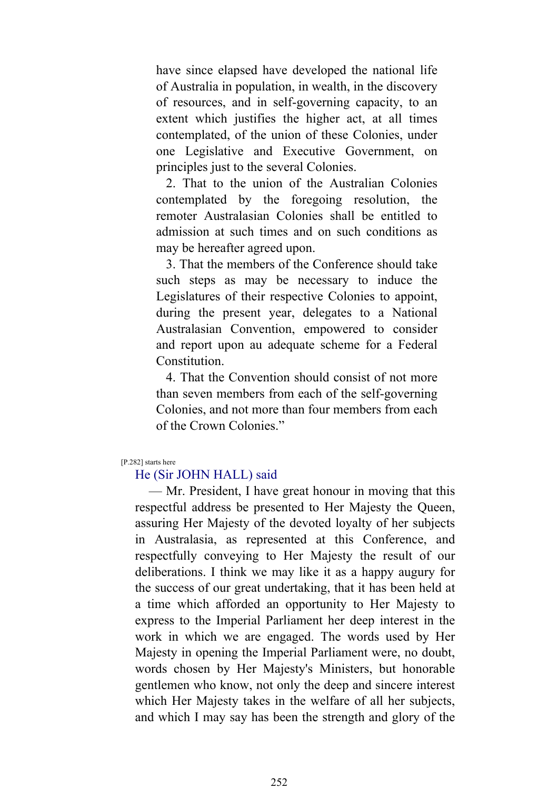have since elapsed have developed the national life of Australia in population, in wealth, in the discovery of resources, and in self-governing capacity, to an extent which justifies the higher act, at all times contemplated, of the union of these Colonies, under one Legislative and Executive Government, on principles just to the several Colonies.

 2. That to the union of the Australian Colonies contemplated by the foregoing resolution, the remoter Australasian Colonies shall be entitled to admission at such times and on such conditions as may be hereafter agreed upon.

 3. That the members of the Conference should take such steps as may be necessary to induce the Legislatures of their respective Colonies to appoint, during the present year, delegates to a National Australasian Convention, empowered to consider and report upon au adequate scheme for a Federal Constitution.

 4. That the Convention should consist of not more than seven members from each of the self-governing Colonies, and not more than four members from each of the Crown Colonies."

[P.282] starts here

#### He (Sir JOHN HALL) said

 — Mr. President, I have great honour in moving that this respectful address be presented to Her Majesty the Queen, assuring Her Majesty of the devoted loyalty of her subjects in Australasia, as represented at this Conference, and respectfully conveying to Her Majesty the result of our deliberations. I think we may like it as a happy augury for the success of our great undertaking, that it has been held at a time which afforded an opportunity to Her Majesty to express to the Imperial Parliament her deep interest in the work in which we are engaged. The words used by Her Majesty in opening the Imperial Parliament were, no doubt, words chosen by Her Majesty's Ministers, but honorable gentlemen who know, not only the deep and sincere interest which Her Majesty takes in the welfare of all her subjects, and which I may say has been the strength and glory of the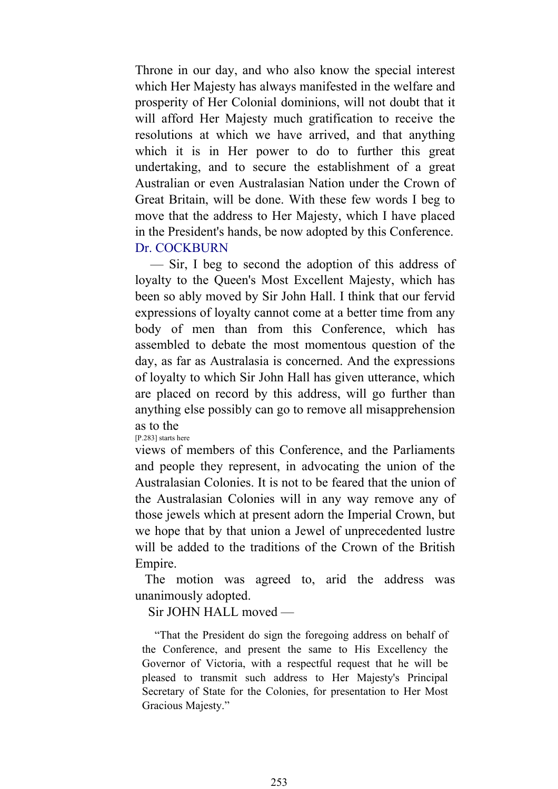Throne in our day, and who also know the special interest which Her Majesty has always manifested in the welfare and prosperity of Her Colonial dominions, will not doubt that it will afford Her Majesty much gratification to receive the resolutions at which we have arrived, and that anything which it is in Her power to do to further this great undertaking, and to secure the establishment of a great Australian or even Australasian Nation under the Crown of Great Britain, will be done. With these few words I beg to move that the address to Her Majesty, which I have placed in the President's hands, be now adopted by this Conference. Dr. COCKBURN

 — Sir, I beg to second the adoption of this address of loyalty to the Queen's Most Excellent Majesty, which has been so ably moved by Sir John Hall. I think that our fervid expressions of loyalty cannot come at a better time from any body of men than from this Conference, which has assembled to debate the most momentous question of the day, as far as Australasia is concerned. And the expressions of loyalty to which Sir John Hall has given utterance, which are placed on record by this address, will go further than anything else possibly can go to remove all misapprehension as to the

[P.283] starts here

views of members of this Conference, and the Parliaments and people they represent, in advocating the union of the Australasian Colonies. It is not to be feared that the union of the Australasian Colonies will in any way remove any of those jewels which at present adorn the Imperial Crown, but we hope that by that union a Jewel of unprecedented lustre will be added to the traditions of the Crown of the British Empire.

 The motion was agreed to, arid the address was unanimously adopted.

Sir JOHN HALL moved —

 "That the President do sign the foregoing address on behalf of the Conference, and present the same to His Excellency the Governor of Victoria, with a respectful request that he will be pleased to transmit such address to Her Majesty's Principal Secretary of State for the Colonies, for presentation to Her Most Gracious Majesty."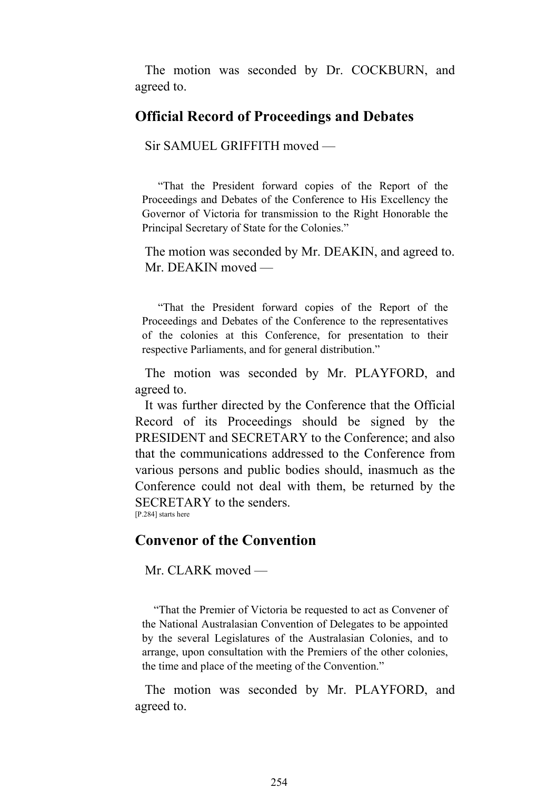The motion was seconded by Dr. COCKBURN, and agreed to.

# **Official Record of Proceedings and Debates**

Sir SAMUEL GRIFFITH moved —

 "That the President forward copies of the Report of the Proceedings and Debates of the Conference to His Excellency the Governor of Victoria for transmission to the Right Honorable the Principal Secretary of State for the Colonies."

 The motion was seconded by Mr. DEAKIN, and agreed to. Mr. DEAKIN moved —

 "That the President forward copies of the Report of the Proceedings and Debates of the Conference to the representatives of the colonies at this Conference, for presentation to their respective Parliaments, and for general distribution."

 The motion was seconded by Mr. PLAYFORD, and agreed to.

 It was further directed by the Conference that the Official Record of its Proceedings should be signed by the PRESIDENT and SECRETARY to the Conference; and also that the communications addressed to the Conference from various persons and public bodies should, inasmuch as the Conference could not deal with them, be returned by the SECRETARY to the senders. [P.284] starts here

# **Convenor of the Convention**

Mr. CLARK moved —

 "That the Premier of Victoria be requested to act as Convener of the National Australasian Convention of Delegates to be appointed by the several Legislatures of the Australasian Colonies, and to arrange, upon consultation with the Premiers of the other colonies, the time and place of the meeting of the Convention."

 The motion was seconded by Mr. PLAYFORD, and agreed to.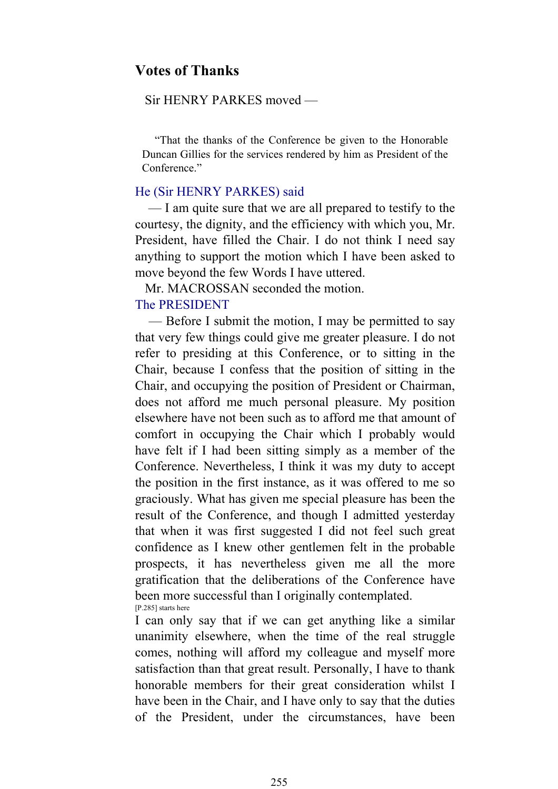# **Votes of Thanks**

#### Sir HENRY PARKES moved —

 "That the thanks of the Conference be given to the Honorable Duncan Gillies for the services rendered by him as President of the Conference."

#### He (Sir HENRY PARKES) said

 — I am quite sure that we are all prepared to testify to the courtesy, the dignity, and the efficiency with which you, Mr. President, have filled the Chair. I do not think I need say anything to support the motion which I have been asked to move beyond the few Words I have uttered.

Mr. MACROSSAN seconded the motion.

## The PRESIDENT

 — Before I submit the motion, I may be permitted to say that very few things could give me greater pleasure. I do not refer to presiding at this Conference, or to sitting in the Chair, because I confess that the position of sitting in the Chair, and occupying the position of President or Chairman, does not afford me much personal pleasure. My position elsewhere have not been such as to afford me that amount of comfort in occupying the Chair which I probably would have felt if I had been sitting simply as a member of the Conference. Nevertheless, I think it was my duty to accept the position in the first instance, as it was offered to me so graciously. What has given me special pleasure has been the result of the Conference, and though I admitted yesterday that when it was first suggested I did not feel such great confidence as I knew other gentlemen felt in the probable prospects, it has nevertheless given me all the more gratification that the deliberations of the Conference have been more successful than I originally contemplated. [P.285] starts here

I can only say that if we can get anything like a similar unanimity elsewhere, when the time of the real struggle comes, nothing will afford my colleague and myself more satisfaction than that great result. Personally, I have to thank honorable members for their great consideration whilst I have been in the Chair, and I have only to say that the duties of the President, under the circumstances, have been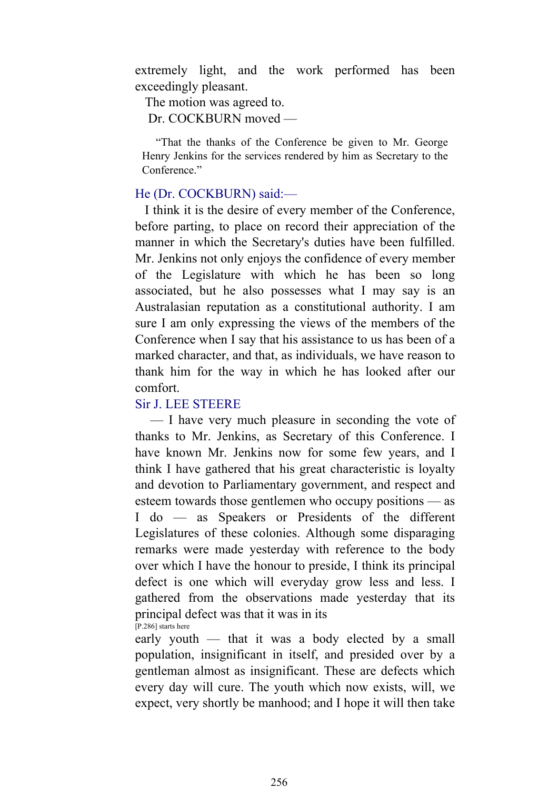extremely light, and the work performed has been exceedingly pleasant.

The motion was agreed to.

Dr. COCKBURN moved —

 "That the thanks of the Conference be given to Mr. George Henry Jenkins for the services rendered by him as Secretary to the Conference."

#### He (Dr. COCKBURN) said:—

 I think it is the desire of every member of the Conference, before parting, to place on record their appreciation of the manner in which the Secretary's duties have been fulfilled. Mr. Jenkins not only enjoys the confidence of every member of the Legislature with which he has been so long associated, but he also possesses what I may say is an Australasian reputation as a constitutional authority. I am sure I am only expressing the views of the members of the Conference when I say that his assistance to us has been of a marked character, and that, as individuals, we have reason to thank him for the way in which he has looked after our comfort.

#### Sir J. LEE STEERE

 — I have very much pleasure in seconding the vote of thanks to Mr. Jenkins, as Secretary of this Conference. I have known Mr. Jenkins now for some few years, and I think I have gathered that his great characteristic is loyalty and devotion to Parliamentary government, and respect and esteem towards those gentlemen who occupy positions — as I do — as Speakers or Presidents of the different Legislatures of these colonies. Although some disparaging remarks were made yesterday with reference to the body over which I have the honour to preside, I think its principal defect is one which will everyday grow less and less. I gathered from the observations made yesterday that its principal defect was that it was in its [P.286] starts here

early youth — that it was a body elected by a small population, insignificant in itself, and presided over by a gentleman almost as insignificant. These are defects which every day will cure. The youth which now exists, will, we expect, very shortly be manhood; and I hope it will then take